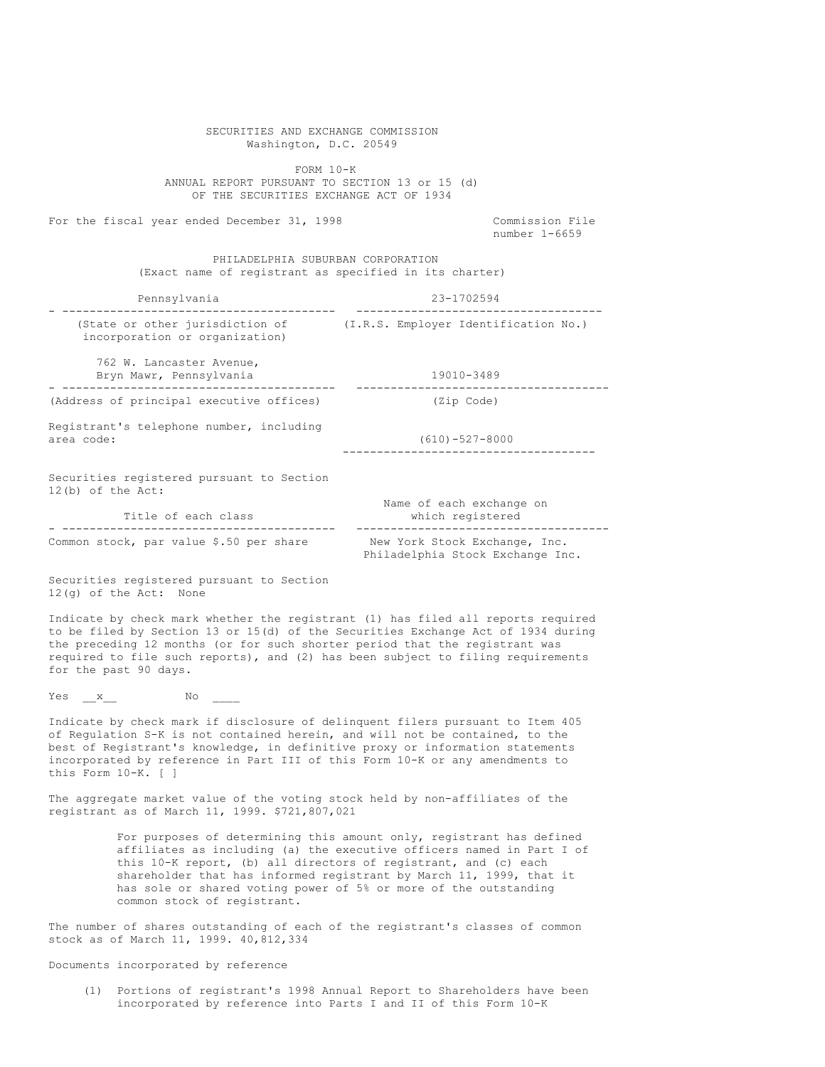| SECURITIES AND EXCHANGE COMMISSION<br>Washington, D.C. 20549                                           |                                                                   |
|--------------------------------------------------------------------------------------------------------|-------------------------------------------------------------------|
| FORM 10-K<br>ANNUAL REPORT PURSUANT TO SECTION 13 or 15 (d)<br>OF THE SECURITIES EXCHANGE ACT OF 1934  |                                                                   |
| For the fiscal year ended December 31, 1998                                                            | Commission File<br>number 1-6659                                  |
| PHILADELPHIA SUBURBAN CORPORATION<br>(Exact name of registrant as specified in its charter)            |                                                                   |
| Pennsylvania                                                                                           | 23-1702594                                                        |
| (State or other jurisdiction of (I.R.S. Employer Identification No.)<br>incorporation or organization) |                                                                   |
| 762 W. Lancaster Avenue,<br>Bryn Mawr, Pennsylvania                                                    | 19010-3489                                                        |
| (Address of principal executive offices)                                                               | (Zip Code)                                                        |
| Registrant's telephone number, including<br>area code:                                                 | $(610) - 527 - 8000$                                              |
| Securities registered pursuant to Section<br>$12(b)$ of the Act:                                       | Name of each exchange on                                          |
| Title of each class                                                                                    | which registered                                                  |
| Common stock, par value \$.50 per share                                                                | New York Stock Exchange, Inc.<br>Philadelphia Stock Exchange Inc. |
|                                                                                                        |                                                                   |

Securities registered pursuant to Section 12(g) of the Act: None

Indicate by check mark whether the registrant (1) has filed all reports required to be filed by Section 13 or 15(d) of the Securities Exchange Act of 1934 during the preceding 12 months (or for such shorter period that the registrant was required to file such reports), and (2) has been subject to filing requirements for the past 90 days.

 $Yes \t x$  No

Indicate by check mark if disclosure of delinquent filers pursuant to Item 405 of Regulation S-K is not contained herein, and will not be contained, to the best of Registrant's knowledge, in definitive proxy or information statements incorporated by reference in Part III of this Form 10-K or any amendments to this Form 10-K. [ ]

The aggregate market value of the voting stock held by non-affiliates of the registrant as of March 11, 1999. \$721,807,021

> For purposes of determining this amount only, registrant has defined affiliates as including (a) the executive officers named in Part I of this 10-K report, (b) all directors of registrant, and (c) each shareholder that has informed registrant by March 11, 1999, that it has sole or shared voting power of 5% or more of the outstanding common stock of registrant.

The number of shares outstanding of each of the registrant's classes of common stock as of March 11, 1999. 40,812,334

Documents incorporated by reference

(1) Portions of registrant's 1998 Annual Report to Shareholders have been incorporated by reference into Parts I and II of this Form 10-K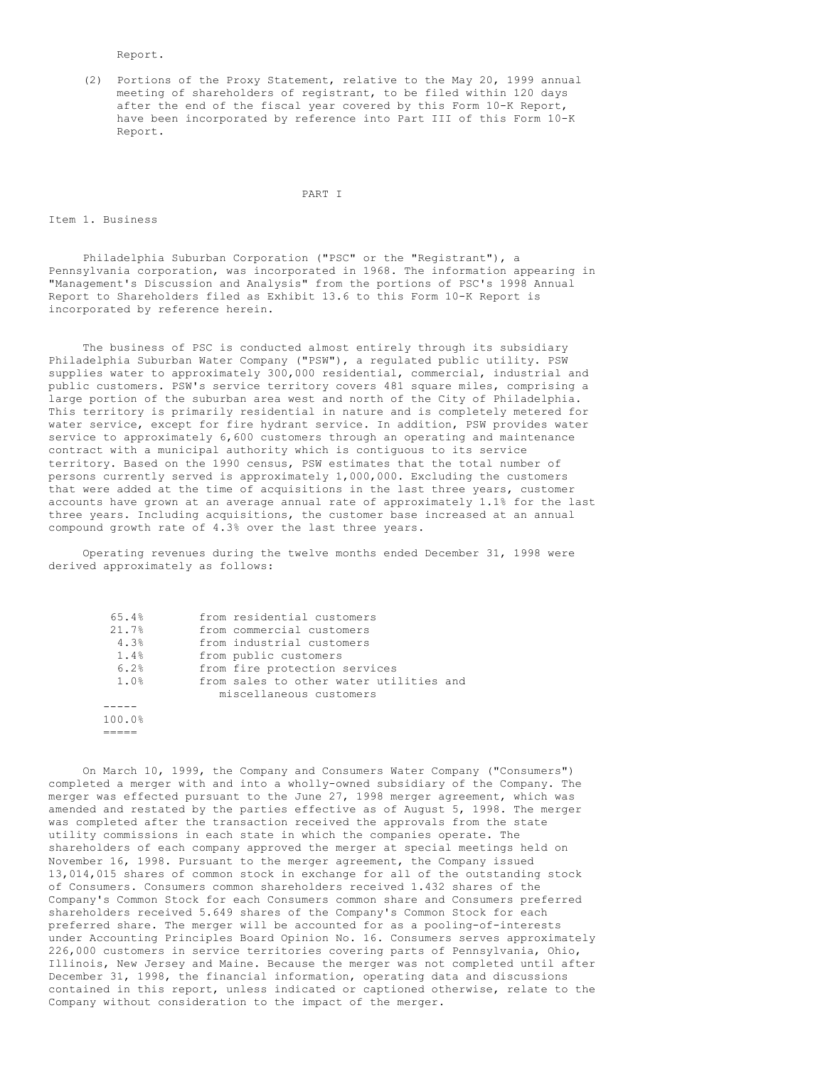Report.

(2) Portions of the Proxy Statement, relative to the May 20, 1999 annual meeting of shareholders of registrant, to be filed within 120 days after the end of the fiscal year covered by this Form 10-K Report, have been incorporated by reference into Part III of this Form 10-K Report.

PART I

### Item 1. Business

Philadelphia Suburban Corporation ("PSC" or the "Registrant"), a Pennsylvania corporation, was incorporated in 1968. The information appearing in "Management's Discussion and Analysis" from the portions of PSC's 1998 Annual Report to Shareholders filed as Exhibit 13.6 to this Form 10-K Report is incorporated by reference herein.

The business of PSC is conducted almost entirely through its subsidiary Philadelphia Suburban Water Company ("PSW"), a regulated public utility. PSW supplies water to approximately 300,000 residential, commercial, industrial and public customers. PSW's service territory covers 481 square miles, comprising a large portion of the suburban area west and north of the City of Philadelphia. This territory is primarily residential in nature and is completely metered for water service, except for fire hydrant service. In addition, PSW provides water service to approximately 6,600 customers through an operating and maintenance contract with a municipal authority which is contiguous to its service territory. Based on the 1990 census, PSW estimates that the total number of persons currently served is approximately 1,000,000. Excluding the customers that were added at the time of acquisitions in the last three years, customer accounts have grown at an average annual rate of approximately 1.1% for the last three years. Including acquisitions, the customer base increased at an annual compound growth rate of 4.3% over the last three years.

Operating revenues during the twelve months ended December 31, 1998 were derived approximately as follows:

| 65.4%  | from residential customers              |
|--------|-----------------------------------------|
| 21.7%  | from commercial customers               |
| 4.3%   | from industrial customers               |
| 1.4%   | from public customers                   |
| 6.2%   | from fire protection services           |
| 1.0%   | from sales to other water utilities and |
|        | miscellaneous customers                 |
|        |                                         |
| 100.0% |                                         |
|        |                                         |

On March 10, 1999, the Company and Consumers Water Company ("Consumers") completed a merger with and into a wholly-owned subsidiary of the Company. The merger was effected pursuant to the June 27, 1998 merger agreement, which was amended and restated by the parties effective as of August 5, 1998. The merger was completed after the transaction received the approvals from the state utility commissions in each state in which the companies operate. The shareholders of each company approved the merger at special meetings held on November 16, 1998. Pursuant to the merger agreement, the Company issued 13,014,015 shares of common stock in exchange for all of the outstanding stock of Consumers. Consumers common shareholders received 1.432 shares of the Company's Common Stock for each Consumers common share and Consumers preferred shareholders received 5.649 shares of the Company's Common Stock for each preferred share. The merger will be accounted for as a pooling-of-interests under Accounting Principles Board Opinion No. 16. Consumers serves approximately 226,000 customers in service territories covering parts of Pennsylvania, Ohio, Illinois, New Jersey and Maine. Because the merger was not completed until after December 31, 1998, the financial information, operating data and discussions contained in this report, unless indicated or captioned otherwise, relate to the Company without consideration to the impact of the merger.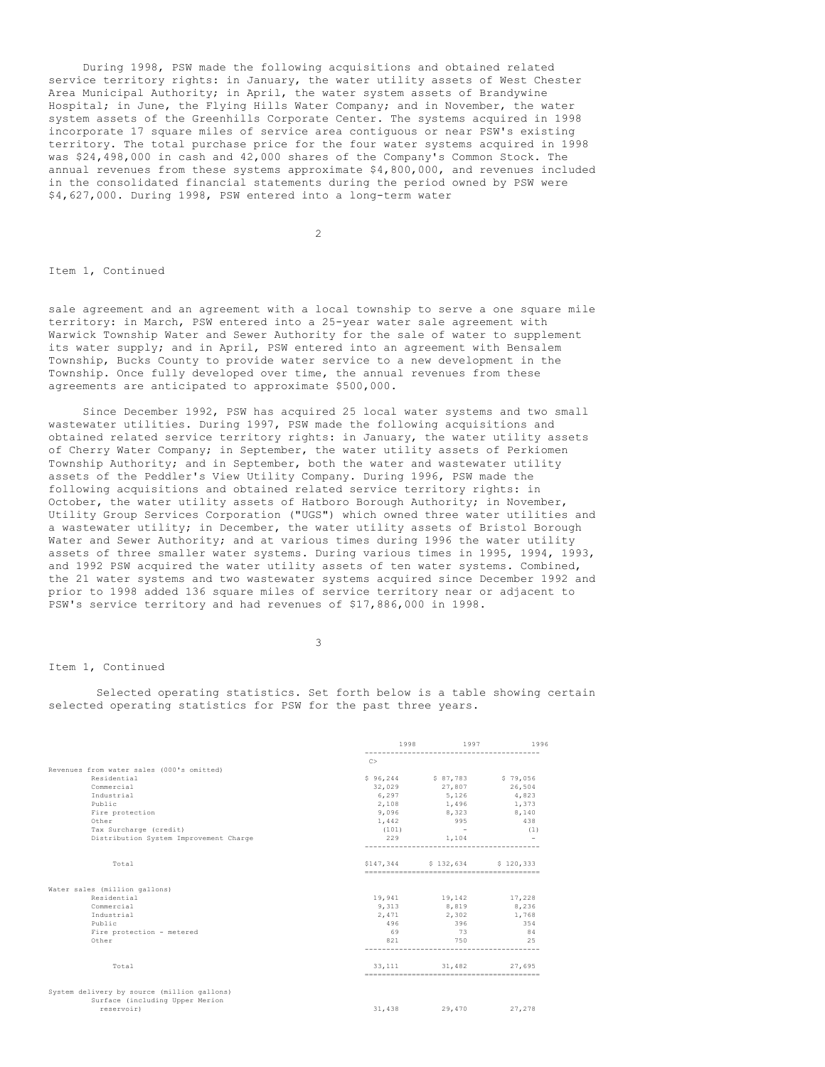During 1998, PSW made the following acquisitions and obtained related service territory rights: in January, the water utility assets of West Chester Area Municipal Authority; in April, the water system assets of Brandywine Hospital; in June, the Flying Hills Water Company; and in November, the water system assets of the Greenhills Corporate Center. The systems acquired in 1998 incorporate 17 square miles of service area contiguous or near PSW's existing territory. The total purchase price for the four water systems acquired in 1998 was \$24,498,000 in cash and 42,000 shares of the Company's Common Stock. The annual revenues from these systems approximate \$4,800,000, and revenues included in the consolidated financial statements during the period owned by PSW were \$4,627,000. During 1998, PSW entered into a long-term water

 $\mathfrak{D}$ 

## Item 1, Continued

sale agreement and an agreement with a local township to serve a one square mile territory: in March, PSW entered into a 25-year water sale agreement with Warwick Township Water and Sewer Authority for the sale of water to supplement its water supply; and in April, PSW entered into an agreement with Bensalem Township, Bucks County to provide water service to a new development in the Township. Once fully developed over time, the annual revenues from these agreements are anticipated to approximate \$500,000.

Since December 1992, PSW has acquired 25 local water systems and two small wastewater utilities. During 1997, PSW made the following acquisitions and obtained related service territory rights: in January, the water utility assets of Cherry Water Company; in September, the water utility assets of Perkiomen Township Authority; and in September, both the water and wastewater utility assets of the Peddler's View Utility Company. During 1996, PSW made the following acquisitions and obtained related service territory rights: in October, the water utility assets of Hatboro Borough Authority; in November, Utility Group Services Corporation ("UGS") which owned three water utilities and a wastewater utility; in December, the water utility assets of Bristol Borough Water and Sewer Authority; and at various times during 1996 the water utility assets of three smaller water systems. During various times in 1995, 1994, 1993, and 1992 PSW acquired the water utility assets of ten water systems. Combined, the 21 water systems and two wastewater systems acquired since December 1992 and prior to 1998 added 136 square miles of service territory near or adjacent to PSW's service territory and had revenues of \$17,886,000 in 1998.

3

# Item 1, Continued

Selected operating statistics. Set forth below is a table showing certain selected operating statistics for PSW for the past three years.

|                                             |              | 1998 1997 1996                |       |
|---------------------------------------------|--------------|-------------------------------|-------|
|                                             | $\mathbb{C}$ |                               |       |
| Revenues from water sales (000's omitted)   |              |                               |       |
| Residential                                 |              | \$96,244 \$87,783 \$79,056    |       |
| Commercial                                  |              | 32,029 27,807 26,504          |       |
| Industrial                                  |              | 6,297 5,126 4,823             |       |
| Public                                      |              | 2,108 1,496 1,373             |       |
| Fire protection                             |              | 9.096 8.323                   | 8,140 |
| Other                                       | 1,442        | 995                           | 438   |
| Tax Surcharge (credit)                      | (101)        | <b>Contract Contract</b>      | (1)   |
| Distribution System Improvement Charge      |              | 229 1,104                     |       |
|                                             |              |                               |       |
| Total                                       |              | \$147,344 \$132,634 \$120,333 |       |
|                                             |              |                               |       |
| Water sales (million gallons)               |              |                               |       |
| Residential                                 |              | 19,941 19,142 17,228          |       |
| Commercial                                  |              | 9,313 8,819 8,236             |       |
| Industrial                                  |              | 2,471 2,302 1,768             |       |
| Public                                      |              | $496$ $396$                   | 3.54  |
| Fire protection - metered                   | 69           | 73                            | 84    |
| Other                                       | 821          | 750                           | 25    |
|                                             |              |                               |       |
| Total                                       |              | 33.111 31.482 27.695          |       |
|                                             |              |                               |       |
| System delivery by source (million gallons) |              |                               |       |
| Surface (including Upper Merion             |              |                               |       |
| reservoir)                                  |              | 31,438 29,470 27,278          |       |
|                                             |              |                               |       |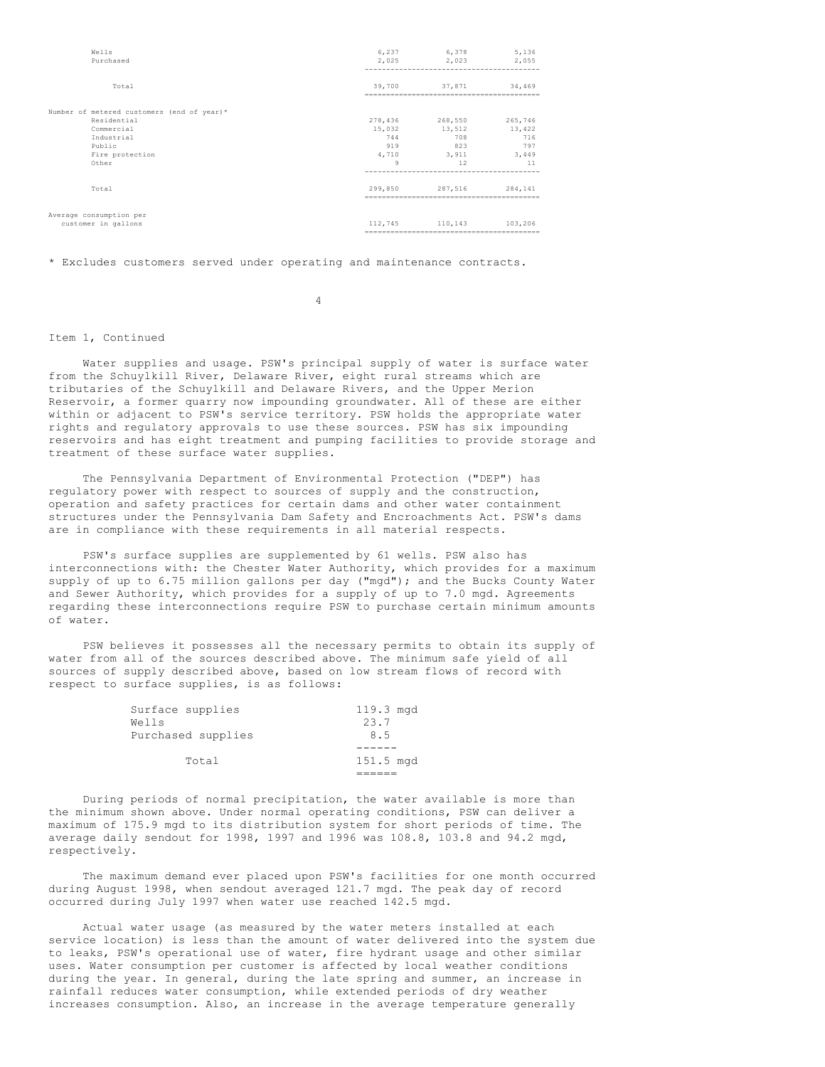| Wells<br>Purchased                         | 6,237<br>2,025 | 6,378<br>2,023                     | 5,136<br>2,055 |
|--------------------------------------------|----------------|------------------------------------|----------------|
| Total                                      | 39,700         | 37,871                             | 34,469         |
| Number of metered customers (end of year)* |                |                                    |                |
| Residential                                | 278.436        | 268,550                            | 265,746        |
| Commercial                                 | 15,032         | 13,512                             | 13,422         |
| Industrial                                 | 744            | 708                                | 716            |
| Public                                     | 919            | 823                                | 797            |
| Fire protection                            | 4,710          | 3,911                              | 3,449          |
| Other                                      | 9              | 12                                 | 11             |
| Total                                      | 299,850        | 287,516                            | 284,141        |
|                                            |                | ---------------------------------- |                |
| Average consumption per                    |                |                                    |                |
| customer in gallons                        | 112,745        | 110,143                            | 103,206        |
|                                            |                |                                    |                |

\* Excludes customers served under operating and maintenance contracts.

### 4

#### Item 1, Continued

Water supplies and usage. PSW's principal supply of water is surface water from the Schuylkill River, Delaware River, eight rural streams which are tributaries of the Schuylkill and Delaware Rivers, and the Upper Merion Reservoir, a former quarry now impounding groundwater. All of these are either within or adjacent to PSW's service territory. PSW holds the appropriate water rights and regulatory approvals to use these sources. PSW has six impounding reservoirs and has eight treatment and pumping facilities to provide storage and treatment of these surface water supplies.

The Pennsylvania Department of Environmental Protection ("DEP") has regulatory power with respect to sources of supply and the construction, operation and safety practices for certain dams and other water containment structures under the Pennsylvania Dam Safety and Encroachments Act. PSW's dams are in compliance with these requirements in all material respects.

PSW's surface supplies are supplemented by 61 wells. PSW also has interconnections with: the Chester Water Authority, which provides for a maximum supply of up to 6.75 million gallons per day ("mgd"); and the Bucks County Water and Sewer Authority, which provides for a supply of up to 7.0 mgd. Agreements regarding these interconnections require PSW to purchase certain minimum amounts of water.

PSW believes it possesses all the necessary permits to obtain its supply of water from all of the sources described above. The minimum safe yield of all sources of supply described above, based on low stream flows of record with respect to surface supplies, is as follows:

| Total              | 151.5 mgd |
|--------------------|-----------|
|                    |           |
| Purchased supplies | 8.5       |
| Wells              | 23.7      |
| Surface supplies   | 119.3 mgd |

During periods of normal precipitation, the water available is more than the minimum shown above. Under normal operating conditions, PSW can deliver a maximum of 175.9 mgd to its distribution system for short periods of time. The average daily sendout for 1998, 1997 and 1996 was 108.8, 103.8 and 94.2 mgd, respectively.

The maximum demand ever placed upon PSW's facilities for one month occurred during August 1998, when sendout averaged 121.7 mgd. The peak day of record occurred during July 1997 when water use reached 142.5 mgd.

Actual water usage (as measured by the water meters installed at each service location) is less than the amount of water delivered into the system due to leaks, PSW's operational use of water, fire hydrant usage and other similar uses. Water consumption per customer is affected by local weather conditions during the year. In general, during the late spring and summer, an increase in rainfall reduces water consumption, while extended periods of dry weather increases consumption. Also, an increase in the average temperature generally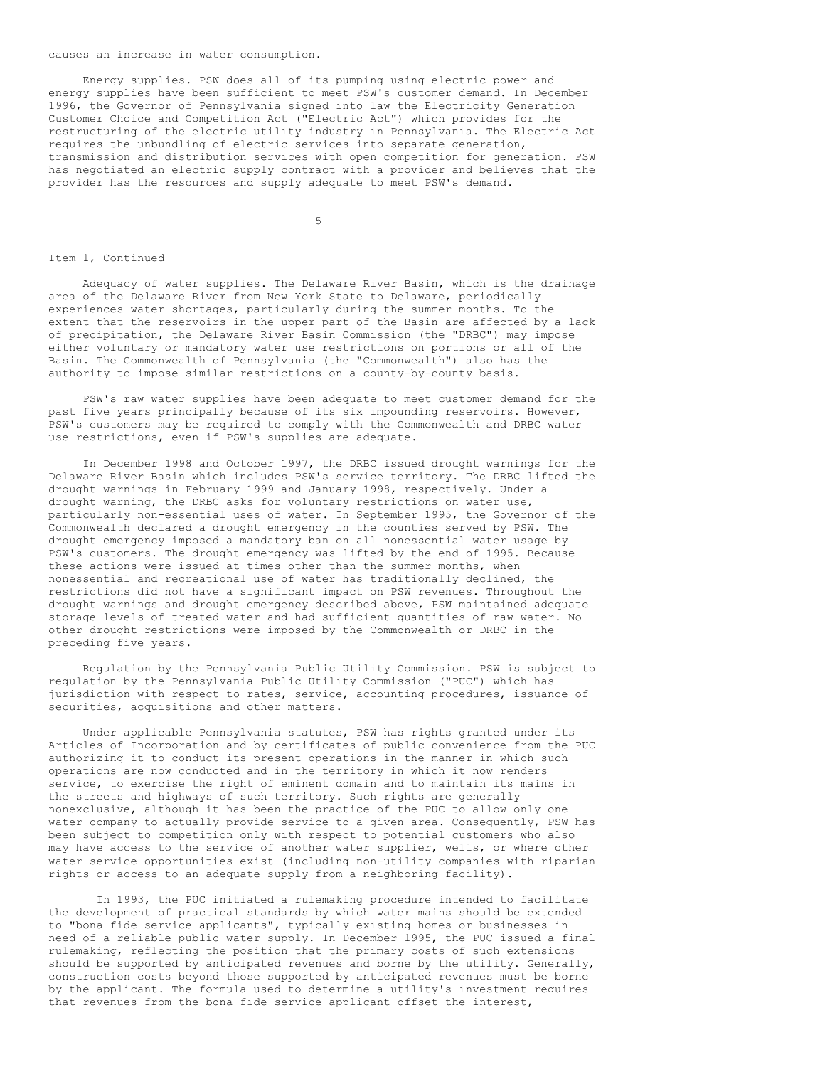### causes an increase in water consumption.

Energy supplies. PSW does all of its pumping using electric power and energy supplies have been sufficient to meet PSW's customer demand. In December 1996, the Governor of Pennsylvania signed into law the Electricity Generation Customer Choice and Competition Act ("Electric Act") which provides for the restructuring of the electric utility industry in Pennsylvania. The Electric Act requires the unbundling of electric services into separate generation, transmission and distribution services with open competition for generation. PSW has negotiated an electric supply contract with a provider and believes that the provider has the resources and supply adequate to meet PSW's demand.

5

#### Item 1, Continued

Adequacy of water supplies. The Delaware River Basin, which is the drainage area of the Delaware River from New York State to Delaware, periodically experiences water shortages, particularly during the summer months. To the extent that the reservoirs in the upper part of the Basin are affected by a lack of precipitation, the Delaware River Basin Commission (the "DRBC") may impose either voluntary or mandatory water use restrictions on portions or all of the Basin. The Commonwealth of Pennsylvania (the "Commonwealth") also has the authority to impose similar restrictions on a county-by-county basis.

PSW's raw water supplies have been adequate to meet customer demand for the past five years principally because of its six impounding reservoirs. However, PSW's customers may be required to comply with the Commonwealth and DRBC water use restrictions, even if PSW's supplies are adequate.

In December 1998 and October 1997, the DRBC issued drought warnings for the Delaware River Basin which includes PSW's service territory. The DRBC lifted the drought warnings in February 1999 and January 1998, respectively. Under a drought warning, the DRBC asks for voluntary restrictions on water use, particularly non-essential uses of water. In September 1995, the Governor of the Commonwealth declared a drought emergency in the counties served by PSW. The drought emergency imposed a mandatory ban on all nonessential water usage by PSW's customers. The drought emergency was lifted by the end of 1995. Because these actions were issued at times other than the summer months, when nonessential and recreational use of water has traditionally declined, the restrictions did not have a significant impact on PSW revenues. Throughout the drought warnings and drought emergency described above, PSW maintained adequate storage levels of treated water and had sufficient quantities of raw water. No other drought restrictions were imposed by the Commonwealth or DRBC in the preceding five years.

Regulation by the Pennsylvania Public Utility Commission. PSW is subject to regulation by the Pennsylvania Public Utility Commission ("PUC") which has jurisdiction with respect to rates, service, accounting procedures, issuance of securities, acquisitions and other matters.

Under applicable Pennsylvania statutes, PSW has rights granted under its Articles of Incorporation and by certificates of public convenience from the PUC authorizing it to conduct its present operations in the manner in which such operations are now conducted and in the territory in which it now renders service, to exercise the right of eminent domain and to maintain its mains in the streets and highways of such territory. Such rights are generally nonexclusive, although it has been the practice of the PUC to allow only one water company to actually provide service to a given area. Consequently, PSW has been subject to competition only with respect to potential customers who also may have access to the service of another water supplier, wells, or where other water service opportunities exist (including non-utility companies with riparian rights or access to an adequate supply from a neighboring facility).

In 1993, the PUC initiated a rulemaking procedure intended to facilitate the development of practical standards by which water mains should be extended to "bona fide service applicants", typically existing homes or businesses in need of a reliable public water supply. In December 1995, the PUC issued a final rulemaking, reflecting the position that the primary costs of such extensions should be supported by anticipated revenues and borne by the utility. Generally, construction costs beyond those supported by anticipated revenues must be borne by the applicant. The formula used to determine a utility's investment requires that revenues from the bona fide service applicant offset the interest,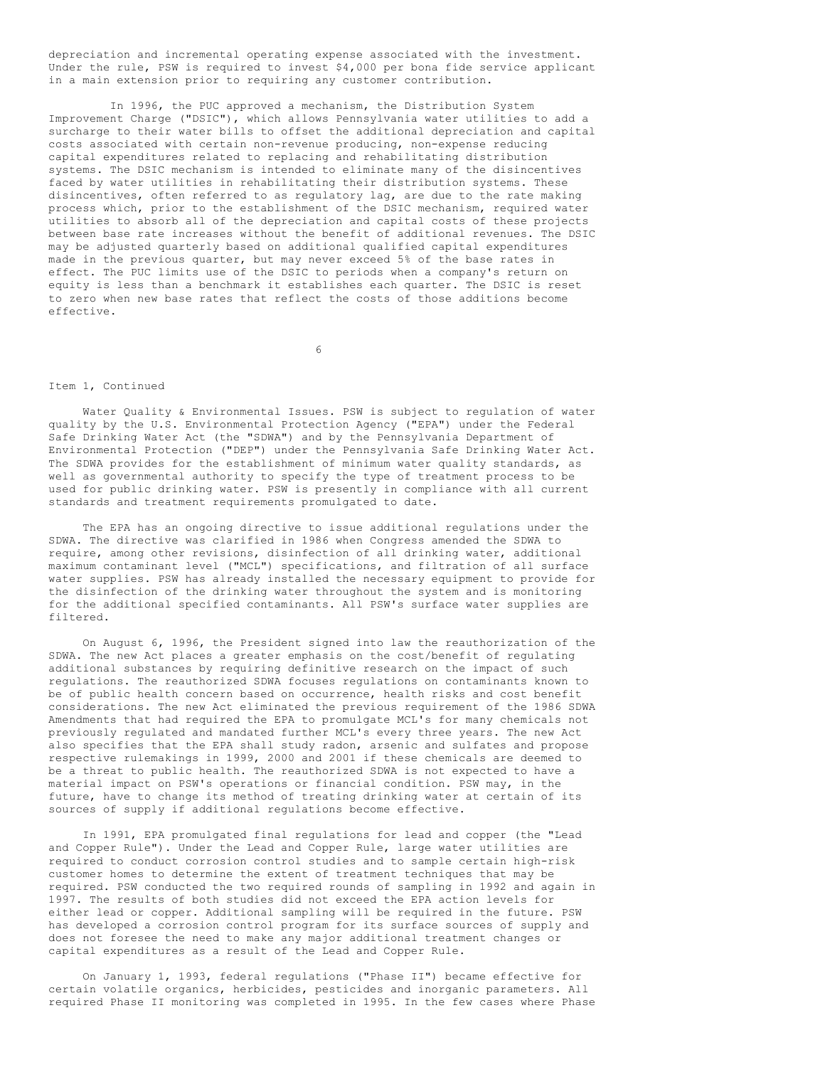depreciation and incremental operating expense associated with the investment. Under the rule, PSW is required to invest \$4,000 per bona fide service applicant in a main extension prior to requiring any customer contribution.

In 1996, the PUC approved a mechanism, the Distribution System Improvement Charge ("DSIC"), which allows Pennsylvania water utilities to add a surcharge to their water bills to offset the additional depreciation and capital costs associated with certain non-revenue producing, non-expense reducing capital expenditures related to replacing and rehabilitating distribution systems. The DSIC mechanism is intended to eliminate many of the disincentives faced by water utilities in rehabilitating their distribution systems. These disincentives, often referred to as regulatory lag, are due to the rate making process which, prior to the establishment of the DSIC mechanism, required water utilities to absorb all of the depreciation and capital costs of these projects between base rate increases without the benefit of additional revenues. The DSIC may be adjusted quarterly based on additional qualified capital expenditures made in the previous quarter, but may never exceed 5% of the base rates in effect. The PUC limits use of the DSIC to periods when a company's return on equity is less than a benchmark it establishes each quarter. The DSIC is reset to zero when new base rates that reflect the costs of those additions become effective.

6

#### Item 1, Continued

Water Quality & Environmental Issues. PSW is subject to regulation of water quality by the U.S. Environmental Protection Agency ("EPA") under the Federal Safe Drinking Water Act (the "SDWA") and by the Pennsylvania Department of Environmental Protection ("DEP") under the Pennsylvania Safe Drinking Water Act. The SDWA provides for the establishment of minimum water quality standards, as well as governmental authority to specify the type of treatment process to be used for public drinking water. PSW is presently in compliance with all current standards and treatment requirements promulgated to date.

The EPA has an ongoing directive to issue additional regulations under the SDWA. The directive was clarified in 1986 when Congress amended the SDWA to require, among other revisions, disinfection of all drinking water, additional maximum contaminant level ("MCL") specifications, and filtration of all surface water supplies. PSW has already installed the necessary equipment to provide for the disinfection of the drinking water throughout the system and is monitoring for the additional specified contaminants. All PSW's surface water supplies are filtered.

On August 6, 1996, the President signed into law the reauthorization of the SDWA. The new Act places a greater emphasis on the cost/benefit of regulating additional substances by requiring definitive research on the impact of such regulations. The reauthorized SDWA focuses regulations on contaminants known to be of public health concern based on occurrence, health risks and cost benefit considerations. The new Act eliminated the previous requirement of the 1986 SDWA Amendments that had required the EPA to promulgate MCL's for many chemicals not previously regulated and mandated further MCL's every three years. The new Act also specifies that the EPA shall study radon, arsenic and sulfates and propose respective rulemakings in 1999, 2000 and 2001 if these chemicals are deemed to be a threat to public health. The reauthorized SDWA is not expected to have a material impact on PSW's operations or financial condition. PSW may, in the future, have to change its method of treating drinking water at certain of its sources of supply if additional regulations become effective.

In 1991, EPA promulgated final regulations for lead and copper (the "Lead and Copper Rule"). Under the Lead and Copper Rule, large water utilities are required to conduct corrosion control studies and to sample certain high-risk customer homes to determine the extent of treatment techniques that may be required. PSW conducted the two required rounds of sampling in 1992 and again in 1997. The results of both studies did not exceed the EPA action levels for either lead or copper. Additional sampling will be required in the future. PSW has developed a corrosion control program for its surface sources of supply and does not foresee the need to make any major additional treatment changes or capital expenditures as a result of the Lead and Copper Rule.

On January 1, 1993, federal regulations ("Phase II") became effective for certain volatile organics, herbicides, pesticides and inorganic parameters. All required Phase II monitoring was completed in 1995. In the few cases where Phase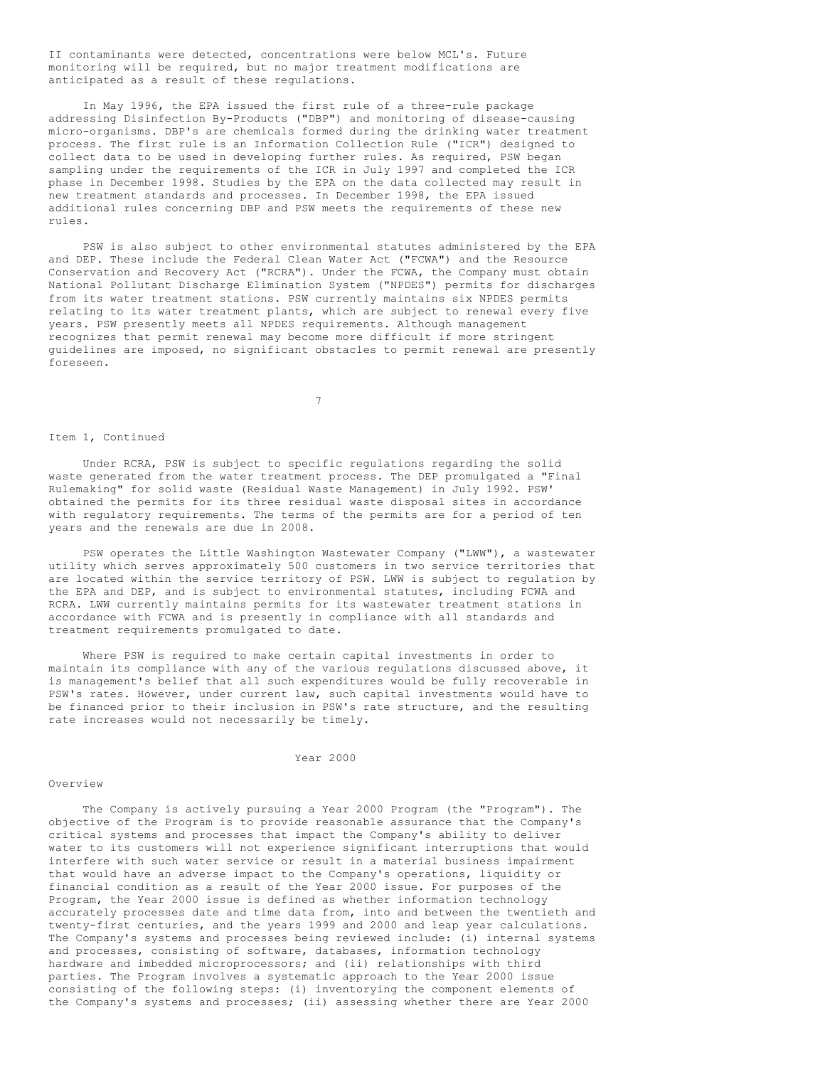II contaminants were detected, concentrations were below MCL's. Future monitoring will be required, but no major treatment modifications are anticipated as a result of these regulations.

In May 1996, the EPA issued the first rule of a three-rule package addressing Disinfection By-Products ("DBP") and monitoring of disease-causing micro-organisms. DBP's are chemicals formed during the drinking water treatment process. The first rule is an Information Collection Rule ("ICR") designed to collect data to be used in developing further rules. As required, PSW began sampling under the requirements of the ICR in July 1997 and completed the ICR phase in December 1998. Studies by the EPA on the data collected may result in new treatment standards and processes. In December 1998, the EPA issued additional rules concerning DBP and PSW meets the requirements of these new rules.

PSW is also subject to other environmental statutes administered by the EPA and DEP. These include the Federal Clean Water Act ("FCWA") and the Resource Conservation and Recovery Act ("RCRA"). Under the FCWA, the Company must obtain National Pollutant Discharge Elimination System ("NPDES") permits for discharges from its water treatment stations. PSW currently maintains six NPDES permits relating to its water treatment plants, which are subject to renewal every five years. PSW presently meets all NPDES requirements. Although management recognizes that permit renewal may become more difficult if more stringent guidelines are imposed, no significant obstacles to permit renewal are presently foreseen.

7

# Item 1, Continued

Under RCRA, PSW is subject to specific regulations regarding the solid waste generated from the water treatment process. The DEP promulgated a "Final Rulemaking" for solid waste (Residual Waste Management) in July 1992. PSW' obtained the permits for its three residual waste disposal sites in accordance with regulatory requirements. The terms of the permits are for a period of ten years and the renewals are due in 2008.

PSW operates the Little Washington Wastewater Company ("LWW"), a wastewater utility which serves approximately 500 customers in two service territories that are located within the service territory of PSW. LWW is subject to regulation by the EPA and DEP, and is subject to environmental statutes, including FCWA and RCRA. LWW currently maintains permits for its wastewater treatment stations in accordance with FCWA and is presently in compliance with all standards and treatment requirements promulgated to date.

Where PSW is required to make certain capital investments in order to maintain its compliance with any of the various regulations discussed above, it is management's belief that all such expenditures would be fully recoverable in PSW's rates. However, under current law, such capital investments would have to be financed prior to their inclusion in PSW's rate structure, and the resulting rate increases would not necessarily be timely.

Year 2000

# Overview

The Company is actively pursuing a Year 2000 Program (the "Program"). The objective of the Program is to provide reasonable assurance that the Company's critical systems and processes that impact the Company's ability to deliver water to its customers will not experience significant interruptions that would interfere with such water service or result in a material business impairment that would have an adverse impact to the Company's operations, liquidity or financial condition as a result of the Year 2000 issue. For purposes of the Program, the Year 2000 issue is defined as whether information technology accurately processes date and time data from, into and between the twentieth and twenty-first centuries, and the years 1999 and 2000 and leap year calculations. The Company's systems and processes being reviewed include: (i) internal systems and processes, consisting of software, databases, information technology hardware and imbedded microprocessors; and (ii) relationships with third parties. The Program involves a systematic approach to the Year 2000 issue consisting of the following steps: (i) inventorying the component elements of the Company's systems and processes; (ii) assessing whether there are Year 2000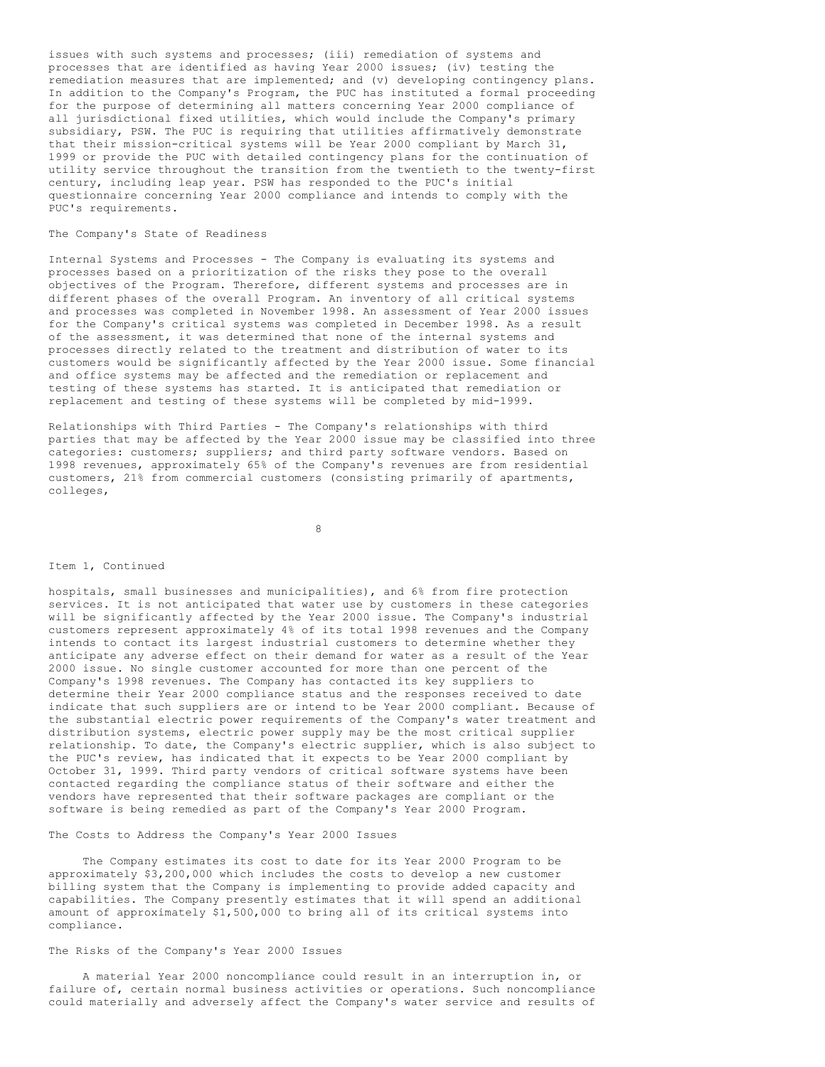issues with such systems and processes; (iii) remediation of systems and processes that are identified as having Year 2000 issues; (iv) testing the remediation measures that are implemented; and (v) developing contingency plans. In addition to the Company's Program, the PUC has instituted a formal proceeding for the purpose of determining all matters concerning Year 2000 compliance of all jurisdictional fixed utilities, which would include the Company's primary subsidiary, PSW. The PUC is requiring that utilities affirmatively demonstrate that their mission-critical systems will be Year 2000 compliant by March 31, 1999 or provide the PUC with detailed contingency plans for the continuation of utility service throughout the transition from the twentieth to the twenty-first century, including leap year. PSW has responded to the PUC's initial questionnaire concerning Year 2000 compliance and intends to comply with the PUC's requirements.

### The Company's State of Readiness

Internal Systems and Processes - The Company is evaluating its systems and processes based on a prioritization of the risks they pose to the overall objectives of the Program. Therefore, different systems and processes are in different phases of the overall Program. An inventory of all critical systems and processes was completed in November 1998. An assessment of Year 2000 issues for the Company's critical systems was completed in December 1998. As a result of the assessment, it was determined that none of the internal systems and processes directly related to the treatment and distribution of water to its customers would be significantly affected by the Year 2000 issue. Some financial and office systems may be affected and the remediation or replacement and testing of these systems has started. It is anticipated that remediation or replacement and testing of these systems will be completed by mid-1999.

Relationships with Third Parties - The Company's relationships with third parties that may be affected by the Year 2000 issue may be classified into three categories: customers; suppliers; and third party software vendors. Based on 1998 revenues, approximately 65% of the Company's revenues are from residential customers, 21% from commercial customers (consisting primarily of apartments, colleges,

8

### Item 1, Continued

hospitals, small businesses and municipalities), and 6% from fire protection services. It is not anticipated that water use by customers in these categories will be significantly affected by the Year 2000 issue. The Company's industrial customers represent approximately 4% of its total 1998 revenues and the Company intends to contact its largest industrial customers to determine whether they anticipate any adverse effect on their demand for water as a result of the Year 2000 issue. No single customer accounted for more than one percent of the Company's 1998 revenues. The Company has contacted its key suppliers to determine their Year 2000 compliance status and the responses received to date indicate that such suppliers are or intend to be Year 2000 compliant. Because of the substantial electric power requirements of the Company's water treatment and distribution systems, electric power supply may be the most critical supplier relationship. To date, the Company's electric supplier, which is also subject to the PUC's review, has indicated that it expects to be Year 2000 compliant by October 31, 1999. Third party vendors of critical software systems have been contacted regarding the compliance status of their software and either the vendors have represented that their software packages are compliant or the software is being remedied as part of the Company's Year 2000 Program.

# The Costs to Address the Company's Year 2000 Issues

The Company estimates its cost to date for its Year 2000 Program to be approximately \$3,200,000 which includes the costs to develop a new customer billing system that the Company is implementing to provide added capacity and capabilities. The Company presently estimates that it will spend an additional amount of approximately \$1,500,000 to bring all of its critical systems into compliance.

# The Risks of the Company's Year 2000 Issues

A material Year 2000 noncompliance could result in an interruption in, or failure of, certain normal business activities or operations. Such noncompliance could materially and adversely affect the Company's water service and results of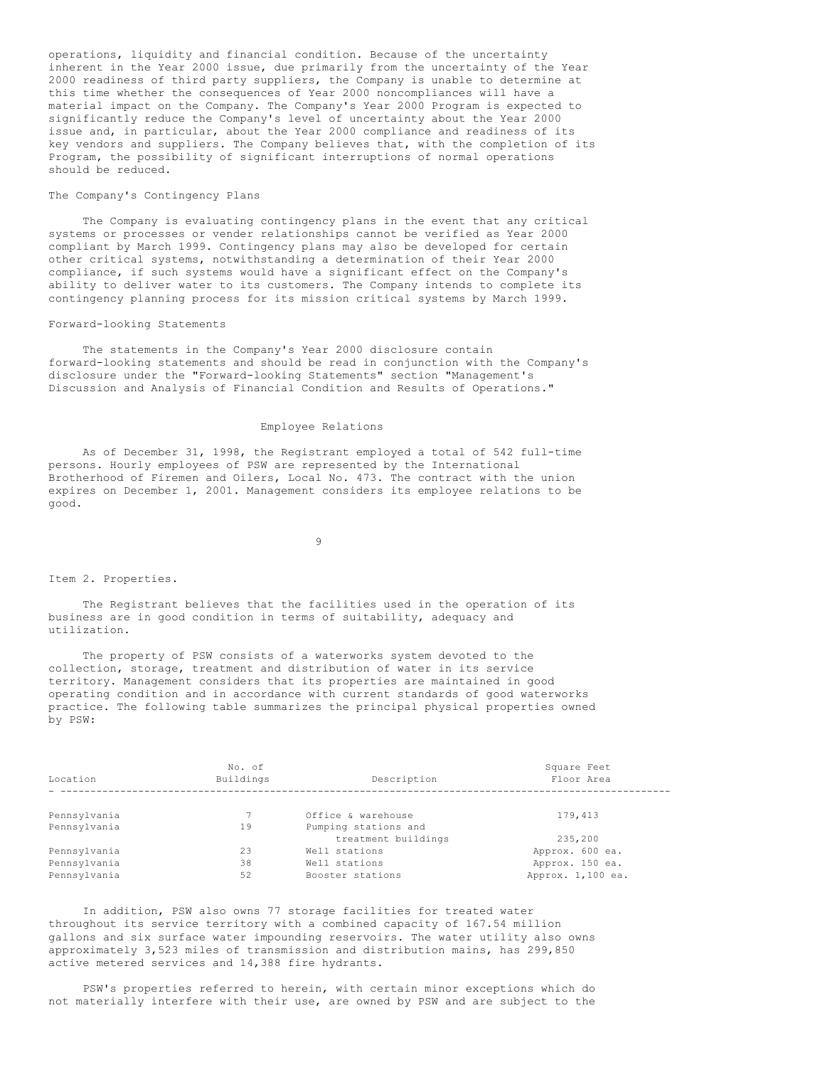operations, liquidity and financial condition. Because of the uncertainty inherent in the Year 2000 issue, due primarily from the uncertainty of the Year 2000 readiness of third party suppliers, the Company is unable to determine at this time whether the consequences of Year 2000 noncompliances will have a material impact on the Company. The Company's Year 2000 Program is expected to significantly reduce the Company's level of uncertainty about the Year 2000 issue and, in particular, about the Year 2000 compliance and readiness of its key vendors and suppliers. The Company believes that, with the completion of its Program, the possibility of significant interruptions of normal operations should be reduced.

# The Company's Contingency Plans

The Company is evaluating contingency plans in the event that any critical systems or processes or vender relationships cannot be verified as Year 2000 compliant by March 1999. Contingency plans may also be developed for certain other critical systems, notwithstanding a determination of their Year 2000 compliance, if such systems would have a significant effect on the Company's ability to deliver water to its customers. The Company intends to complete its contingency planning process for its mission critical systems by March 1999.

## Forward-looking Statements

The statements in the Company's Year 2000 disclosure contain forward-looking statements and should be read in conjunction with the Company's disclosure under the "Forward-looking Statements" section "Management's Discussion and Analysis of Financial Condition and Results of Operations."

### Employee Relations

As of December 31, 1998, the Registrant employed a total of 542 full-time persons. Hourly employees of PSW are represented by the International Brotherhood of Firemen and Oilers, Local No. 473. The contract with the union expires on December 1, 2001. Management considers its employee relations to be good.

9

# Item 2. Properties.

The Registrant believes that the facilities used in the operation of its business are in good condition in terms of suitability, adequacy and utilization.

The property of PSW consists of a waterworks system devoted to the collection, storage, treatment and distribution of water in its service territory. Management considers that its properties are maintained in good operating condition and in accordance with current standards of good waterworks practice. The following table summarizes the principal physical properties owned by PSW:

|              | No. of    |                      | Square Feet       |
|--------------|-----------|----------------------|-------------------|
| Location     | Buildings | Description          | Floor Area        |
|              |           |                      |                   |
| Pennsylvania |           | Office & warehouse   | 179,413           |
| Pennsylvania | 19        | Pumping stations and |                   |
|              |           | treatment buildings  | 235,200           |
| Pennsylvania | 23        | Well stations        | Approx. 600 ea.   |
| Pennsylvania | 38        | Well stations        | Approx. 150 ea.   |
| Pennsylvania | 52        | Booster stations     | Approx. 1,100 ea. |

In addition, PSW also owns 77 storage facilities for treated water throughout its service territory with a combined capacity of 167.54 million gallons and six surface water impounding reservoirs. The water utility also owns approximately 3,523 miles of transmission and distribution mains, has 299,850 active metered services and 14,388 fire hydrants.

PSW's properties referred to herein, with certain minor exceptions which do not materially interfere with their use, are owned by PSW and are subject to the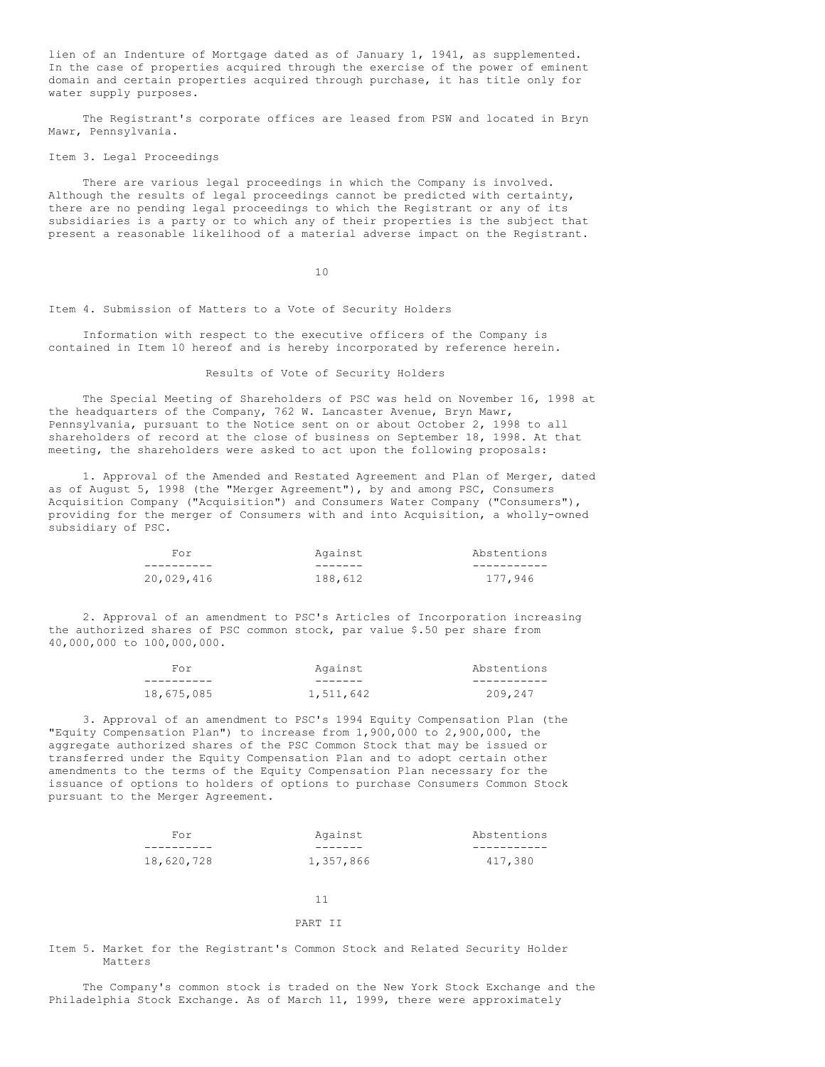lien of an Indenture of Mortgage dated as of January 1, 1941, as supplemented. In the case of properties acquired through the exercise of the power of eminent domain and certain properties acquired through purchase, it has title only for water supply purposes.

The Registrant's corporate offices are leased from PSW and located in Bryn Mawr, Pennsylvania.

## Item 3. Legal Proceedings

There are various legal proceedings in which the Company is involved. Although the results of legal proceedings cannot be predicted with certainty, there are no pending legal proceedings to which the Registrant or any of its subsidiaries is a party or to which any of their properties is the subject that present a reasonable likelihood of a material adverse impact on the Registrant.

 $1<sub>0</sub>$ 

Item 4. Submission of Matters to a Vote of Security Holders

Information with respect to the executive officers of the Company is contained in Item 10 hereof and is hereby incorporated by reference herein.

## Results of Vote of Security Holders

The Special Meeting of Shareholders of PSC was held on November 16, 1998 at the headquarters of the Company, 762 W. Lancaster Avenue, Bryn Mawr, Pennsylvania, pursuant to the Notice sent on or about October 2, 1998 to all shareholders of record at the close of business on September 18, 1998. At that meeting, the shareholders were asked to act upon the following proposals:

1. Approval of the Amended and Restated Agreement and Plan of Merger, dated as of August 5, 1998 (the "Merger Agreement"), by and among PSC, Consumers Acquisition Company ("Acquisition") and Consumers Water Company ("Consumers"), providing for the merger of Consumers with and into Acquisition, a wholly-owned subsidiary of PSC.

| For        | Against | Abstentions |
|------------|---------|-------------|
|            |         |             |
| 20,029,416 | 188,612 | 177,946     |

2. Approval of an amendment to PSC's Articles of Incorporation increasing the authorized shares of PSC common stock, par value \$.50 per share from 40,000,000 to 100,000,000.

| For        | Against   | Abstentions |
|------------|-----------|-------------|
|            |           |             |
| 18,675,085 | 1,511,642 | 209,247     |

3. Approval of an amendment to PSC's 1994 Equity Compensation Plan (the "Equity Compensation Plan") to increase from 1,900,000 to 2,900,000, the aggregate authorized shares of the PSC Common Stock that may be issued or transferred under the Equity Compensation Plan and to adopt certain other amendments to the terms of the Equity Compensation Plan necessary for the issuance of options to holders of options to purchase Consumers Common Stock pursuant to the Merger Agreement.

| For        | Against   | Abstentions |
|------------|-----------|-------------|
|            |           |             |
| 18,620,728 | 1,357,866 | 417,380     |

11

## PART II

Item 5. Market for the Registrant's Common Stock and Related Security Holder Matters

The Company's common stock is traded on the New York Stock Exchange and the Philadelphia Stock Exchange. As of March 11, 1999, there were approximately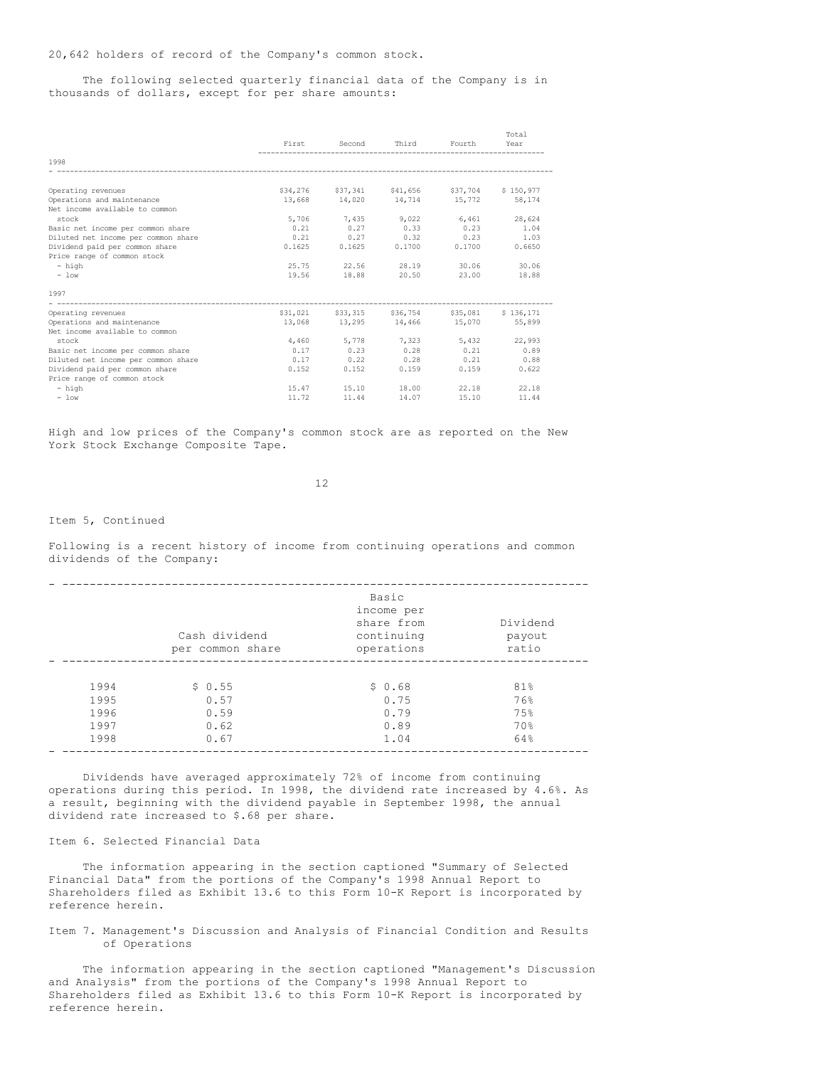The following selected quarterly financial data of the Company is in thousands of dollars, except for per share amounts:

|                                     |       |                   |                                               |             | Total  |
|-------------------------------------|-------|-------------------|-----------------------------------------------|-------------|--------|
|                                     | First | Second            | Third                                         | Fourth      | Year   |
| 1998                                |       |                   |                                               |             |        |
| Operating revenues                  |       |                   | \$34,276 \$37,341 \$41,656 \$37,704 \$150,977 |             |        |
| Operations and maintenance          |       |                   | 13,668 14,020 14,714 15,772                   |             | 58,174 |
| Net income available to common      |       |                   |                                               |             |        |
| stock                               |       |                   | 5,706 7,435 9,022 6,461                       |             | 28,624 |
| Basic net income per common share   | 0.21  |                   | $0.27$ $0.33$                                 | 0.23        | 1.04   |
| Diluted net income per common share | 0.21  | $0.27$ 0.32       |                                               | 0.23        | 1.03   |
| Dividend paid per common share      |       | $0.1625$ $0.1625$ | 0.1700                                        | 0.1700      | 0.6650 |
| Price range of common stock         |       |                   |                                               |             |        |
| $-$ high                            | 25.75 | 22.56             | 28.19                                         | 30.06       | 30.06  |
| $-$ low                             | 19.56 | 18.88             | 20.50                                         | 23.00       | 18.88  |
| 1997                                |       |                   |                                               |             |        |
| Operating revenues                  |       |                   | \$31,021 \$33,315 \$36,754 \$35,081 \$136,171 |             |        |
| Operations and maintenance          |       |                   | 13,068 13,295 14,466 15,070                   |             | 55,899 |
| Net income available to common      |       |                   |                                               |             |        |
| stock                               | 4,460 |                   | 5,778 7,323                                   | 5,432       | 22,993 |
| Basic net income per common share   |       |                   | $0.17$ $0.23$ $0.28$                          | 0.21        | 0.89   |
| Diluted net income per common share | 0.17  | 0.22              | 0.28                                          | 0.21        | 0.88   |
| Dividend paid per common share      | 0.152 | 0.152             | 0.159                                         | 0.159       | 0.622  |
| Price range of common stock         |       |                   |                                               |             |        |
| - high                              | 15.47 | 15.10             |                                               | 18.00 22.18 | 22.18  |
| $-$ low                             | 11.72 | 11.44             | 14.07                                         | 15.10       | 11.44  |

High and low prices of the Company's common stock are as reported on the New York Stock Exchange Composite Tape.

12

Item 5, Continued

Following is a recent history of income from continuing operations and common dividends of the Company:

|      | Cash dividend<br>per common share | Basic<br>income per<br>share from<br>continuing<br>operations | Dividend<br>payout<br>ratio |
|------|-----------------------------------|---------------------------------------------------------------|-----------------------------|
| 1994 | \$0.55                            | \$0.68                                                        | 81%                         |
| 1995 | 0.57                              | 0.75                                                          | 76%                         |
| 1996 | 0.59                              | 0.79                                                          | 75%                         |
| 1997 | 0.62                              | 0.89                                                          | 70%                         |
| 1998 | 0.67                              | 1.04                                                          | 64%                         |

Dividends have averaged approximately 72% of income from continuing operations during this period. In 1998, the dividend rate increased by 4.6%. As a result, beginning with the dividend payable in September 1998, the annual dividend rate increased to \$.68 per share.

### Item 6. Selected Financial Data

The information appearing in the section captioned "Summary of Selected Financial Data" from the portions of the Company's 1998 Annual Report to Shareholders filed as Exhibit 13.6 to this Form 10-K Report is incorporated by reference herein.

Item 7. Management's Discussion and Analysis of Financial Condition and Results of Operations

The information appearing in the section captioned "Management's Discussion and Analysis" from the portions of the Company's 1998 Annual Report to Shareholders filed as Exhibit 13.6 to this Form 10-K Report is incorporated by reference herein.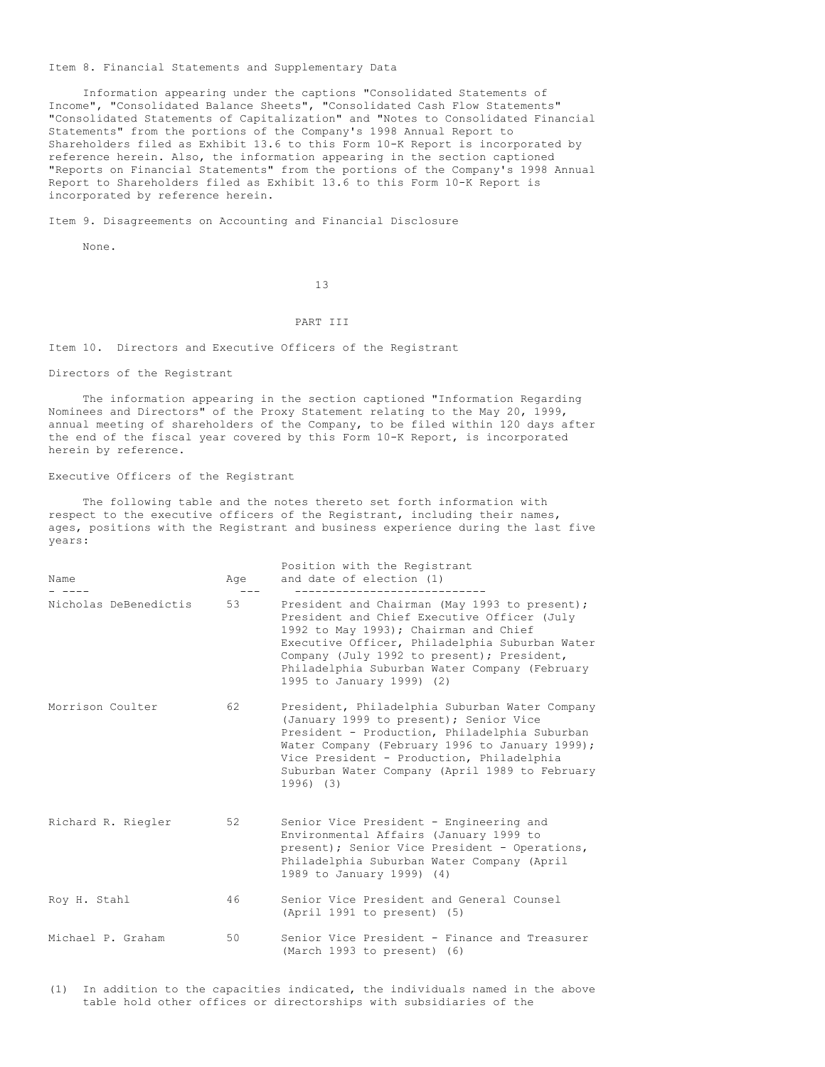# Item 8. Financial Statements and Supplementary Data

Information appearing under the captions "Consolidated Statements of Income", "Consolidated Balance Sheets", "Consolidated Cash Flow Statements" "Consolidated Statements of Capitalization" and "Notes to Consolidated Financial Statements" from the portions of the Company's 1998 Annual Report to Shareholders filed as Exhibit 13.6 to this Form 10-K Report is incorporated by reference herein. Also, the information appearing in the section captioned "Reports on Financial Statements" from the portions of the Company's 1998 Annual Report to Shareholders filed as Exhibit 13.6 to this Form 10-K Report is incorporated by reference herein.

Item 9. Disagreements on Accounting and Financial Disclosure

None.

13

# PART III

Item 10. Directors and Executive Officers of the Registrant

Directors of the Registrant

The information appearing in the section captioned "Information Regarding Nominees and Directors" of the Proxy Statement relating to the May 20, 1999, annual meeting of shareholders of the Company, to be filed within 120 days after the end of the fiscal year covered by this Form 10-K Report, is incorporated herein by reference.

Executive Officers of the Registrant

The following table and the notes thereto set forth information with respect to the executive officers of the Registrant, including their names, ages, positions with the Registrant and business experience during the last five years:

| Name                  | Aqe | Position with the Registrant<br>and date of election (1)<br>------------------                                                                                                                                                                                                                                      |
|-----------------------|-----|---------------------------------------------------------------------------------------------------------------------------------------------------------------------------------------------------------------------------------------------------------------------------------------------------------------------|
| Nicholas DeBenedictis | 53  | President and Chairman (May 1993 to present);<br>President and Chief Executive Officer (July<br>1992 to May 1993); Chairman and Chief<br>Executive Officer, Philadelphia Suburban Water<br>Company (July 1992 to present); President,<br>Philadelphia Suburban Water Company (February<br>1995 to January 1999) (2) |
| Morrison Coulter      | 62  | President, Philadelphia Suburban Water Company<br>(January 1999 to present); Senior Vice<br>President - Production, Philadelphia Suburban<br>Water Company (February 1996 to January 1999);<br>Vice President - Production, Philadelphia<br>Suburban Water Company (April 1989 to February<br>1996) (3)             |
| Richard R. Riegler    | 52  | Senior Vice President - Engineering and<br>Environmental Affairs (January 1999 to<br>present); Senior Vice President - Operations,<br>Philadelphia Suburban Water Company (April<br>1989 to January 1999) (4)                                                                                                       |
| Roy H. Stahl          | 46  | Senior Vice President and General Counsel<br>(April 1991 to present) (5)                                                                                                                                                                                                                                            |
| Michael P. Graham     | 50  | Senior Vice President - Finance and Treasurer<br>(March 1993 to present) (6)                                                                                                                                                                                                                                        |

(1) In addition to the capacities indicated, the individuals named in the above table hold other offices or directorships with subsidiaries of the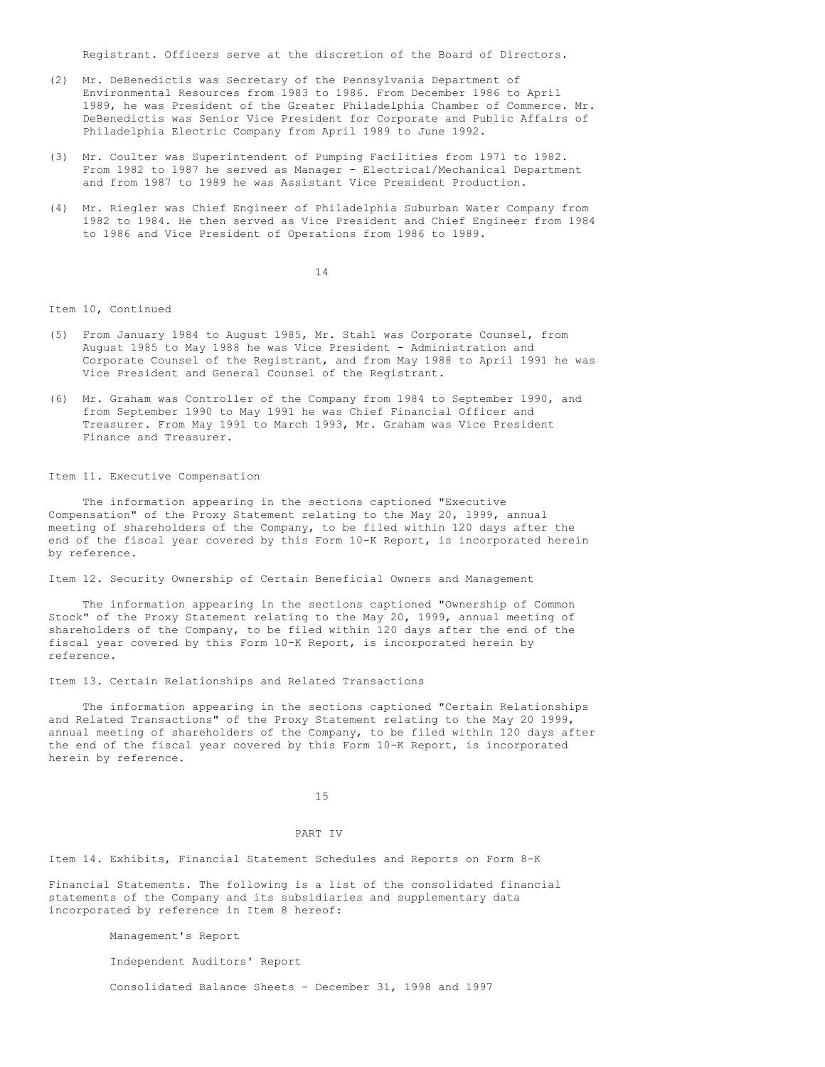Registrant. Officers serve at the discretion of the Board of Directors.

- (2) Mr. DeBenedictis was Secretary of the Pennsylvania Department of Environmental Resources from 1983 to 1986. From December 1986 to April 1989, he was President of the Greater Philadelphia Chamber of Commerce. Mr. DeBenedictis was Senior Vice President for Corporate and Public Affairs of Philadelphia Electric Company from April 1989 to June 1992.
- (3) Mr. Coulter was Superintendent of Pumping Facilities from 1971 to 1982. From 1982 to 1987 he served as Manager - Electrical/Mechanical Department and from 1987 to 1989 he was Assistant Vice President Production.
- (4) Mr. Riegler was Chief Engineer of Philadelphia Suburban Water Company from 1982 to 1984. He then served as Vice President and Chief Engineer from 1984 to 1986 and Vice President of Operations from 1986 to 1989.

14

# Item 10, Continued

- (5) From January 1984 to August 1985, Mr. Stahl was Corporate Counsel, from August 1985 to May 1988 he was Vice President - Administration and Corporate Counsel of the Registrant, and from May 1988 to April 1991 he was Vice President and General Counsel of the Registrant.
- (6) Mr. Graham was Controller of the Company from 1984 to September 1990, and from September 1990 to May 1991 he was Chief Financial Officer and Treasurer. From May 1991 to March 1993, Mr. Graham was Vice President Finance and Treasurer.

# Item 11. Executive Compensation

The information appearing in the sections captioned "Executive Compensation" of the Proxy Statement relating to the May 20, 1999, annual meeting of shareholders of the Company, to be filed within 120 days after the end of the fiscal year covered by this Form 10-K Report, is incorporated herein by reference.

Item 12. Security Ownership of Certain Beneficial Owners and Management

The information appearing in the sections captioned "Ownership of Common Stock" of the Proxy Statement relating to the May 20, 1999, annual meeting of shareholders of the Company, to be filed within 120 days after the end of the fiscal year covered by this Form 10-K Report, is incorporated herein by reference.

Item 13. Certain Relationships and Related Transactions

The information appearing in the sections captioned "Certain Relationships and Related Transactions" of the Proxy Statement relating to the May 20 1999, annual meeting of shareholders of the Company, to be filed within 120 days after the end of the fiscal year covered by this Form 10-K Report, is incorporated herein by reference.

15

### PART IV

Item 14. Exhibits, Financial Statement Schedules and Reports on Form 8-K

Financial Statements. The following is a list of the consolidated financial statements of the Company and its subsidiaries and supplementary data incorporated by reference in Item 8 hereof:

Management's Report

Independent Auditors' Report

Consolidated Balance Sheets - December 31, 1998 and 1997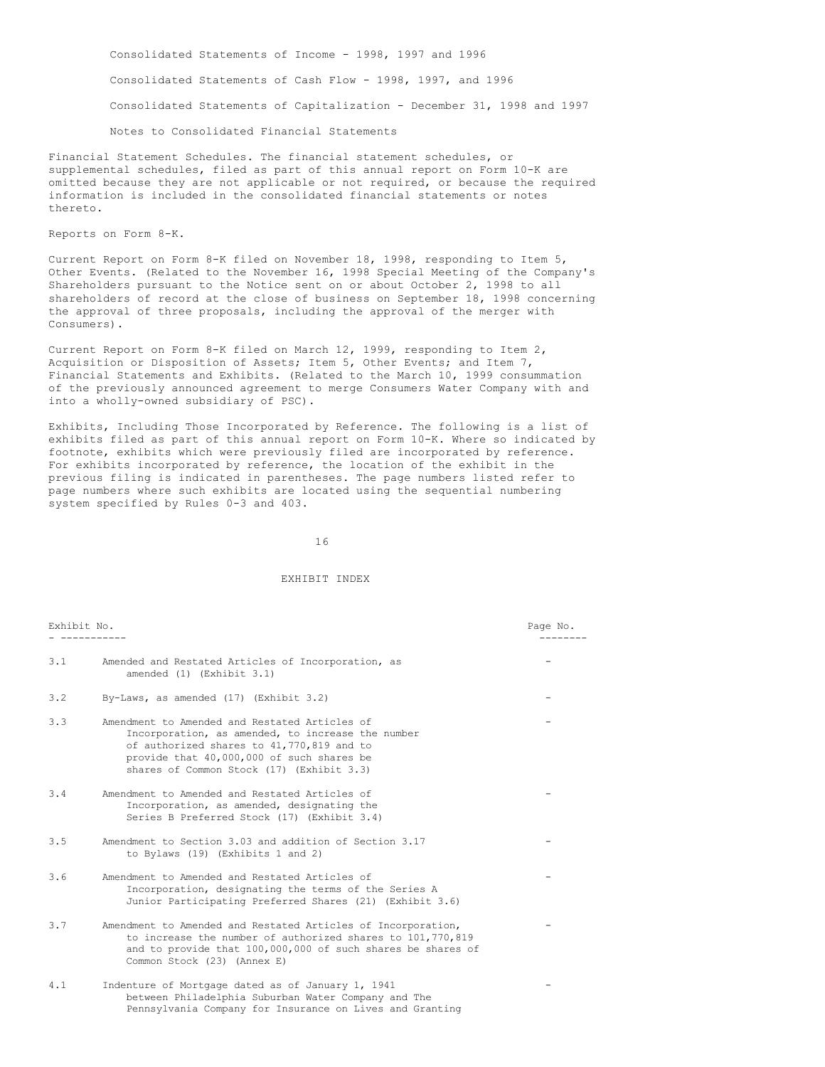Consolidated Statements of Income - 1998, 1997 and 1996 Consolidated Statements of Cash Flow - 1998, 1997, and 1996 Consolidated Statements of Capitalization - December 31, 1998 and 1997 Notes to Consolidated Financial Statements

Financial Statement Schedules. The financial statement schedules, or supplemental schedules, filed as part of this annual report on Form 10-K are omitted because they are not applicable or not required, or because the required information is included in the consolidated financial statements or notes thereto.

Reports on Form 8-K.

Current Report on Form 8-K filed on November 18, 1998, responding to Item 5, Other Events. (Related to the November 16, 1998 Special Meeting of the Company's Shareholders pursuant to the Notice sent on or about October 2, 1998 to all shareholders of record at the close of business on September 18, 1998 concerning the approval of three proposals, including the approval of the merger with Consumers).

Current Report on Form 8-K filed on March 12, 1999, responding to Item 2, Acquisition or Disposition of Assets; Item 5, Other Events; and Item 7, Financial Statements and Exhibits. (Related to the March 10, 1999 consummation of the previously announced agreement to merge Consumers Water Company with and into a wholly-owned subsidiary of PSC).

Exhibits, Including Those Incorporated by Reference. The following is a list of exhibits filed as part of this annual report on Form 10-K. Where so indicated by footnote, exhibits which were previously filed are incorporated by reference. For exhibits incorporated by reference, the location of the exhibit in the previous filing is indicated in parentheses. The page numbers listed refer to page numbers where such exhibits are located using the sequential numbering system specified by Rules 0-3 and 403.

16

# EXHIBIT INDEX

| Exhibit No. |                                                                                                                                                                                                                                           | Page No. |
|-------------|-------------------------------------------------------------------------------------------------------------------------------------------------------------------------------------------------------------------------------------------|----------|
| 3.1         | Amended and Restated Articles of Incorporation, as<br>amended (1) (Exhibit 3.1)                                                                                                                                                           |          |
| 3.2         | By-Laws, as amended (17) (Exhibit 3.2)                                                                                                                                                                                                    |          |
| 3.3         | Amendment to Amended and Restated Articles of<br>Incorporation, as amended, to increase the number<br>of authorized shares to 41,770,819 and to<br>provide that 40,000,000 of such shares be<br>shares of Common Stock (17) (Exhibit 3.3) |          |
| 3.4         | Amendment to Amended and Restated Articles of<br>Incorporation, as amended, designating the<br>Series B Preferred Stock (17) (Exhibit 3.4)                                                                                                |          |
| 3.5         | Amendment to Section 3.03 and addition of Section 3.17<br>to Bylaws (19) (Exhibits 1 and 2)                                                                                                                                               |          |
| 3.6         | Amendment to Amended and Restated Articles of<br>Incorporation, designating the terms of the Series A<br>Junior Participating Preferred Shares (21) (Exhibit 3.6)                                                                         |          |
| 3.7         | Amendment to Amended and Restated Articles of Incorporation,<br>to increase the number of authorized shares to 101,770,819<br>and to provide that 100,000,000 of such shares be shares of<br>Common Stock (23) (Annex E)                  |          |
| 4.1         | Indenture of Mortgage dated as of January 1, 1941<br>between Philadelphia Suburban Water Company and The<br>Pennsylvania Company for Insurance on Lives and Granting                                                                      |          |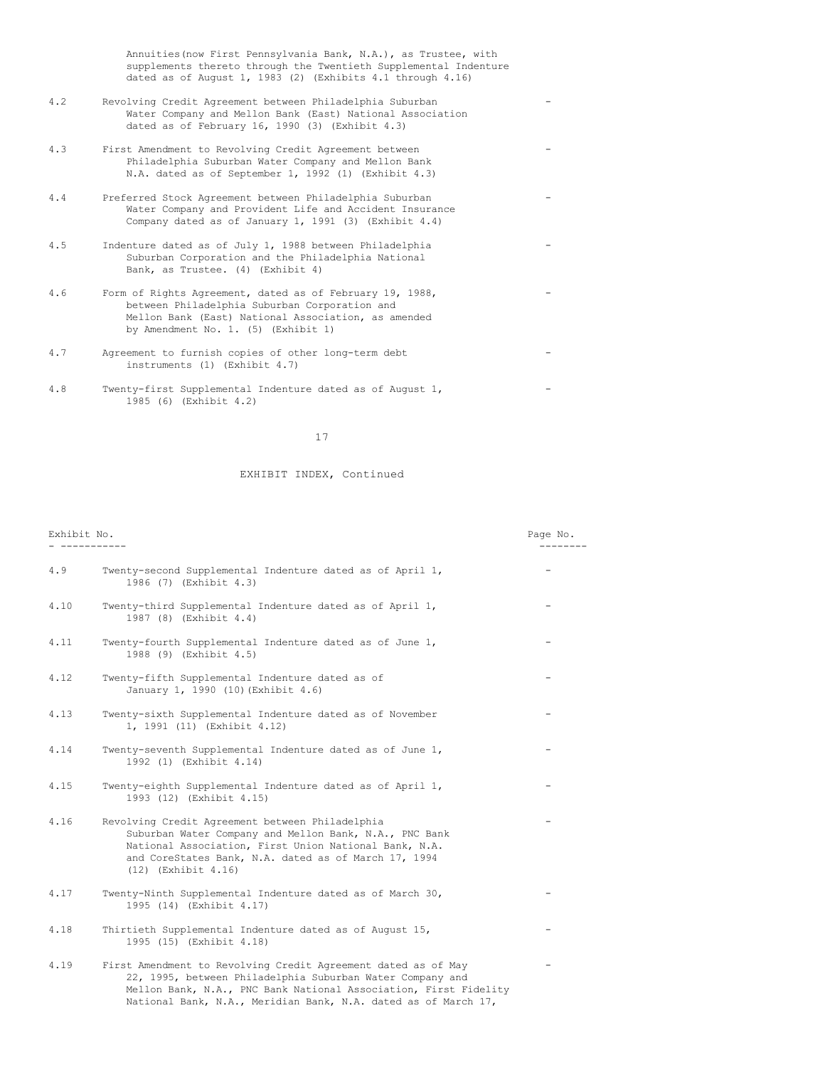|     | Annuities (now First Pennsylvania Bank, N.A.), as Trustee, with<br>supplements thereto through the Twentieth Supplemental Indenture<br>dated as of August 1, 1983 (2) (Exhibits 4.1 through $4.16$ )    |  |
|-----|---------------------------------------------------------------------------------------------------------------------------------------------------------------------------------------------------------|--|
| 4.2 | Revolving Credit Agreement between Philadelphia Suburban<br>Water Company and Mellon Bank (East) National Association<br>dated as of February 16, 1990 (3) (Exhibit 4.3)                                |  |
| 4.3 | First Amendment to Revolving Credit Agreement between<br>Philadelphia Suburban Water Company and Mellon Bank<br>N.A. dated as of September 1, 1992 (1) (Exhibit 4.3)                                    |  |
| 4.4 | Preferred Stock Agreement between Philadelphia Suburban<br>Water Company and Provident Life and Accident Insurance<br>Company dated as of January 1, 1991 (3) (Exhibit $4.4$ )                          |  |
| 4.5 | Indenture dated as of July 1, 1988 between Philadelphia<br>Suburban Corporation and the Philadelphia National<br>Bank, as Trustee. (4) (Exhibit 4)                                                      |  |
| 4.6 | Form of Rights Agreement, dated as of February 19, 1988,<br>between Philadelphia Suburban Corporation and<br>Mellon Bank (East) National Association, as amended<br>by Amendment No. 1. (5) (Exhibit 1) |  |
| 4.7 | Agreement to furnish copies of other long-term debt<br>instruments (1) (Exhibit 4.7)                                                                                                                    |  |
| 4.8 | Twenty-first Supplemental Indenture dated as of August 1,<br>1985 (6) (Exhibit 4.2)                                                                                                                     |  |

17

# EXHIBIT INDEX, Continued

| Exhibit No.<br>--------- |                                                                                                                                                                                                                                                        | Page No. |
|--------------------------|--------------------------------------------------------------------------------------------------------------------------------------------------------------------------------------------------------------------------------------------------------|----------|
| 4.9                      | Twenty-second Supplemental Indenture dated as of April 1,<br>1986 (7) (Exhibit 4.3)                                                                                                                                                                    |          |
| 4.10                     | Twenty-third Supplemental Indenture dated as of April 1,<br>1987 (8) (Exhibit 4.4)                                                                                                                                                                     |          |
| 4.11                     | Twenty-fourth Supplemental Indenture dated as of June 1,<br>1988 (9) (Exhibit 4.5)                                                                                                                                                                     |          |
| 4.12                     | Twenty-fifth Supplemental Indenture dated as of<br>January 1, 1990 (10) (Exhibit 4.6)                                                                                                                                                                  |          |
| 4.13                     | Twenty-sixth Supplemental Indenture dated as of November<br>1, 1991 (11) (Exhibit 4.12)                                                                                                                                                                |          |
| 4.14                     | Twenty-seventh Supplemental Indenture dated as of June 1,<br>1992 (1) (Exhibit 4.14)                                                                                                                                                                   |          |
| 4.15                     | Twenty-eighth Supplemental Indenture dated as of April 1,<br>1993 (12) (Exhibit 4.15)                                                                                                                                                                  |          |
| 4.16                     | Revolving Credit Agreement between Philadelphia<br>Suburban Water Company and Mellon Bank, N.A., PNC Bank<br>National Association, First Union National Bank, N.A.<br>and CoreStates Bank, N.A. dated as of March 17, 1994<br>$(12)$ (Exhibit $4.16$ ) |          |
| 4.17                     | Twenty-Ninth Supplemental Indenture dated as of March 30,<br>1995 (14) (Exhibit 4.17)                                                                                                                                                                  |          |
| 4.18                     | Thirtieth Supplemental Indenture dated as of August 15,<br>1995 (15) (Exhibit 4.18)                                                                                                                                                                    |          |
| 4.19                     | First Amendment to Revolving Credit Agreement dated as of May<br>22, 1995, between Philadelphia Suburban Water Company and<br>Mellon Bank, N.A., PNC Bank National Association, First Fidelity                                                         |          |

National Bank, N.A., Meridian Bank, N.A. dated as of March 17,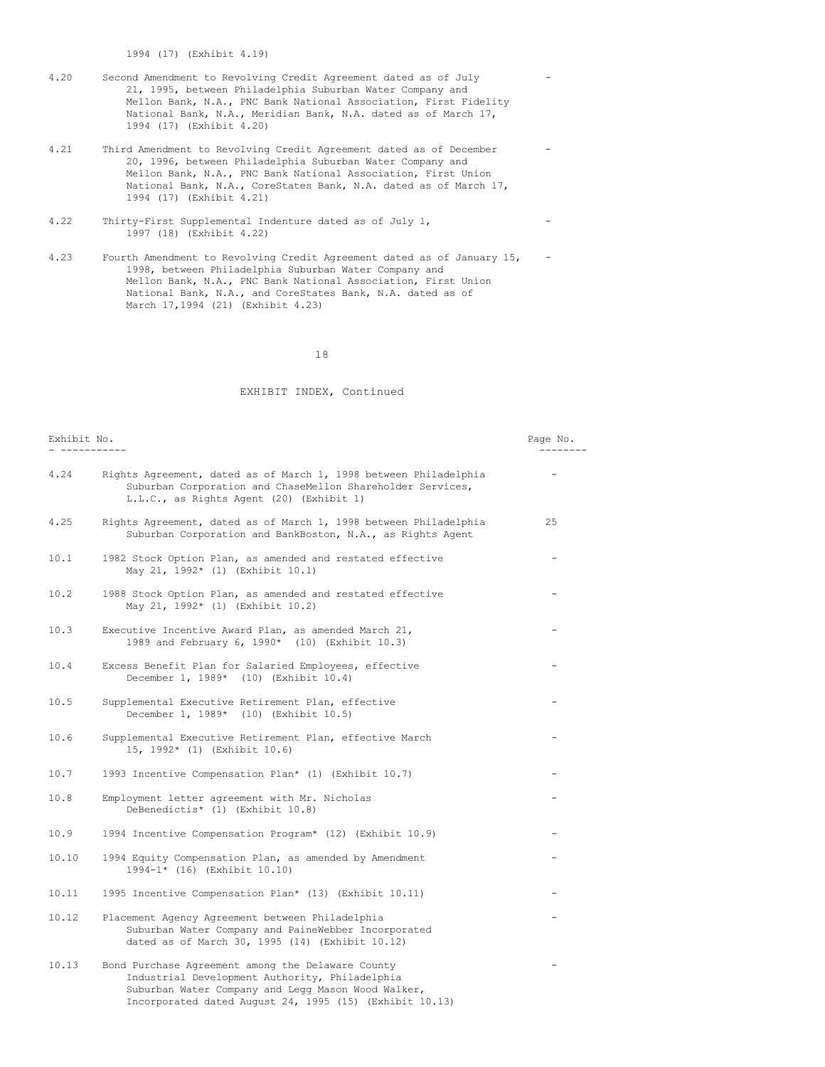- 4.20 Second Amendment to Revolving Credit Agreement dated as of July 21, 1995, between Philadelphia Suburban Water Company and Mellon Bank, N.A., PNC Bank National Association, First Fidelity National Bank, N.A., Meridian Bank, N.A. dated as of March 17, 1994 (17) (Exhibit 4.20)
- 4.21 Third Amendment to Revolving Credit Agreement dated as of December 20, 1996, between Philadelphia Suburban Water Company and Mellon Bank, N.A., PNC Bank National Association, First Union National Bank, N.A., CoreStates Bank, N.A. dated as of March 17, 1994 (17) (Exhibit 4.21)
- 4.22 Thirty-First Supplemental Indenture dated as of July 1, 1997 (18) (Exhibit 4.22)
- 4.23 Fourth Amendment to Revolving Credit Agreement dated as of January 15, 1998, between Philadelphia Suburban Water Company and Mellon Bank, N.A., PNC Bank National Association, First Union National Bank, N.A., and CoreStates Bank, N.A. dated as of March 17,1994 (21) (Exhibit 4.23)

18

# EXHIBIT INDEX, Continued

| Exhibit No. | -----------                                                                                                                                                                | Page No.<br>-------- |
|-------------|----------------------------------------------------------------------------------------------------------------------------------------------------------------------------|----------------------|
| 4.24        | Rights Agreement, dated as of March 1, 1998 between Philadelphia<br>Suburban Corporation and ChaseMellon Shareholder Services,<br>L.L.C., as Rights Agent (20) (Exhibit 1) |                      |
| 4.25        | Rights Agreement, dated as of March 1, 1998 between Philadelphia<br>Suburban Corporation and BankBoston, N.A., as Rights Agent                                             | 25                   |
| 10.1        | 1982 Stock Option Plan, as amended and restated effective<br>May 21, 1992* (1) (Exhibit 10.1)                                                                              |                      |
| 10.2        | 1988 Stock Option Plan, as amended and restated effective<br>May 21, 1992* (1) (Exhibit 10.2)                                                                              |                      |
| 10.3        | Executive Incentive Award Plan, as amended March 21,<br>1989 and February 6, 1990* (10) (Exhibit 10.3)                                                                     |                      |
| 10.4        | Excess Benefit Plan for Salaried Employees, effective<br>December 1, 1989* (10) (Exhibit 10.4)                                                                             |                      |
| 10.5        | Supplemental Executive Retirement Plan, effective<br>December 1, 1989* (10) (Exhibit 10.5)                                                                                 |                      |
| 10.6        | Supplemental Executive Retirement Plan, effective March<br>15, 1992* (1) (Exhibit 10.6)                                                                                    |                      |
| 10.7        | 1993 Incentive Compensation Plan* (1) (Exhibit 10.7)                                                                                                                       |                      |
| 10.8        | Employment letter agreement with Mr. Nicholas<br>DeBenedictis* (1) (Exhibit 10.8)                                                                                          |                      |
| 10.9        | 1994 Incentive Compensation Program* (12) (Exhibit 10.9)                                                                                                                   |                      |
| 10.10       | 1994 Equity Compensation Plan, as amended by Amendment<br>1994-1* (16) (Exhibit 10.10)                                                                                     |                      |
| 10.11       | 1995 Incentive Compensation Plan* (13) (Exhibit 10.11)                                                                                                                     |                      |
| 10.12       | Placement Agency Agreement between Philadelphia<br>Suburban Water Company and PaineWebber Incorporated<br>dated as of March 30, 1995 (14) (Exhibit 10.12)                  |                      |
| 10.13       | Bond Purchase Agreement among the Delaware County<br>Industrial Development Authority, Philadelphia<br>Suburban Water Company and Legg Mason Wood Walker,                  |                      |

Incorporated dated August 24, 1995 (15) (Exhibit 10.13)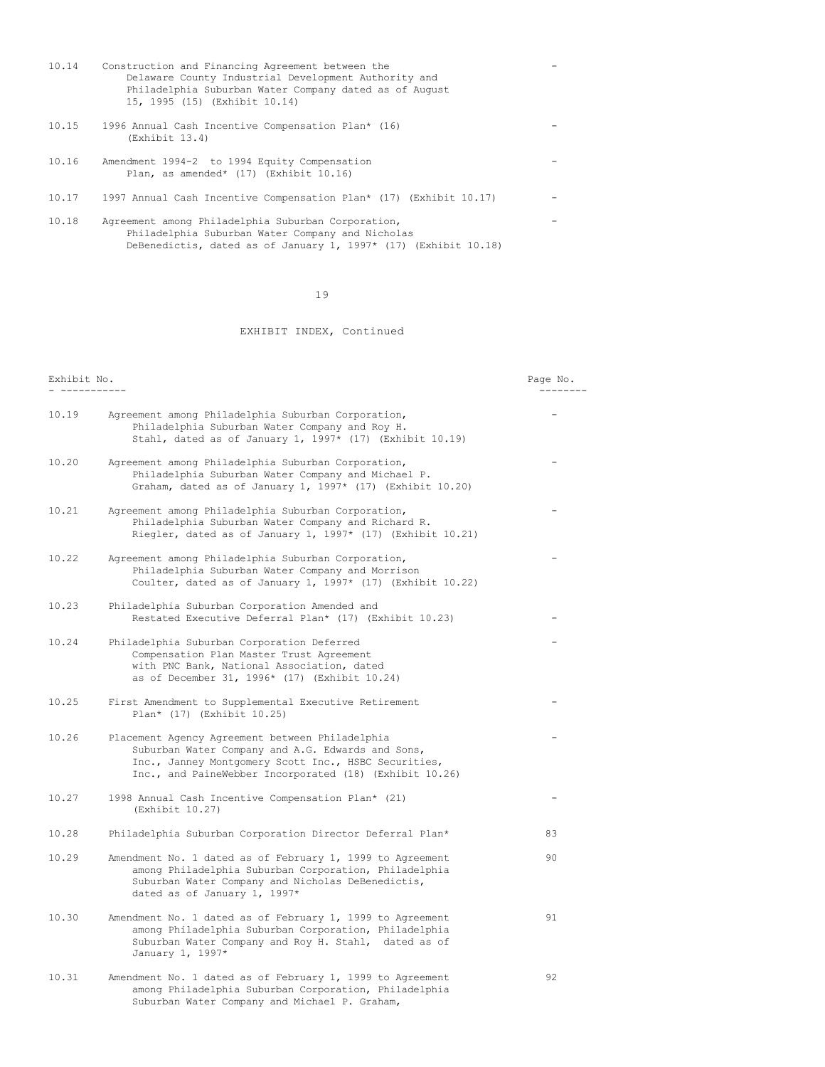| 10.14 | Construction and Financing Agreement between the<br>Delaware County Industrial Development Authority and<br>Philadelphia Suburban Water Company dated as of August<br>15, 1995 (15) (Exhibit 10.14) |  |
|-------|-----------------------------------------------------------------------------------------------------------------------------------------------------------------------------------------------------|--|
| 10.15 | 1996 Annual Cash Incentive Compensation Plan* (16)<br>(Exhibit 13.4)                                                                                                                                |  |
| 10.16 | Amendment 1994-2 to 1994 Equity Compensation<br>Plan, as amended* (17) (Exhibit 10.16)                                                                                                              |  |
| 10.17 | 1997 Annual Cash Incentive Compensation Plan* (17) (Exhibit 10.17)                                                                                                                                  |  |
| 10.18 | Agreement among Philadelphia Suburban Corporation,<br>Philadelphia Suburban Water Company and Nicholas<br>DeBenedictis, dated as of January 1, 1997* (17) (Exhibit 10.18)                           |  |

19

# EXHIBIT INDEX, Continued

| Exhibit No. |                                                                                                                                                                                                                         | Page No. |
|-------------|-------------------------------------------------------------------------------------------------------------------------------------------------------------------------------------------------------------------------|----------|
| 10.19       | Agreement among Philadelphia Suburban Corporation,<br>Philadelphia Suburban Water Company and Roy H.<br>Stahl, dated as of January 1, 1997* (17) (Exhibit 10.19)                                                        |          |
| 10.20       | Agreement among Philadelphia Suburban Corporation,<br>Philadelphia Suburban Water Company and Michael P.<br>Graham, dated as of January 1, 1997* (17) (Exhibit 10.20)                                                   |          |
| 10.21       | Agreement among Philadelphia Suburban Corporation,<br>Philadelphia Suburban Water Company and Richard R.<br>Riegler, dated as of January 1, 1997* (17) (Exhibit 10.21)                                                  |          |
| 10.22       | Agreement among Philadelphia Suburban Corporation,<br>Philadelphia Suburban Water Company and Morrison<br>Coulter, dated as of January 1, 1997* (17) (Exhibit 10.22)                                                    |          |
| 10.23       | Philadelphia Suburban Corporation Amended and<br>Restated Executive Deferral Plan* (17) (Exhibit 10.23)                                                                                                                 |          |
| 10.24       | Philadelphia Suburban Corporation Deferred<br>Compensation Plan Master Trust Agreement<br>with PNC Bank, National Association, dated<br>as of December 31, 1996* (17) (Exhibit 10.24)                                   |          |
| 10.25       | First Amendment to Supplemental Executive Retirement<br>Plan* (17) (Exhibit 10.25)                                                                                                                                      |          |
| 10.26       | Placement Agency Agreement between Philadelphia<br>Suburban Water Company and A.G. Edwards and Sons,<br>Inc., Janney Montgomery Scott Inc., HSBC Securities,<br>Inc., and PaineWebber Incorporated (18) (Exhibit 10.26) |          |
| 10.27       | 1998 Annual Cash Incentive Compensation Plan* (21)<br>(Exhibit 10.27)                                                                                                                                                   |          |
| 10.28       | Philadelphia Suburban Corporation Director Deferral Plan*                                                                                                                                                               | 83       |
| 10.29       | Amendment No. 1 dated as of February 1, 1999 to Agreement<br>among Philadelphia Suburban Corporation, Philadelphia<br>Suburban Water Company and Nicholas DeBenedictis,<br>dated as of January 1, 1997*                 | 90       |
| 10.30       | Amendment No. 1 dated as of February 1, 1999 to Agreement<br>among Philadelphia Suburban Corporation, Philadelphia<br>Suburban Water Company and Roy H. Stahl, dated as of<br>January 1, 1997*                          | 91       |
| 10.31       | Amendment No. 1 dated as of February 1, 1999 to Agreement                                                                                                                                                               | 92       |

among Philadelphia Suburban Corporation, Philadelphia

Suburban Water Company and Michael P. Graham,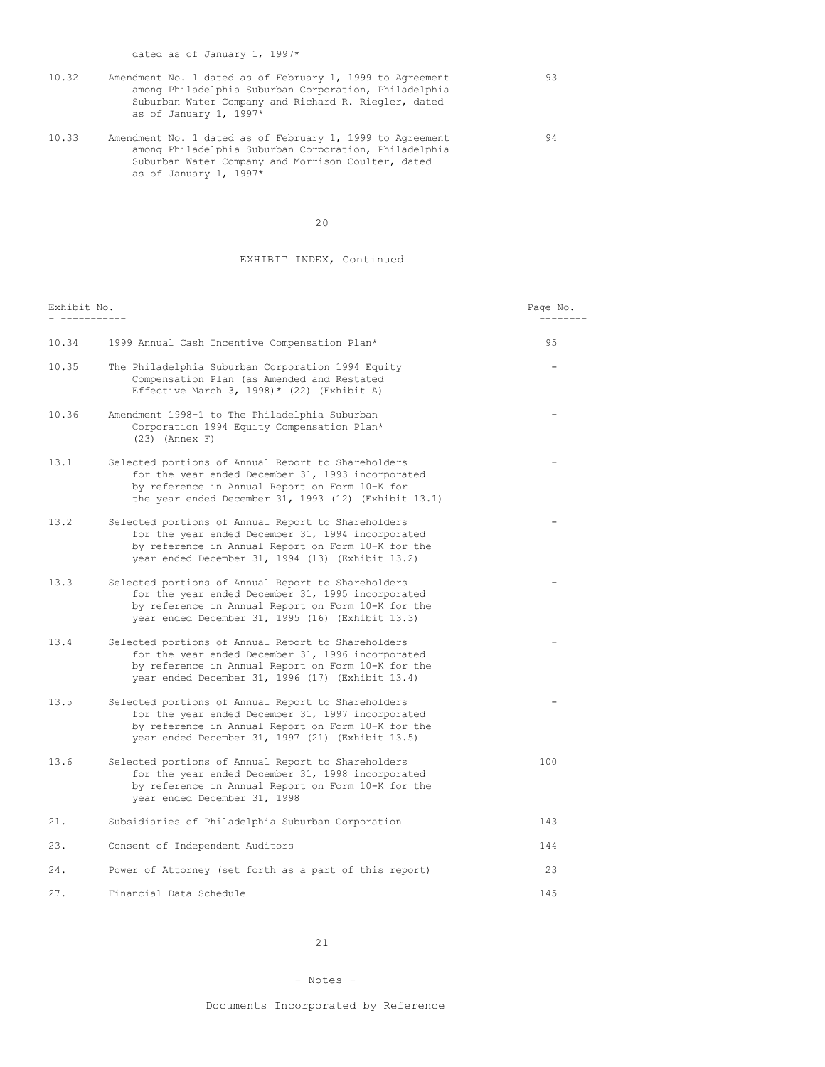dated as of January 1, 1997\*

- 10.32 Amendment No. 1 dated as of February 1, 1999 to Agreement 93 among Philadelphia Suburban Corporation, Philadelphia Suburban Water Company and Richard R. Riegler, dated as of January 1, 1997\*
- 10.33 Amendment No. 1 dated as of February 1, 1999 to Agreement 94 among Philadelphia Suburban Corporation, Philadelphia Suburban Water Company and Morrison Coulter, dated as of January 1, 1997\*

# 20

# EXHIBIT INDEX, Continued

| Exhibit No. |                                                                                                                                                                                                                      | Page No. |
|-------------|----------------------------------------------------------------------------------------------------------------------------------------------------------------------------------------------------------------------|----------|
| 10.34       | 1999 Annual Cash Incentive Compensation Plan*                                                                                                                                                                        | 95       |
| 10.35       | The Philadelphia Suburban Corporation 1994 Equity<br>Compensation Plan (as Amended and Restated<br>Effective March 3, 1998)* (22) (Exhibit A)                                                                        |          |
| 10.36       | Amendment 1998-1 to The Philadelphia Suburban<br>Corporation 1994 Equity Compensation Plan*<br>$(23)$ (Annex F)                                                                                                      |          |
| 13.1        | Selected portions of Annual Report to Shareholders<br>for the year ended December 31, 1993 incorporated<br>by reference in Annual Report on Form 10-K for<br>the year ended December 31, 1993 (12) (Exhibit 13.1)    |          |
| 13.2        | Selected portions of Annual Report to Shareholders<br>for the year ended December 31, 1994 incorporated<br>by reference in Annual Report on Form 10-K for the<br>year ended December 31, 1994 (13) (Exhibit 13.2)    |          |
| 13.3        | Selected portions of Annual Report to Shareholders<br>for the year ended December 31, 1995 incorporated<br>by reference in Annual Report on Form 10-K for the<br>year ended December 31, 1995 (16) (Exhibit $13.3$ ) |          |
| 13.4        | Selected portions of Annual Report to Shareholders<br>for the year ended December 31, 1996 incorporated<br>by reference in Annual Report on Form 10-K for the<br>year ended December 31, 1996 (17) (Exhibit 13.4)    |          |
| 13.5        | Selected portions of Annual Report to Shareholders<br>for the year ended December 31, 1997 incorporated<br>by reference in Annual Report on Form 10-K for the<br>year ended December 31, 1997 (21) (Exhibit $13.5$ ) |          |
| 13.6        | Selected portions of Annual Report to Shareholders<br>for the year ended December 31, 1998 incorporated<br>by reference in Annual Report on Form 10-K for the<br>year ended December 31, 1998                        | 100      |
| 21.         | Subsidiaries of Philadelphia Suburban Corporation                                                                                                                                                                    | 143      |
| 23.         | Consent of Independent Auditors                                                                                                                                                                                      | 144      |
| 24.         | Power of Attorney (set forth as a part of this report)                                                                                                                                                               | 23       |
| 27.         | Financial Data Schedule                                                                                                                                                                                              | 145      |

# 21

# - Notes -

# Documents Incorporated by Reference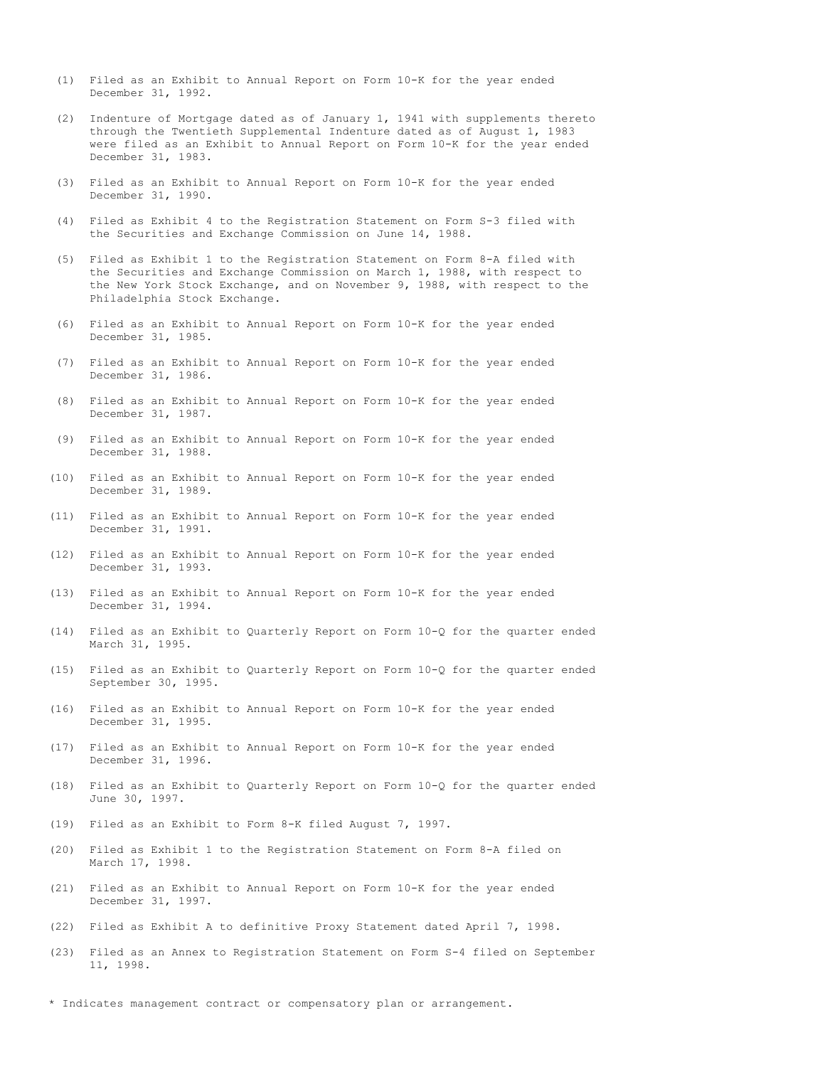- (1) Filed as an Exhibit to Annual Report on Form 10-K for the year ended December 31, 1992.
- (2) Indenture of Mortgage dated as of January 1, 1941 with supplements thereto through the Twentieth Supplemental Indenture dated as of August 1, 1983 were filed as an Exhibit to Annual Report on Form 10-K for the year ended December 31, 1983.
- (3) Filed as an Exhibit to Annual Report on Form 10-K for the year ended December 31, 1990.
- (4) Filed as Exhibit 4 to the Registration Statement on Form S-3 filed with the Securities and Exchange Commission on June 14, 1988.
- (5) Filed as Exhibit 1 to the Registration Statement on Form 8-A filed with the Securities and Exchange Commission on March 1, 1988, with respect to the New York Stock Exchange, and on November 9, 1988, with respect to the Philadelphia Stock Exchange.
- (6) Filed as an Exhibit to Annual Report on Form 10-K for the year ended December 31, 1985.
- (7) Filed as an Exhibit to Annual Report on Form 10-K for the year ended December 31, 1986.
- (8) Filed as an Exhibit to Annual Report on Form 10-K for the year ended December 31, 1987.
- (9) Filed as an Exhibit to Annual Report on Form 10-K for the year ended December 31, 1988.
- (10) Filed as an Exhibit to Annual Report on Form 10-K for the year ended December 31, 1989.
- (11) Filed as an Exhibit to Annual Report on Form 10-K for the year ended December 31, 1991.
- (12) Filed as an Exhibit to Annual Report on Form 10-K for the year ended December 31, 1993.
- (13) Filed as an Exhibit to Annual Report on Form 10-K for the year ended December 31, 1994.
- (14) Filed as an Exhibit to Quarterly Report on Form 10-Q for the quarter ended March 31, 1995.
- (15) Filed as an Exhibit to Quarterly Report on Form 10-Q for the quarter ended September 30, 1995.
- (16) Filed as an Exhibit to Annual Report on Form 10-K for the year ended December 31, 1995.
- (17) Filed as an Exhibit to Annual Report on Form 10-K for the year ended December 31, 1996.
- (18) Filed as an Exhibit to Quarterly Report on Form 10-Q for the quarter ended June 30, 1997.
- (19) Filed as an Exhibit to Form 8-K filed August 7, 1997.
- (20) Filed as Exhibit 1 to the Registration Statement on Form 8-A filed on March 17, 1998.
- (21) Filed as an Exhibit to Annual Report on Form 10-K for the year ended December 31, 1997.
- (22) Filed as Exhibit A to definitive Proxy Statement dated April 7, 1998.
- (23) Filed as an Annex to Registration Statement on Form S-4 filed on September 11, 1998.

\* Indicates management contract or compensatory plan or arrangement.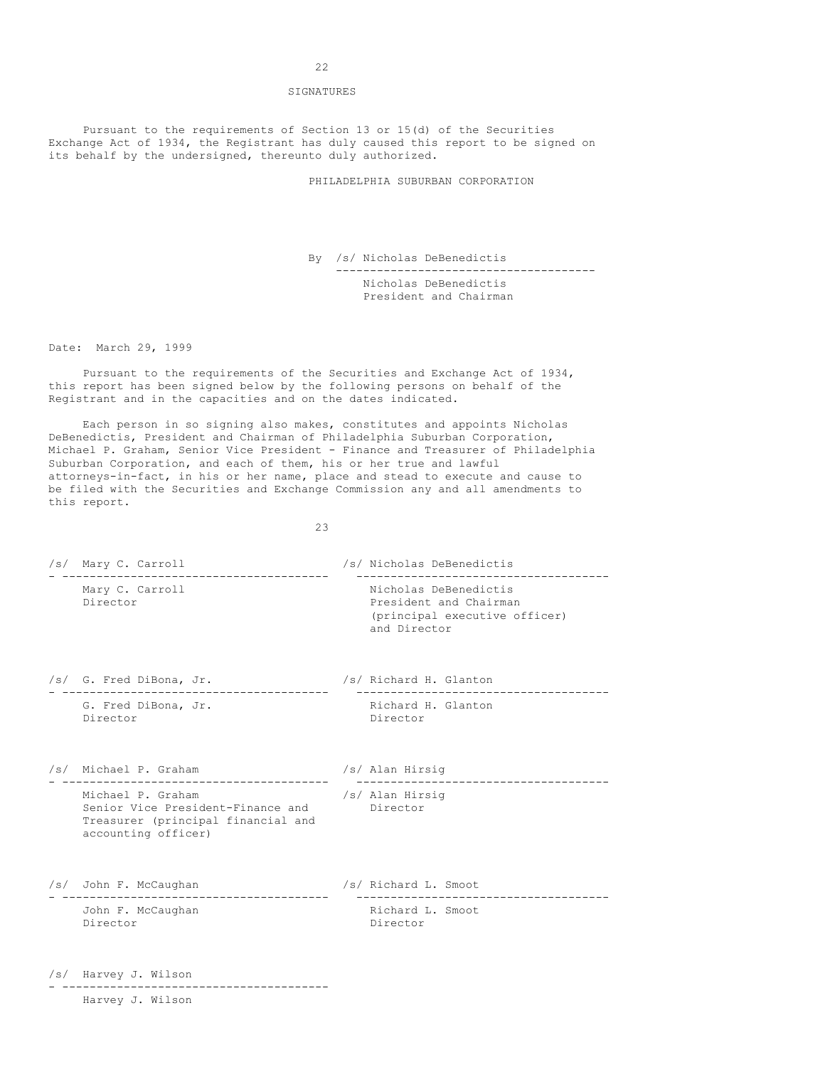#### SIGNATURES

Pursuant to the requirements of Section 13 or 15(d) of the Securities Exchange Act of 1934, the Registrant has duly caused this report to be signed on its behalf by the undersigned, thereunto duly authorized.

PHILADELPHIA SUBURBAN CORPORATION

By /s/ Nicholas DeBenedictis -------------------------------------- Nicholas DeBenedictis President and Chairman

Date: March 29, 1999

Pursuant to the requirements of the Securities and Exchange Act of 1934, this report has been signed below by the following persons on behalf of the Registrant and in the capacities and on the dates indicated.

Each person in so signing also makes, constitutes and appoints Nicholas DeBenedictis, President and Chairman of Philadelphia Suburban Corporation, Michael P. Graham, Senior Vice President - Finance and Treasurer of Philadelphia Suburban Corporation, and each of them, his or her true and lawful attorneys-in-fact, in his or her name, place and stead to execute and cause to be filed with the Securities and Exchange Commission any and all amendments to this report.

23

| /s/ Mary C. Carroll         | /s/ Nicholas DeBenedictis                                                                        |
|-----------------------------|--------------------------------------------------------------------------------------------------|
| Mary C. Carroll<br>Director | Nicholas DeBenedictis<br>President and Chairman<br>(principal executive officer)<br>and Director |

/s/ G. Fred DiBona, Jr. /s/ Richard H. Glanton - --------------------------------------- ------------------------------------- G. Fred DiBona, Jr.<br>Director Director

/s/ Michael P. Graham /s/ Alan Hirsig Michael P. Graham /s/ Alan Hirsig Senior Vice President-Finance and Treasurer (principal financial and accounting officer)

- ---------------------------------------

- --------------------------------------- -------------------------------------

/s/ John F. McCaughan /s/ Richard L. Smoot

- --------------------------------------- ------------------------------------- John F. McCaughan Director **Director** Director

/s/ Harvey J. Wilson

Harvey J. Wilson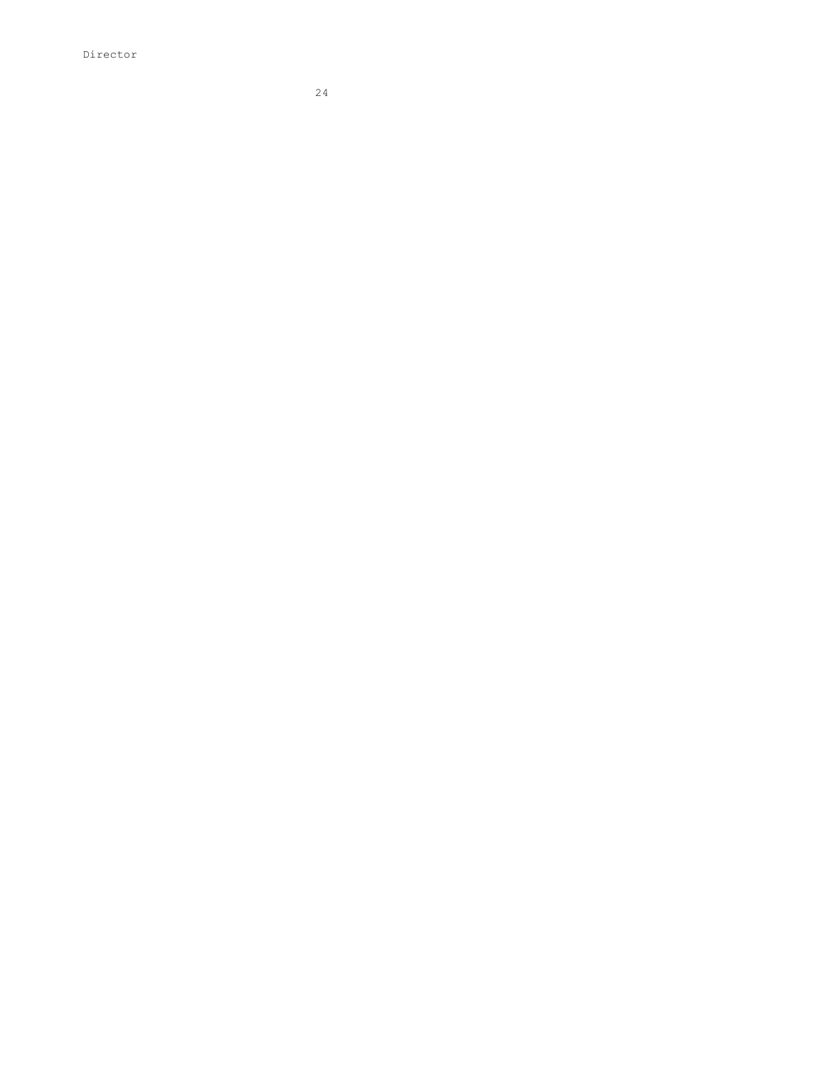Director

24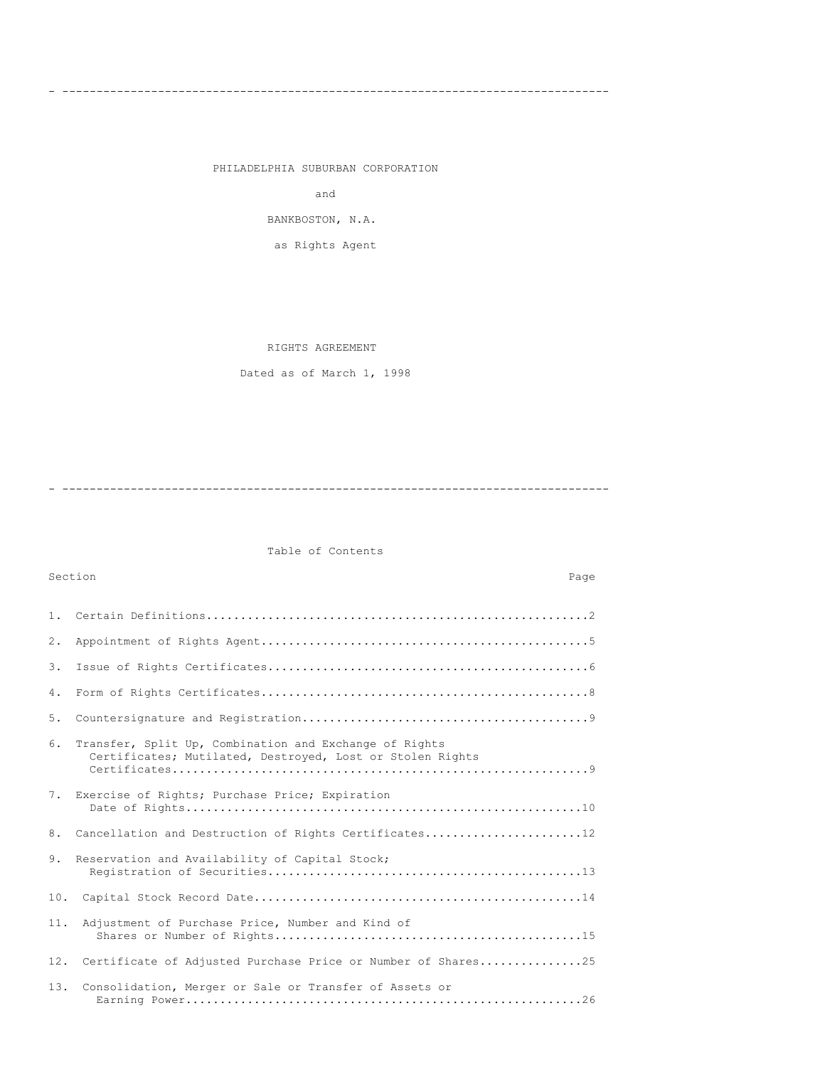#### - --------------------------------------------------------------------------------

# PHILADELPHIA SUBURBAN CORPORATION

and

BANKBOSTON, N.A.

as Rights Agent

RIGHTS AGREEMENT

Dated as of March 1, 1998

- --------------------------------------------------------------------------------

# Table of Contents

### Section Page 2014 Page 2014 Page 2014 Page 2014 Page 2014 Page 2014 Page 2014 Page 2014 Page 2014 Page 2014 Page

1. Certain Definitions........................................................2 2. Appointment of Rights Agent................................................5 3. Issue of Rights Certificates...............................................6 4. Form of Rights Certificates................................................8 5. Countersignature and Registration..........................................9 6. Transfer, Split Up, Combination and Exchange of Rights Certificates; Mutilated, Destroyed, Lost or Stolen Rights Certificates.............................................................9 7. Exercise of Rights; Purchase Price; Expiration Date of Rights..........................................................10 8. Cancellation and Destruction of Rights Certificates.........................12 9. Reservation and Availability of Capital Stock; Registration of Securities..............................................13 10. Capital Stock Record Date................................................14 11. Adjustment of Purchase Price, Number and Kind of Shares or Number of Rights.............................................15 12. Certificate of Adjusted Purchase Price or Number of Shares...............25 13. Consolidation, Merger or Sale or Transfer of Assets or Earning Power..........................................................26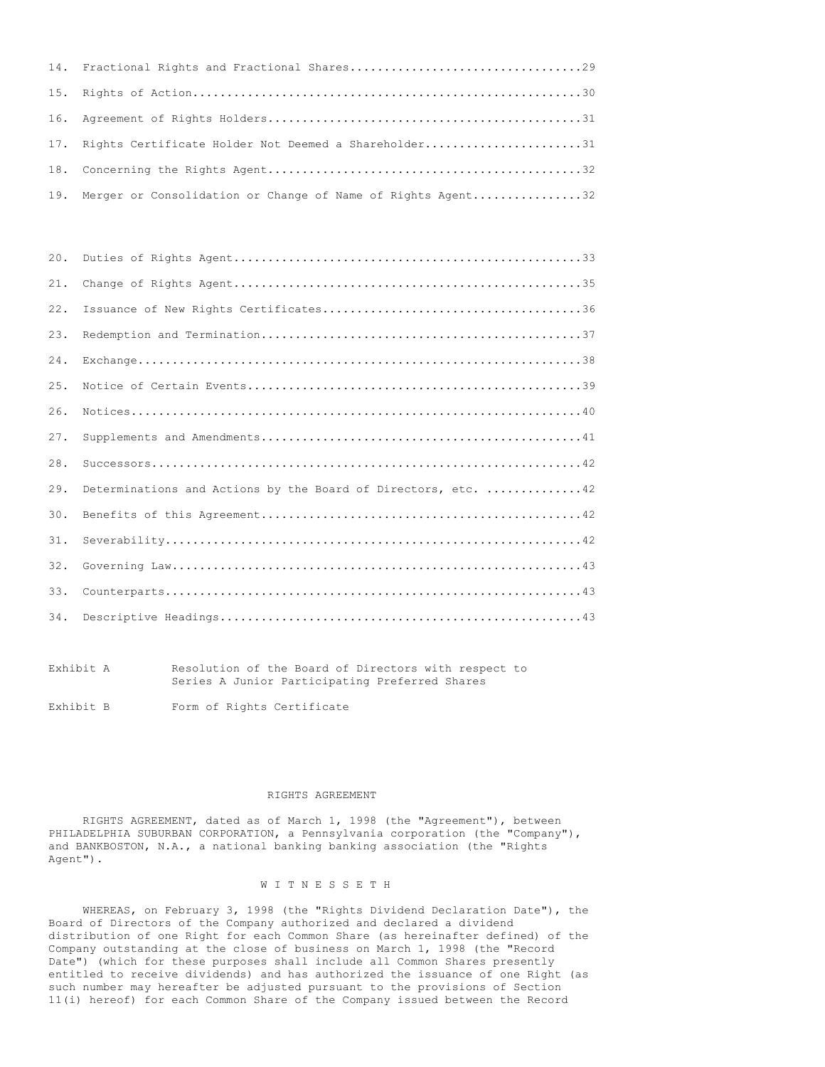| 17. Rights Certificate Holder Not Deemed a Shareholder31        |
|-----------------------------------------------------------------|
|                                                                 |
| 19. Merger or Consolidation or Change of Name of Rights Agent32 |

| 20. |                                                                |
|-----|----------------------------------------------------------------|
| 21. |                                                                |
| 22. |                                                                |
| 23. |                                                                |
| 24. |                                                                |
| 25. |                                                                |
| 26. |                                                                |
| 27. |                                                                |
| 28. |                                                                |
| 29. | Determinations and Actions by the Board of Directors, etc.  42 |
| 30. |                                                                |
| 31. |                                                                |
| 32. |                                                                |
| 33. |                                                                |
| 34. |                                                                |
|     |                                                                |

Exhibit A Resolution of the Board of Directors with respect to Series A Junior Participating Preferred Shares

Exhibit B Form of Rights Certificate

# RIGHTS AGREEMENT

RIGHTS AGREEMENT, dated as of March 1, 1998 (the "Agreement"), between PHILADELPHIA SUBURBAN CORPORATION, a Pennsylvania corporation (the "Company"), and BANKBOSTON, N.A., a national banking banking association (the "Rights Agent").

# W I T N E S S E T H

WHEREAS, on February 3, 1998 (the "Rights Dividend Declaration Date"), the Board of Directors of the Company authorized and declared a dividend distribution of one Right for each Common Share (as hereinafter defined) of the Company outstanding at the close of business on March 1, 1998 (the "Record Date") (which for these purposes shall include all Common Shares presently entitled to receive dividends) and has authorized the issuance of one Right (as such number may hereafter be adjusted pursuant to the provisions of Section 11(i) hereof) for each Common Share of the Company issued between the Record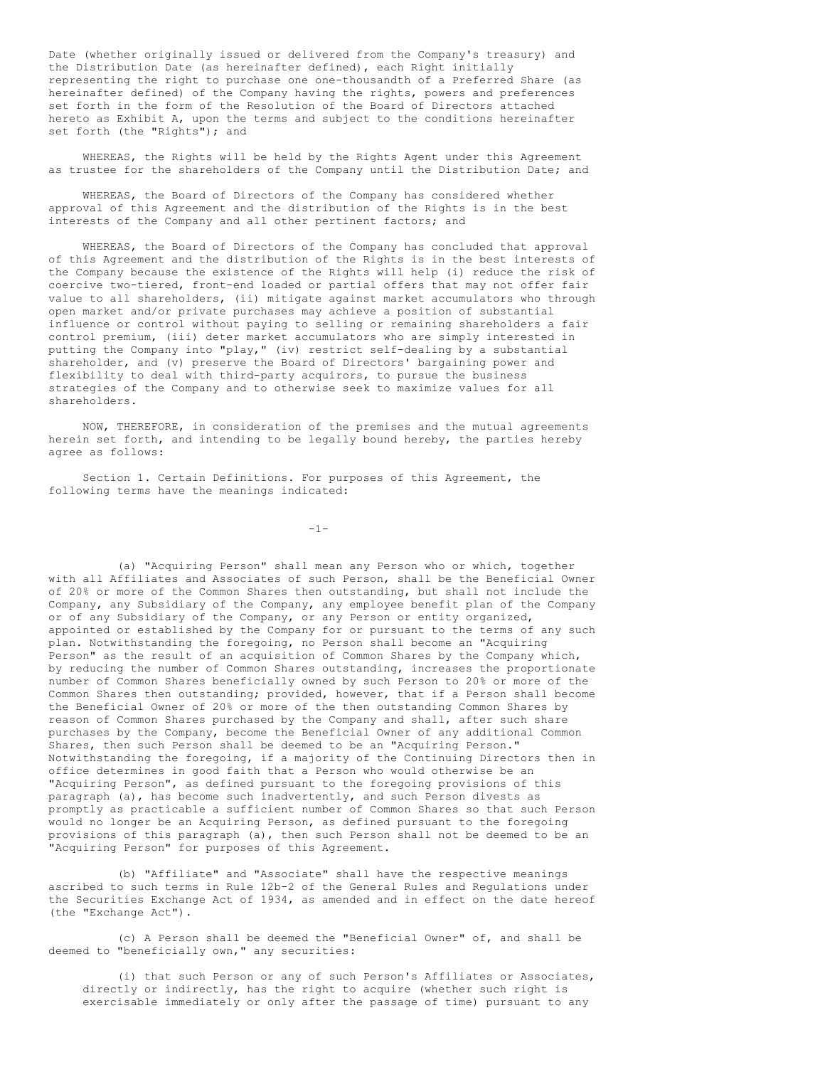Date (whether originally issued or delivered from the Company's treasury) and the Distribution Date (as hereinafter defined), each Right initially representing the right to purchase one one-thousandth of a Preferred Share (as hereinafter defined) of the Company having the rights, powers and preferences set forth in the form of the Resolution of the Board of Directors attached hereto as Exhibit A, upon the terms and subject to the conditions hereinafter set forth (the "Rights"); and

WHEREAS, the Rights will be held by the Rights Agent under this Agreement as trustee for the shareholders of the Company until the Distribution Date; and

WHEREAS, the Board of Directors of the Company has considered whether approval of this Agreement and the distribution of the Rights is in the best interests of the Company and all other pertinent factors; and

WHEREAS, the Board of Directors of the Company has concluded that approval of this Agreement and the distribution of the Rights is in the best interests of the Company because the existence of the Rights will help (i) reduce the risk of coercive two-tiered, front-end loaded or partial offers that may not offer fair value to all shareholders, (ii) mitigate against market accumulators who through open market and/or private purchases may achieve a position of substantial influence or control without paying to selling or remaining shareholders a fair control premium, (iii) deter market accumulators who are simply interested in putting the Company into "play," (iv) restrict self-dealing by a substantial shareholder, and (v) preserve the Board of Directors' bargaining power and flexibility to deal with third-party acquirors, to pursue the business strategies of the Company and to otherwise seek to maximize values for all shareholders.

NOW, THEREFORE, in consideration of the premises and the mutual agreements herein set forth, and intending to be legally bound hereby, the parties hereby agree as follows:

Section 1. Certain Definitions. For purposes of this Agreement, the following terms have the meanings indicated:

 $-1-$ 

(a) "Acquiring Person" shall mean any Person who or which, together with all Affiliates and Associates of such Person, shall be the Beneficial Owner of 20% or more of the Common Shares then outstanding, but shall not include the Company, any Subsidiary of the Company, any employee benefit plan of the Company or of any Subsidiary of the Company, or any Person or entity organized, appointed or established by the Company for or pursuant to the terms of any such plan. Notwithstanding the foregoing, no Person shall become an "Acquiring Person" as the result of an acquisition of Common Shares by the Company which, by reducing the number of Common Shares outstanding, increases the proportionate number of Common Shares beneficially owned by such Person to 20% or more of the Common Shares then outstanding; provided, however, that if a Person shall become the Beneficial Owner of 20% or more of the then outstanding Common Shares by reason of Common Shares purchased by the Company and shall, after such share purchases by the Company, become the Beneficial Owner of any additional Common Shares, then such Person shall be deemed to be an "Acquiring Person." Notwithstanding the foregoing, if a majority of the Continuing Directors then in office determines in good faith that a Person who would otherwise be an "Acquiring Person", as defined pursuant to the foregoing provisions of this paragraph (a), has become such inadvertently, and such Person divests as promptly as practicable a sufficient number of Common Shares so that such Person would no longer be an Acquiring Person, as defined pursuant to the foregoing provisions of this paragraph (a), then such Person shall not be deemed to be an "Acquiring Person" for purposes of this Agreement.

(b) "Affiliate" and "Associate" shall have the respective meanings ascribed to such terms in Rule 12b-2 of the General Rules and Regulations under the Securities Exchange Act of 1934, as amended and in effect on the date hereof (the "Exchange Act").

(c) A Person shall be deemed the "Beneficial Owner" of, and shall be deemed to "beneficially own," any securities:

(i) that such Person or any of such Person's Affiliates or Associates, directly or indirectly, has the right to acquire (whether such right is exercisable immediately or only after the passage of time) pursuant to any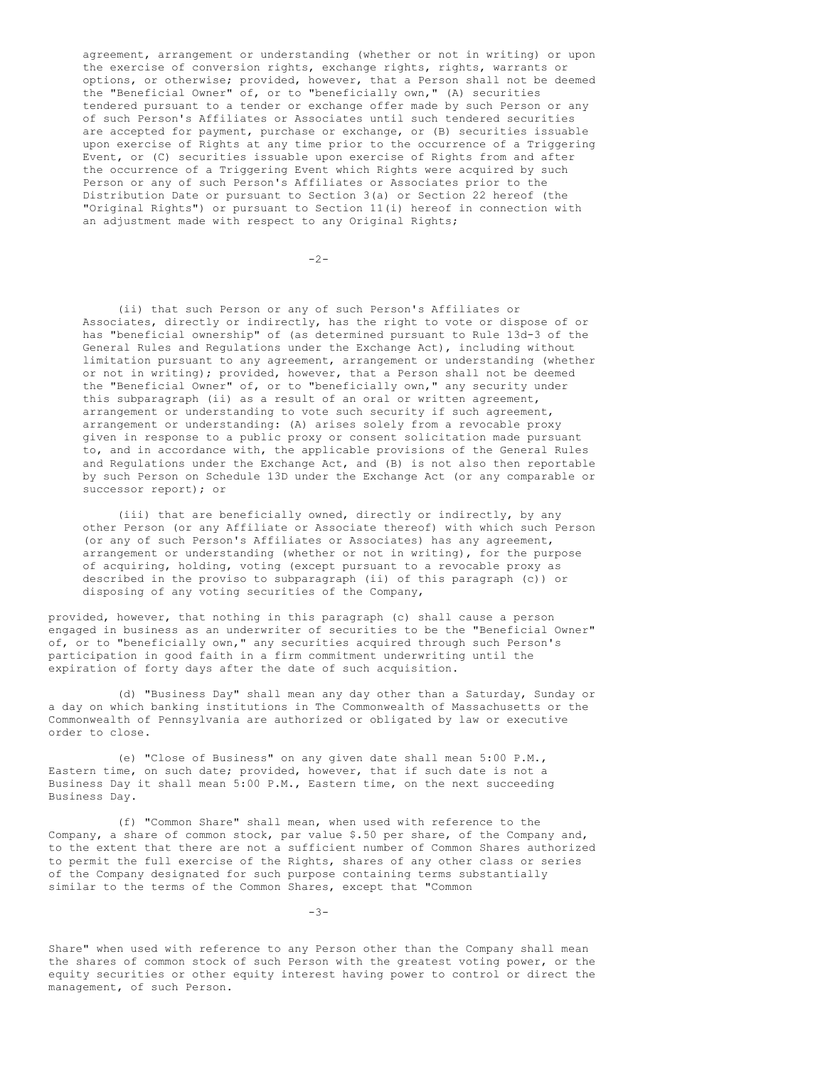agreement, arrangement or understanding (whether or not in writing) or upon the exercise of conversion rights, exchange rights, rights, warrants or options, or otherwise; provided, however, that a Person shall not be deemed the "Beneficial Owner" of, or to "beneficially own," (A) securities tendered pursuant to a tender or exchange offer made by such Person or any of such Person's Affiliates or Associates until such tendered securities are accepted for payment, purchase or exchange, or (B) securities issuable upon exercise of Rights at any time prior to the occurrence of a Triggering Event, or (C) securities issuable upon exercise of Rights from and after the occurrence of a Triggering Event which Rights were acquired by such Person or any of such Person's Affiliates or Associates prior to the Distribution Date or pursuant to Section 3(a) or Section 22 hereof (the "Original Rights") or pursuant to Section 11(i) hereof in connection with an adjustment made with respect to any Original Rights;

 $-2-$ 

(ii) that such Person or any of such Person's Affiliates or Associates, directly or indirectly, has the right to vote or dispose of or has "beneficial ownership" of (as determined pursuant to Rule 13d-3 of the General Rules and Regulations under the Exchange Act), including without limitation pursuant to any agreement, arrangement or understanding (whether or not in writing); provided, however, that a Person shall not be deemed the "Beneficial Owner" of, or to "beneficially own," any security under this subparagraph (ii) as a result of an oral or written agreement, arrangement or understanding to vote such security if such agreement, arrangement or understanding: (A) arises solely from a revocable proxy given in response to a public proxy or consent solicitation made pursuant to, and in accordance with, the applicable provisions of the General Rules and Regulations under the Exchange Act, and (B) is not also then reportable by such Person on Schedule 13D under the Exchange Act (or any comparable or successor report); or

(iii) that are beneficially owned, directly or indirectly, by any other Person (or any Affiliate or Associate thereof) with which such Person (or any of such Person's Affiliates or Associates) has any agreement, arrangement or understanding (whether or not in writing), for the purpose of acquiring, holding, voting (except pursuant to a revocable proxy as described in the proviso to subparagraph (ii) of this paragraph (c)) or disposing of any voting securities of the Company,

provided, however, that nothing in this paragraph (c) shall cause a person engaged in business as an underwriter of securities to be the "Beneficial Owner" of, or to "beneficially own," any securities acquired through such Person's participation in good faith in a firm commitment underwriting until the expiration of forty days after the date of such acquisition.

(d) "Business Day" shall mean any day other than a Saturday, Sunday or a day on which banking institutions in The Commonwealth of Massachusetts or the Commonwealth of Pennsylvania are authorized or obligated by law or executive order to close.

(e) "Close of Business" on any given date shall mean 5:00 P.M., Eastern time, on such date; provided, however, that if such date is not a Business Day it shall mean 5:00 P.M., Eastern time, on the next succeeding Business Day.

(f) "Common Share" shall mean, when used with reference to the Company, a share of common stock, par value \$.50 per share, of the Company and, to the extent that there are not a sufficient number of Common Shares authorized to permit the full exercise of the Rights, shares of any other class or series of the Company designated for such purpose containing terms substantially similar to the terms of the Common Shares, except that "Common

 $-3-$ 

Share" when used with reference to any Person other than the Company shall mean the shares of common stock of such Person with the greatest voting power, or the equity securities or other equity interest having power to control or direct the management, of such Person.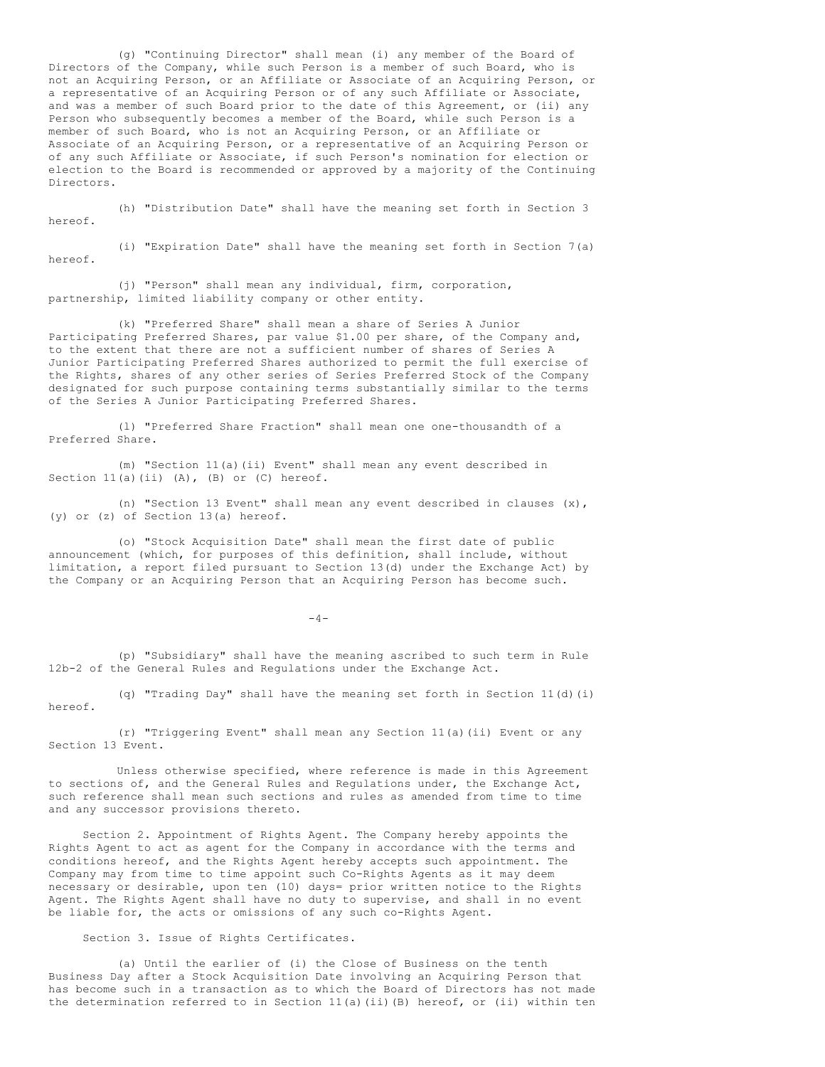(g) "Continuing Director" shall mean (i) any member of the Board of Directors of the Company, while such Person is a member of such Board, who is not an Acquiring Person, or an Affiliate or Associate of an Acquiring Person, or a representative of an Acquiring Person or of any such Affiliate or Associate, and was a member of such Board prior to the date of this Agreement, or (ii) any Person who subsequently becomes a member of the Board, while such Person is a member of such Board, who is not an Acquiring Person, or an Affiliate or Associate of an Acquiring Person, or a representative of an Acquiring Person or of any such Affiliate or Associate, if such Person's nomination for election or election to the Board is recommended or approved by a majority of the Continuing Directors.

(h) "Distribution Date" shall have the meaning set forth in Section 3 hereof.

(i) "Expiration Date" shall have the meaning set forth in Section 7(a) hereof.

(j) "Person" shall mean any individual, firm, corporation, partnership, limited liability company or other entity.

(k) "Preferred Share" shall mean a share of Series A Junior Participating Preferred Shares, par value \$1.00 per share, of the Company and, to the extent that there are not a sufficient number of shares of Series A Junior Participating Preferred Shares authorized to permit the full exercise of the Rights, shares of any other series of Series Preferred Stock of the Company designated for such purpose containing terms substantially similar to the terms of the Series A Junior Participating Preferred Shares.

(l) "Preferred Share Fraction" shall mean one one-thousandth of a Preferred Share.

(m) "Section 11(a)(ii) Event" shall mean any event described in Section  $11(a)$  (ii)  $(A)$ ,  $(B)$  or  $(C)$  hereof.

(n) "Section 13 Event" shall mean any event described in clauses (x), (y) or (z) of Section 13(a) hereof.

(o) "Stock Acquisition Date" shall mean the first date of public announcement (which, for purposes of this definition, shall include, without limitation, a report filed pursuant to Section 13(d) under the Exchange Act) by the Company or an Acquiring Person that an Acquiring Person has become such.

 $-4-$ 

(p) "Subsidiary" shall have the meaning ascribed to such term in Rule 12b-2 of the General Rules and Regulations under the Exchange Act.

(q) "Trading Day" shall have the meaning set forth in Section  $11(d)(i)$ hereof.

(r) "Triggering Event" shall mean any Section 11(a)(ii) Event or any Section 13 Event.

Unless otherwise specified, where reference is made in this Agreement to sections of, and the General Rules and Regulations under, the Exchange Act, such reference shall mean such sections and rules as amended from time to time and any successor provisions thereto.

Section 2. Appointment of Rights Agent. The Company hereby appoints the Rights Agent to act as agent for the Company in accordance with the terms and conditions hereof, and the Rights Agent hereby accepts such appointment. The Company may from time to time appoint such Co-Rights Agents as it may deem necessary or desirable, upon ten (10) days= prior written notice to the Rights Agent. The Rights Agent shall have no duty to supervise, and shall in no event be liable for, the acts or omissions of any such co-Rights Agent.

Section 3. Issue of Rights Certificates.

(a) Until the earlier of (i) the Close of Business on the tenth Business Day after a Stock Acquisition Date involving an Acquiring Person that has become such in a transaction as to which the Board of Directors has not made the determination referred to in Section 11(a)(ii)(B) hereof, or (ii) within ten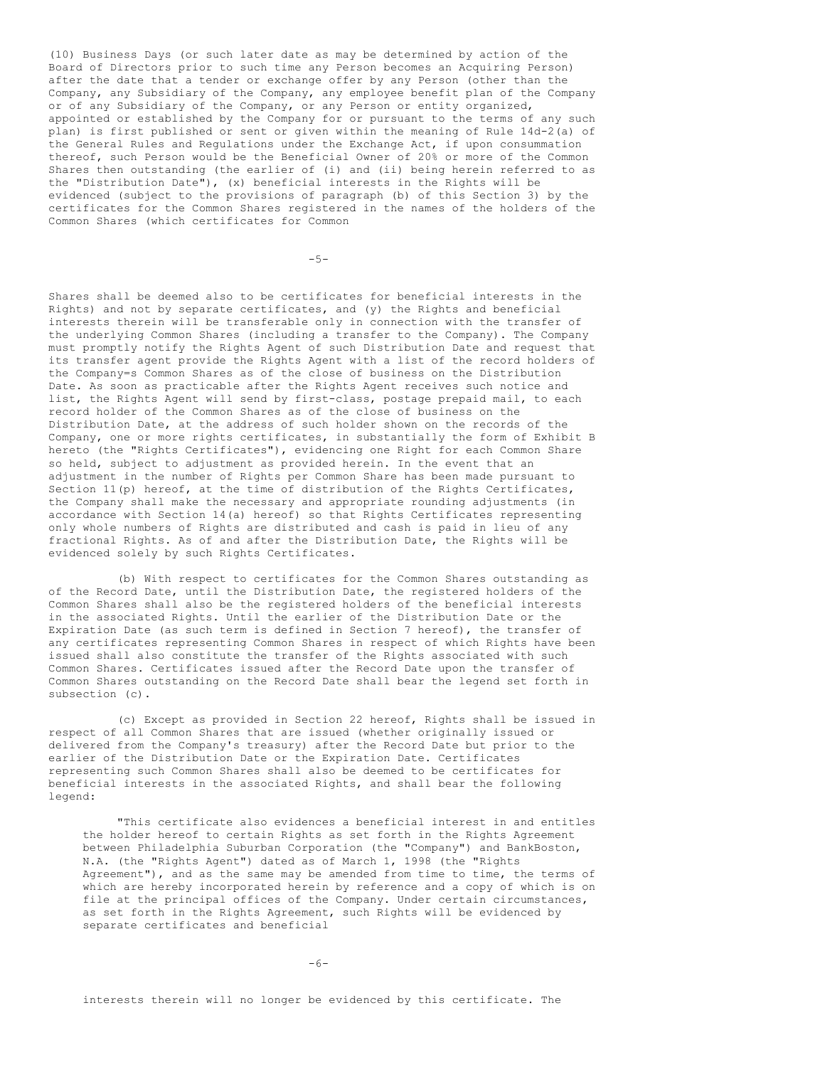(10) Business Days (or such later date as may be determined by action of the Board of Directors prior to such time any Person becomes an Acquiring Person) after the date that a tender or exchange offer by any Person (other than the Company, any Subsidiary of the Company, any employee benefit plan of the Company or of any Subsidiary of the Company, or any Person or entity organized, appointed or established by the Company for or pursuant to the terms of any such plan) is first published or sent or given within the meaning of Rule 14d-2(a) of the General Rules and Regulations under the Exchange Act, if upon consummation thereof, such Person would be the Beneficial Owner of 20% or more of the Common Shares then outstanding (the earlier of (i) and (ii) being herein referred to as the "Distribution Date"), (x) beneficial interests in the Rights will be evidenced (subject to the provisions of paragraph (b) of this Section 3) by the certificates for the Common Shares registered in the names of the holders of the Common Shares (which certificates for Common

 $-5-$ 

Shares shall be deemed also to be certificates for beneficial interests in the Rights) and not by separate certificates, and (y) the Rights and beneficial interests therein will be transferable only in connection with the transfer of the underlying Common Shares (including a transfer to the Company). The Company must promptly notify the Rights Agent of such Distribution Date and request that its transfer agent provide the Rights Agent with a list of the record holders of the Company=s Common Shares as of the close of business on the Distribution Date. As soon as practicable after the Rights Agent receives such notice and list, the Rights Agent will send by first-class, postage prepaid mail, to each record holder of the Common Shares as of the close of business on the Distribution Date, at the address of such holder shown on the records of the Company, one or more rights certificates, in substantially the form of Exhibit B hereto (the "Rights Certificates"), evidencing one Right for each Common Share so held, subject to adjustment as provided herein. In the event that an adjustment in the number of Rights per Common Share has been made pursuant to Section 11(p) hereof, at the time of distribution of the Rights Certificates, the Company shall make the necessary and appropriate rounding adjustments (in accordance with Section 14(a) hereof) so that Rights Certificates representing only whole numbers of Rights are distributed and cash is paid in lieu of any fractional Rights. As of and after the Distribution Date, the Rights will be evidenced solely by such Rights Certificates.

(b) With respect to certificates for the Common Shares outstanding as of the Record Date, until the Distribution Date, the registered holders of the Common Shares shall also be the registered holders of the beneficial interests in the associated Rights. Until the earlier of the Distribution Date or the Expiration Date (as such term is defined in Section 7 hereof), the transfer of any certificates representing Common Shares in respect of which Rights have been issued shall also constitute the transfer of the Rights associated with such Common Shares. Certificates issued after the Record Date upon the transfer of Common Shares outstanding on the Record Date shall bear the legend set forth in subsection (c).

(c) Except as provided in Section 22 hereof, Rights shall be issued in respect of all Common Shares that are issued (whether originally issued or delivered from the Company's treasury) after the Record Date but prior to the earlier of the Distribution Date or the Expiration Date. Certificates representing such Common Shares shall also be deemed to be certificates for beneficial interests in the associated Rights, and shall bear the following legend:

"This certificate also evidences a beneficial interest in and entitles the holder hereof to certain Rights as set forth in the Rights Agreement between Philadelphia Suburban Corporation (the "Company") and BankBoston, N.A. (the "Rights Agent") dated as of March 1, 1998 (the "Rights Agreement"), and as the same may be amended from time to time, the terms of which are hereby incorporated herein by reference and a copy of which is on file at the principal offices of the Company. Under certain circumstances, as set forth in the Rights Agreement, such Rights will be evidenced by separate certificates and beneficial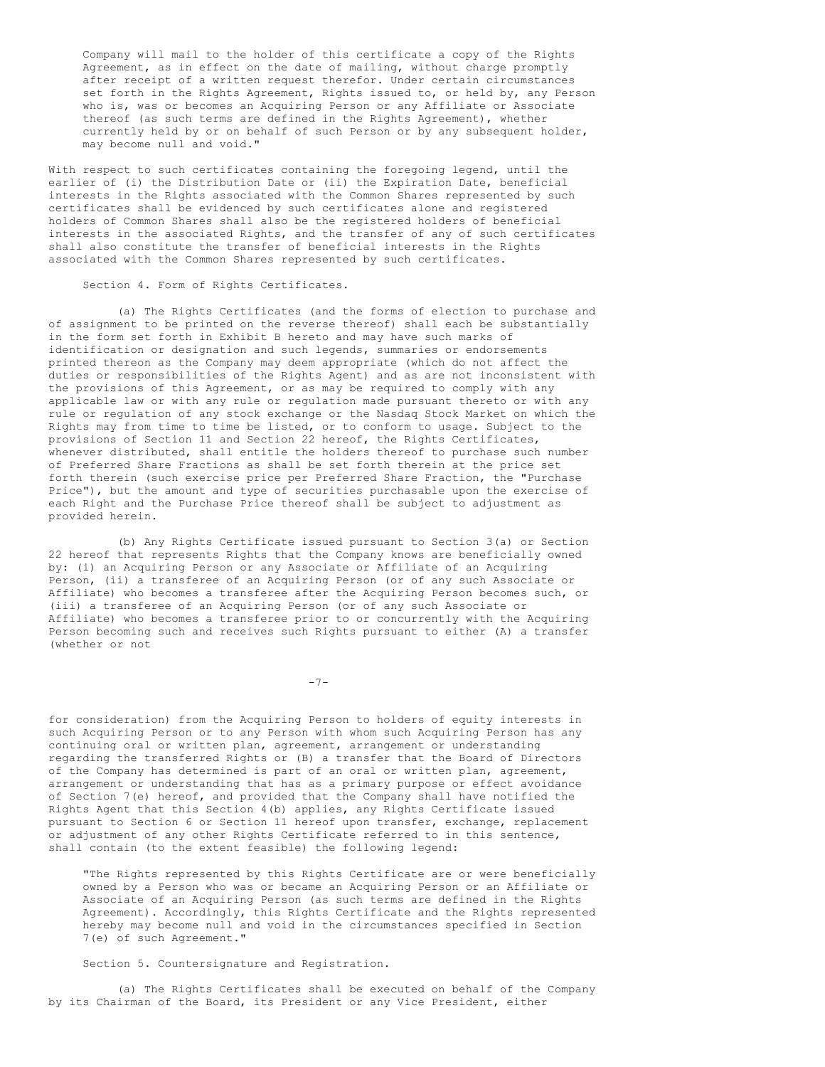Company will mail to the holder of this certificate a copy of the Rights Agreement, as in effect on the date of mailing, without charge promptly after receipt of a written request therefor. Under certain circumstances set forth in the Rights Agreement, Rights issued to, or held by, any Person who is, was or becomes an Acquiring Person or any Affiliate or Associate thereof (as such terms are defined in the Rights Agreement), whether currently held by or on behalf of such Person or by any subsequent holder, may become null and void."

With respect to such certificates containing the foregoing legend, until the earlier of (i) the Distribution Date or (ii) the Expiration Date, beneficial interests in the Rights associated with the Common Shares represented by such certificates shall be evidenced by such certificates alone and registered holders of Common Shares shall also be the registered holders of beneficial interests in the associated Rights, and the transfer of any of such certificates shall also constitute the transfer of beneficial interests in the Rights associated with the Common Shares represented by such certificates.

Section 4. Form of Rights Certificates.

(a) The Rights Certificates (and the forms of election to purchase and of assignment to be printed on the reverse thereof) shall each be substantially in the form set forth in Exhibit B hereto and may have such marks of identification or designation and such legends, summaries or endorsements printed thereon as the Company may deem appropriate (which do not affect the duties or responsibilities of the Rights Agent) and as are not inconsistent with the provisions of this Agreement, or as may be required to comply with any applicable law or with any rule or regulation made pursuant thereto or with any rule or regulation of any stock exchange or the Nasdaq Stock Market on which the Rights may from time to time be listed, or to conform to usage. Subject to the provisions of Section 11 and Section 22 hereof, the Rights Certificates, whenever distributed, shall entitle the holders thereof to purchase such number of Preferred Share Fractions as shall be set forth therein at the price set forth therein (such exercise price per Preferred Share Fraction, the "Purchase Price"), but the amount and type of securities purchasable upon the exercise of each Right and the Purchase Price thereof shall be subject to adjustment as provided herein.

(b) Any Rights Certificate issued pursuant to Section 3(a) or Section 22 hereof that represents Rights that the Company knows are beneficially owned by: (i) an Acquiring Person or any Associate or Affiliate of an Acquiring Person, (ii) a transferee of an Acquiring Person (or of any such Associate or Affiliate) who becomes a transferee after the Acquiring Person becomes such, or (iii) a transferee of an Acquiring Person (or of any such Associate or Affiliate) who becomes a transferee prior to or concurrently with the Acquiring Person becoming such and receives such Rights pursuant to either (A) a transfer (whether or not

 $-7-$ 

for consideration) from the Acquiring Person to holders of equity interests in such Acquiring Person or to any Person with whom such Acquiring Person has any continuing oral or written plan, agreement, arrangement or understanding regarding the transferred Rights or (B) a transfer that the Board of Directors of the Company has determined is part of an oral or written plan, agreement, arrangement or understanding that has as a primary purpose or effect avoidance of Section 7(e) hereof, and provided that the Company shall have notified the Rights Agent that this Section 4(b) applies, any Rights Certificate issued pursuant to Section 6 or Section 11 hereof upon transfer, exchange, replacement or adjustment of any other Rights Certificate referred to in this sentence, shall contain (to the extent feasible) the following legend:

"The Rights represented by this Rights Certificate are or were beneficially owned by a Person who was or became an Acquiring Person or an Affiliate or Associate of an Acquiring Person (as such terms are defined in the Rights Agreement). Accordingly, this Rights Certificate and the Rights represented hereby may become null and void in the circumstances specified in Section 7(e) of such Agreement."

Section 5. Countersignature and Registration.

(a) The Rights Certificates shall be executed on behalf of the Company by its Chairman of the Board, its President or any Vice President, either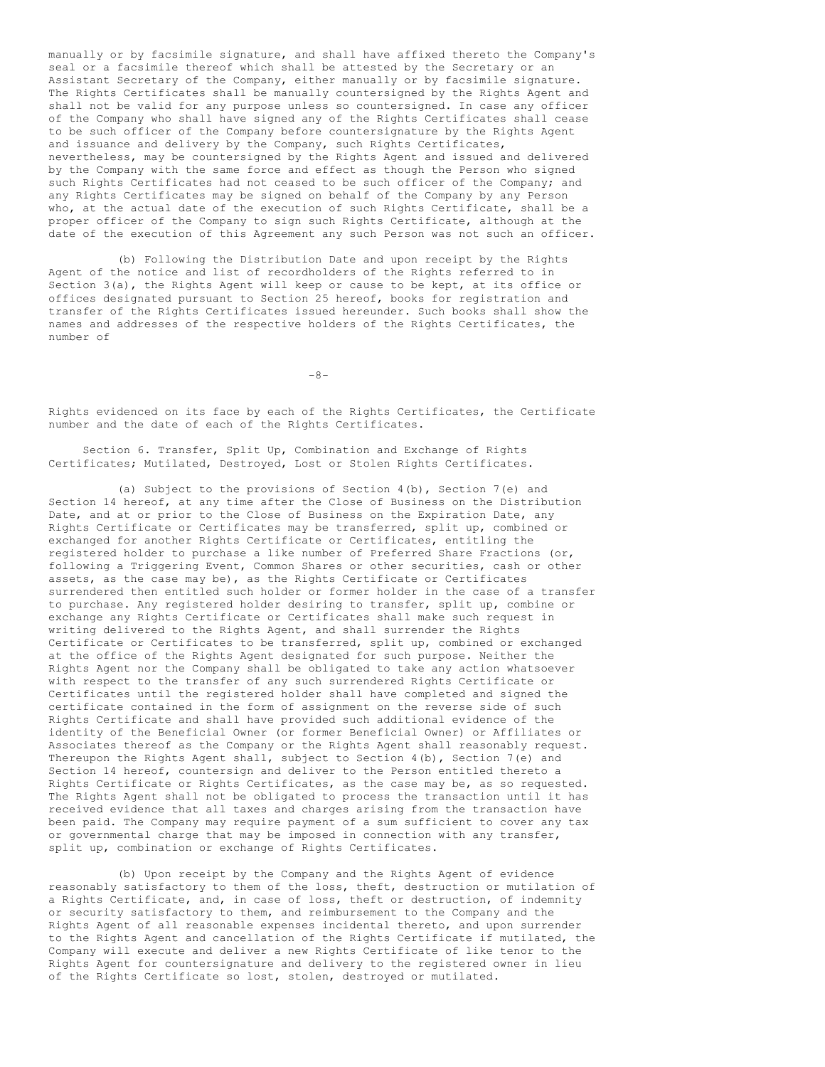manually or by facsimile signature, and shall have affixed thereto the Company's seal or a facsimile thereof which shall be attested by the Secretary or an Assistant Secretary of the Company, either manually or by facsimile signature. The Rights Certificates shall be manually countersigned by the Rights Agent and shall not be valid for any purpose unless so countersigned. In case any officer of the Company who shall have signed any of the Rights Certificates shall cease to be such officer of the Company before countersignature by the Rights Agent and issuance and delivery by the Company, such Rights Certificates, nevertheless, may be countersigned by the Rights Agent and issued and delivered by the Company with the same force and effect as though the Person who signed such Rights Certificates had not ceased to be such officer of the Company; and any Rights Certificates may be signed on behalf of the Company by any Person who, at the actual date of the execution of such Rights Certificate, shall be a proper officer of the Company to sign such Rights Certificate, although at the date of the execution of this Agreement any such Person was not such an officer.

(b) Following the Distribution Date and upon receipt by the Rights Agent of the notice and list of recordholders of the Rights referred to in Section 3(a), the Rights Agent will keep or cause to be kept, at its office or offices designated pursuant to Section 25 hereof, books for registration and transfer of the Rights Certificates issued hereunder. Such books shall show the names and addresses of the respective holders of the Rights Certificates, the number of

 $-8-$ 

Rights evidenced on its face by each of the Rights Certificates, the Certificate number and the date of each of the Rights Certificates.

Section 6. Transfer, Split Up, Combination and Exchange of Rights Certificates; Mutilated, Destroyed, Lost or Stolen Rights Certificates.

(a) Subject to the provisions of Section 4(b), Section 7(e) and Section 14 hereof, at any time after the Close of Business on the Distribution Date, and at or prior to the Close of Business on the Expiration Date, any Rights Certificate or Certificates may be transferred, split up, combined or exchanged for another Rights Certificate or Certificates, entitling the registered holder to purchase a like number of Preferred Share Fractions (or, following a Triggering Event, Common Shares or other securities, cash or other assets, as the case may be), as the Rights Certificate or Certificates surrendered then entitled such holder or former holder in the case of a transfer to purchase. Any registered holder desiring to transfer, split up, combine or exchange any Rights Certificate or Certificates shall make such request in writing delivered to the Rights Agent, and shall surrender the Rights Certificate or Certificates to be transferred, split up, combined or exchanged at the office of the Rights Agent designated for such purpose. Neither the Rights Agent nor the Company shall be obligated to take any action whatsoever with respect to the transfer of any such surrendered Rights Certificate or Certificates until the registered holder shall have completed and signed the certificate contained in the form of assignment on the reverse side of such Rights Certificate and shall have provided such additional evidence of the identity of the Beneficial Owner (or former Beneficial Owner) or Affiliates or Associates thereof as the Company or the Rights Agent shall reasonably request. Thereupon the Rights Agent shall, subject to Section  $4(b)$ , Section  $7(e)$  and Section 14 hereof, countersign and deliver to the Person entitled thereto a Rights Certificate or Rights Certificates, as the case may be, as so requested. The Rights Agent shall not be obligated to process the transaction until it has received evidence that all taxes and charges arising from the transaction have been paid. The Company may require payment of a sum sufficient to cover any tax or governmental charge that may be imposed in connection with any transfer, split up, combination or exchange of Rights Certificates.

(b) Upon receipt by the Company and the Rights Agent of evidence reasonably satisfactory to them of the loss, theft, destruction or mutilation of a Rights Certificate, and, in case of loss, theft or destruction, of indemnity or security satisfactory to them, and reimbursement to the Company and the Rights Agent of all reasonable expenses incidental thereto, and upon surrender to the Rights Agent and cancellation of the Rights Certificate if mutilated, the Company will execute and deliver a new Rights Certificate of like tenor to the Rights Agent for countersignature and delivery to the registered owner in lieu of the Rights Certificate so lost, stolen, destroyed or mutilated.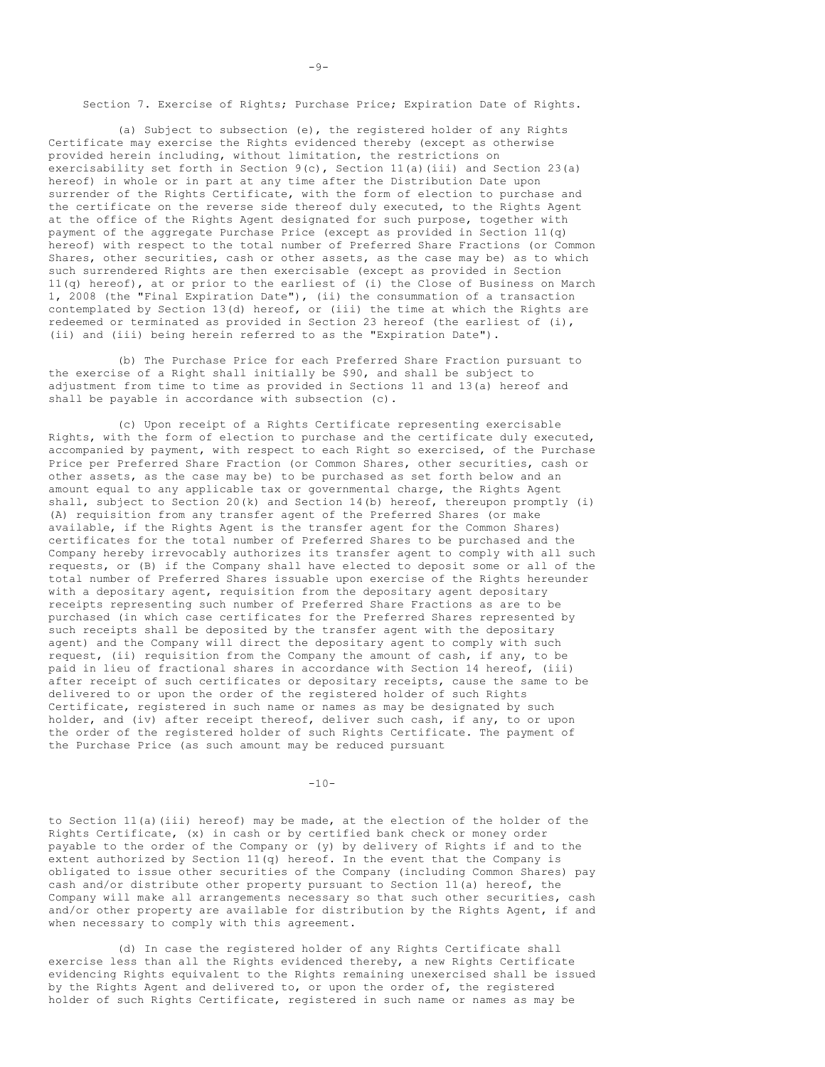Section 7. Exercise of Rights; Purchase Price; Expiration Date of Rights.

(a) Subject to subsection (e), the registered holder of any Rights Certificate may exercise the Rights evidenced thereby (except as otherwise provided herein including, without limitation, the restrictions on exercisability set forth in Section 9(c), Section 11(a)(iii) and Section 23(a) hereof) in whole or in part at any time after the Distribution Date upon surrender of the Rights Certificate, with the form of election to purchase and the certificate on the reverse side thereof duly executed, to the Rights Agent at the office of the Rights Agent designated for such purpose, together with payment of the aggregate Purchase Price (except as provided in Section 11(q) hereof) with respect to the total number of Preferred Share Fractions (or Common Shares, other securities, cash or other assets, as the case may be) as to which such surrendered Rights are then exercisable (except as provided in Section 11(q) hereof), at or prior to the earliest of (i) the Close of Business on March 1, 2008 (the "Final Expiration Date"), (ii) the consummation of a transaction contemplated by Section 13(d) hereof, or (iii) the time at which the Rights are redeemed or terminated as provided in Section 23 hereof (the earliest of (i), (ii) and (iii) being herein referred to as the "Expiration Date").

(b) The Purchase Price for each Preferred Share Fraction pursuant to the exercise of a Right shall initially be \$90, and shall be subject to adjustment from time to time as provided in Sections 11 and 13(a) hereof and shall be payable in accordance with subsection (c).

(c) Upon receipt of a Rights Certificate representing exercisable Rights, with the form of election to purchase and the certificate duly executed, accompanied by payment, with respect to each Right so exercised, of the Purchase Price per Preferred Share Fraction (or Common Shares, other securities, cash or other assets, as the case may be) to be purchased as set forth below and an amount equal to any applicable tax or governmental charge, the Rights Agent shall, subject to Section 20(k) and Section 14(b) hereof, thereupon promptly (i) (A) requisition from any transfer agent of the Preferred Shares (or make available, if the Rights Agent is the transfer agent for the Common Shares) certificates for the total number of Preferred Shares to be purchased and the Company hereby irrevocably authorizes its transfer agent to comply with all such requests, or (B) if the Company shall have elected to deposit some or all of the total number of Preferred Shares issuable upon exercise of the Rights hereunder with a depositary agent, requisition from the depositary agent depositary receipts representing such number of Preferred Share Fractions as are to be purchased (in which case certificates for the Preferred Shares represented by such receipts shall be deposited by the transfer agent with the depositary agent) and the Company will direct the depositary agent to comply with such request, (ii) requisition from the Company the amount of cash, if any, to be paid in lieu of fractional shares in accordance with Section 14 hereof, (iii) after receipt of such certificates or depositary receipts, cause the same to be delivered to or upon the order of the registered holder of such Rights Certificate, registered in such name or names as may be designated by such holder, and (iv) after receipt thereof, deliver such cash, if any, to or upon the order of the registered holder of such Rights Certificate. The payment of the Purchase Price (as such amount may be reduced pursuant

 $-10-$ 

to Section 11(a)(iii) hereof) may be made, at the election of the holder of the Rights Certificate, (x) in cash or by certified bank check or money order payable to the order of the Company or (y) by delivery of Rights if and to the extent authorized by Section 11(q) hereof. In the event that the Company is obligated to issue other securities of the Company (including Common Shares) pay cash and/or distribute other property pursuant to Section 11(a) hereof, the Company will make all arrangements necessary so that such other securities, cash and/or other property are available for distribution by the Rights Agent, if and when necessary to comply with this agreement.

(d) In case the registered holder of any Rights Certificate shall exercise less than all the Rights evidenced thereby, a new Rights Certificate evidencing Rights equivalent to the Rights remaining unexercised shall be issued by the Rights Agent and delivered to, or upon the order of, the registered holder of such Rights Certificate, registered in such name or names as may be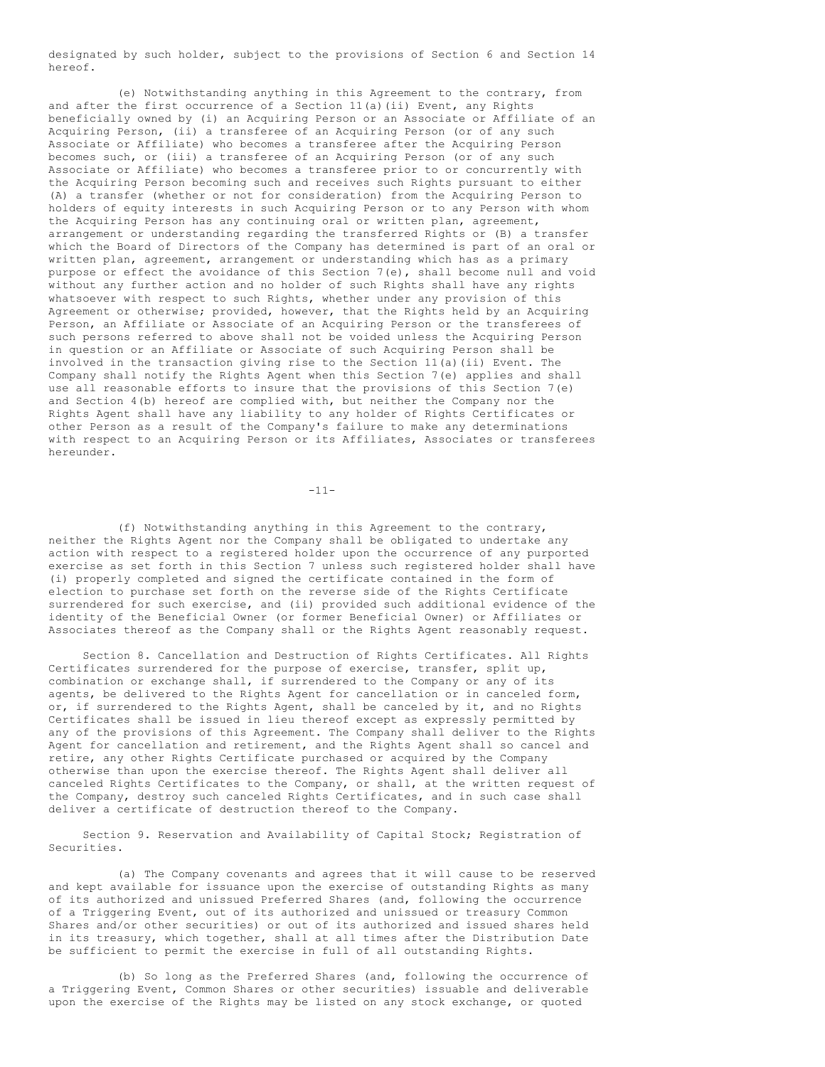designated by such holder, subject to the provisions of Section 6 and Section 14 hereof.

(e) Notwithstanding anything in this Agreement to the contrary, from and after the first occurrence of a Section 11(a)(ii) Event, any Rights beneficially owned by (i) an Acquiring Person or an Associate or Affiliate of an Acquiring Person, (ii) a transferee of an Acquiring Person (or of any such Associate or Affiliate) who becomes a transferee after the Acquiring Person becomes such, or (iii) a transferee of an Acquiring Person (or of any such Associate or Affiliate) who becomes a transferee prior to or concurrently with the Acquiring Person becoming such and receives such Rights pursuant to either (A) a transfer (whether or not for consideration) from the Acquiring Person to holders of equity interests in such Acquiring Person or to any Person with whom the Acquiring Person has any continuing oral or written plan, agreement, arrangement or understanding regarding the transferred Rights or (B) a transfer which the Board of Directors of the Company has determined is part of an oral or written plan, agreement, arrangement or understanding which has as a primary purpose or effect the avoidance of this Section 7(e), shall become null and void without any further action and no holder of such Rights shall have any rights whatsoever with respect to such Rights, whether under any provision of this Agreement or otherwise; provided, however, that the Rights held by an Acquiring Person, an Affiliate or Associate of an Acquiring Person or the transferees of such persons referred to above shall not be voided unless the Acquiring Person in question or an Affiliate or Associate of such Acquiring Person shall be involved in the transaction giving rise to the Section 11(a)(ii) Event. The Company shall notify the Rights Agent when this Section 7(e) applies and shall use all reasonable efforts to insure that the provisions of this Section 7(e) and Section 4(b) hereof are complied with, but neither the Company nor the Rights Agent shall have any liability to any holder of Rights Certificates or other Person as a result of the Company's failure to make any determinations with respect to an Acquiring Person or its Affiliates, Associates or transferees hereunder.

-11-

(f) Notwithstanding anything in this Agreement to the contrary, neither the Rights Agent nor the Company shall be obligated to undertake any action with respect to a registered holder upon the occurrence of any purported exercise as set forth in this Section 7 unless such registered holder shall have (i) properly completed and signed the certificate contained in the form of election to purchase set forth on the reverse side of the Rights Certificate surrendered for such exercise, and (ii) provided such additional evidence of the identity of the Beneficial Owner (or former Beneficial Owner) or Affiliates or Associates thereof as the Company shall or the Rights Agent reasonably request.

Section 8. Cancellation and Destruction of Rights Certificates. All Rights Certificates surrendered for the purpose of exercise, transfer, split up, combination or exchange shall, if surrendered to the Company or any of its agents, be delivered to the Rights Agent for cancellation or in canceled form, or, if surrendered to the Rights Agent, shall be canceled by it, and no Rights Certificates shall be issued in lieu thereof except as expressly permitted by any of the provisions of this Agreement. The Company shall deliver to the Rights Agent for cancellation and retirement, and the Rights Agent shall so cancel and retire, any other Rights Certificate purchased or acquired by the Company otherwise than upon the exercise thereof. The Rights Agent shall deliver all canceled Rights Certificates to the Company, or shall, at the written request of the Company, destroy such canceled Rights Certificates, and in such case shall deliver a certificate of destruction thereof to the Company.

Section 9. Reservation and Availability of Capital Stock; Registration of Securities.

(a) The Company covenants and agrees that it will cause to be reserved and kept available for issuance upon the exercise of outstanding Rights as many of its authorized and unissued Preferred Shares (and, following the occurrence of a Triggering Event, out of its authorized and unissued or treasury Common Shares and/or other securities) or out of its authorized and issued shares held in its treasury, which together, shall at all times after the Distribution Date be sufficient to permit the exercise in full of all outstanding Rights.

(b) So long as the Preferred Shares (and, following the occurrence of a Triggering Event, Common Shares or other securities) issuable and deliverable upon the exercise of the Rights may be listed on any stock exchange, or quoted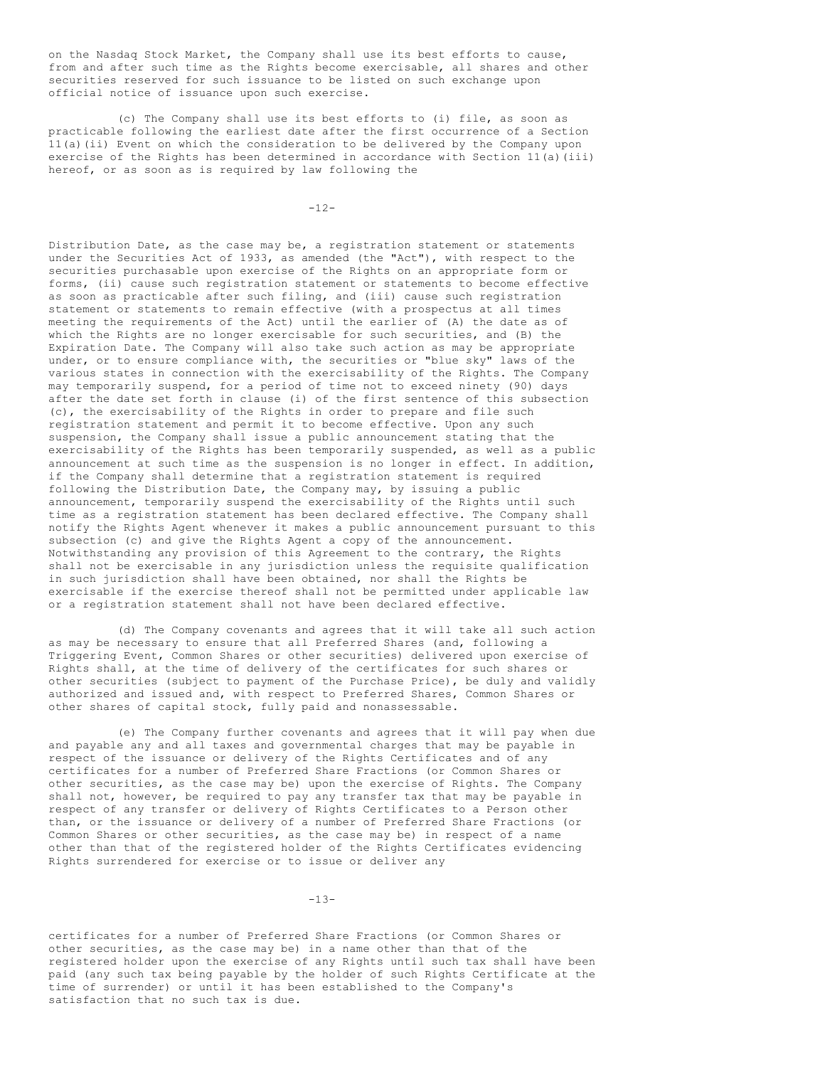on the Nasdaq Stock Market, the Company shall use its best efforts to cause, from and after such time as the Rights become exercisable, all shares and other securities reserved for such issuance to be listed on such exchange upon official notice of issuance upon such exercise.

(c) The Company shall use its best efforts to (i) file, as soon as practicable following the earliest date after the first occurrence of a Section 11(a)(ii) Event on which the consideration to be delivered by the Company upon exercise of the Rights has been determined in accordance with Section 11(a)(iii) hereof, or as soon as is required by law following the

 $-12-$ 

Distribution Date, as the case may be, a registration statement or statements under the Securities Act of 1933, as amended (the "Act"), with respect to the securities purchasable upon exercise of the Rights on an appropriate form or forms, (ii) cause such registration statement or statements to become effective as soon as practicable after such filing, and (iii) cause such registration statement or statements to remain effective (with a prospectus at all times meeting the requirements of the Act) until the earlier of (A) the date as of which the Rights are no longer exercisable for such securities, and (B) the Expiration Date. The Company will also take such action as may be appropriate under, or to ensure compliance with, the securities or "blue sky" laws of the various states in connection with the exercisability of the Rights. The Company may temporarily suspend, for a period of time not to exceed ninety (90) days after the date set forth in clause (i) of the first sentence of this subsection (c), the exercisability of the Rights in order to prepare and file such registration statement and permit it to become effective. Upon any such suspension, the Company shall issue a public announcement stating that the exercisability of the Rights has been temporarily suspended, as well as a public announcement at such time as the suspension is no longer in effect. In addition, if the Company shall determine that a registration statement is required following the Distribution Date, the Company may, by issuing a public announcement, temporarily suspend the exercisability of the Rights until such time as a registration statement has been declared effective. The Company shall notify the Rights Agent whenever it makes a public announcement pursuant to this subsection (c) and give the Rights Agent a copy of the announcement. Notwithstanding any provision of this Agreement to the contrary, the Rights shall not be exercisable in any jurisdiction unless the requisite qualification in such jurisdiction shall have been obtained, nor shall the Rights be exercisable if the exercise thereof shall not be permitted under applicable law or a registration statement shall not have been declared effective.

(d) The Company covenants and agrees that it will take all such action as may be necessary to ensure that all Preferred Shares (and, following a Triggering Event, Common Shares or other securities) delivered upon exercise of Rights shall, at the time of delivery of the certificates for such shares or other securities (subject to payment of the Purchase Price), be duly and validly authorized and issued and, with respect to Preferred Shares, Common Shares or other shares of capital stock, fully paid and nonassessable.

(e) The Company further covenants and agrees that it will pay when due and payable any and all taxes and governmental charges that may be payable in respect of the issuance or delivery of the Rights Certificates and of any certificates for a number of Preferred Share Fractions (or Common Shares or other securities, as the case may be) upon the exercise of Rights. The Company shall not, however, be required to pay any transfer tax that may be payable in respect of any transfer or delivery of Rights Certificates to a Person other than, or the issuance or delivery of a number of Preferred Share Fractions (or Common Shares or other securities, as the case may be) in respect of a name other than that of the registered holder of the Rights Certificates evidencing Rights surrendered for exercise or to issue or deliver any

 $-13-$ 

certificates for a number of Preferred Share Fractions (or Common Shares or other securities, as the case may be) in a name other than that of the registered holder upon the exercise of any Rights until such tax shall have been paid (any such tax being payable by the holder of such Rights Certificate at the time of surrender) or until it has been established to the Company's satisfaction that no such tax is due.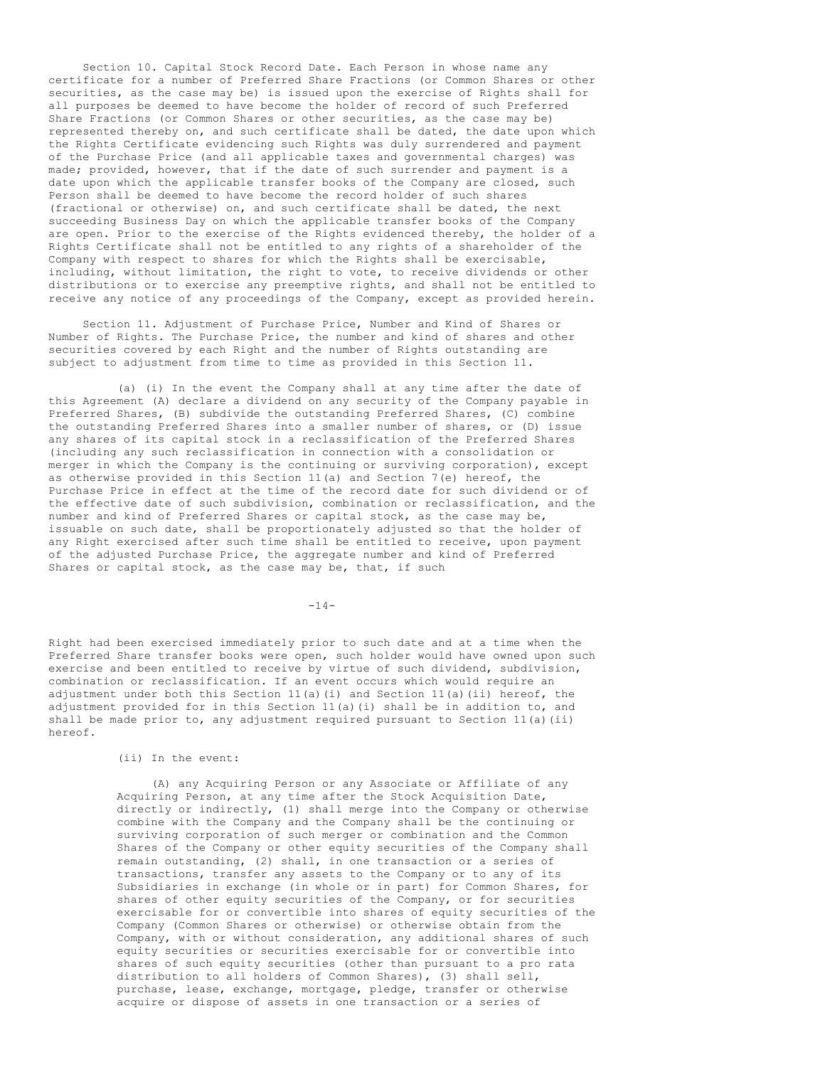Section 10. Capital Stock Record Date. Each Person in whose name any certificate for a number of Preferred Share Fractions (or Common Shares or other securities, as the case may be) is issued upon the exercise of Rights shall for all purposes be deemed to have become the holder of record of such Preferred Share Fractions (or Common Shares or other securities, as the case may be) represented thereby on, and such certificate shall be dated, the date upon which the Rights Certificate evidencing such Rights was duly surrendered and payment of the Purchase Price (and all applicable taxes and governmental charges) was made; provided, however, that if the date of such surrender and payment is a date upon which the applicable transfer books of the Company are closed, such Person shall be deemed to have become the record holder of such shares (fractional or otherwise) on, and such certificate shall be dated, the next succeeding Business Day on which the applicable transfer books of the Company are open. Prior to the exercise of the Rights evidenced thereby, the holder of a Rights Certificate shall not be entitled to any rights of a shareholder of the Company with respect to shares for which the Rights shall be exercisable, including, without limitation, the right to vote, to receive dividends or other distributions or to exercise any preemptive rights, and shall not be entitled to receive any notice of any proceedings of the Company, except as provided herein.

Section 11. Adjustment of Purchase Price, Number and Kind of Shares or Number of Rights. The Purchase Price, the number and kind of shares and other securities covered by each Right and the number of Rights outstanding are subject to adjustment from time to time as provided in this Section 11.

(a) (i) In the event the Company shall at any time after the date of this Agreement (A) declare a dividend on any security of the Company payable in Preferred Shares, (B) subdivide the outstanding Preferred Shares, (C) combine the outstanding Preferred Shares into a smaller number of shares, or (D) issue any shares of its capital stock in a reclassification of the Preferred Shares (including any such reclassification in connection with a consolidation or merger in which the Company is the continuing or surviving corporation), except as otherwise provided in this Section 11(a) and Section 7(e) hereof, the Purchase Price in effect at the time of the record date for such dividend or of the effective date of such subdivision, combination or reclassification, and the number and kind of Preferred Shares or capital stock, as the case may be, issuable on such date, shall be proportionately adjusted so that the holder of any Right exercised after such time shall be entitled to receive, upon payment of the adjusted Purchase Price, the aggregate number and kind of Preferred Shares or capital stock, as the case may be, that, if such

 $-14-$ 

Right had been exercised immediately prior to such date and at a time when the Preferred Share transfer books were open, such holder would have owned upon such exercise and been entitled to receive by virtue of such dividend, subdivision, combination or reclassification. If an event occurs which would require an adjustment under both this Section 11(a)(i) and Section 11(a)(ii) hereof, the adjustment provided for in this Section 11(a)(i) shall be in addition to, and shall be made prior to, any adjustment required pursuant to Section 11(a)(ii) hereof.

(ii) In the event:

(A) any Acquiring Person or any Associate or Affiliate of any Acquiring Person, at any time after the Stock Acquisition Date, directly or indirectly, (1) shall merge into the Company or otherwise combine with the Company and the Company shall be the continuing or surviving corporation of such merger or combination and the Common Shares of the Company or other equity securities of the Company shall remain outstanding, (2) shall, in one transaction or a series of transactions, transfer any assets to the Company or to any of its Subsidiaries in exchange (in whole or in part) for Common Shares, for shares of other equity securities of the Company, or for securities exercisable for or convertible into shares of equity securities of the Company (Common Shares or otherwise) or otherwise obtain from the Company, with or without consideration, any additional shares of such equity securities or securities exercisable for or convertible into shares of such equity securities (other than pursuant to a pro rata distribution to all holders of Common Shares), (3) shall sell, purchase, lease, exchange, mortgage, pledge, transfer or otherwise acquire or dispose of assets in one transaction or a series of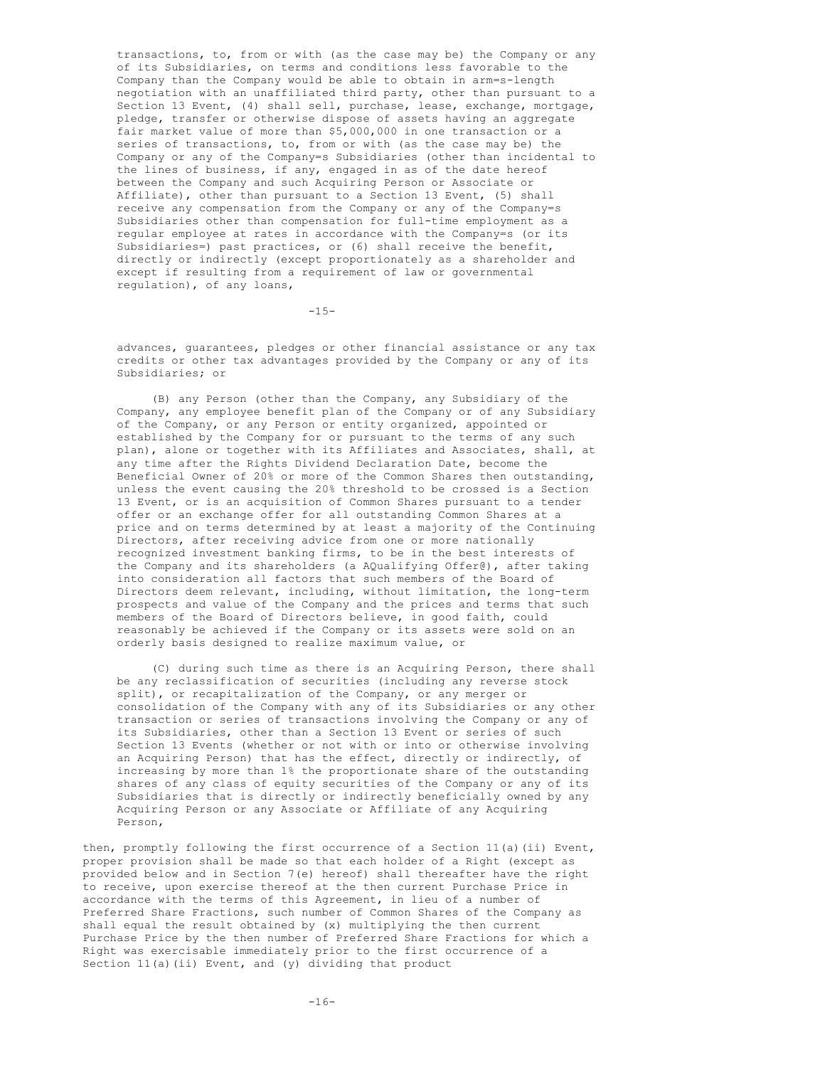transactions, to, from or with (as the case may be) the Company or any of its Subsidiaries, on terms and conditions less favorable to the Company than the Company would be able to obtain in arm=s-length negotiation with an unaffiliated third party, other than pursuant to a Section 13 Event, (4) shall sell, purchase, lease, exchange, mortgage, pledge, transfer or otherwise dispose of assets having an aggregate fair market value of more than \$5,000,000 in one transaction or a series of transactions, to, from or with (as the case may be) the Company or any of the Company=s Subsidiaries (other than incidental to the lines of business, if any, engaged in as of the date hereof between the Company and such Acquiring Person or Associate or Affiliate), other than pursuant to a Section 13 Event, (5) shall receive any compensation from the Company or any of the Company=s Subsidiaries other than compensation for full-time employment as a regular employee at rates in accordance with the Company=s (or its Subsidiaries=) past practices, or (6) shall receive the benefit, directly or indirectly (except proportionately as a shareholder and except if resulting from a requirement of law or governmental regulation), of any loans,

 $-15-$ 

advances, guarantees, pledges or other financial assistance or any tax credits or other tax advantages provided by the Company or any of its Subsidiaries; or

(B) any Person (other than the Company, any Subsidiary of the Company, any employee benefit plan of the Company or of any Subsidiary of the Company, or any Person or entity organized, appointed or established by the Company for or pursuant to the terms of any such plan), alone or together with its Affiliates and Associates, shall, at any time after the Rights Dividend Declaration Date, become the Beneficial Owner of 20% or more of the Common Shares then outstanding, unless the event causing the 20% threshold to be crossed is a Section 13 Event, or is an acquisition of Common Shares pursuant to a tender offer or an exchange offer for all outstanding Common Shares at a price and on terms determined by at least a majority of the Continuing Directors, after receiving advice from one or more nationally recognized investment banking firms, to be in the best interests of the Company and its shareholders (a AQualifying Offer@), after taking into consideration all factors that such members of the Board of Directors deem relevant, including, without limitation, the long-term prospects and value of the Company and the prices and terms that such members of the Board of Directors believe, in good faith, could reasonably be achieved if the Company or its assets were sold on an orderly basis designed to realize maximum value, or

(C) during such time as there is an Acquiring Person, there shall be any reclassification of securities (including any reverse stock split), or recapitalization of the Company, or any merger or consolidation of the Company with any of its Subsidiaries or any other transaction or series of transactions involving the Company or any of its Subsidiaries, other than a Section 13 Event or series of such Section 13 Events (whether or not with or into or otherwise involving an Acquiring Person) that has the effect, directly or indirectly, of increasing by more than 1% the proportionate share of the outstanding shares of any class of equity securities of the Company or any of its Subsidiaries that is directly or indirectly beneficially owned by any Acquiring Person or any Associate or Affiliate of any Acquiring Person,

then, promptly following the first occurrence of a Section 11(a)(ii) Event, proper provision shall be made so that each holder of a Right (except as provided below and in Section 7(e) hereof) shall thereafter have the right to receive, upon exercise thereof at the then current Purchase Price in accordance with the terms of this Agreement, in lieu of a number of Preferred Share Fractions, such number of Common Shares of the Company as shall equal the result obtained by (x) multiplying the then current Purchase Price by the then number of Preferred Share Fractions for which a Right was exercisable immediately prior to the first occurrence of a Section 11(a)(ii) Event, and (y) dividing that product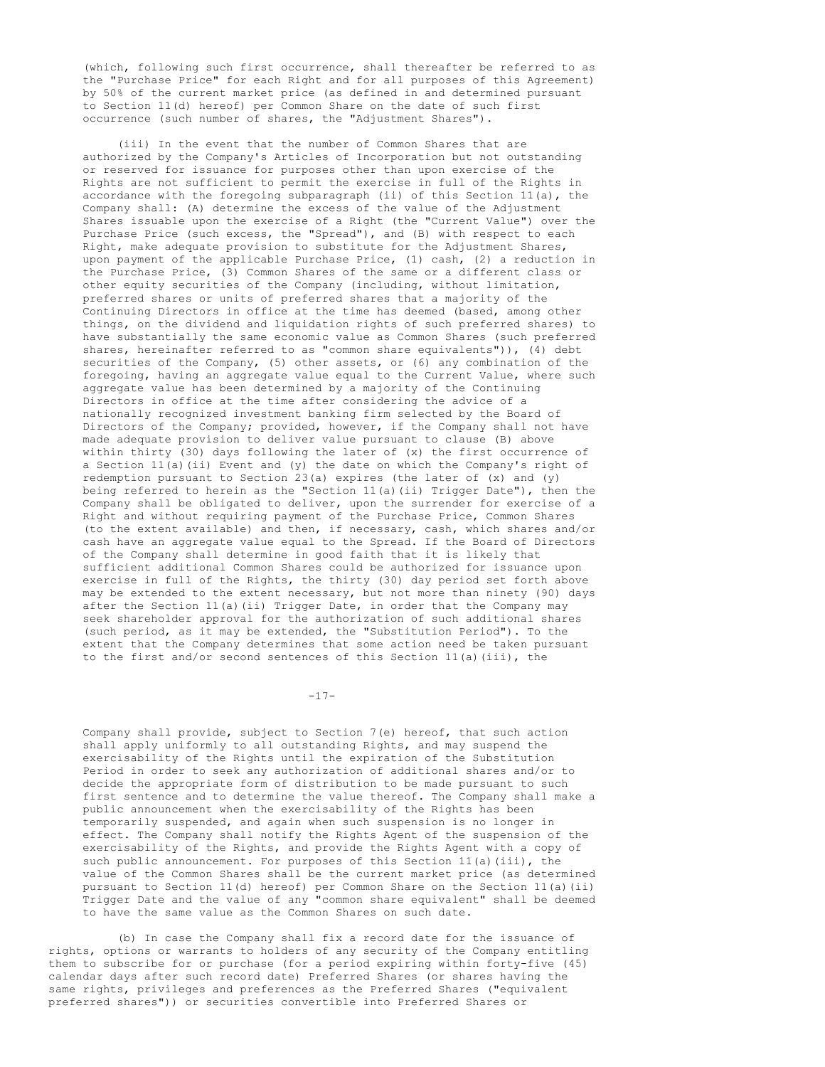(which, following such first occurrence, shall thereafter be referred to as the "Purchase Price" for each Right and for all purposes of this Agreement) by 50% of the current market price (as defined in and determined pursuant to Section 11(d) hereof) per Common Share on the date of such first occurrence (such number of shares, the "Adjustment Shares").

(iii) In the event that the number of Common Shares that are authorized by the Company's Articles of Incorporation but not outstanding or reserved for issuance for purposes other than upon exercise of the Rights are not sufficient to permit the exercise in full of the Rights in accordance with the foregoing subparagraph (ii) of this Section 11(a), the Company shall: (A) determine the excess of the value of the Adjustment Shares issuable upon the exercise of a Right (the "Current Value") over the Purchase Price (such excess, the "Spread"), and (B) with respect to each Right, make adequate provision to substitute for the Adjustment Shares, upon payment of the applicable Purchase Price, (1) cash, (2) a reduction in the Purchase Price, (3) Common Shares of the same or a different class or other equity securities of the Company (including, without limitation, preferred shares or units of preferred shares that a majority of the Continuing Directors in office at the time has deemed (based, among other things, on the dividend and liquidation rights of such preferred shares) to have substantially the same economic value as Common Shares (such preferred shares, hereinafter referred to as "common share equivalents")), (4) debt securities of the Company, (5) other assets, or (6) any combination of the foregoing, having an aggregate value equal to the Current Value, where such aggregate value has been determined by a majority of the Continuing Directors in office at the time after considering the advice of a nationally recognized investment banking firm selected by the Board of Directors of the Company; provided, however, if the Company shall not have made adequate provision to deliver value pursuant to clause (B) above within thirty (30) days following the later of (x) the first occurrence of a Section 11(a)(ii) Event and (y) the date on which the Company's right of redemption pursuant to Section  $23(a)$  expires (the later of  $(x)$  and  $(y)$ being referred to herein as the "Section 11(a)(ii) Trigger Date"), then the Company shall be obligated to deliver, upon the surrender for exercise of a Right and without requiring payment of the Purchase Price, Common Shares (to the extent available) and then, if necessary, cash, which shares and/or cash have an aggregate value equal to the Spread. If the Board of Directors of the Company shall determine in good faith that it is likely that sufficient additional Common Shares could be authorized for issuance upon exercise in full of the Rights, the thirty (30) day period set forth above may be extended to the extent necessary, but not more than ninety (90) days after the Section 11(a)(ii) Trigger Date, in order that the Company may seek shareholder approval for the authorization of such additional shares (such period, as it may be extended, the "Substitution Period"). To the extent that the Company determines that some action need be taken pursuant to the first and/or second sentences of this Section  $11(a)$  (iii), the

-17-

Company shall provide, subject to Section 7(e) hereof, that such action shall apply uniformly to all outstanding Rights, and may suspend the exercisability of the Rights until the expiration of the Substitution Period in order to seek any authorization of additional shares and/or to decide the appropriate form of distribution to be made pursuant to such first sentence and to determine the value thereof. The Company shall make a public announcement when the exercisability of the Rights has been temporarily suspended, and again when such suspension is no longer in effect. The Company shall notify the Rights Agent of the suspension of the exercisability of the Rights, and provide the Rights Agent with a copy of such public announcement. For purposes of this Section 11(a)(iii), the value of the Common Shares shall be the current market price (as determined pursuant to Section 11(d) hereof) per Common Share on the Section 11(a)(ii) Trigger Date and the value of any "common share equivalent" shall be deemed to have the same value as the Common Shares on such date.

(b) In case the Company shall fix a record date for the issuance of rights, options or warrants to holders of any security of the Company entitling them to subscribe for or purchase (for a period expiring within forty-five (45) calendar days after such record date) Preferred Shares (or shares having the same rights, privileges and preferences as the Preferred Shares ("equivalent preferred shares")) or securities convertible into Preferred Shares or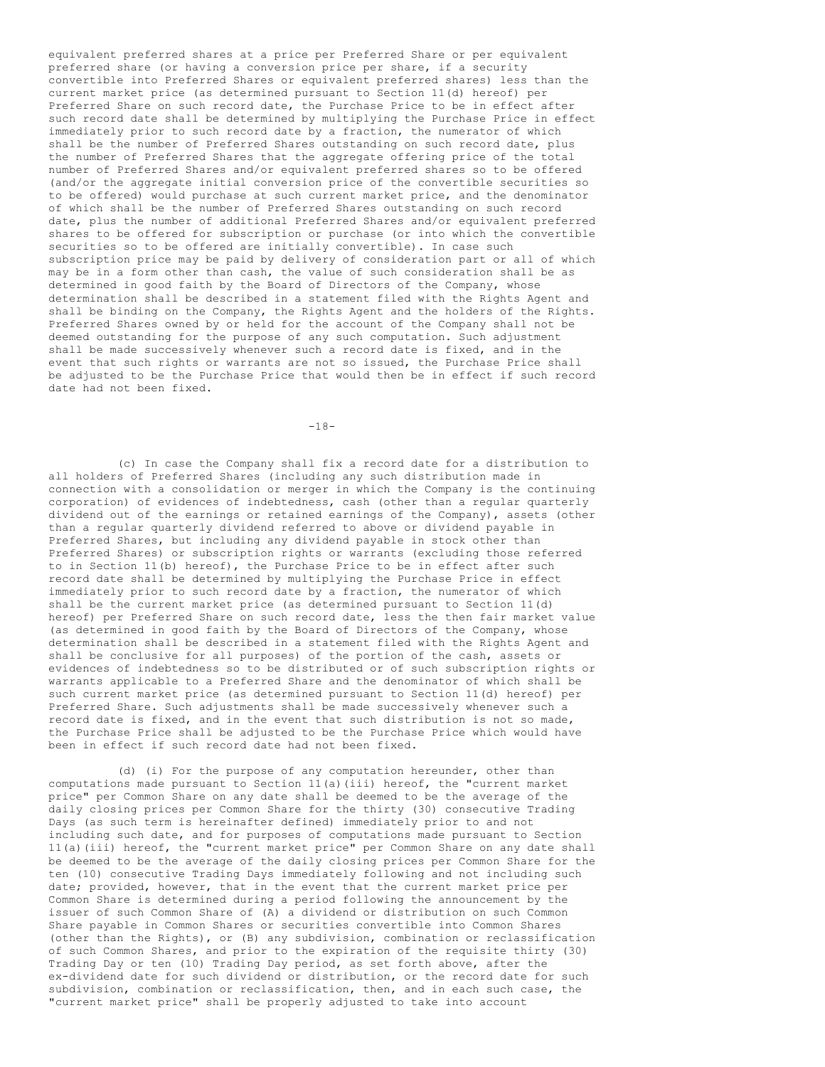equivalent preferred shares at a price per Preferred Share or per equivalent preferred share (or having a conversion price per share, if a security convertible into Preferred Shares or equivalent preferred shares) less than the current market price (as determined pursuant to Section 11(d) hereof) per Preferred Share on such record date, the Purchase Price to be in effect after such record date shall be determined by multiplying the Purchase Price in effect immediately prior to such record date by a fraction, the numerator of which shall be the number of Preferred Shares outstanding on such record date, plus the number of Preferred Shares that the aggregate offering price of the total number of Preferred Shares and/or equivalent preferred shares so to be offered (and/or the aggregate initial conversion price of the convertible securities so to be offered) would purchase at such current market price, and the denominator of which shall be the number of Preferred Shares outstanding on such record date, plus the number of additional Preferred Shares and/or equivalent preferred shares to be offered for subscription or purchase (or into which the convertible securities so to be offered are initially convertible). In case such subscription price may be paid by delivery of consideration part or all of which may be in a form other than cash, the value of such consideration shall be as determined in good faith by the Board of Directors of the Company, whose determination shall be described in a statement filed with the Rights Agent and shall be binding on the Company, the Rights Agent and the holders of the Rights. Preferred Shares owned by or held for the account of the Company shall not be deemed outstanding for the purpose of any such computation. Such adjustment shall be made successively whenever such a record date is fixed, and in the event that such rights or warrants are not so issued, the Purchase Price shall be adjusted to be the Purchase Price that would then be in effect if such record date had not been fixed.

 $-18-$ 

(c) In case the Company shall fix a record date for a distribution to all holders of Preferred Shares (including any such distribution made in connection with a consolidation or merger in which the Company is the continuing corporation) of evidences of indebtedness, cash (other than a regular quarterly dividend out of the earnings or retained earnings of the Company), assets (other than a regular quarterly dividend referred to above or dividend payable in Preferred Shares, but including any dividend payable in stock other than Preferred Shares) or subscription rights or warrants (excluding those referred to in Section 11(b) hereof), the Purchase Price to be in effect after such record date shall be determined by multiplying the Purchase Price in effect immediately prior to such record date by a fraction, the numerator of which shall be the current market price (as determined pursuant to Section 11(d) hereof) per Preferred Share on such record date, less the then fair market value (as determined in good faith by the Board of Directors of the Company, whose determination shall be described in a statement filed with the Rights Agent and shall be conclusive for all purposes) of the portion of the cash, assets or evidences of indebtedness so to be distributed or of such subscription rights or warrants applicable to a Preferred Share and the denominator of which shall be such current market price (as determined pursuant to Section 11(d) hereof) per Preferred Share. Such adjustments shall be made successively whenever such a record date is fixed, and in the event that such distribution is not so made, the Purchase Price shall be adjusted to be the Purchase Price which would have been in effect if such record date had not been fixed.

(d) (i) For the purpose of any computation hereunder, other than computations made pursuant to Section 11(a)(iii) hereof, the "current market price" per Common Share on any date shall be deemed to be the average of the daily closing prices per Common Share for the thirty (30) consecutive Trading Days (as such term is hereinafter defined) immediately prior to and not including such date, and for purposes of computations made pursuant to Section 11(a)(iii) hereof, the "current market price" per Common Share on any date shall be deemed to be the average of the daily closing prices per Common Share for the ten (10) consecutive Trading Days immediately following and not including such date; provided, however, that in the event that the current market price per Common Share is determined during a period following the announcement by the issuer of such Common Share of (A) a dividend or distribution on such Common Share payable in Common Shares or securities convertible into Common Shares (other than the Rights), or (B) any subdivision, combination or reclassification of such Common Shares, and prior to the expiration of the requisite thirty (30) Trading Day or ten (10) Trading Day period, as set forth above, after the ex-dividend date for such dividend or distribution, or the record date for such subdivision, combination or reclassification, then, and in each such case, the "current market price" shall be properly adjusted to take into account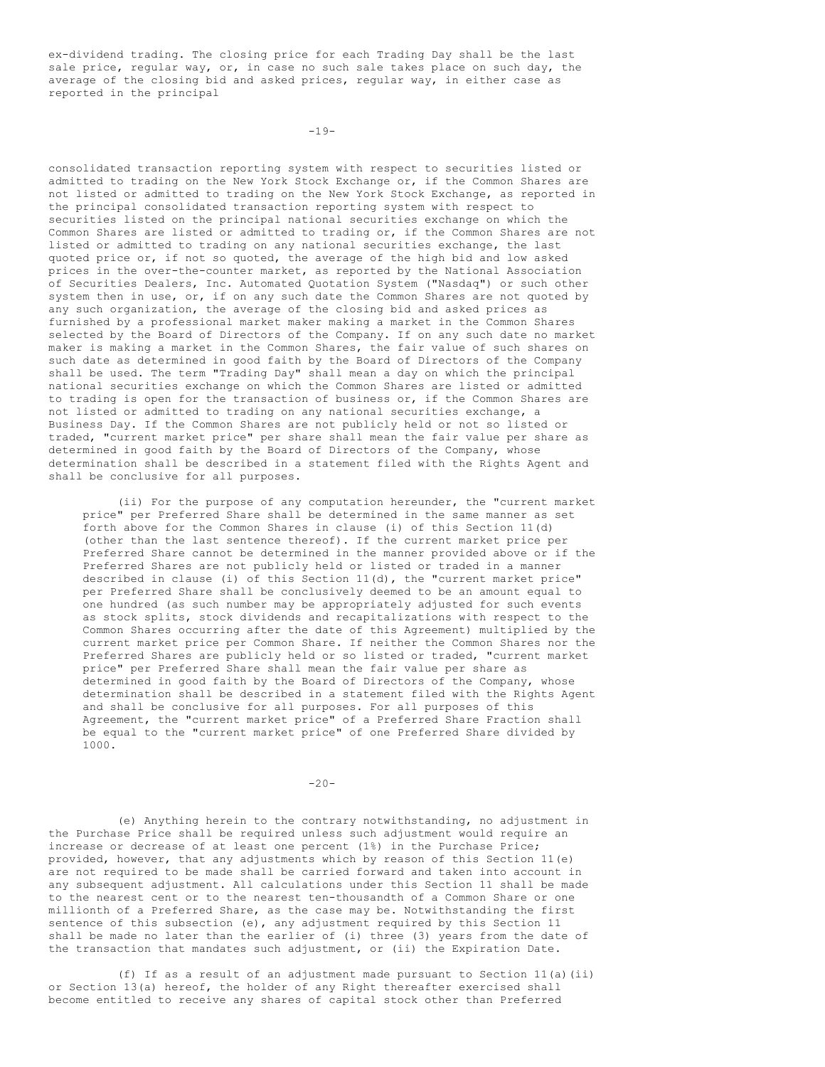ex-dividend trading. The closing price for each Trading Day shall be the last sale price, regular way, or, in case no such sale takes place on such day, the average of the closing bid and asked prices, regular way, in either case as reported in the principal

 $-19-$ 

consolidated transaction reporting system with respect to securities listed or admitted to trading on the New York Stock Exchange or, if the Common Shares are not listed or admitted to trading on the New York Stock Exchange, as reported in the principal consolidated transaction reporting system with respect to securities listed on the principal national securities exchange on which the Common Shares are listed or admitted to trading or, if the Common Shares are not listed or admitted to trading on any national securities exchange, the last quoted price or, if not so quoted, the average of the high bid and low asked prices in the over-the-counter market, as reported by the National Association of Securities Dealers, Inc. Automated Quotation System ("Nasdaq") or such other system then in use, or, if on any such date the Common Shares are not quoted by any such organization, the average of the closing bid and asked prices as furnished by a professional market maker making a market in the Common Shares selected by the Board of Directors of the Company. If on any such date no market maker is making a market in the Common Shares, the fair value of such shares on such date as determined in good faith by the Board of Directors of the Company shall be used. The term "Trading Day" shall mean a day on which the principal national securities exchange on which the Common Shares are listed or admitted to trading is open for the transaction of business or, if the Common Shares are not listed or admitted to trading on any national securities exchange, a Business Day. If the Common Shares are not publicly held or not so listed or traded, "current market price" per share shall mean the fair value per share as determined in good faith by the Board of Directors of the Company, whose determination shall be described in a statement filed with the Rights Agent and shall be conclusive for all purposes.

(ii) For the purpose of any computation hereunder, the "current market price" per Preferred Share shall be determined in the same manner as set forth above for the Common Shares in clause (i) of this Section 11(d) (other than the last sentence thereof). If the current market price per Preferred Share cannot be determined in the manner provided above or if the Preferred Shares are not publicly held or listed or traded in a manner described in clause (i) of this Section 11(d), the "current market price" per Preferred Share shall be conclusively deemed to be an amount equal to one hundred (as such number may be appropriately adjusted for such events as stock splits, stock dividends and recapitalizations with respect to the Common Shares occurring after the date of this Agreement) multiplied by the current market price per Common Share. If neither the Common Shares nor the Preferred Shares are publicly held or so listed or traded, "current market price" per Preferred Share shall mean the fair value per share as determined in good faith by the Board of Directors of the Company, whose determination shall be described in a statement filed with the Rights Agent and shall be conclusive for all purposes. For all purposes of this Agreement, the "current market price" of a Preferred Share Fraction shall be equal to the "current market price" of one Preferred Share divided by 1000.

 $-20-$ 

(e) Anything herein to the contrary notwithstanding, no adjustment in the Purchase Price shall be required unless such adjustment would require an increase or decrease of at least one percent (1%) in the Purchase Price; provided, however, that any adjustments which by reason of this Section 11(e) are not required to be made shall be carried forward and taken into account in any subsequent adjustment. All calculations under this Section 11 shall be made to the nearest cent or to the nearest ten-thousandth of a Common Share or one millionth of a Preferred Share, as the case may be. Notwithstanding the first sentence of this subsection (e), any adjustment required by this Section 11 shall be made no later than the earlier of (i) three (3) years from the date of the transaction that mandates such adjustment, or (ii) the Expiration Date.

(f) If as a result of an adjustment made pursuant to Section  $11(a)$  (ii) or Section 13(a) hereof, the holder of any Right thereafter exercised shall become entitled to receive any shares of capital stock other than Preferred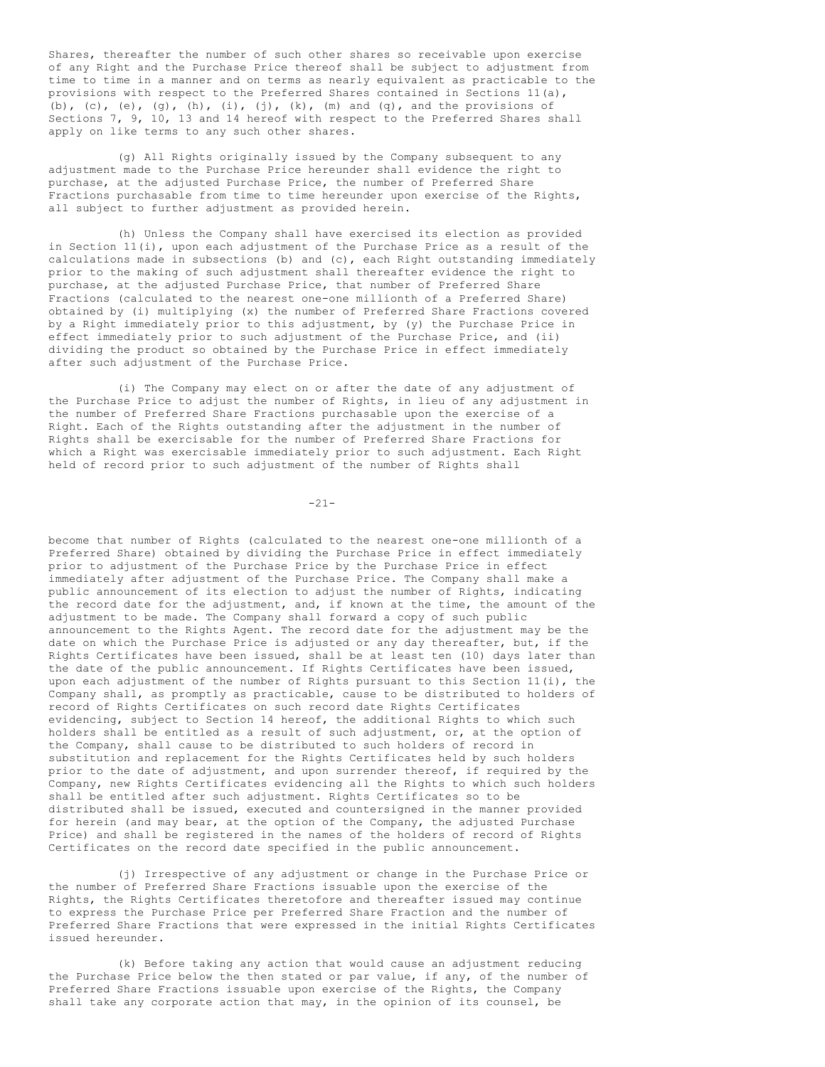Shares, thereafter the number of such other shares so receivable upon exercise of any Right and the Purchase Price thereof shall be subject to adjustment from time to time in a manner and on terms as nearly equivalent as practicable to the provisions with respect to the Preferred Shares contained in Sections  $11(a)$ , (b), (c), (e), (g), (h), (i), (j), (k), (m) and (q), and the provisions of Sections 7, 9, 10, 13 and 14 hereof with respect to the Preferred Shares shall apply on like terms to any such other shares.

(g) All Rights originally issued by the Company subsequent to any adjustment made to the Purchase Price hereunder shall evidence the right to purchase, at the adjusted Purchase Price, the number of Preferred Share Fractions purchasable from time to time hereunder upon exercise of the Rights, all subject to further adjustment as provided herein.

(h) Unless the Company shall have exercised its election as provided in Section 11(i), upon each adjustment of the Purchase Price as a result of the calculations made in subsections (b) and (c), each Right outstanding immediately prior to the making of such adjustment shall thereafter evidence the right to purchase, at the adjusted Purchase Price, that number of Preferred Share Fractions (calculated to the nearest one-one millionth of a Preferred Share) obtained by (i) multiplying (x) the number of Preferred Share Fractions covered by a Right immediately prior to this adjustment, by (y) the Purchase Price in effect immediately prior to such adjustment of the Purchase Price, and (ii) dividing the product so obtained by the Purchase Price in effect immediately after such adjustment of the Purchase Price.

(i) The Company may elect on or after the date of any adjustment of the Purchase Price to adjust the number of Rights, in lieu of any adjustment in the number of Preferred Share Fractions purchasable upon the exercise of a Right. Each of the Rights outstanding after the adjustment in the number of Rights shall be exercisable for the number of Preferred Share Fractions for which a Right was exercisable immediately prior to such adjustment. Each Right held of record prior to such adjustment of the number of Rights shall

-21-

become that number of Rights (calculated to the nearest one-one millionth of a Preferred Share) obtained by dividing the Purchase Price in effect immediately prior to adjustment of the Purchase Price by the Purchase Price in effect immediately after adjustment of the Purchase Price. The Company shall make a public announcement of its election to adjust the number of Rights, indicating the record date for the adjustment, and, if known at the time, the amount of the adjustment to be made. The Company shall forward a copy of such public announcement to the Rights Agent. The record date for the adjustment may be the date on which the Purchase Price is adjusted or any day thereafter, but, if the Rights Certificates have been issued, shall be at least ten (10) days later than the date of the public announcement. If Rights Certificates have been issued, upon each adjustment of the number of Rights pursuant to this Section 11(i), the Company shall, as promptly as practicable, cause to be distributed to holders of record of Rights Certificates on such record date Rights Certificates evidencing, subject to Section 14 hereof, the additional Rights to which such holders shall be entitled as a result of such adjustment, or, at the option of the Company, shall cause to be distributed to such holders of record in substitution and replacement for the Rights Certificates held by such holders prior to the date of adjustment, and upon surrender thereof, if required by the Company, new Rights Certificates evidencing all the Rights to which such holders shall be entitled after such adjustment. Rights Certificates so to be distributed shall be issued, executed and countersigned in the manner provided for herein (and may bear, at the option of the Company, the adjusted Purchase Price) and shall be registered in the names of the holders of record of Rights Certificates on the record date specified in the public announcement.

(j) Irrespective of any adjustment or change in the Purchase Price or the number of Preferred Share Fractions issuable upon the exercise of the Rights, the Rights Certificates theretofore and thereafter issued may continue to express the Purchase Price per Preferred Share Fraction and the number of Preferred Share Fractions that were expressed in the initial Rights Certificates issued hereunder.

(k) Before taking any action that would cause an adjustment reducing the Purchase Price below the then stated or par value, if any, of the number of Preferred Share Fractions issuable upon exercise of the Rights, the Company shall take any corporate action that may, in the opinion of its counsel, be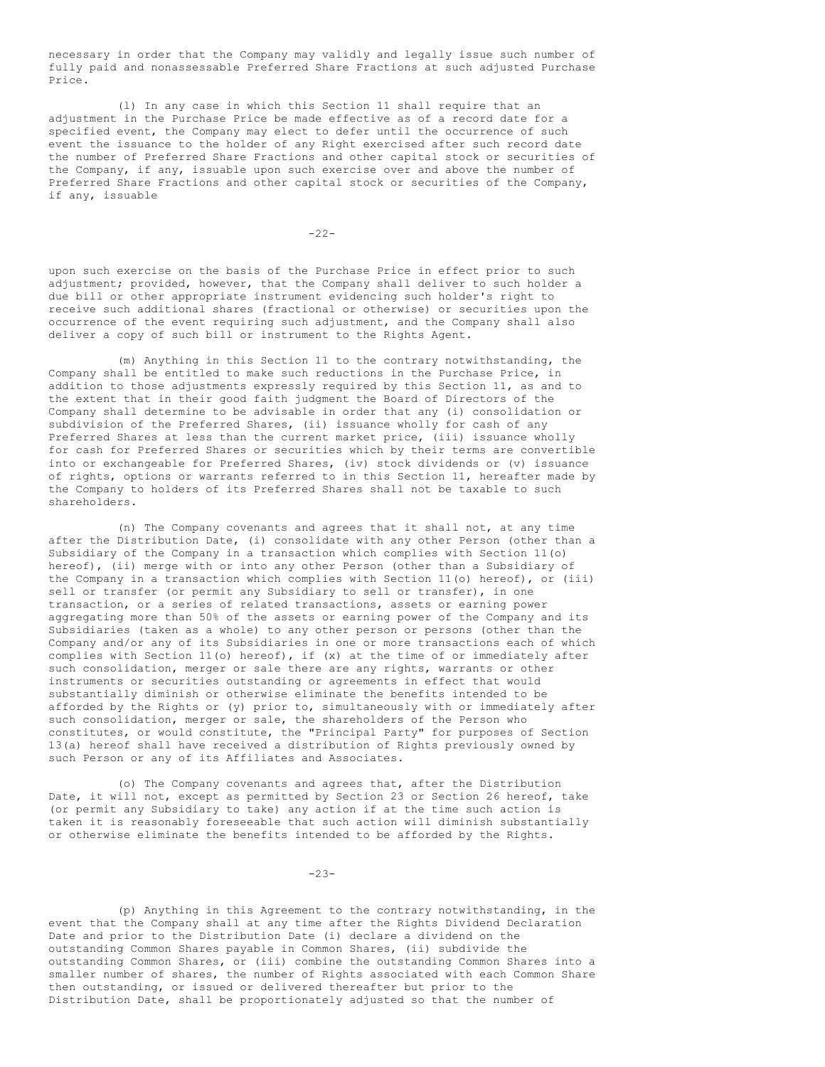necessary in order that the Company may validly and legally issue such number of fully paid and nonassessable Preferred Share Fractions at such adjusted Purchase Price.

(l) In any case in which this Section 11 shall require that an adjustment in the Purchase Price be made effective as of a record date for a specified event, the Company may elect to defer until the occurrence of such event the issuance to the holder of any Right exercised after such record date the number of Preferred Share Fractions and other capital stock or securities of the Company, if any, issuable upon such exercise over and above the number of Preferred Share Fractions and other capital stock or securities of the Company, if any, issuable

 $-22-$ 

upon such exercise on the basis of the Purchase Price in effect prior to such adjustment; provided, however, that the Company shall deliver to such holder a due bill or other appropriate instrument evidencing such holder's right to receive such additional shares (fractional or otherwise) or securities upon the occurrence of the event requiring such adjustment, and the Company shall also deliver a copy of such bill or instrument to the Rights Agent.

(m) Anything in this Section 11 to the contrary notwithstanding, the Company shall be entitled to make such reductions in the Purchase Price, in addition to those adjustments expressly required by this Section 11, as and to the extent that in their good faith judgment the Board of Directors of the Company shall determine to be advisable in order that any (i) consolidation or subdivision of the Preferred Shares, (ii) issuance wholly for cash of any Preferred Shares at less than the current market price, (iii) issuance wholly for cash for Preferred Shares or securities which by their terms are convertible into or exchangeable for Preferred Shares, (iv) stock dividends or (v) issuance of rights, options or warrants referred to in this Section 11, hereafter made by the Company to holders of its Preferred Shares shall not be taxable to such shareholders.

(n) The Company covenants and agrees that it shall not, at any time after the Distribution Date, (i) consolidate with any other Person (other than a Subsidiary of the Company in a transaction which complies with Section 11(o) hereof), (ii) merge with or into any other Person (other than a Subsidiary of the Company in a transaction which complies with Section 11(o) hereof), or (iii) sell or transfer (or permit any Subsidiary to sell or transfer), in one transaction, or a series of related transactions, assets or earning power aggregating more than 50% of the assets or earning power of the Company and its Subsidiaries (taken as a whole) to any other person or persons (other than the Company and/or any of its Subsidiaries in one or more transactions each of which complies with Section 11(o) hereof), if (x) at the time of or immediately after such consolidation, merger or sale there are any rights, warrants or other instruments or securities outstanding or agreements in effect that would substantially diminish or otherwise eliminate the benefits intended to be afforded by the Rights or (y) prior to, simultaneously with or immediately after such consolidation, merger or sale, the shareholders of the Person who constitutes, or would constitute, the "Principal Party" for purposes of Section 13(a) hereof shall have received a distribution of Rights previously owned by such Person or any of its Affiliates and Associates.

(o) The Company covenants and agrees that, after the Distribution Date, it will not, except as permitted by Section 23 or Section 26 hereof, take (or permit any Subsidiary to take) any action if at the time such action is taken it is reasonably foreseeable that such action will diminish substantially or otherwise eliminate the benefits intended to be afforded by the Rights.

 $-23-$ 

(p) Anything in this Agreement to the contrary notwithstanding, in the event that the Company shall at any time after the Rights Dividend Declaration Date and prior to the Distribution Date (i) declare a dividend on the outstanding Common Shares payable in Common Shares, (ii) subdivide the outstanding Common Shares, or (iii) combine the outstanding Common Shares into a smaller number of shares, the number of Rights associated with each Common Share then outstanding, or issued or delivered thereafter but prior to the Distribution Date, shall be proportionately adjusted so that the number of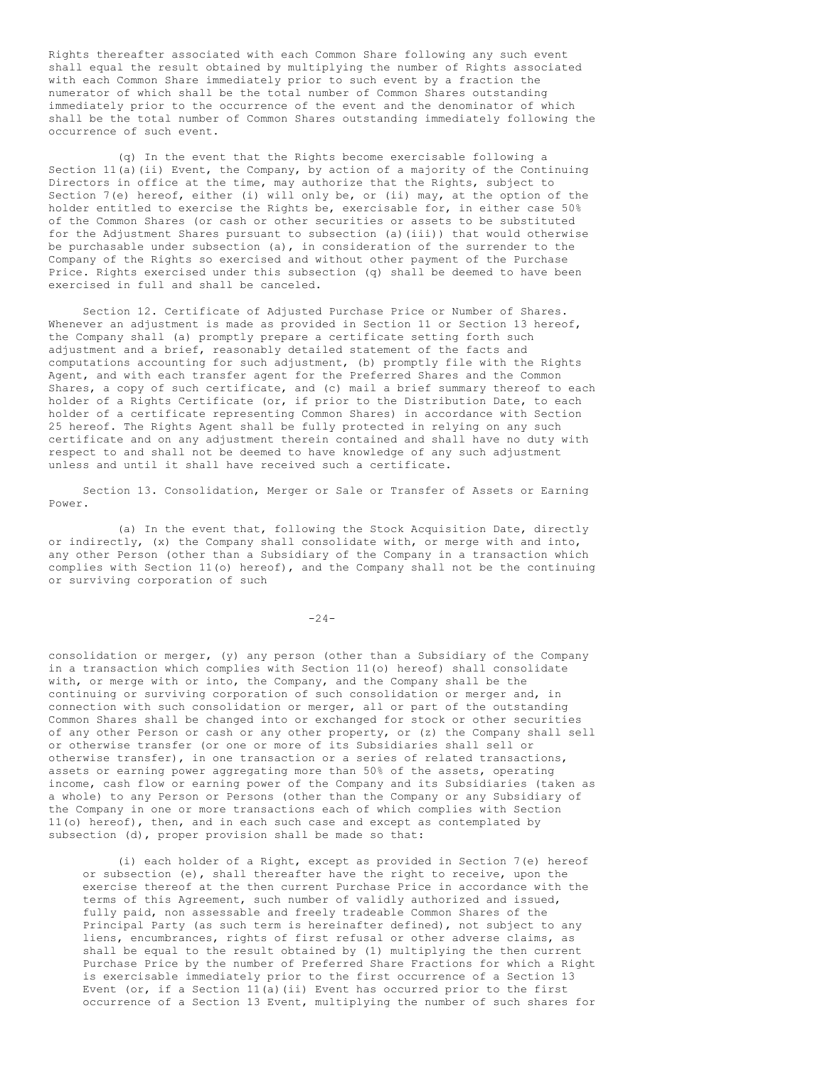Rights thereafter associated with each Common Share following any such event shall equal the result obtained by multiplying the number of Rights associated with each Common Share immediately prior to such event by a fraction the numerator of which shall be the total number of Common Shares outstanding immediately prior to the occurrence of the event and the denominator of which shall be the total number of Common Shares outstanding immediately following the occurrence of such event.

(q) In the event that the Rights become exercisable following a Section 11(a)(ii) Event, the Company, by action of a majority of the Continuing Directors in office at the time, may authorize that the Rights, subject to Section 7(e) hereof, either (i) will only be, or (ii) may, at the option of the holder entitled to exercise the Rights be, exercisable for, in either case 50% of the Common Shares (or cash or other securities or assets to be substituted for the Adjustment Shares pursuant to subsection (a)(iii)) that would otherwise be purchasable under subsection (a), in consideration of the surrender to the Company of the Rights so exercised and without other payment of the Purchase Price. Rights exercised under this subsection (q) shall be deemed to have been exercised in full and shall be canceled.

Section 12. Certificate of Adjusted Purchase Price or Number of Shares. Whenever an adjustment is made as provided in Section 11 or Section 13 hereof, the Company shall (a) promptly prepare a certificate setting forth such adjustment and a brief, reasonably detailed statement of the facts and computations accounting for such adjustment, (b) promptly file with the Rights Agent, and with each transfer agent for the Preferred Shares and the Common Shares, a copy of such certificate, and (c) mail a brief summary thereof to each holder of a Rights Certificate (or, if prior to the Distribution Date, to each holder of a certificate representing Common Shares) in accordance with Section 25 hereof. The Rights Agent shall be fully protected in relying on any such certificate and on any adjustment therein contained and shall have no duty with respect to and shall not be deemed to have knowledge of any such adjustment unless and until it shall have received such a certificate.

Section 13. Consolidation, Merger or Sale or Transfer of Assets or Earning Power.

(a) In the event that, following the Stock Acquisition Date, directly or indirectly, (x) the Company shall consolidate with, or merge with and into, any other Person (other than a Subsidiary of the Company in a transaction which complies with Section 11(o) hereof), and the Company shall not be the continuing or surviving corporation of such

 $-24-$ 

consolidation or merger, (y) any person (other than a Subsidiary of the Company in a transaction which complies with Section 11(o) hereof) shall consolidate with, or merge with or into, the Company, and the Company shall be the continuing or surviving corporation of such consolidation or merger and, in connection with such consolidation or merger, all or part of the outstanding Common Shares shall be changed into or exchanged for stock or other securities of any other Person or cash or any other property, or (z) the Company shall sell or otherwise transfer (or one or more of its Subsidiaries shall sell or otherwise transfer), in one transaction or a series of related transactions, assets or earning power aggregating more than 50% of the assets, operating income, cash flow or earning power of the Company and its Subsidiaries (taken as a whole) to any Person or Persons (other than the Company or any Subsidiary of the Company in one or more transactions each of which complies with Section 11(o) hereof), then, and in each such case and except as contemplated by subsection (d), proper provision shall be made so that:

(i) each holder of a Right, except as provided in Section 7(e) hereof or subsection (e), shall thereafter have the right to receive, upon the exercise thereof at the then current Purchase Price in accordance with the terms of this Agreement, such number of validly authorized and issued, fully paid, non assessable and freely tradeable Common Shares of the Principal Party (as such term is hereinafter defined), not subject to any liens, encumbrances, rights of first refusal or other adverse claims, as shall be equal to the result obtained by (1) multiplying the then current Purchase Price by the number of Preferred Share Fractions for which a Right is exercisable immediately prior to the first occurrence of a Section 13 Event (or, if a Section  $11(a)$  (ii) Event has occurred prior to the first occurrence of a Section 13 Event, multiplying the number of such shares for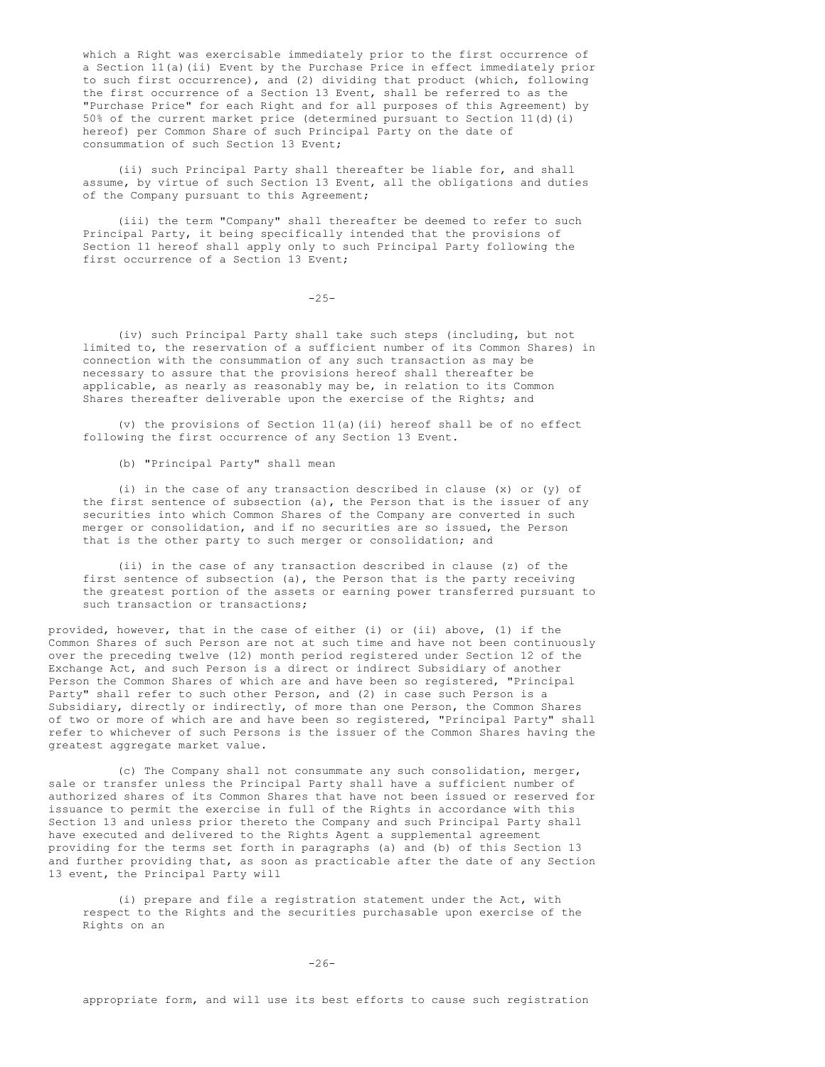which a Right was exercisable immediately prior to the first occurrence of a Section 11(a)(ii) Event by the Purchase Price in effect immediately prior to such first occurrence), and (2) dividing that product (which, following the first occurrence of a Section 13 Event, shall be referred to as the "Purchase Price" for each Right and for all purposes of this Agreement) by 50% of the current market price (determined pursuant to Section 11(d)(i) hereof) per Common Share of such Principal Party on the date of consummation of such Section 13 Event;

(ii) such Principal Party shall thereafter be liable for, and shall assume, by virtue of such Section 13 Event, all the obligations and duties of the Company pursuant to this Agreement;

(iii) the term "Company" shall thereafter be deemed to refer to such Principal Party, it being specifically intended that the provisions of Section 11 hereof shall apply only to such Principal Party following the first occurrence of a Section 13 Event;

 $-25-$ 

(iv) such Principal Party shall take such steps (including, but not limited to, the reservation of a sufficient number of its Common Shares) in connection with the consummation of any such transaction as may be necessary to assure that the provisions hereof shall thereafter be applicable, as nearly as reasonably may be, in relation to its Common Shares thereafter deliverable upon the exercise of the Rights; and

(v) the provisions of Section 11(a)(ii) hereof shall be of no effect following the first occurrence of any Section 13 Event.

(b) "Principal Party" shall mean

(i) in the case of any transaction described in clause (x) or (y) of the first sentence of subsection (a), the Person that is the issuer of any securities into which Common Shares of the Company are converted in such merger or consolidation, and if no securities are so issued, the Person that is the other party to such merger or consolidation; and

(ii) in the case of any transaction described in clause (z) of the first sentence of subsection (a), the Person that is the party receiving the greatest portion of the assets or earning power transferred pursuant to such transaction or transactions;

provided, however, that in the case of either (i) or (ii) above, (1) if the Common Shares of such Person are not at such time and have not been continuously over the preceding twelve (12) month period registered under Section 12 of the Exchange Act, and such Person is a direct or indirect Subsidiary of another Person the Common Shares of which are and have been so registered, "Principal Party" shall refer to such other Person, and (2) in case such Person is a Subsidiary, directly or indirectly, of more than one Person, the Common Shares of two or more of which are and have been so registered, "Principal Party" shall refer to whichever of such Persons is the issuer of the Common Shares having the greatest aggregate market value.

(c) The Company shall not consummate any such consolidation, merger, sale or transfer unless the Principal Party shall have a sufficient number of authorized shares of its Common Shares that have not been issued or reserved for issuance to permit the exercise in full of the Rights in accordance with this Section 13 and unless prior thereto the Company and such Principal Party shall have executed and delivered to the Rights Agent a supplemental agreement providing for the terms set forth in paragraphs (a) and (b) of this Section 13 and further providing that, as soon as practicable after the date of any Section 13 event, the Principal Party will

(i) prepare and file a registration statement under the Act, with respect to the Rights and the securities purchasable upon exercise of the Rights on an

-26-

appropriate form, and will use its best efforts to cause such registration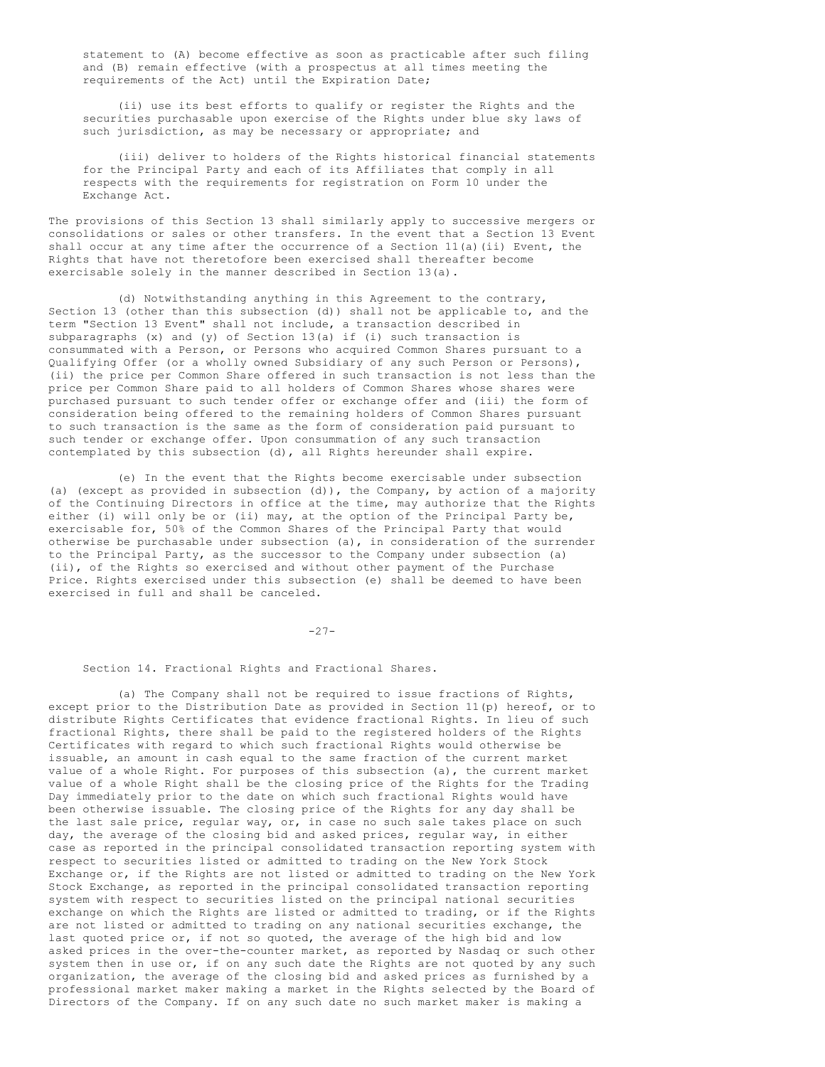statement to (A) become effective as soon as practicable after such filing and (B) remain effective (with a prospectus at all times meeting the requirements of the Act) until the Expiration Date;

(ii) use its best efforts to qualify or register the Rights and the securities purchasable upon exercise of the Rights under blue sky laws of such jurisdiction, as may be necessary or appropriate; and

(iii) deliver to holders of the Rights historical financial statements for the Principal Party and each of its Affiliates that comply in all respects with the requirements for registration on Form 10 under the Exchange Act.

The provisions of this Section 13 shall similarly apply to successive mergers or consolidations or sales or other transfers. In the event that a Section 13 Event shall occur at any time after the occurrence of a Section  $11(a)$  (ii) Event, the Rights that have not theretofore been exercised shall thereafter become exercisable solely in the manner described in Section 13(a).

(d) Notwithstanding anything in this Agreement to the contrary, Section 13 (other than this subsection (d)) shall not be applicable to, and the term "Section 13 Event" shall not include, a transaction described in subparagraphs (x) and (y) of Section 13(a) if (i) such transaction is consummated with a Person, or Persons who acquired Common Shares pursuant to a Qualifying Offer (or a wholly owned Subsidiary of any such Person or Persons), (ii) the price per Common Share offered in such transaction is not less than the price per Common Share paid to all holders of Common Shares whose shares were purchased pursuant to such tender offer or exchange offer and (iii) the form of consideration being offered to the remaining holders of Common Shares pursuant to such transaction is the same as the form of consideration paid pursuant to such tender or exchange offer. Upon consummation of any such transaction contemplated by this subsection (d), all Rights hereunder shall expire.

(e) In the event that the Rights become exercisable under subsection (a) (except as provided in subsection (d)), the Company, by action of a majority of the Continuing Directors in office at the time, may authorize that the Rights either (i) will only be or (ii) may, at the option of the Principal Party be, exercisable for, 50% of the Common Shares of the Principal Party that would otherwise be purchasable under subsection (a), in consideration of the surrender to the Principal Party, as the successor to the Company under subsection (a) (ii), of the Rights so exercised and without other payment of the Purchase Price. Rights exercised under this subsection (e) shall be deemed to have been exercised in full and shall be canceled.

 $-27-$ 

Section 14. Fractional Rights and Fractional Shares.

(a) The Company shall not be required to issue fractions of Rights, except prior to the Distribution Date as provided in Section 11(p) hereof, or to distribute Rights Certificates that evidence fractional Rights. In lieu of such fractional Rights, there shall be paid to the registered holders of the Rights Certificates with regard to which such fractional Rights would otherwise be issuable, an amount in cash equal to the same fraction of the current market value of a whole Right. For purposes of this subsection (a), the current market value of a whole Right shall be the closing price of the Rights for the Trading Day immediately prior to the date on which such fractional Rights would have been otherwise issuable. The closing price of the Rights for any day shall be the last sale price, regular way, or, in case no such sale takes place on such day, the average of the closing bid and asked prices, regular way, in either case as reported in the principal consolidated transaction reporting system with respect to securities listed or admitted to trading on the New York Stock Exchange or, if the Rights are not listed or admitted to trading on the New York Stock Exchange, as reported in the principal consolidated transaction reporting system with respect to securities listed on the principal national securities exchange on which the Rights are listed or admitted to trading, or if the Rights are not listed or admitted to trading on any national securities exchange, the last quoted price or, if not so quoted, the average of the high bid and low asked prices in the over-the-counter market, as reported by Nasdaq or such other system then in use or, if on any such date the Rights are not quoted by any such organization, the average of the closing bid and asked prices as furnished by a professional market maker making a market in the Rights selected by the Board of Directors of the Company. If on any such date no such market maker is making a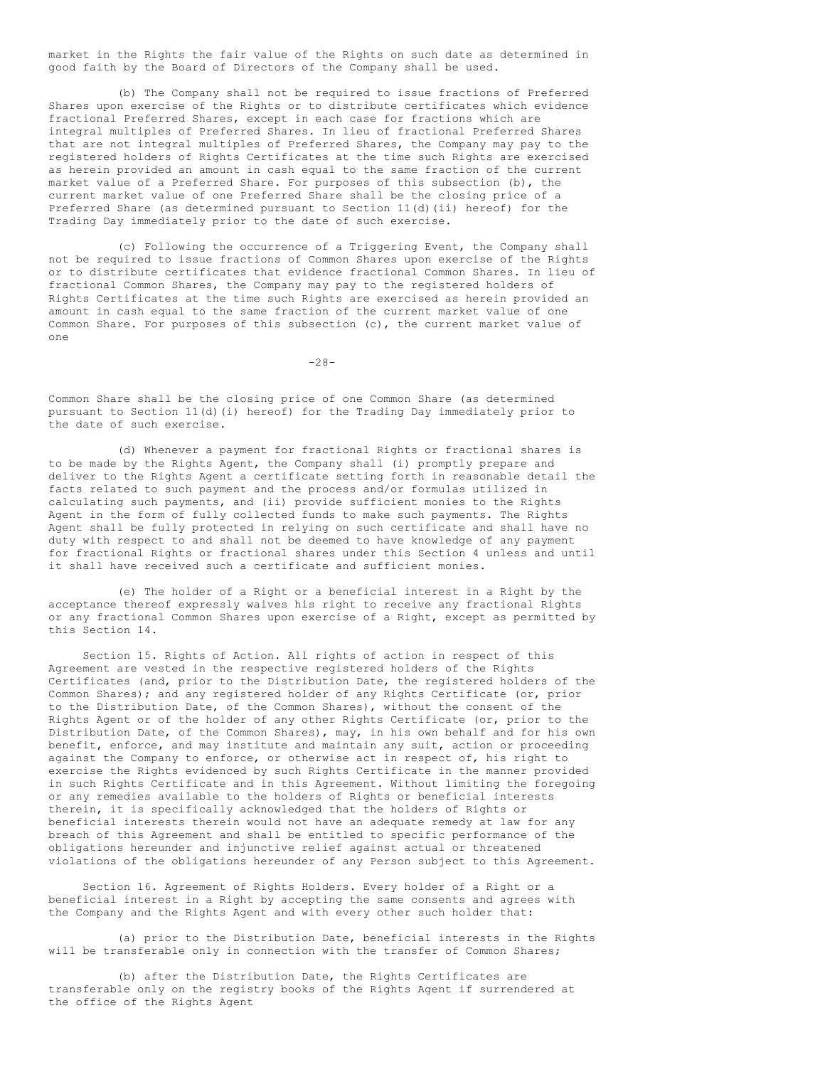market in the Rights the fair value of the Rights on such date as determined in good faith by the Board of Directors of the Company shall be used.

(b) The Company shall not be required to issue fractions of Preferred Shares upon exercise of the Rights or to distribute certificates which evidence fractional Preferred Shares, except in each case for fractions which are integral multiples of Preferred Shares. In lieu of fractional Preferred Shares that are not integral multiples of Preferred Shares, the Company may pay to the registered holders of Rights Certificates at the time such Rights are exercised as herein provided an amount in cash equal to the same fraction of the current market value of a Preferred Share. For purposes of this subsection (b), the current market value of one Preferred Share shall be the closing price of a Preferred Share (as determined pursuant to Section 11(d)(ii) hereof) for the Trading Day immediately prior to the date of such exercise.

(c) Following the occurrence of a Triggering Event, the Company shall not be required to issue fractions of Common Shares upon exercise of the Rights or to distribute certificates that evidence fractional Common Shares. In lieu of fractional Common Shares, the Company may pay to the registered holders of Rights Certificates at the time such Rights are exercised as herein provided an amount in cash equal to the same fraction of the current market value of one Common Share. For purposes of this subsection (c), the current market value of one

 $-28-$ 

Common Share shall be the closing price of one Common Share (as determined pursuant to Section 11(d)(i) hereof) for the Trading Day immediately prior to the date of such exercise.

(d) Whenever a payment for fractional Rights or fractional shares is to be made by the Rights Agent, the Company shall (i) promptly prepare and deliver to the Rights Agent a certificate setting forth in reasonable detail the facts related to such payment and the process and/or formulas utilized in calculating such payments, and (ii) provide sufficient monies to the Rights Agent in the form of fully collected funds to make such payments. The Rights Agent shall be fully protected in relying on such certificate and shall have no duty with respect to and shall not be deemed to have knowledge of any payment for fractional Rights or fractional shares under this Section 4 unless and until it shall have received such a certificate and sufficient monies.

(e) The holder of a Right or a beneficial interest in a Right by the acceptance thereof expressly waives his right to receive any fractional Rights or any fractional Common Shares upon exercise of a Right, except as permitted by this Section 14.

Section 15. Rights of Action. All rights of action in respect of this Agreement are vested in the respective registered holders of the Rights Certificates (and, prior to the Distribution Date, the registered holders of the Common Shares); and any registered holder of any Rights Certificate (or, prior to the Distribution Date, of the Common Shares), without the consent of the Rights Agent or of the holder of any other Rights Certificate (or, prior to the Distribution Date, of the Common Shares), may, in his own behalf and for his own benefit, enforce, and may institute and maintain any suit, action or proceeding against the Company to enforce, or otherwise act in respect of, his right to exercise the Rights evidenced by such Rights Certificate in the manner provided in such Rights Certificate and in this Agreement. Without limiting the foregoing or any remedies available to the holders of Rights or beneficial interests therein, it is specifically acknowledged that the holders of Rights or beneficial interests therein would not have an adequate remedy at law for any breach of this Agreement and shall be entitled to specific performance of the obligations hereunder and injunctive relief against actual or threatened violations of the obligations hereunder of any Person subject to this Agreement.

Section 16. Agreement of Rights Holders. Every holder of a Right or a beneficial interest in a Right by accepting the same consents and agrees with the Company and the Rights Agent and with every other such holder that:

(a) prior to the Distribution Date, beneficial interests in the Rights will be transferable only in connection with the transfer of Common Shares;

(b) after the Distribution Date, the Rights Certificates are transferable only on the registry books of the Rights Agent if surrendered at the office of the Rights Agent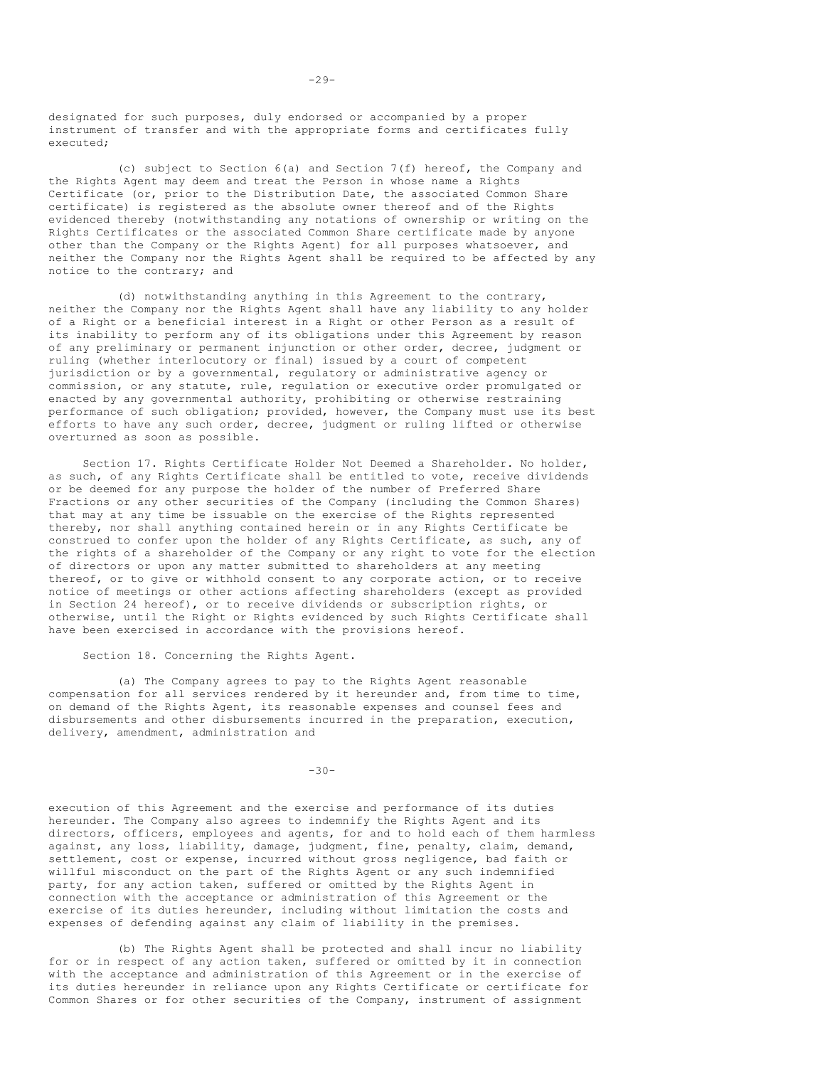designated for such purposes, duly endorsed or accompanied by a proper instrument of transfer and with the appropriate forms and certificates fully executed;

(c) subject to Section 6(a) and Section 7(f) hereof, the Company and the Rights Agent may deem and treat the Person in whose name a Rights Certificate (or, prior to the Distribution Date, the associated Common Share certificate) is registered as the absolute owner thereof and of the Rights evidenced thereby (notwithstanding any notations of ownership or writing on the Rights Certificates or the associated Common Share certificate made by anyone other than the Company or the Rights Agent) for all purposes whatsoever, and neither the Company nor the Rights Agent shall be required to be affected by any notice to the contrary; and

(d) notwithstanding anything in this Agreement to the contrary, neither the Company nor the Rights Agent shall have any liability to any holder of a Right or a beneficial interest in a Right or other Person as a result of its inability to perform any of its obligations under this Agreement by reason of any preliminary or permanent injunction or other order, decree, judgment or ruling (whether interlocutory or final) issued by a court of competent jurisdiction or by a governmental, regulatory or administrative agency or commission, or any statute, rule, regulation or executive order promulgated or enacted by any governmental authority, prohibiting or otherwise restraining performance of such obligation; provided, however, the Company must use its best efforts to have any such order, decree, judgment or ruling lifted or otherwise overturned as soon as possible.

Section 17. Rights Certificate Holder Not Deemed a Shareholder. No holder, as such, of any Rights Certificate shall be entitled to vote, receive dividends or be deemed for any purpose the holder of the number of Preferred Share Fractions or any other securities of the Company (including the Common Shares) that may at any time be issuable on the exercise of the Rights represented thereby, nor shall anything contained herein or in any Rights Certificate be construed to confer upon the holder of any Rights Certificate, as such, any of the rights of a shareholder of the Company or any right to vote for the election of directors or upon any matter submitted to shareholders at any meeting thereof, or to give or withhold consent to any corporate action, or to receive notice of meetings or other actions affecting shareholders (except as provided in Section 24 hereof), or to receive dividends or subscription rights, or otherwise, until the Right or Rights evidenced by such Rights Certificate shall have been exercised in accordance with the provisions hereof.

Section 18. Concerning the Rights Agent.

(a) The Company agrees to pay to the Rights Agent reasonable compensation for all services rendered by it hereunder and, from time to time, on demand of the Rights Agent, its reasonable expenses and counsel fees and disbursements and other disbursements incurred in the preparation, execution, delivery, amendment, administration and

-30-

execution of this Agreement and the exercise and performance of its duties hereunder. The Company also agrees to indemnify the Rights Agent and its directors, officers, employees and agents, for and to hold each of them harmless against, any loss, liability, damage, judgment, fine, penalty, claim, demand, settlement, cost or expense, incurred without gross negligence, bad faith or willful misconduct on the part of the Rights Agent or any such indemnified party, for any action taken, suffered or omitted by the Rights Agent in connection with the acceptance or administration of this Agreement or the exercise of its duties hereunder, including without limitation the costs and expenses of defending against any claim of liability in the premises.

(b) The Rights Agent shall be protected and shall incur no liability for or in respect of any action taken, suffered or omitted by it in connection with the acceptance and administration of this Agreement or in the exercise of its duties hereunder in reliance upon any Rights Certificate or certificate for Common Shares or for other securities of the Company, instrument of assignment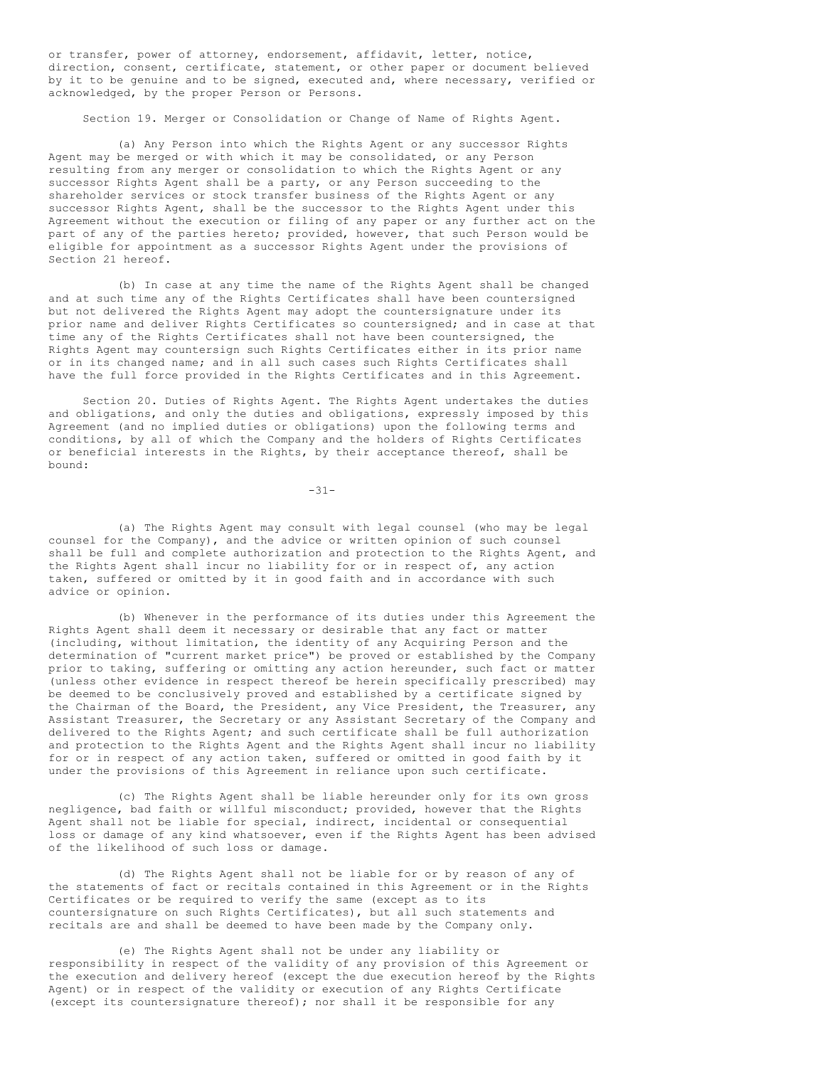or transfer, power of attorney, endorsement, affidavit, letter, notice, direction, consent, certificate, statement, or other paper or document believed by it to be genuine and to be signed, executed and, where necessary, verified or acknowledged, by the proper Person or Persons.

Section 19. Merger or Consolidation or Change of Name of Rights Agent.

(a) Any Person into which the Rights Agent or any successor Rights Agent may be merged or with which it may be consolidated, or any Person resulting from any merger or consolidation to which the Rights Agent or any successor Rights Agent shall be a party, or any Person succeeding to the shareholder services or stock transfer business of the Rights Agent or any successor Rights Agent, shall be the successor to the Rights Agent under this Agreement without the execution or filing of any paper or any further act on the part of any of the parties hereto; provided, however, that such Person would be eligible for appointment as a successor Rights Agent under the provisions of Section 21 hereof.

(b) In case at any time the name of the Rights Agent shall be changed and at such time any of the Rights Certificates shall have been countersigned but not delivered the Rights Agent may adopt the countersignature under its prior name and deliver Rights Certificates so countersigned; and in case at that time any of the Rights Certificates shall not have been countersigned, the Rights Agent may countersign such Rights Certificates either in its prior name or in its changed name; and in all such cases such Rights Certificates shall have the full force provided in the Rights Certificates and in this Agreement.

Section 20. Duties of Rights Agent. The Rights Agent undertakes the duties and obligations, and only the duties and obligations, expressly imposed by this Agreement (and no implied duties or obligations) upon the following terms and conditions, by all of which the Company and the holders of Rights Certificates or beneficial interests in the Rights, by their acceptance thereof, shall be bound:

 $-31-$ 

(a) The Rights Agent may consult with legal counsel (who may be legal counsel for the Company), and the advice or written opinion of such counsel shall be full and complete authorization and protection to the Rights Agent, and the Rights Agent shall incur no liability for or in respect of, any action taken, suffered or omitted by it in good faith and in accordance with such advice or opinion.

(b) Whenever in the performance of its duties under this Agreement the Rights Agent shall deem it necessary or desirable that any fact or matter (including, without limitation, the identity of any Acquiring Person and the determination of "current market price") be proved or established by the Company prior to taking, suffering or omitting any action hereunder, such fact or matter (unless other evidence in respect thereof be herein specifically prescribed) may be deemed to be conclusively proved and established by a certificate signed by the Chairman of the Board, the President, any Vice President, the Treasurer, any Assistant Treasurer, the Secretary or any Assistant Secretary of the Company and delivered to the Rights Agent; and such certificate shall be full authorization and protection to the Rights Agent and the Rights Agent shall incur no liability for or in respect of any action taken, suffered or omitted in good faith by it under the provisions of this Agreement in reliance upon such certificate.

(c) The Rights Agent shall be liable hereunder only for its own gross negligence, bad faith or willful misconduct; provided, however that the Rights Agent shall not be liable for special, indirect, incidental or consequential loss or damage of any kind whatsoever, even if the Rights Agent has been advised of the likelihood of such loss or damage.

(d) The Rights Agent shall not be liable for or by reason of any of the statements of fact or recitals contained in this Agreement or in the Rights Certificates or be required to verify the same (except as to its countersignature on such Rights Certificates), but all such statements and recitals are and shall be deemed to have been made by the Company only.

(e) The Rights Agent shall not be under any liability or responsibility in respect of the validity of any provision of this Agreement or the execution and delivery hereof (except the due execution hereof by the Rights Agent) or in respect of the validity or execution of any Rights Certificate (except its countersignature thereof); nor shall it be responsible for any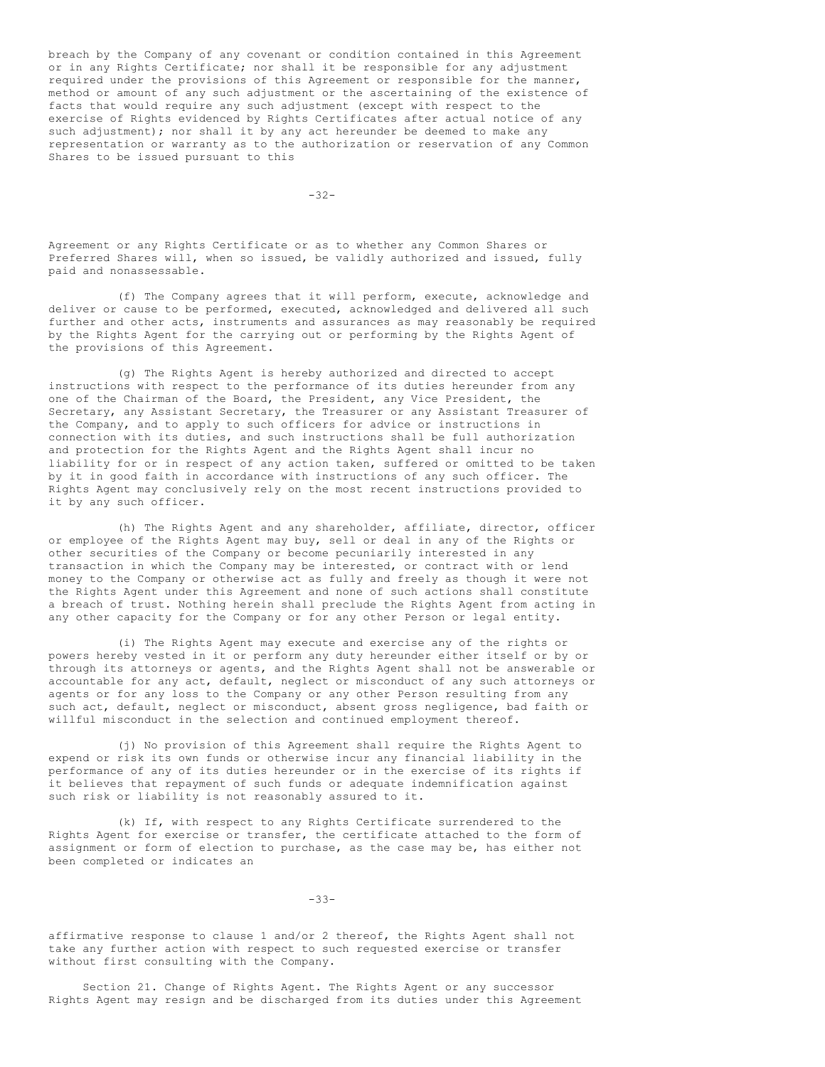breach by the Company of any covenant or condition contained in this Agreement or in any Rights Certificate; nor shall it be responsible for any adjustment required under the provisions of this Agreement or responsible for the manner, method or amount of any such adjustment or the ascertaining of the existence of facts that would require any such adjustment (except with respect to the exercise of Rights evidenced by Rights Certificates after actual notice of any such adjustment); nor shall it by any act hereunder be deemed to make any representation or warranty as to the authorization or reservation of any Common Shares to be issued pursuant to this

-32-

Agreement or any Rights Certificate or as to whether any Common Shares or Preferred Shares will, when so issued, be validly authorized and issued, fully paid and nonassessable.

(f) The Company agrees that it will perform, execute, acknowledge and deliver or cause to be performed, executed, acknowledged and delivered all such further and other acts, instruments and assurances as may reasonably be required by the Rights Agent for the carrying out or performing by the Rights Agent of the provisions of this Agreement.

(g) The Rights Agent is hereby authorized and directed to accept instructions with respect to the performance of its duties hereunder from any one of the Chairman of the Board, the President, any Vice President, the Secretary, any Assistant Secretary, the Treasurer or any Assistant Treasurer of the Company, and to apply to such officers for advice or instructions in connection with its duties, and such instructions shall be full authorization and protection for the Rights Agent and the Rights Agent shall incur no liability for or in respect of any action taken, suffered or omitted to be taken by it in good faith in accordance with instructions of any such officer. The Rights Agent may conclusively rely on the most recent instructions provided to it by any such officer.

(h) The Rights Agent and any shareholder, affiliate, director, officer or employee of the Rights Agent may buy, sell or deal in any of the Rights or other securities of the Company or become pecuniarily interested in any transaction in which the Company may be interested, or contract with or lend money to the Company or otherwise act as fully and freely as though it were not the Rights Agent under this Agreement and none of such actions shall constitute a breach of trust. Nothing herein shall preclude the Rights Agent from acting in any other capacity for the Company or for any other Person or legal entity.

(i) The Rights Agent may execute and exercise any of the rights or powers hereby vested in it or perform any duty hereunder either itself or by or through its attorneys or agents, and the Rights Agent shall not be answerable or accountable for any act, default, neglect or misconduct of any such attorneys or agents or for any loss to the Company or any other Person resulting from any such act, default, neglect or misconduct, absent gross negligence, bad faith or willful misconduct in the selection and continued employment thereof.

(j) No provision of this Agreement shall require the Rights Agent to expend or risk its own funds or otherwise incur any financial liability in the performance of any of its duties hereunder or in the exercise of its rights if it believes that repayment of such funds or adequate indemnification against such risk or liability is not reasonably assured to it.

(k) If, with respect to any Rights Certificate surrendered to the Rights Agent for exercise or transfer, the certificate attached to the form of assignment or form of election to purchase, as the case may be, has either not been completed or indicates an

-33-

affirmative response to clause 1 and/or 2 thereof, the Rights Agent shall not take any further action with respect to such requested exercise or transfer without first consulting with the Company.

Section 21. Change of Rights Agent. The Rights Agent or any successor Rights Agent may resign and be discharged from its duties under this Agreement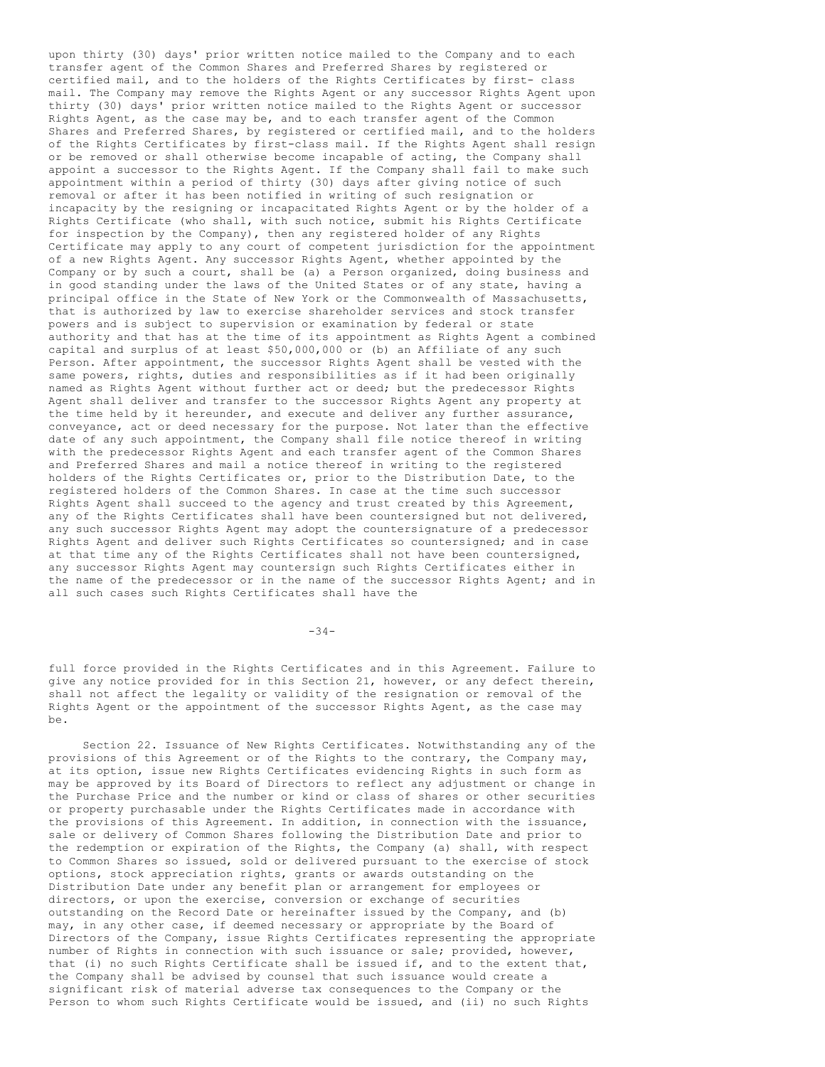upon thirty (30) days' prior written notice mailed to the Company and to each transfer agent of the Common Shares and Preferred Shares by registered or certified mail, and to the holders of the Rights Certificates by first- class mail. The Company may remove the Rights Agent or any successor Rights Agent upon thirty (30) days' prior written notice mailed to the Rights Agent or successor Rights Agent, as the case may be, and to each transfer agent of the Common Shares and Preferred Shares, by registered or certified mail, and to the holders of the Rights Certificates by first-class mail. If the Rights Agent shall resign or be removed or shall otherwise become incapable of acting, the Company shall appoint a successor to the Rights Agent. If the Company shall fail to make such appointment within a period of thirty (30) days after giving notice of such removal or after it has been notified in writing of such resignation or incapacity by the resigning or incapacitated Rights Agent or by the holder of a Rights Certificate (who shall, with such notice, submit his Rights Certificate for inspection by the Company), then any registered holder of any Rights Certificate may apply to any court of competent jurisdiction for the appointment of a new Rights Agent. Any successor Rights Agent, whether appointed by the Company or by such a court, shall be (a) a Person organized, doing business and in good standing under the laws of the United States or of any state, having a principal office in the State of New York or the Commonwealth of Massachusetts, that is authorized by law to exercise shareholder services and stock transfer powers and is subject to supervision or examination by federal or state authority and that has at the time of its appointment as Rights Agent a combined capital and surplus of at least \$50,000,000 or (b) an Affiliate of any such Person. After appointment, the successor Rights Agent shall be vested with the same powers, rights, duties and responsibilities as if it had been originally named as Rights Agent without further act or deed; but the predecessor Rights Agent shall deliver and transfer to the successor Rights Agent any property at the time held by it hereunder, and execute and deliver any further assurance, conveyance, act or deed necessary for the purpose. Not later than the effective date of any such appointment, the Company shall file notice thereof in writing with the predecessor Rights Agent and each transfer agent of the Common Shares and Preferred Shares and mail a notice thereof in writing to the registered holders of the Rights Certificates or, prior to the Distribution Date, to the registered holders of the Common Shares. In case at the time such successor Rights Agent shall succeed to the agency and trust created by this Agreement, any of the Rights Certificates shall have been countersigned but not delivered, any such successor Rights Agent may adopt the countersignature of a predecessor Rights Agent and deliver such Rights Certificates so countersigned; and in case at that time any of the Rights Certificates shall not have been countersigned, any successor Rights Agent may countersign such Rights Certificates either in the name of the predecessor or in the name of the successor Rights Agent; and in all such cases such Rights Certificates shall have the

 $-34-$ 

full force provided in the Rights Certificates and in this Agreement. Failure to give any notice provided for in this Section 21, however, or any defect therein, shall not affect the legality or validity of the resignation or removal of the Rights Agent or the appointment of the successor Rights Agent, as the case may be.

Section 22. Issuance of New Rights Certificates. Notwithstanding any of the provisions of this Agreement or of the Rights to the contrary, the Company may, at its option, issue new Rights Certificates evidencing Rights in such form as may be approved by its Board of Directors to reflect any adjustment or change in the Purchase Price and the number or kind or class of shares or other securities or property purchasable under the Rights Certificates made in accordance with the provisions of this Agreement. In addition, in connection with the issuance, sale or delivery of Common Shares following the Distribution Date and prior to the redemption or expiration of the Rights, the Company (a) shall, with respect to Common Shares so issued, sold or delivered pursuant to the exercise of stock options, stock appreciation rights, grants or awards outstanding on the Distribution Date under any benefit plan or arrangement for employees or directors, or upon the exercise, conversion or exchange of securities outstanding on the Record Date or hereinafter issued by the Company, and (b) may, in any other case, if deemed necessary or appropriate by the Board of Directors of the Company, issue Rights Certificates representing the appropriate number of Rights in connection with such issuance or sale; provided, however, that (i) no such Rights Certificate shall be issued if, and to the extent that, the Company shall be advised by counsel that such issuance would create a significant risk of material adverse tax consequences to the Company or the Person to whom such Rights Certificate would be issued, and (ii) no such Rights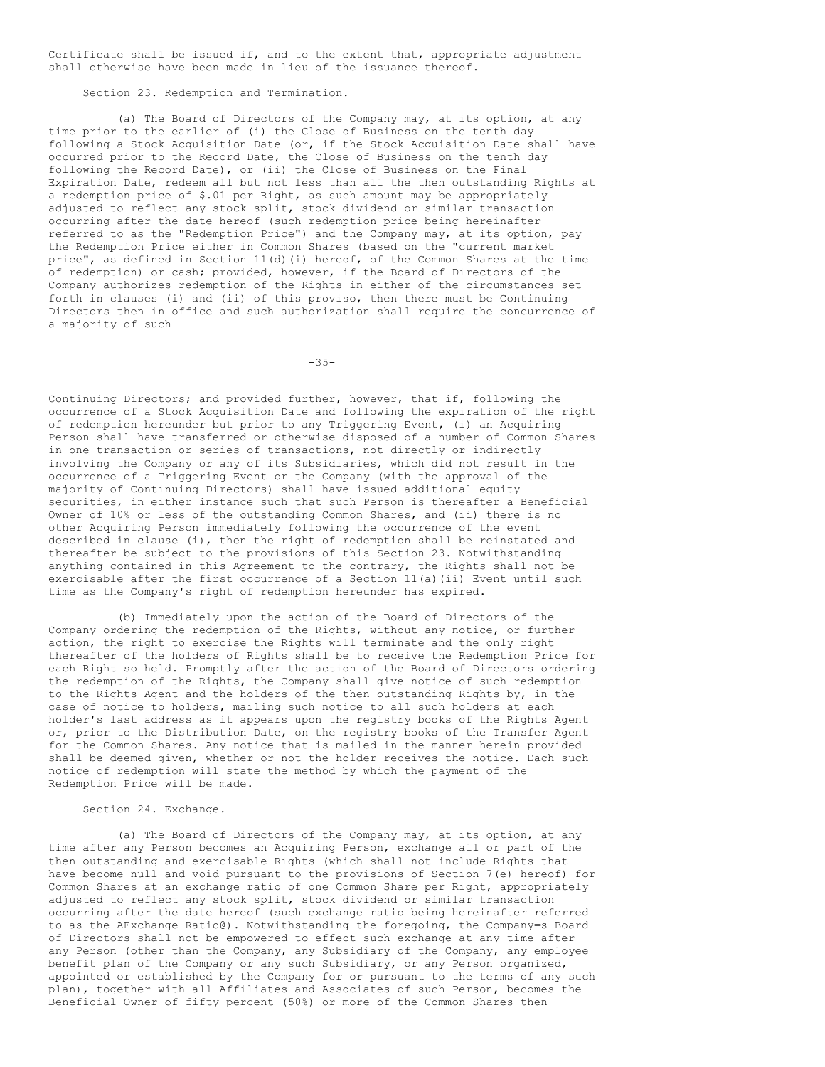Certificate shall be issued if, and to the extent that, appropriate adjustment shall otherwise have been made in lieu of the issuance thereof.

Section 23. Redemption and Termination.

(a) The Board of Directors of the Company may, at its option, at any time prior to the earlier of (i) the Close of Business on the tenth day following a Stock Acquisition Date (or, if the Stock Acquisition Date shall have occurred prior to the Record Date, the Close of Business on the tenth day following the Record Date), or (ii) the Close of Business on the Final Expiration Date, redeem all but not less than all the then outstanding Rights at a redemption price of \$.01 per Right, as such amount may be appropriately adjusted to reflect any stock split, stock dividend or similar transaction occurring after the date hereof (such redemption price being hereinafter referred to as the "Redemption Price") and the Company may, at its option, pay the Redemption Price either in Common Shares (based on the "current market price", as defined in Section  $11(d)$  (i) hereof, of the Common Shares at the time of redemption) or cash; provided, however, if the Board of Directors of the Company authorizes redemption of the Rights in either of the circumstances set forth in clauses (i) and (ii) of this proviso, then there must be Continuing Directors then in office and such authorization shall require the concurrence of a majority of such

-35-

Continuing Directors; and provided further, however, that if, following the occurrence of a Stock Acquisition Date and following the expiration of the right of redemption hereunder but prior to any Triggering Event, (i) an Acquiring Person shall have transferred or otherwise disposed of a number of Common Shares in one transaction or series of transactions, not directly or indirectly involving the Company or any of its Subsidiaries, which did not result in the occurrence of a Triggering Event or the Company (with the approval of the majority of Continuing Directors) shall have issued additional equity securities, in either instance such that such Person is thereafter a Beneficial Owner of 10% or less of the outstanding Common Shares, and (ii) there is no other Acquiring Person immediately following the occurrence of the event described in clause (i), then the right of redemption shall be reinstated and thereafter be subject to the provisions of this Section 23. Notwithstanding anything contained in this Agreement to the contrary, the Rights shall not be exercisable after the first occurrence of a Section 11(a)(ii) Event until such time as the Company's right of redemption hereunder has expired.

(b) Immediately upon the action of the Board of Directors of the Company ordering the redemption of the Rights, without any notice, or further action, the right to exercise the Rights will terminate and the only right thereafter of the holders of Rights shall be to receive the Redemption Price for each Right so held. Promptly after the action of the Board of Directors ordering the redemption of the Rights, the Company shall give notice of such redemption to the Rights Agent and the holders of the then outstanding Rights by, in the case of notice to holders, mailing such notice to all such holders at each holder's last address as it appears upon the registry books of the Rights Agent or, prior to the Distribution Date, on the registry books of the Transfer Agent for the Common Shares. Any notice that is mailed in the manner herein provided shall be deemed given, whether or not the holder receives the notice. Each such notice of redemption will state the method by which the payment of the Redemption Price will be made.

## Section 24. Exchange.

(a) The Board of Directors of the Company may, at its option, at any time after any Person becomes an Acquiring Person, exchange all or part of the then outstanding and exercisable Rights (which shall not include Rights that have become null and void pursuant to the provisions of Section 7(e) hereof) for Common Shares at an exchange ratio of one Common Share per Right, appropriately adjusted to reflect any stock split, stock dividend or similar transaction occurring after the date hereof (such exchange ratio being hereinafter referred to as the AExchange Ratio@). Notwithstanding the foregoing, the Company=s Board of Directors shall not be empowered to effect such exchange at any time after any Person (other than the Company, any Subsidiary of the Company, any employee benefit plan of the Company or any such Subsidiary, or any Person organized, appointed or established by the Company for or pursuant to the terms of any such plan), together with all Affiliates and Associates of such Person, becomes the Beneficial Owner of fifty percent (50%) or more of the Common Shares then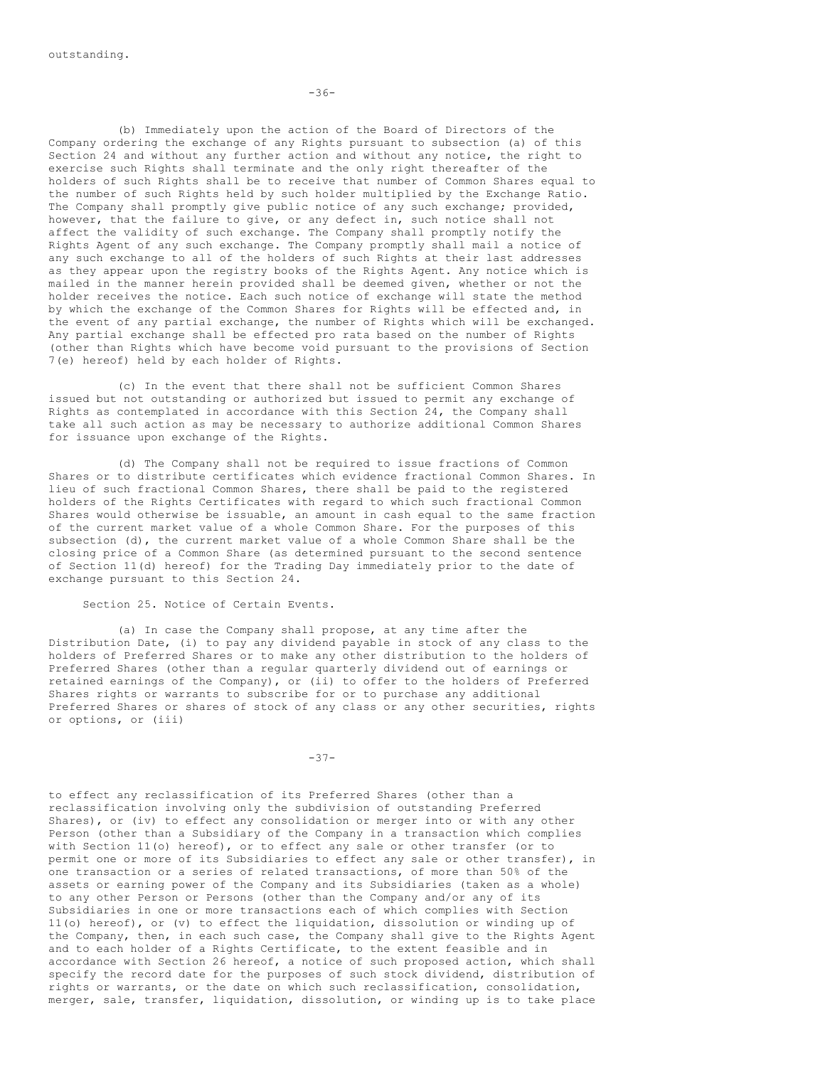-36-

(b) Immediately upon the action of the Board of Directors of the Company ordering the exchange of any Rights pursuant to subsection (a) of this Section 24 and without any further action and without any notice, the right to exercise such Rights shall terminate and the only right thereafter of the holders of such Rights shall be to receive that number of Common Shares equal to the number of such Rights held by such holder multiplied by the Exchange Ratio. The Company shall promptly give public notice of any such exchange; provided, however, that the failure to give, or any defect in, such notice shall not affect the validity of such exchange. The Company shall promptly notify the Rights Agent of any such exchange. The Company promptly shall mail a notice of any such exchange to all of the holders of such Rights at their last addresses as they appear upon the registry books of the Rights Agent. Any notice which is mailed in the manner herein provided shall be deemed given, whether or not the holder receives the notice. Each such notice of exchange will state the method by which the exchange of the Common Shares for Rights will be effected and, in the event of any partial exchange, the number of Rights which will be exchanged. Any partial exchange shall be effected pro rata based on the number of Rights (other than Rights which have become void pursuant to the provisions of Section 7(e) hereof) held by each holder of Rights.

(c) In the event that there shall not be sufficient Common Shares issued but not outstanding or authorized but issued to permit any exchange of Rights as contemplated in accordance with this Section 24, the Company shall take all such action as may be necessary to authorize additional Common Shares for issuance upon exchange of the Rights.

(d) The Company shall not be required to issue fractions of Common Shares or to distribute certificates which evidence fractional Common Shares. In lieu of such fractional Common Shares, there shall be paid to the registered holders of the Rights Certificates with regard to which such fractional Common Shares would otherwise be issuable, an amount in cash equal to the same fraction of the current market value of a whole Common Share. For the purposes of this subsection (d), the current market value of a whole Common Share shall be the closing price of a Common Share (as determined pursuant to the second sentence of Section 11(d) hereof) for the Trading Day immediately prior to the date of exchange pursuant to this Section 24.

Section 25. Notice of Certain Events.

(a) In case the Company shall propose, at any time after the Distribution Date, (i) to pay any dividend payable in stock of any class to the holders of Preferred Shares or to make any other distribution to the holders of Preferred Shares (other than a regular quarterly dividend out of earnings or retained earnings of the Company), or (ii) to offer to the holders of Preferred Shares rights or warrants to subscribe for or to purchase any additional Preferred Shares or shares of stock of any class or any other securities, rights or options, or (iii)

-37-

to effect any reclassification of its Preferred Shares (other than a reclassification involving only the subdivision of outstanding Preferred Shares), or (iv) to effect any consolidation or merger into or with any other Person (other than a Subsidiary of the Company in a transaction which complies with Section 11(o) hereof), or to effect any sale or other transfer (or to permit one or more of its Subsidiaries to effect any sale or other transfer), in one transaction or a series of related transactions, of more than 50% of the assets or earning power of the Company and its Subsidiaries (taken as a whole) to any other Person or Persons (other than the Company and/or any of its Subsidiaries in one or more transactions each of which complies with Section 11(o) hereof), or (v) to effect the liquidation, dissolution or winding up of the Company, then, in each such case, the Company shall give to the Rights Agent and to each holder of a Rights Certificate, to the extent feasible and in accordance with Section 26 hereof, a notice of such proposed action, which shall specify the record date for the purposes of such stock dividend, distribution of rights or warrants, or the date on which such reclassification, consolidation, merger, sale, transfer, liquidation, dissolution, or winding up is to take place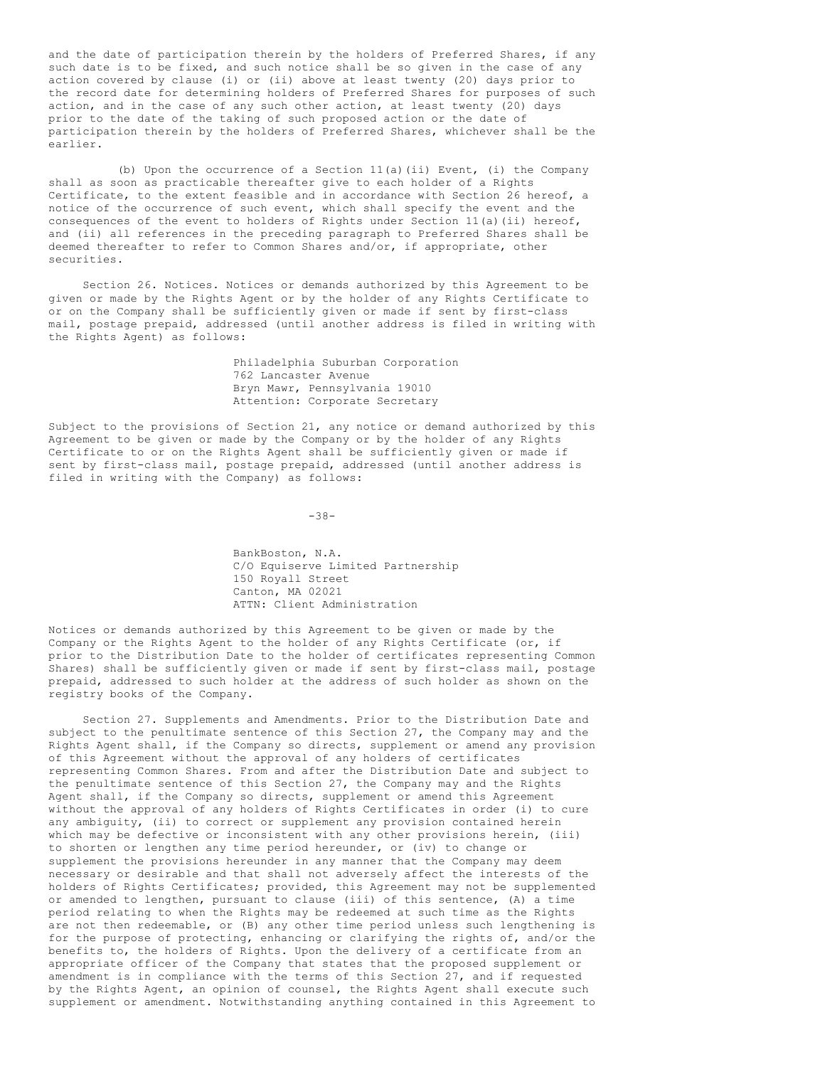and the date of participation therein by the holders of Preferred Shares, if any such date is to be fixed, and such notice shall be so given in the case of any action covered by clause (i) or (ii) above at least twenty (20) days prior to the record date for determining holders of Preferred Shares for purposes of such action, and in the case of any such other action, at least twenty (20) days prior to the date of the taking of such proposed action or the date of participation therein by the holders of Preferred Shares, whichever shall be the earlier.

(b) Upon the occurrence of a Section 11(a)(ii) Event, (i) the Company shall as soon as practicable thereafter give to each holder of a Rights Certificate, to the extent feasible and in accordance with Section 26 hereof, a notice of the occurrence of such event, which shall specify the event and the consequences of the event to holders of Rights under Section 11(a)(ii) hereof, and (ii) all references in the preceding paragraph to Preferred Shares shall be deemed thereafter to refer to Common Shares and/or, if appropriate, other securities.

Section 26. Notices. Notices or demands authorized by this Agreement to be given or made by the Rights Agent or by the holder of any Rights Certificate to or on the Company shall be sufficiently given or made if sent by first-class mail, postage prepaid, addressed (until another address is filed in writing with the Rights Agent) as follows:

> Philadelphia Suburban Corporation 762 Lancaster Avenue Bryn Mawr, Pennsylvania 19010 Attention: Corporate Secretary

Subject to the provisions of Section 21, any notice or demand authorized by this Agreement to be given or made by the Company or by the holder of any Rights Certificate to or on the Rights Agent shall be sufficiently given or made if sent by first-class mail, postage prepaid, addressed (until another address is filed in writing with the Company) as follows:

-38-

BankBoston, N.A. C/O Equiserve Limited Partnership 150 Royall Street Canton, MA 02021 ATTN: Client Administration

Notices or demands authorized by this Agreement to be given or made by the Company or the Rights Agent to the holder of any Rights Certificate (or, if prior to the Distribution Date to the holder of certificates representing Common Shares) shall be sufficiently given or made if sent by first-class mail, postage prepaid, addressed to such holder at the address of such holder as shown on the registry books of the Company.

Section 27. Supplements and Amendments. Prior to the Distribution Date and subject to the penultimate sentence of this Section 27, the Company may and the Rights Agent shall, if the Company so directs, supplement or amend any provision of this Agreement without the approval of any holders of certificates representing Common Shares. From and after the Distribution Date and subject to the penultimate sentence of this Section 27, the Company may and the Rights Agent shall, if the Company so directs, supplement or amend this Agreement without the approval of any holders of Rights Certificates in order (i) to cure any ambiguity, (ii) to correct or supplement any provision contained herein which may be defective or inconsistent with any other provisions herein, (iii) to shorten or lengthen any time period hereunder, or (iv) to change or supplement the provisions hereunder in any manner that the Company may deem necessary or desirable and that shall not adversely affect the interests of the holders of Rights Certificates; provided, this Agreement may not be supplemented or amended to lengthen, pursuant to clause (iii) of this sentence, (A) a time period relating to when the Rights may be redeemed at such time as the Rights are not then redeemable, or (B) any other time period unless such lengthening is for the purpose of protecting, enhancing or clarifying the rights of, and/or the benefits to, the holders of Rights. Upon the delivery of a certificate from an appropriate officer of the Company that states that the proposed supplement or amendment is in compliance with the terms of this Section 27, and if requested by the Rights Agent, an opinion of counsel, the Rights Agent shall execute such supplement or amendment. Notwithstanding anything contained in this Agreement to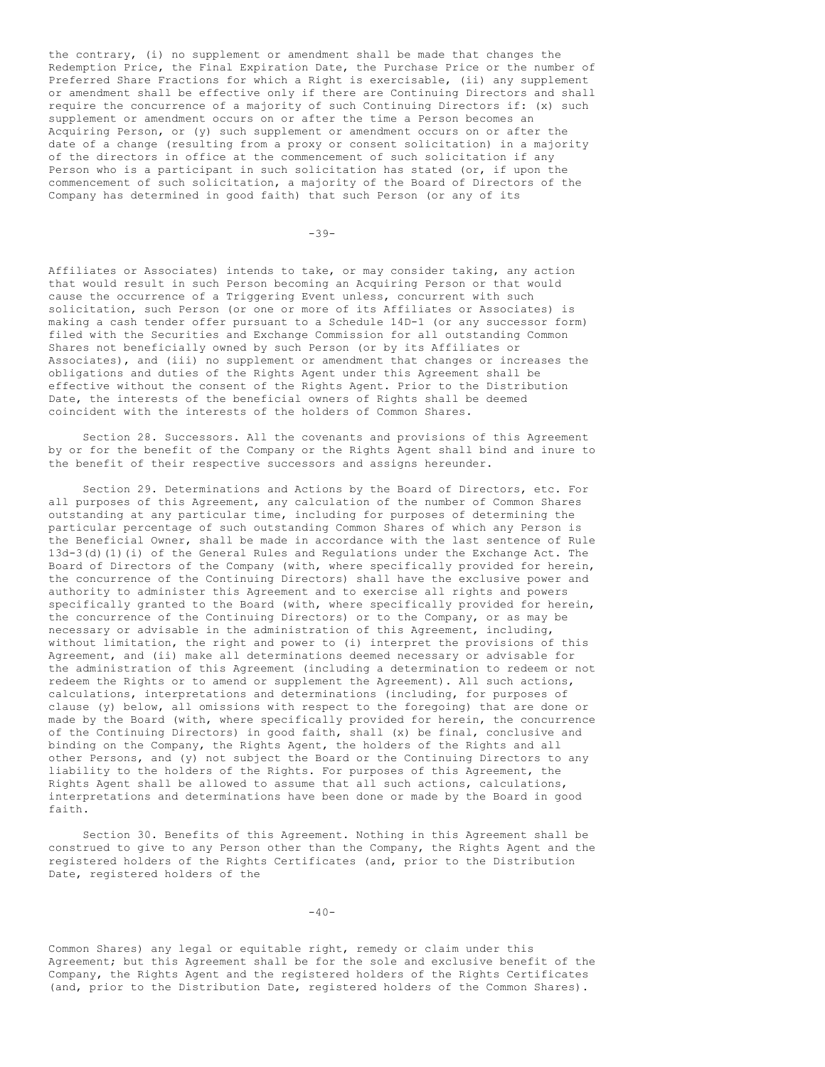the contrary, (i) no supplement or amendment shall be made that changes the Redemption Price, the Final Expiration Date, the Purchase Price or the number of Preferred Share Fractions for which a Right is exercisable, (ii) any supplement or amendment shall be effective only if there are Continuing Directors and shall require the concurrence of a majority of such Continuing Directors if: (x) such supplement or amendment occurs on or after the time a Person becomes an Acquiring Person, or (y) such supplement or amendment occurs on or after the date of a change (resulting from a proxy or consent solicitation) in a majority of the directors in office at the commencement of such solicitation if any Person who is a participant in such solicitation has stated (or, if upon the commencement of such solicitation, a majority of the Board of Directors of the Company has determined in good faith) that such Person (or any of its

 $-39-$ 

Affiliates or Associates) intends to take, or may consider taking, any action that would result in such Person becoming an Acquiring Person or that would cause the occurrence of a Triggering Event unless, concurrent with such solicitation, such Person (or one or more of its Affiliates or Associates) is making a cash tender offer pursuant to a Schedule 14D-1 (or any successor form) filed with the Securities and Exchange Commission for all outstanding Common Shares not beneficially owned by such Person (or by its Affiliates or Associates), and (iii) no supplement or amendment that changes or increases the obligations and duties of the Rights Agent under this Agreement shall be effective without the consent of the Rights Agent. Prior to the Distribution Date, the interests of the beneficial owners of Rights shall be deemed coincident with the interests of the holders of Common Shares.

Section 28. Successors. All the covenants and provisions of this Agreement by or for the benefit of the Company or the Rights Agent shall bind and inure to the benefit of their respective successors and assigns hereunder.

Section 29. Determinations and Actions by the Board of Directors, etc. For all purposes of this Agreement, any calculation of the number of Common Shares outstanding at any particular time, including for purposes of determining the particular percentage of such outstanding Common Shares of which any Person is the Beneficial Owner, shall be made in accordance with the last sentence of Rule 13d-3(d)(1)(i) of the General Rules and Regulations under the Exchange Act. The Board of Directors of the Company (with, where specifically provided for herein, the concurrence of the Continuing Directors) shall have the exclusive power and authority to administer this Agreement and to exercise all rights and powers specifically granted to the Board (with, where specifically provided for herein, the concurrence of the Continuing Directors) or to the Company, or as may be necessary or advisable in the administration of this Agreement, including, without limitation, the right and power to (i) interpret the provisions of this Agreement, and (ii) make all determinations deemed necessary or advisable for the administration of this Agreement (including a determination to redeem or not redeem the Rights or to amend or supplement the Agreement). All such actions, calculations, interpretations and determinations (including, for purposes of clause (y) below, all omissions with respect to the foregoing) that are done or made by the Board (with, where specifically provided for herein, the concurrence of the Continuing Directors) in good faith, shall (x) be final, conclusive and binding on the Company, the Rights Agent, the holders of the Rights and all other Persons, and (y) not subject the Board or the Continuing Directors to any liability to the holders of the Rights. For purposes of this Agreement, the Rights Agent shall be allowed to assume that all such actions, calculations, interpretations and determinations have been done or made by the Board in good faith.

Section 30. Benefits of this Agreement. Nothing in this Agreement shall be construed to give to any Person other than the Company, the Rights Agent and the registered holders of the Rights Certificates (and, prior to the Distribution Date, registered holders of the

 $-40-$ 

Common Shares) any legal or equitable right, remedy or claim under this Agreement; but this Agreement shall be for the sole and exclusive benefit of the Company, the Rights Agent and the registered holders of the Rights Certificates (and, prior to the Distribution Date, registered holders of the Common Shares).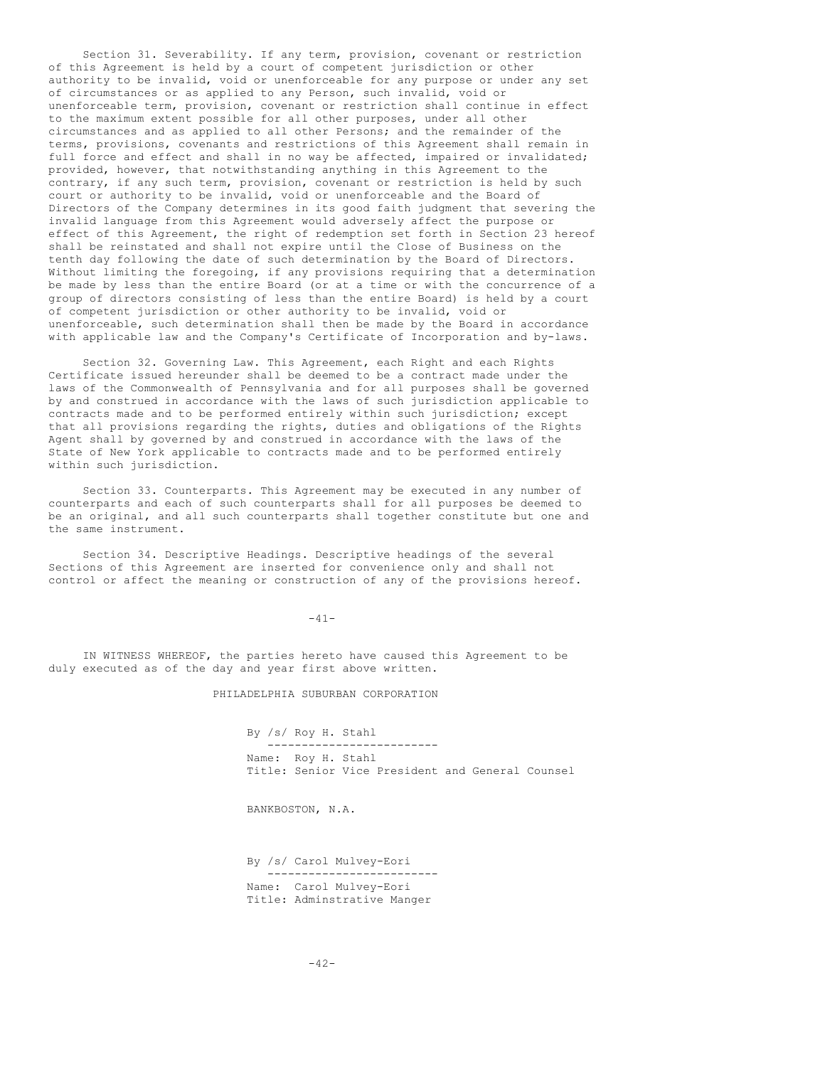Section 31. Severability. If any term, provision, covenant or restriction of this Agreement is held by a court of competent jurisdiction or other authority to be invalid, void or unenforceable for any purpose or under any set of circumstances or as applied to any Person, such invalid, void or unenforceable term, provision, covenant or restriction shall continue in effect to the maximum extent possible for all other purposes, under all other circumstances and as applied to all other Persons; and the remainder of the terms, provisions, covenants and restrictions of this Agreement shall remain in full force and effect and shall in no way be affected, impaired or invalidated; provided, however, that notwithstanding anything in this Agreement to the contrary, if any such term, provision, covenant or restriction is held by such court or authority to be invalid, void or unenforceable and the Board of Directors of the Company determines in its good faith judgment that severing the invalid language from this Agreement would adversely affect the purpose or effect of this Agreement, the right of redemption set forth in Section 23 hereof shall be reinstated and shall not expire until the Close of Business on the tenth day following the date of such determination by the Board of Directors. Without limiting the foregoing, if any provisions requiring that a determination be made by less than the entire Board (or at a time or with the concurrence of a group of directors consisting of less than the entire Board) is held by a court of competent jurisdiction or other authority to be invalid, void or unenforceable, such determination shall then be made by the Board in accordance with applicable law and the Company's Certificate of Incorporation and by-laws.

Section 32. Governing Law. This Agreement, each Right and each Rights Certificate issued hereunder shall be deemed to be a contract made under the laws of the Commonwealth of Pennsylvania and for all purposes shall be governed by and construed in accordance with the laws of such jurisdiction applicable to contracts made and to be performed entirely within such jurisdiction; except that all provisions regarding the rights, duties and obligations of the Rights Agent shall by governed by and construed in accordance with the laws of the State of New York applicable to contracts made and to be performed entirely within such jurisdiction.

Section 33. Counterparts. This Agreement may be executed in any number of counterparts and each of such counterparts shall for all purposes be deemed to be an original, and all such counterparts shall together constitute but one and the same instrument.

Section 34. Descriptive Headings. Descriptive headings of the several Sections of this Agreement are inserted for convenience only and shall not control or affect the meaning or construction of any of the provisions hereof.

## $-41-$

IN WITNESS WHEREOF, the parties hereto have caused this Agreement to be duly executed as of the day and year first above written.

PHILADELPHIA SUBURBAN CORPORATION

By /s/ Roy H. Stahl ------------------------- Name: Roy H. Stahl Title: Senior Vice President and General Counsel

BANKBOSTON, N.A.

By /s/ Carol Mulvey-Eori ------------------------- Name: Carol Mulvey-Eori Title: Adminstrative Manger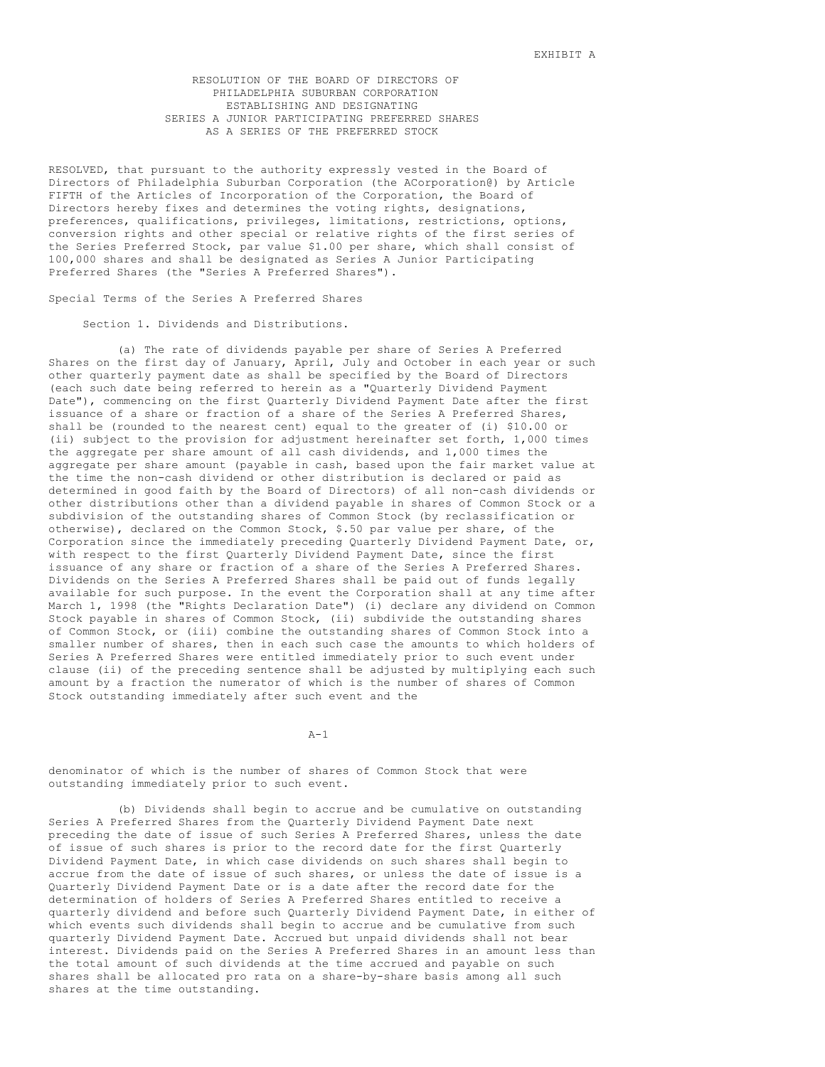RESOLUTION OF THE BOARD OF DIRECTORS OF PHILADELPHIA SUBURBAN CORPORATION ESTABLISHING AND DESIGNATING SERIES A JUNIOR PARTICIPATING PREFERRED SHARES AS A SERIES OF THE PREFERRED STOCK

RESOLVED, that pursuant to the authority expressly vested in the Board of Directors of Philadelphia Suburban Corporation (the ACorporation@) by Article FIFTH of the Articles of Incorporation of the Corporation, the Board of Directors hereby fixes and determines the voting rights, designations, preferences, qualifications, privileges, limitations, restrictions, options, conversion rights and other special or relative rights of the first series of the Series Preferred Stock, par value \$1.00 per share, which shall consist of 100,000 shares and shall be designated as Series A Junior Participating Preferred Shares (the "Series A Preferred Shares").

Special Terms of the Series A Preferred Shares

Section 1. Dividends and Distributions.

(a) The rate of dividends payable per share of Series A Preferred Shares on the first day of January, April, July and October in each year or such other quarterly payment date as shall be specified by the Board of Directors (each such date being referred to herein as a "Quarterly Dividend Payment Date"), commencing on the first Quarterly Dividend Payment Date after the first issuance of a share or fraction of a share of the Series A Preferred Shares, shall be (rounded to the nearest cent) equal to the greater of (i) \$10.00 or (ii) subject to the provision for adjustment hereinafter set forth, 1,000 times the aggregate per share amount of all cash dividends, and 1,000 times the aggregate per share amount (payable in cash, based upon the fair market value at the time the non-cash dividend or other distribution is declared or paid as determined in good faith by the Board of Directors) of all non-cash dividends or other distributions other than a dividend payable in shares of Common Stock or a subdivision of the outstanding shares of Common Stock (by reclassification or otherwise), declared on the Common Stock, \$.50 par value per share, of the Corporation since the immediately preceding Quarterly Dividend Payment Date, or, with respect to the first Quarterly Dividend Payment Date, since the first issuance of any share or fraction of a share of the Series A Preferred Shares. Dividends on the Series A Preferred Shares shall be paid out of funds legally available for such purpose. In the event the Corporation shall at any time after March 1, 1998 (the "Rights Declaration Date") (i) declare any dividend on Common Stock payable in shares of Common Stock, (ii) subdivide the outstanding shares of Common Stock, or (iii) combine the outstanding shares of Common Stock into a smaller number of shares, then in each such case the amounts to which holders of Series A Preferred Shares were entitled immediately prior to such event under clause (ii) of the preceding sentence shall be adjusted by multiplying each such amount by a fraction the numerator of which is the number of shares of Common Stock outstanding immediately after such event and the

 $A-1$ 

denominator of which is the number of shares of Common Stock that were outstanding immediately prior to such event.

(b) Dividends shall begin to accrue and be cumulative on outstanding Series A Preferred Shares from the Quarterly Dividend Payment Date next preceding the date of issue of such Series A Preferred Shares, unless the date of issue of such shares is prior to the record date for the first Quarterly Dividend Payment Date, in which case dividends on such shares shall begin to accrue from the date of issue of such shares, or unless the date of issue is a Quarterly Dividend Payment Date or is a date after the record date for the determination of holders of Series A Preferred Shares entitled to receive a quarterly dividend and before such Quarterly Dividend Payment Date, in either of which events such dividends shall begin to accrue and be cumulative from such quarterly Dividend Payment Date. Accrued but unpaid dividends shall not bear interest. Dividends paid on the Series A Preferred Shares in an amount less than the total amount of such dividends at the time accrued and payable on such shares shall be allocated pro rata on a share-by-share basis among all such shares at the time outstanding.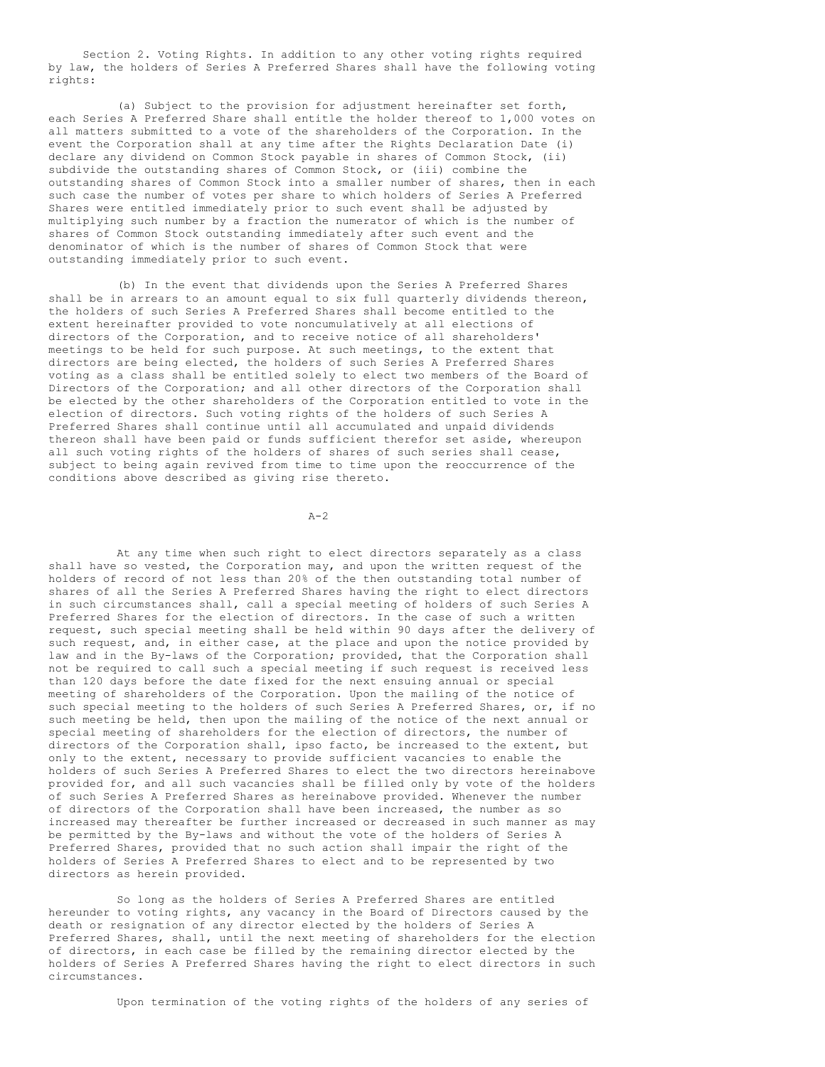Section 2. Voting Rights. In addition to any other voting rights required by law, the holders of Series A Preferred Shares shall have the following voting rights:

(a) Subject to the provision for adjustment hereinafter set forth, each Series A Preferred Share shall entitle the holder thereof to 1,000 votes on all matters submitted to a vote of the shareholders of the Corporation. In the event the Corporation shall at any time after the Rights Declaration Date (i) declare any dividend on Common Stock payable in shares of Common Stock, (ii) subdivide the outstanding shares of Common Stock, or (iii) combine the outstanding shares of Common Stock into a smaller number of shares, then in each such case the number of votes per share to which holders of Series A Preferred Shares were entitled immediately prior to such event shall be adjusted by multiplying such number by a fraction the numerator of which is the number of shares of Common Stock outstanding immediately after such event and the denominator of which is the number of shares of Common Stock that were outstanding immediately prior to such event.

(b) In the event that dividends upon the Series A Preferred Shares shall be in arrears to an amount equal to six full quarterly dividends thereon, the holders of such Series A Preferred Shares shall become entitled to the extent hereinafter provided to vote noncumulatively at all elections of directors of the Corporation, and to receive notice of all shareholders' meetings to be held for such purpose. At such meetings, to the extent that directors are being elected, the holders of such Series A Preferred Shares voting as a class shall be entitled solely to elect two members of the Board of Directors of the Corporation; and all other directors of the Corporation shall be elected by the other shareholders of the Corporation entitled to vote in the election of directors. Such voting rights of the holders of such Series A Preferred Shares shall continue until all accumulated and unpaid dividends thereon shall have been paid or funds sufficient therefor set aside, whereupon all such voting rights of the holders of shares of such series shall cease, subject to being again revived from time to time upon the reoccurrence of the conditions above described as giving rise thereto.

 $A-2$ 

At any time when such right to elect directors separately as a class shall have so vested, the Corporation may, and upon the written request of the holders of record of not less than 20% of the then outstanding total number of shares of all the Series A Preferred Shares having the right to elect directors in such circumstances shall, call a special meeting of holders of such Series A Preferred Shares for the election of directors. In the case of such a written request, such special meeting shall be held within 90 days after the delivery of such request, and, in either case, at the place and upon the notice provided by law and in the By-laws of the Corporation; provided, that the Corporation shall not be required to call such a special meeting if such request is received less than 120 days before the date fixed for the next ensuing annual or special meeting of shareholders of the Corporation. Upon the mailing of the notice of such special meeting to the holders of such Series A Preferred Shares, or, if no such meeting be held, then upon the mailing of the notice of the next annual or special meeting of shareholders for the election of directors, the number of directors of the Corporation shall, ipso facto, be increased to the extent, but only to the extent, necessary to provide sufficient vacancies to enable the holders of such Series A Preferred Shares to elect the two directors hereinabove provided for, and all such vacancies shall be filled only by vote of the holders of such Series A Preferred Shares as hereinabove provided. Whenever the number of directors of the Corporation shall have been increased, the number as so increased may thereafter be further increased or decreased in such manner as may be permitted by the By-laws and without the vote of the holders of Series A Preferred Shares, provided that no such action shall impair the right of the holders of Series A Preferred Shares to elect and to be represented by two directors as herein provided.

So long as the holders of Series A Preferred Shares are entitled hereunder to voting rights, any vacancy in the Board of Directors caused by the death or resignation of any director elected by the holders of Series A Preferred Shares, shall, until the next meeting of shareholders for the election of directors, in each case be filled by the remaining director elected by the holders of Series A Preferred Shares having the right to elect directors in such circumstances.

Upon termination of the voting rights of the holders of any series of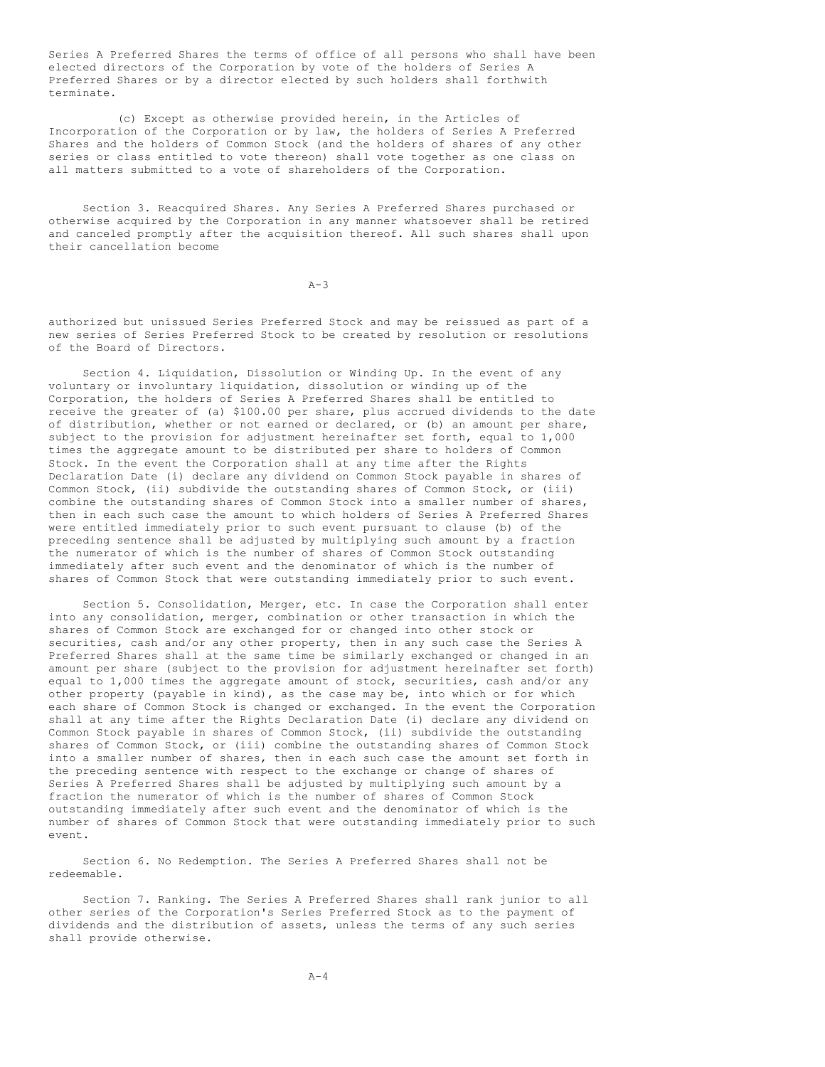Series A Preferred Shares the terms of office of all persons who shall have been elected directors of the Corporation by vote of the holders of Series A Preferred Shares or by a director elected by such holders shall forthwith terminate.

(c) Except as otherwise provided herein, in the Articles of Incorporation of the Corporation or by law, the holders of Series A Preferred Shares and the holders of Common Stock (and the holders of shares of any other series or class entitled to vote thereon) shall vote together as one class on all matters submitted to a vote of shareholders of the Corporation.

Section 3. Reacquired Shares. Any Series A Preferred Shares purchased or otherwise acquired by the Corporation in any manner whatsoever shall be retired and canceled promptly after the acquisition thereof. All such shares shall upon their cancellation become

 $A-3$ 

authorized but unissued Series Preferred Stock and may be reissued as part of a new series of Series Preferred Stock to be created by resolution or resolutions of the Board of Directors.

Section 4. Liquidation, Dissolution or Winding Up. In the event of any voluntary or involuntary liquidation, dissolution or winding up of the Corporation, the holders of Series A Preferred Shares shall be entitled to receive the greater of (a) \$100.00 per share, plus accrued dividends to the date of distribution, whether or not earned or declared, or (b) an amount per share, subject to the provision for adjustment hereinafter set forth, equal to 1,000 times the aggregate amount to be distributed per share to holders of Common Stock. In the event the Corporation shall at any time after the Rights Declaration Date (i) declare any dividend on Common Stock payable in shares of Common Stock, (ii) subdivide the outstanding shares of Common Stock, or (iii) combine the outstanding shares of Common Stock into a smaller number of shares, then in each such case the amount to which holders of Series A Preferred Shares were entitled immediately prior to such event pursuant to clause (b) of the preceding sentence shall be adjusted by multiplying such amount by a fraction the numerator of which is the number of shares of Common Stock outstanding immediately after such event and the denominator of which is the number of shares of Common Stock that were outstanding immediately prior to such event.

Section 5. Consolidation, Merger, etc. In case the Corporation shall enter into any consolidation, merger, combination or other transaction in which the shares of Common Stock are exchanged for or changed into other stock or securities, cash and/or any other property, then in any such case the Series A Preferred Shares shall at the same time be similarly exchanged or changed in an amount per share (subject to the provision for adjustment hereinafter set forth) equal to 1,000 times the aggregate amount of stock, securities, cash and/or any other property (payable in kind), as the case may be, into which or for which each share of Common Stock is changed or exchanged. In the event the Corporation shall at any time after the Rights Declaration Date (i) declare any dividend on Common Stock payable in shares of Common Stock, (ii) subdivide the outstanding shares of Common Stock, or (iii) combine the outstanding shares of Common Stock into a smaller number of shares, then in each such case the amount set forth in the preceding sentence with respect to the exchange or change of shares of Series A Preferred Shares shall be adjusted by multiplying such amount by a fraction the numerator of which is the number of shares of Common Stock outstanding immediately after such event and the denominator of which is the number of shares of Common Stock that were outstanding immediately prior to such event.

Section 6. No Redemption. The Series A Preferred Shares shall not be redeemable.

Section 7. Ranking. The Series A Preferred Shares shall rank junior to all other series of the Corporation's Series Preferred Stock as to the payment of dividends and the distribution of assets, unless the terms of any such series shall provide otherwise.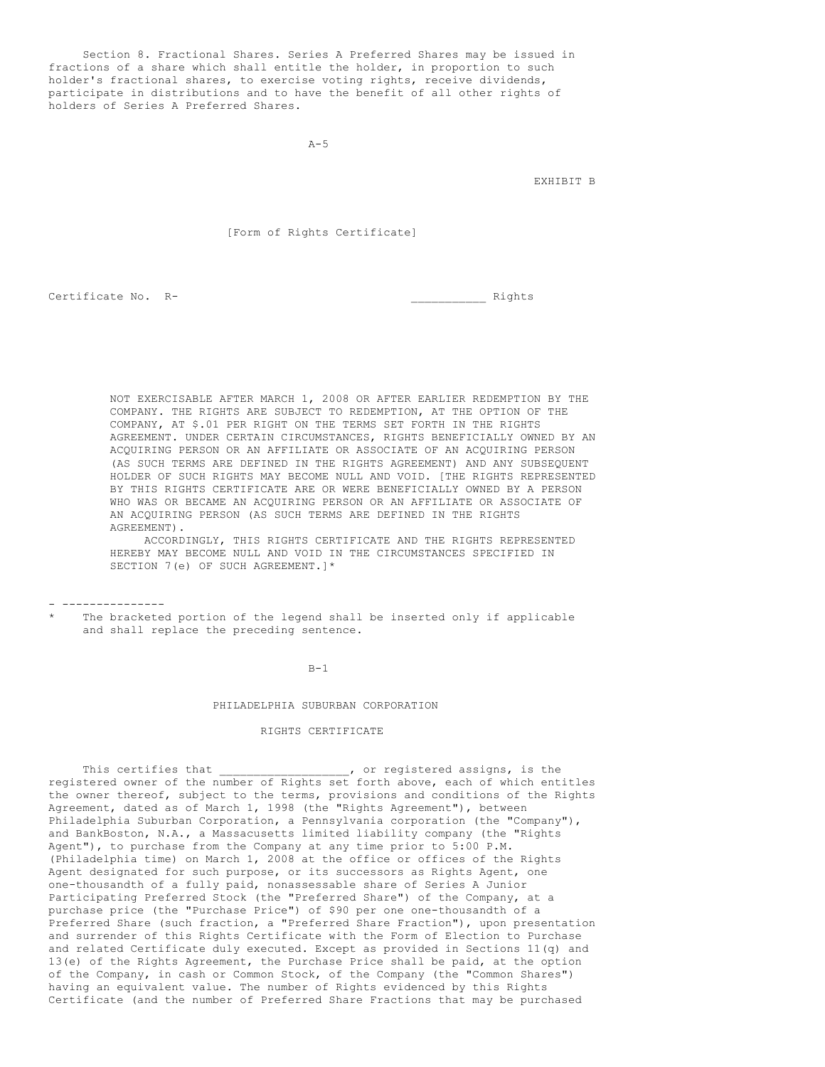Section 8. Fractional Shares. Series A Preferred Shares may be issued in fractions of a share which shall entitle the holder, in proportion to such holder's fractional shares, to exercise voting rights, receive dividends, participate in distributions and to have the benefit of all other rights of holders of Series A Preferred Shares.

 $A - 5$ 

EXHIBIT B

[Form of Rights Certificate]

Certificate No. R- \_\_\_\_\_\_\_\_\_\_\_ Rights

- ---------------

NOT EXERCISABLE AFTER MARCH 1, 2008 OR AFTER EARLIER REDEMPTION BY THE COMPANY. THE RIGHTS ARE SUBJECT TO REDEMPTION, AT THE OPTION OF THE COMPANY, AT \$.01 PER RIGHT ON THE TERMS SET FORTH IN THE RIGHTS AGREEMENT. UNDER CERTAIN CIRCUMSTANCES, RIGHTS BENEFICIALLY OWNED BY AN ACQUIRING PERSON OR AN AFFILIATE OR ASSOCIATE OF AN ACQUIRING PERSON (AS SUCH TERMS ARE DEFINED IN THE RIGHTS AGREEMENT) AND ANY SUBSEQUENT HOLDER OF SUCH RIGHTS MAY BECOME NULL AND VOID. [THE RIGHTS REPRESENTED BY THIS RIGHTS CERTIFICATE ARE OR WERE BENEFICIALLY OWNED BY A PERSON WHO WAS OR BECAME AN ACQUIRING PERSON OR AN AFFILIATE OR ASSOCIATE OF AN ACQUIRING PERSON (AS SUCH TERMS ARE DEFINED IN THE RIGHTS AGREEMENT).

ACCORDINGLY, THIS RIGHTS CERTIFICATE AND THE RIGHTS REPRESENTED HEREBY MAY BECOME NULL AND VOID IN THE CIRCUMSTANCES SPECIFIED IN SECTION 7(e) OF SUCH AGREEMENT.]\*

The bracketed portion of the legend shall be inserted only if applicable and shall replace the preceding sentence.

B-1

# PHILADELPHIA SUBURBAN CORPORATION

## RIGHTS CERTIFICATE

This certifies that \_\_\_\_\_\_\_\_\_\_\_\_\_\_\_\_\_, or registered assigns, is the registered owner of the number of Rights set forth above, each of which entitles the owner thereof, subject to the terms, provisions and conditions of the Rights Agreement, dated as of March 1, 1998 (the "Rights Agreement"), between Philadelphia Suburban Corporation, a Pennsylvania corporation (the "Company"), and BankBoston, N.A., a Massacusetts limited liability company (the "Rights Agent"), to purchase from the Company at any time prior to 5:00 P.M. (Philadelphia time) on March 1, 2008 at the office or offices of the Rights Agent designated for such purpose, or its successors as Rights Agent, one one-thousandth of a fully paid, nonassessable share of Series A Junior Participating Preferred Stock (the "Preferred Share") of the Company, at a purchase price (the "Purchase Price") of \$90 per one one-thousandth of a Preferred Share (such fraction, a "Preferred Share Fraction"), upon presentation and surrender of this Rights Certificate with the Form of Election to Purchase and related Certificate duly executed. Except as provided in Sections 11(q) and 13(e) of the Rights Agreement, the Purchase Price shall be paid, at the option of the Company, in cash or Common Stock, of the Company (the "Common Shares") having an equivalent value. The number of Rights evidenced by this Rights Certificate (and the number of Preferred Share Fractions that may be purchased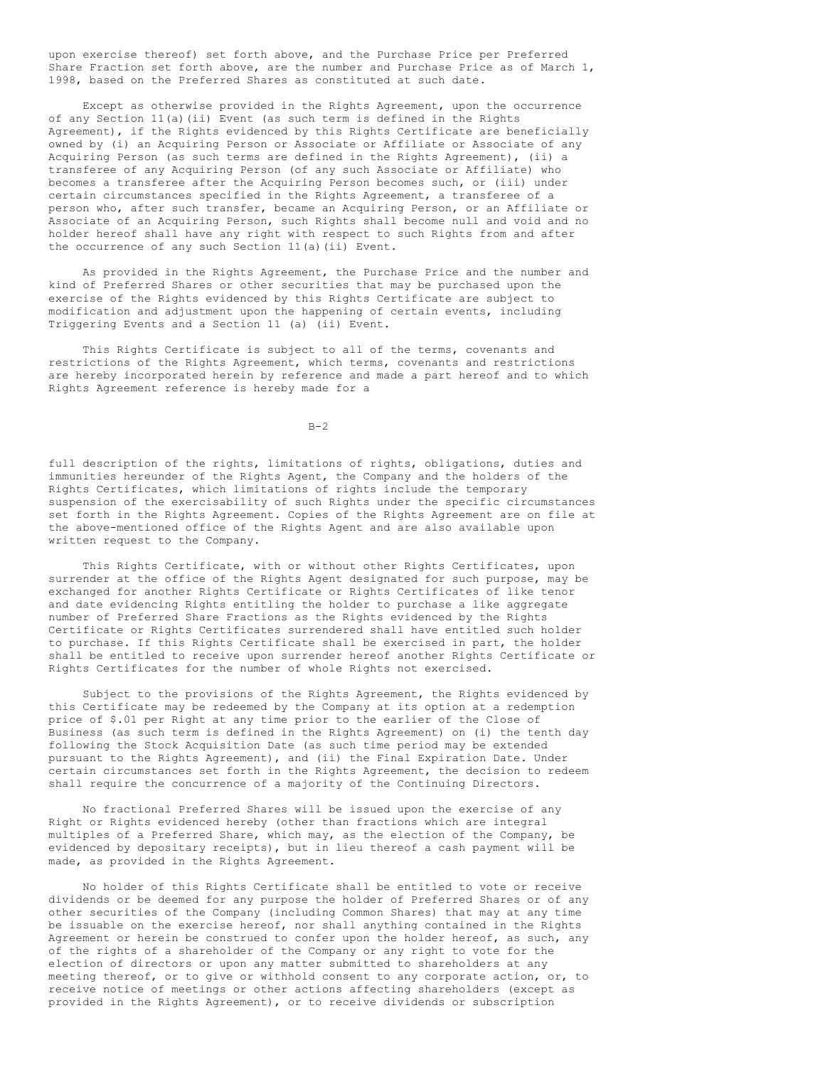upon exercise thereof) set forth above, and the Purchase Price per Preferred Share Fraction set forth above, are the number and Purchase Price as of March 1, 1998, based on the Preferred Shares as constituted at such date.

Except as otherwise provided in the Rights Agreement, upon the occurrence of any Section 11(a)(ii) Event (as such term is defined in the Rights Agreement), if the Rights evidenced by this Rights Certificate are beneficially owned by (i) an Acquiring Person or Associate or Affiliate or Associate of any Acquiring Person (as such terms are defined in the Rights Agreement), (ii) a transferee of any Acquiring Person (of any such Associate or Affiliate) who becomes a transferee after the Acquiring Person becomes such, or (iii) under certain circumstances specified in the Rights Agreement, a transferee of a person who, after such transfer, became an Acquiring Person, or an Affiliate or Associate of an Acquiring Person, such Rights shall become null and void and no holder hereof shall have any right with respect to such Rights from and after the occurrence of any such Section 11(a)(ii) Event.

As provided in the Rights Agreement, the Purchase Price and the number and kind of Preferred Shares or other securities that may be purchased upon the exercise of the Rights evidenced by this Rights Certificate are subject to modification and adjustment upon the happening of certain events, including Triggering Events and a Section 11 (a) (ii) Event.

This Rights Certificate is subject to all of the terms, covenants and restrictions of the Rights Agreement, which terms, covenants and restrictions are hereby incorporated herein by reference and made a part hereof and to which Rights Agreement reference is hereby made for a

 $B-2$ 

full description of the rights, limitations of rights, obligations, duties and immunities hereunder of the Rights Agent, the Company and the holders of the Rights Certificates, which limitations of rights include the temporary suspension of the exercisability of such Rights under the specific circumstances set forth in the Rights Agreement. Copies of the Rights Agreement are on file at the above-mentioned office of the Rights Agent and are also available upon written request to the Company.

This Rights Certificate, with or without other Rights Certificates, upon surrender at the office of the Rights Agent designated for such purpose, may be exchanged for another Rights Certificate or Rights Certificates of like tenor and date evidencing Rights entitling the holder to purchase a like aggregate number of Preferred Share Fractions as the Rights evidenced by the Rights Certificate or Rights Certificates surrendered shall have entitled such holder to purchase. If this Rights Certificate shall be exercised in part, the holder shall be entitled to receive upon surrender hereof another Rights Certificate or Rights Certificates for the number of whole Rights not exercised.

Subject to the provisions of the Rights Agreement, the Rights evidenced by this Certificate may be redeemed by the Company at its option at a redemption price of \$.01 per Right at any time prior to the earlier of the Close of Business (as such term is defined in the Rights Agreement) on (i) the tenth day following the Stock Acquisition Date (as such time period may be extended pursuant to the Rights Agreement), and (ii) the Final Expiration Date. Under certain circumstances set forth in the Rights Agreement, the decision to redeem shall require the concurrence of a majority of the Continuing Directors.

No fractional Preferred Shares will be issued upon the exercise of any Right or Rights evidenced hereby (other than fractions which are integral multiples of a Preferred Share, which may, as the election of the Company, be evidenced by depositary receipts), but in lieu thereof a cash payment will be made, as provided in the Rights Agreement.

No holder of this Rights Certificate shall be entitled to vote or receive dividends or be deemed for any purpose the holder of Preferred Shares or of any other securities of the Company (including Common Shares) that may at any time be issuable on the exercise hereof, nor shall anything contained in the Rights Agreement or herein be construed to confer upon the holder hereof, as such, any of the rights of a shareholder of the Company or any right to vote for the election of directors or upon any matter submitted to shareholders at any meeting thereof, or to give or withhold consent to any corporate action, or, to receive notice of meetings or other actions affecting shareholders (except as provided in the Rights Agreement), or to receive dividends or subscription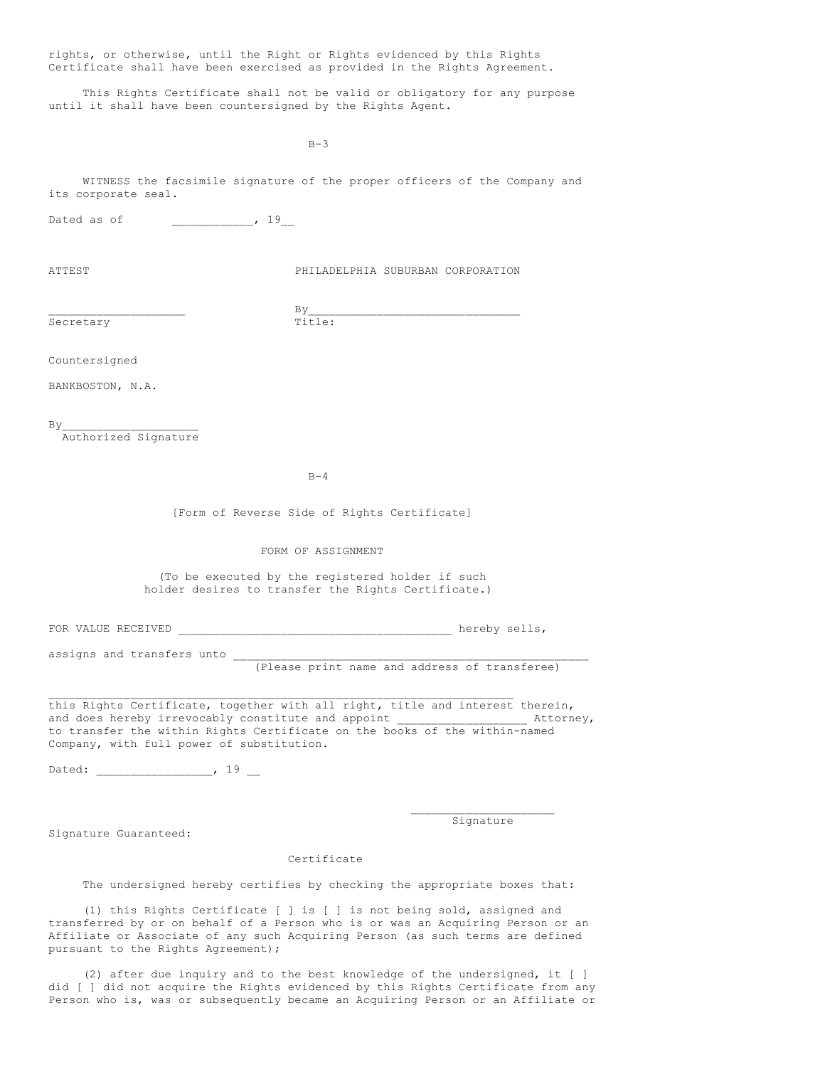rights, or otherwise, until the Right or Rights evidenced by this Rights Certificate shall have been exercised as provided in the Rights Agreement.

This Rights Certificate shall not be valid or obligatory for any purpose until it shall have been countersigned by the Rights Agent.

 $B-3$ 

WITNESS the facsimile signature of the proper officers of the Company and its corporate seal.

Dated as of \_\_\_\_\_\_\_\_\_\_\_\_, 19\_

ATTEST PHILADELPHIA SUBURBAN CORPORATION

Secretary Title:

 $\mathbf{B}\mathbf{y}$ 

Countersigned

BANKBOSTON, N.A.

 $By$ 

Authorized Signature

 $B-4$ 

[Form of Reverse Side of Rights Certificate]

FORM OF ASSIGNMENT

(To be executed by the registered holder if such holder desires to transfer the Rights Certificate.)

FOR VALUE RECEIVED \_\_\_\_\_\_\_\_\_\_\_\_\_\_\_\_\_\_\_\_\_\_\_\_\_\_\_\_\_\_\_\_\_\_\_\_\_\_\_\_ hereby sells,

\_\_\_\_\_\_\_\_\_\_\_\_\_\_\_\_\_\_\_\_\_\_\_\_\_\_\_\_\_\_\_\_\_\_\_\_\_\_\_\_\_\_\_\_\_\_\_\_\_\_\_\_\_\_\_\_\_\_\_\_\_\_\_\_\_\_\_\_

assigns and transfers unto the set of the set of the set of the set of the set of the set of the set of the set o

(Please print name and address of transferee)

this Rights Certificate, together with all right, title and interest therein, and does hereby irrevocably constitute and appoint \_\_\_\_\_\_\_\_\_\_\_\_\_\_\_\_\_\_\_\_\_ Attorney, to transfer the within Rights Certificate on the books of the within-named Company, with full power of substitution.

Dated: \_\_\_\_\_\_\_\_\_\_\_\_\_\_\_\_, 19 \_\_

 $\mathcal{L}_\text{max}$ Signature

Signature Guaranteed:

### Certificate

The undersigned hereby certifies by checking the appropriate boxes that:

(1) this Rights Certificate [ ] is [ ] is not being sold, assigned and transferred by or on behalf of a Person who is or was an Acquiring Person or an Affiliate or Associate of any such Acquiring Person (as such terms are defined pursuant to the Rights Agreement);

(2) after due inquiry and to the best knowledge of the undersigned, it [ ] did [ ] did not acquire the Rights evidenced by this Rights Certificate from any Person who is, was or subsequently became an Acquiring Person or an Affiliate or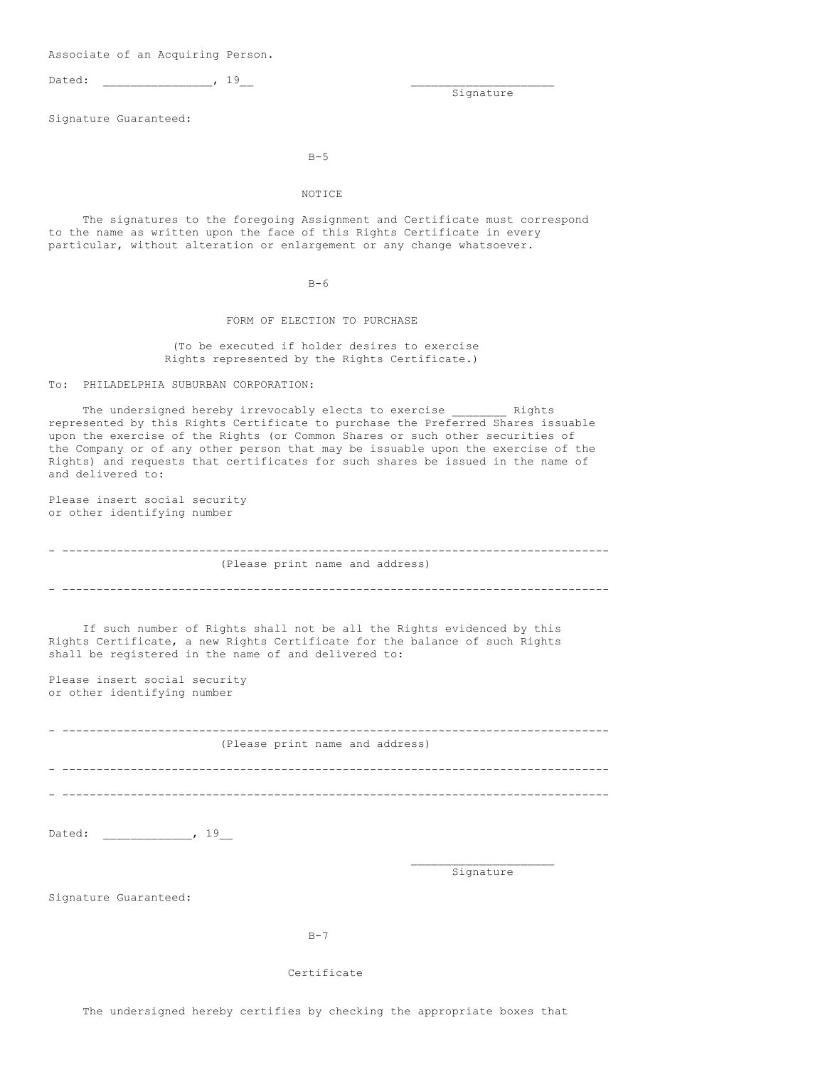Associate of an Acquiring Person.

Dated:  $19$ 

Signature

Signature Guaranteed:

 $B-5$ 

# NOTICE

The signatures to the foregoing Assignment and Certificate must correspond to the name as written upon the face of this Rights Certificate in every particular, without alteration or enlargement or any change whatsoever.

 $B-6$ 

FORM OF ELECTION TO PURCHASE

(To be executed if holder desires to exercise Rights represented by the Rights Certificate.)

To: PHILADELPHIA SUBURBAN CORPORATION:

The undersigned hereby irrevocably elects to exercise **Example 2** Rights represented by this Rights Certificate to purchase the Preferred Shares issuable upon the exercise of the Rights (or Common Shares or such other securities of the Company or of any other person that may be issuable upon the exercise of the Rights) and requests that certificates for such shares be issued in the name of and delivered to:

Please insert social security or other identifying number

- -------------------------------------------------------------------------------- (Please print name and address)

- --------------------------------------------------------------------------------

If such number of Rights shall not be all the Rights evidenced by this Rights Certificate, a new Rights Certificate for the balance of such Rights shall be registered in the name of and delivered to:

Please insert social security or other identifying number

- -------------------------------------------------------------------------------- (Please print name and address)

- -------------------------------------------------------------------------------- - --------------------------------------------------------------------------------

Dated: 19

 $\_$ Signature

Signature Guaranteed:

 $B-7$ 

Certificate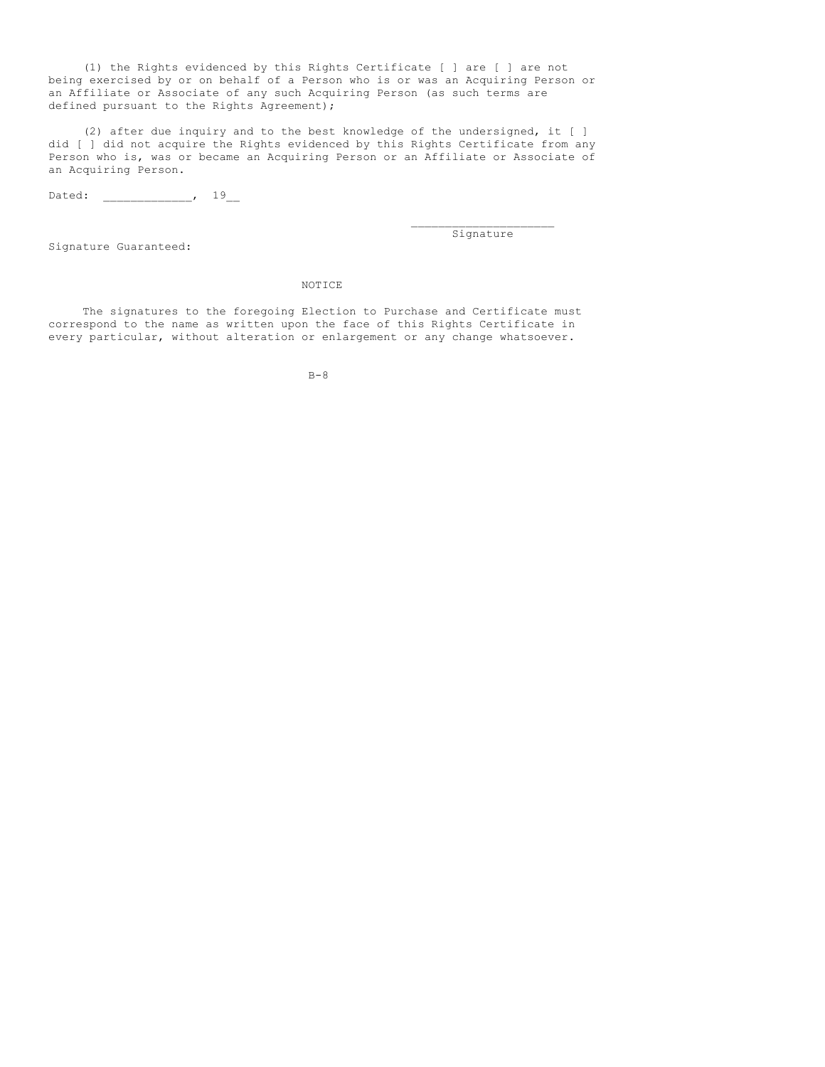(1) the Rights evidenced by this Rights Certificate [ ] are [ ] are not being exercised by or on behalf of a Person who is or was an Acquiring Person or an Affiliate or Associate of any such Acquiring Person (as such terms are defined pursuant to the Rights Agreement);

(2) after due inquiry and to the best knowledge of the undersigned, it [ ] did [ ] did not acquire the Rights evidenced by this Rights Certificate from any Person who is, was or became an Acquiring Person or an Affiliate or Associate of an Acquiring Person.

Dated: \_\_\_\_\_\_\_\_\_\_\_\_\_, 19\_

 $\mathcal{L}_\text{max}$ Signature

Signature Guaranteed:

NOTICE

The signatures to the foregoing Election to Purchase and Certificate must correspond to the name as written upon the face of this Rights Certificate in every particular, without alteration or enlargement or any change whatsoever.

 $B-8$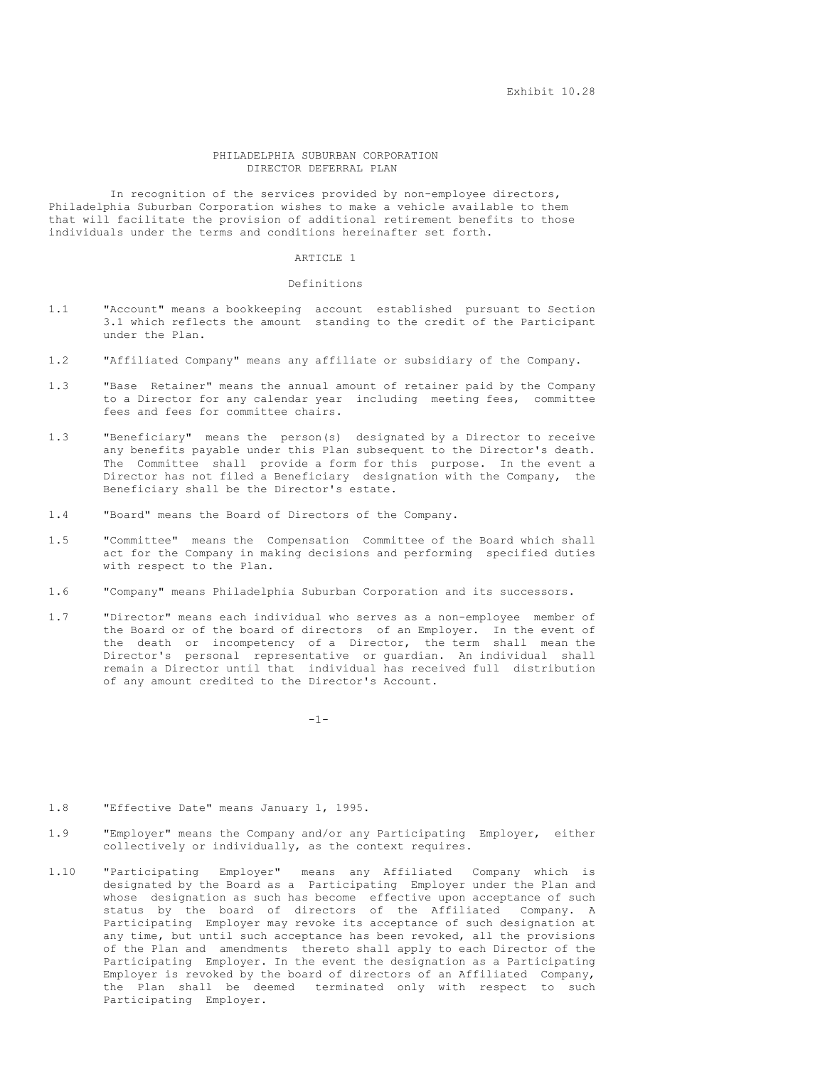# PHILADELPHIA SUBURBAN CORPORATION DIRECTOR DEFERRAL PLAN

In recognition of the services provided by non-employee directors, Philadelphia Suburban Corporation wishes to make a vehicle available to them that will facilitate the provision of additional retirement benefits to those individuals under the terms and conditions hereinafter set forth.

### ARTICLE 1

## Definitions

- 1.1 "Account" means a bookkeeping account established pursuant to Section 3.1 which reflects the amount standing to the credit of the Participant under the Plan.
- 1.2 "Affiliated Company" means any affiliate or subsidiary of the Company.
- 1.3 "Base Retainer" means the annual amount of retainer paid by the Company to a Director for any calendar year including meeting fees, committee fees and fees for committee chairs.
- 1.3 "Beneficiary" means the person(s) designated by a Director to receive any benefits payable under this Plan subsequent to the Director's death. The Committee shall provide a form for this purpose. In the event a Director has not filed a Beneficiary designation with the Company, the Beneficiary shall be the Director's estate.
- 1.4 "Board" means the Board of Directors of the Company.
- 1.5 "Committee" means the Compensation Committee of the Board which shall act for the Company in making decisions and performing specified duties with respect to the Plan.
- 1.6 "Company" means Philadelphia Suburban Corporation and its successors.
- 1.7 "Director" means each individual who serves as a non-employee member of the Board or of the board of directors of an Employer. In the event of the death or incompetency of a Director, the term shall mean the Director's personal representative or guardian. An individual shall remain a Director until that individual has received full distribution of any amount credited to the Director's Account.

-1-

- 1.8 "Effective Date" means January 1, 1995.
- 1.9 "Employer" means the Company and/or any Participating Employer, either collectively or individually, as the context requires.
- 1.10 "Participating Employer" means any Affiliated Company which is designated by the Board as a Participating Employer under the Plan and whose designation as such has become effective upon acceptance of such status by the board of directors of the Affiliated Company. A Participating Employer may revoke its acceptance of such designation at any time, but until such acceptance has been revoked, all the provisions of the Plan and amendments thereto shall apply to each Director of the Participating Employer. In the event the designation as a Participating Employer is revoked by the board of directors of an Affiliated Company, the Plan shall be deemed terminated only with respect to such Participating Employer.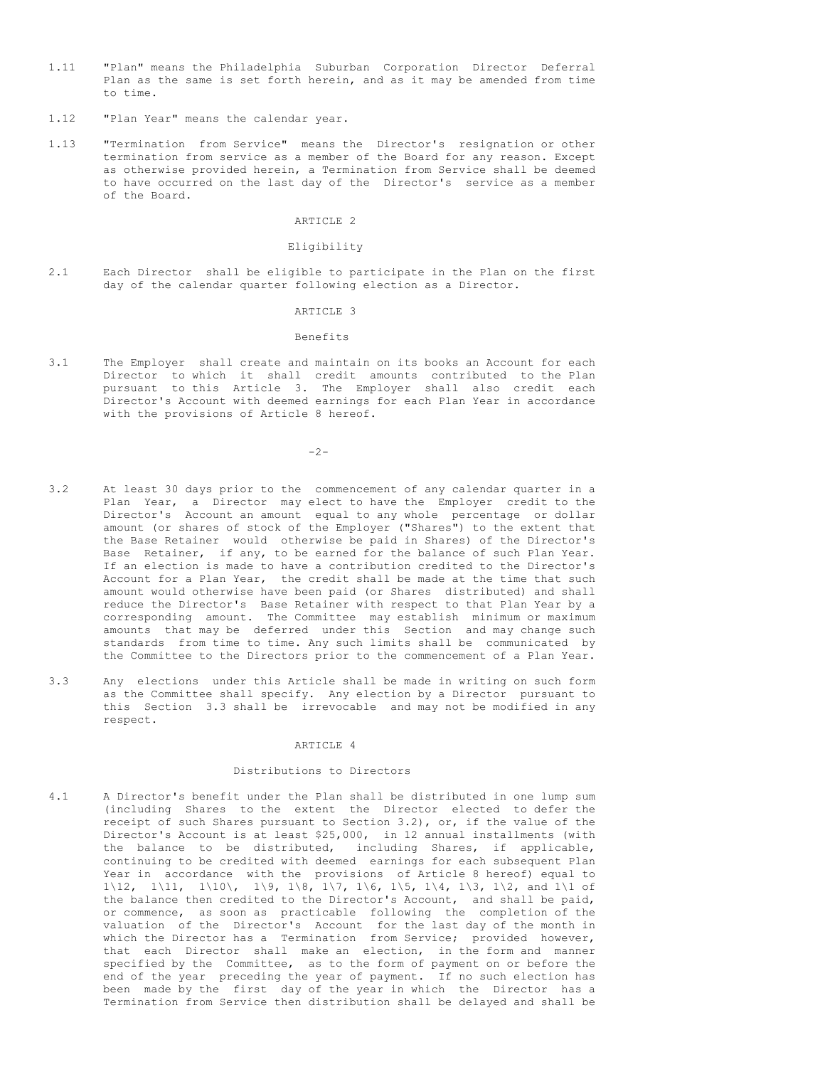- 1.11 "Plan" means the Philadelphia Suburban Corporation Director Deferral Plan as the same is set forth herein, and as it may be amended from time to time.
- 1.12 "Plan Year" means the calendar year.
- 1.13 "Termination from Service" means the Director's resignation or other termination from service as a member of the Board for any reason. Except as otherwise provided herein, a Termination from Service shall be deemed to have occurred on the last day of the Director's service as a member of the Board.

ARTICLE 2

### Eligibility

2.1 Each Director shall be eligible to participate in the Plan on the first day of the calendar quarter following election as a Director.

ARTICLE 3

#### Benefits

3.1 The Employer shall create and maintain on its books an Account for each Director to which it shall credit amounts contributed to the Plan pursuant to this Article 3. The Employer shall also credit each Director's Account with deemed earnings for each Plan Year in accordance with the provisions of Article 8 hereof.

 $-2-$ 

- 3.2 At least 30 days prior to the commencement of any calendar quarter in a Plan Year, a Director may elect to have the Employer credit to the Director's Account an amount equal to any whole percentage or dollar amount (or shares of stock of the Employer ("Shares") to the extent that the Base Retainer would otherwise be paid in Shares) of the Director's Base Retainer, if any, to be earned for the balance of such Plan Year. If an election is made to have a contribution credited to the Director's Account for a Plan Year, the credit shall be made at the time that such amount would otherwise have been paid (or Shares distributed) and shall reduce the Director's Base Retainer with respect to that Plan Year by a corresponding amount. The Committee may establish minimum or maximum amounts that may be deferred under this Section and may change such standards from time to time. Any such limits shall be communicated by the Committee to the Directors prior to the commencement of a Plan Year.
- 3.3 Any elections under this Article shall be made in writing on such form as the Committee shall specify. Any election by a Director pursuant to this Section 3.3 shall be irrevocable and may not be modified in any respect.

#### ARTICLE 4

## Distributions to Directors

4.1 A Director's benefit under the Plan shall be distributed in one lump sum (including Shares to the extent the Director elected to defer the receipt of such Shares pursuant to Section 3.2), or, if the value of the Director's Account is at least \$25,000, in 12 annual installments (with the balance to be distributed, including Shares, if applicable, continuing to be credited with deemed earnings for each subsequent Plan Year in accordance with the provisions of Article 8 hereof) equal to  $1\12$ ,  $1\11$ ,  $1\10$ ,  $1\9$ ,  $1\8$ ,  $1\7$ ,  $1\6$ ,  $1\5$ ,  $1\4$ ,  $1\3$ ,  $1\2$ , and  $1\1$  of the balance then credited to the Director's Account, and shall be paid, or commence, as soon as practicable following the completion of the valuation of the Director's Account for the last day of the month in which the Director has a Termination from Service; provided however, that each Director shall make an election, in the form and manner specified by the Committee, as to the form of payment on or before the end of the year preceding the year of payment. If no such election has been made by the first day of the year in which the Director has a Termination from Service then distribution shall be delayed and shall be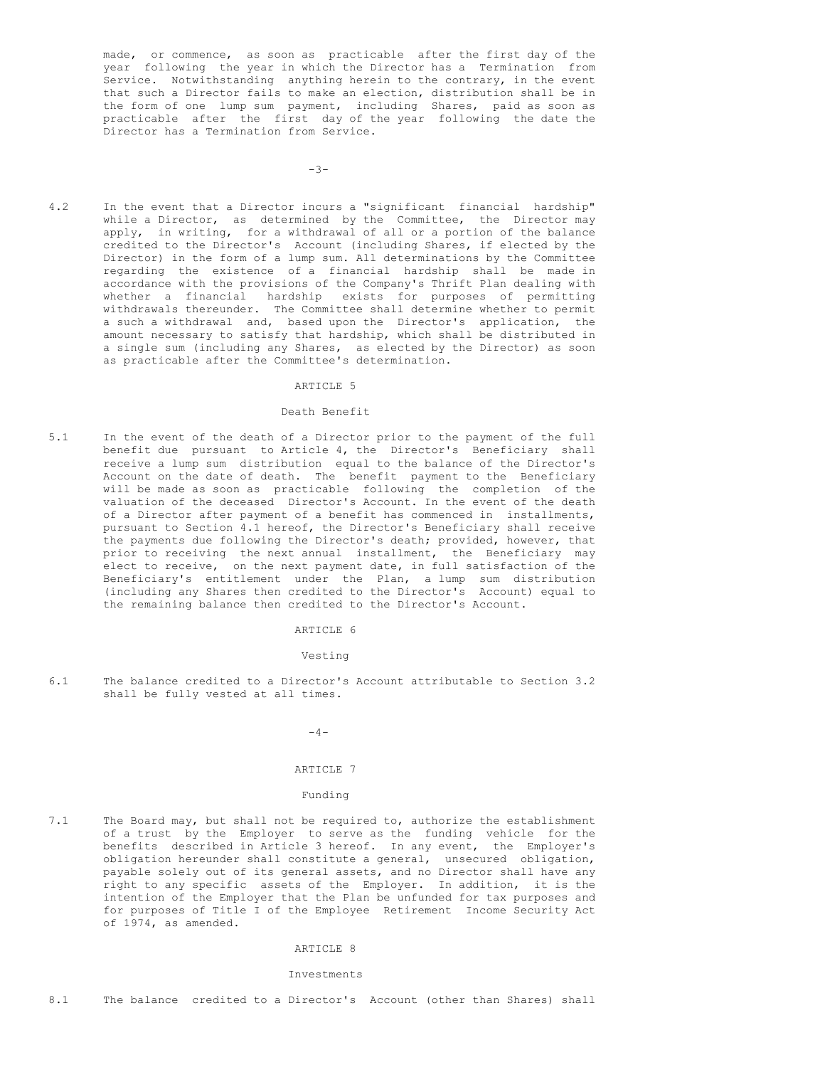made, or commence, as soon as practicable after the first day of the year following the year in which the Director has a Termination from Service. Notwithstanding anything herein to the contrary, in the event that such a Director fails to make an election, distribution shall be in the form of one lump sum payment, including Shares, paid as soon as practicable after the first day of the year following the date the Director has a Termination from Service.

 $-3-$ 

4.2 In the event that a Director incurs a "significant financial hardship" while a Director, as determined by the Committee, the Director may apply, in writing, for a withdrawal of all or a portion of the balance credited to the Director's Account (including Shares, if elected by the Director) in the form of a lump sum. All determinations by the Committee regarding the existence of a financial hardship shall be made in accordance with the provisions of the Company's Thrift Plan dealing with whether a financial hardship exists for purposes of permitting withdrawals thereunder. The Committee shall determine whether to permit a such a withdrawal and, based upon the Director's application, the amount necessary to satisfy that hardship, which shall be distributed in a single sum (including any Shares, as elected by the Director) as soon as practicable after the Committee's determination.

## ARTICLE<sub>5</sub>

#### Death Benefit

5.1 In the event of the death of a Director prior to the payment of the full benefit due pursuant to Article 4, the Director's Beneficiary shall receive a lump sum distribution equal to the balance of the Director's Account on the date of death. The benefit payment to the Beneficiary will be made as soon as practicable following the completion of the valuation of the deceased Director's Account. In the event of the death of a Director after payment of a benefit has commenced in installments, pursuant to Section 4.1 hereof, the Director's Beneficiary shall receive the payments due following the Director's death; provided, however, that prior to receiving the next annual installment, the Beneficiary may elect to receive, on the next payment date, in full satisfaction of the Beneficiary's entitlement under the Plan, a lump sum distribution (including any Shares then credited to the Director's Account) equal to the remaining balance then credited to the Director's Account.

## ARTICLE 6

#### Vesting

6.1 The balance credited to a Director's Account attributable to Section 3.2 shall be fully vested at all times.

 $-4-$ 

# ARTICLE 7

## Funding

7.1 The Board may, but shall not be required to, authorize the establishment of a trust by the Employer to serve as the funding vehicle for the benefits described in Article 3 hereof. In any event, the Employer's obligation hereunder shall constitute a general, unsecured obligation, payable solely out of its general assets, and no Director shall have any right to any specific assets of the Employer. In addition, it is the intention of the Employer that the Plan be unfunded for tax purposes and for purposes of Title I of the Employee Retirement Income Security Act of 1974, as amended.

## ARTICLE 8

#### Investments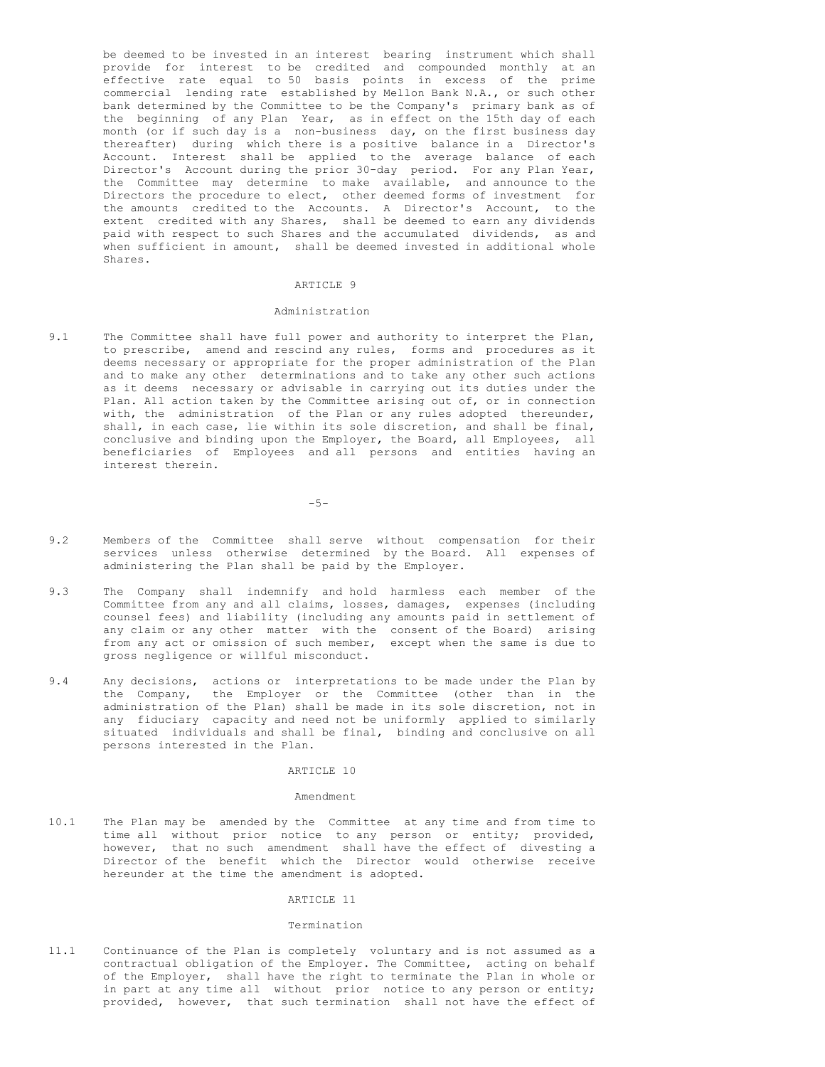be deemed to be invested in an interest bearing instrument which shall provide for interest to be credited and compounded monthly at an effective rate equal to 50 basis points in excess of the prime commercial lending rate established by Mellon Bank N.A., or such other bank determined by the Committee to be the Company's primary bank as of the beginning of any Plan Year, as in effect on the 15th day of each month (or if such day is a non-business day, on the first business day thereafter) during which there is a positive balance in a Director's Account. Interest shall be applied to the average balance of each Director's Account during the prior 30-day period. For any Plan Year, the Committee may determine to make available, and announce to the Directors the procedure to elect, other deemed forms of investment for the amounts credited to the Accounts. A Director's Account, to the extent credited with any Shares, shall be deemed to earn any dividends paid with respect to such Shares and the accumulated dividends, as and when sufficient in amount, shall be deemed invested in additional whole Shares.

## ARTICLE 9

# Administration

9.1 The Committee shall have full power and authority to interpret the Plan, to prescribe, amend and rescind any rules, forms and procedures as it deems necessary or appropriate for the proper administration of the Plan and to make any other determinations and to take any other such actions as it deems necessary or advisable in carrying out its duties under the Plan. All action taken by the Committee arising out of, or in connection with, the administration of the Plan or any rules adopted thereunder, shall, in each case, lie within its sole discretion, and shall be final, conclusive and binding upon the Employer, the Board, all Employees, all beneficiaries of Employees and all persons and entities having an interest therein.

-5-

- 9.2 Members of the Committee shall serve without compensation for their services unless otherwise determined by the Board. All expenses of administering the Plan shall be paid by the Employer.
- 9.3 The Company shall indemnify and hold harmless each member of the Committee from any and all claims, losses, damages, expenses (including counsel fees) and liability (including any amounts paid in settlement of any claim or any other matter with the consent of the Board) arising from any act or omission of such member, except when the same is due to gross negligence or willful misconduct.
- 9.4 Any decisions, actions or interpretations to be made under the Plan by the Company, the Employer or the Committee (other than in the administration of the Plan) shall be made in its sole discretion, not in any fiduciary capacity and need not be uniformly applied to similarly situated individuals and shall be final, binding and conclusive on all persons interested in the Plan.

### ARTICLE 10

#### Amendment

10.1 The Plan may be amended by the Committee at any time and from time to time all without prior notice to any person or entity; provided, however, that no such amendment shall have the effect of divesting a Director of the benefit which the Director would otherwise receive hereunder at the time the amendment is adopted.

#### ARTICLE 11

## Termination

11.1 Continuance of the Plan is completely voluntary and is not assumed as a contractual obligation of the Employer. The Committee, acting on behalf of the Employer, shall have the right to terminate the Plan in whole or in part at any time all without prior notice to any person or entity; provided, however, that such termination shall not have the effect of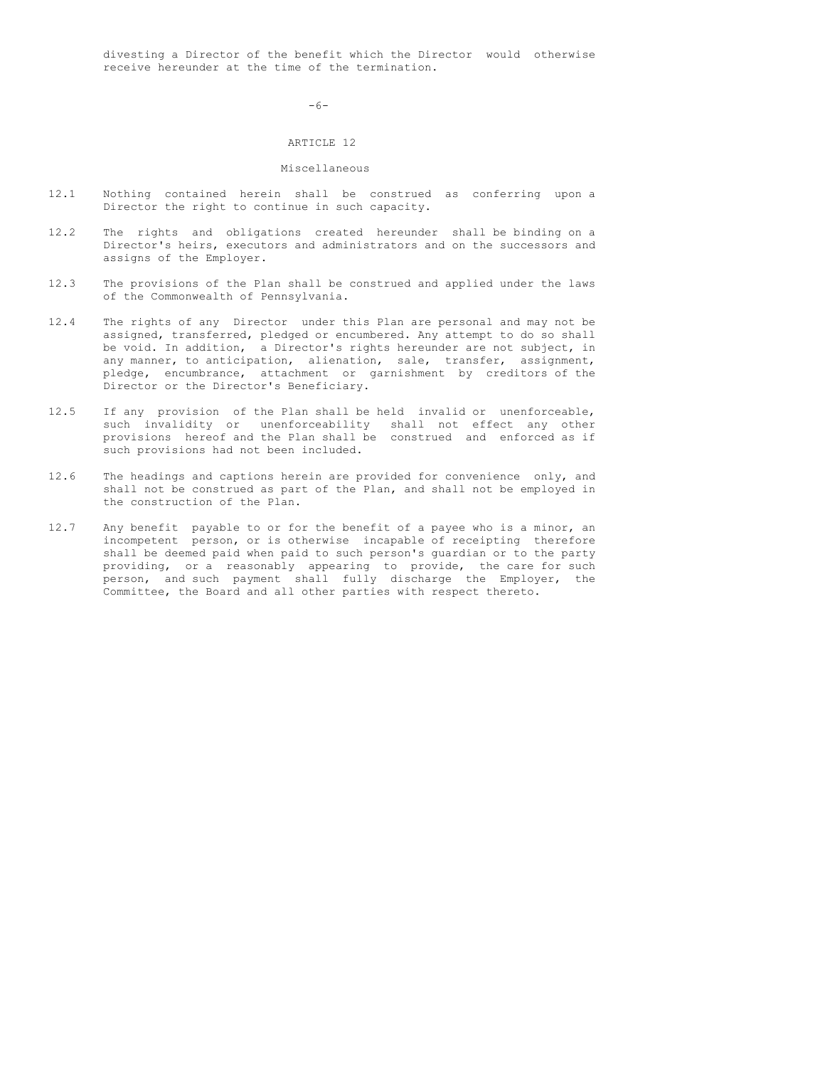divesting a Director of the benefit which the Director would otherwise receive hereunder at the time of the termination.

-6-

# ARTICLE 12

# Miscellaneous

- 12.1 Nothing contained herein shall be construed as conferring upon a Director the right to continue in such capacity.
- 12.2 The rights and obligations created hereunder shall be binding on a Director's heirs, executors and administrators and on the successors and assigns of the Employer.
- 12.3 The provisions of the Plan shall be construed and applied under the laws of the Commonwealth of Pennsylvania.
- 12.4 The rights of any Director under this Plan are personal and may not be assigned, transferred, pledged or encumbered. Any attempt to do so shall be void. In addition, a Director's rights hereunder are not subject, in any manner, to anticipation, alienation, sale, transfer, assignment, pledge, encumbrance, attachment or garnishment by creditors of the Director or the Director's Beneficiary.
- 12.5 If any provision of the Plan shall be held invalid or unenforceable, such invalidity or unenforceability shall not effect any other provisions hereof and the Plan shall be construed and enforced as if such provisions had not been included.
- 12.6 The headings and captions herein are provided for convenience only, and shall not be construed as part of the Plan, and shall not be employed in the construction of the Plan.
- 12.7 Any benefit payable to or for the benefit of a payee who is a minor, an incompetent person, or is otherwise incapable of receipting therefore shall be deemed paid when paid to such person's guardian or to the party providing, or a reasonably appearing to provide, the care for such person, and such payment shall fully discharge the Employer, the Committee, the Board and all other parties with respect thereto.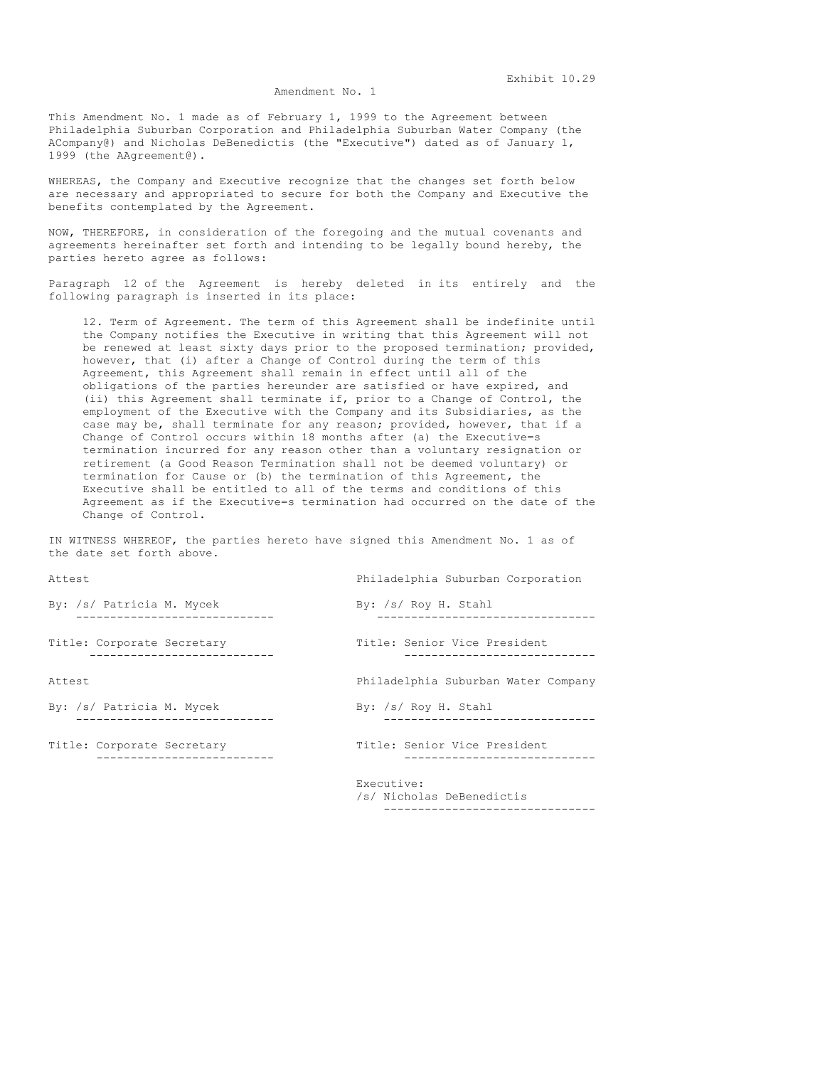This Amendment No. 1 made as of February 1, 1999 to the Agreement between Philadelphia Suburban Corporation and Philadelphia Suburban Water Company (the ACompany@) and Nicholas DeBenedictis (the "Executive") dated as of January 1, 1999 (the AAgreement@).

WHEREAS, the Company and Executive recognize that the changes set forth below are necessary and appropriated to secure for both the Company and Executive the benefits contemplated by the Agreement.

NOW, THEREFORE, in consideration of the foregoing and the mutual covenants and agreements hereinafter set forth and intending to be legally bound hereby, the parties hereto agree as follows:

Paragraph 12 of the Agreement is hereby deleted in its entirely and the following paragraph is inserted in its place:

12. Term of Agreement. The term of this Agreement shall be indefinite until the Company notifies the Executive in writing that this Agreement will not be renewed at least sixty days prior to the proposed termination; provided, however, that (i) after a Change of Control during the term of this Agreement, this Agreement shall remain in effect until all of the obligations of the parties hereunder are satisfied or have expired, and (ii) this Agreement shall terminate if, prior to a Change of Control, the employment of the Executive with the Company and its Subsidiaries, as the case may be, shall terminate for any reason; provided, however, that if a Change of Control occurs within 18 months after (a) the Executive=s termination incurred for any reason other than a voluntary resignation or retirement (a Good Reason Termination shall not be deemed voluntary) or termination for Cause or (b) the termination of this Agreement, the Executive shall be entitled to all of the terms and conditions of this Agreement as if the Executive=s termination had occurred on the date of the Change of Control.

IN WITNESS WHEREOF, the parties hereto have signed this Amendment No. 1 as of the date set forth above.

By: /s/ Patricia M. Mycek By: /s/ Roy H. Stahl

Title: Corporate Secretary Title: Senior Vice President

By: /s/ Patricia M. Mycek By: /s/ Roy H. Stahl

Title: Corporate Secretary Title: Senior Vice President

Attest Philadelphia Suburban Corporation

----------------------------- --------------------------------

--------------------------- ----------------------------

Attest Philadelphia Suburban Water Company

----------------------------- -------------------------------

-------------------------- ----------------------------

Executive: /s/ Nicholas DeBenedictis -------------------------------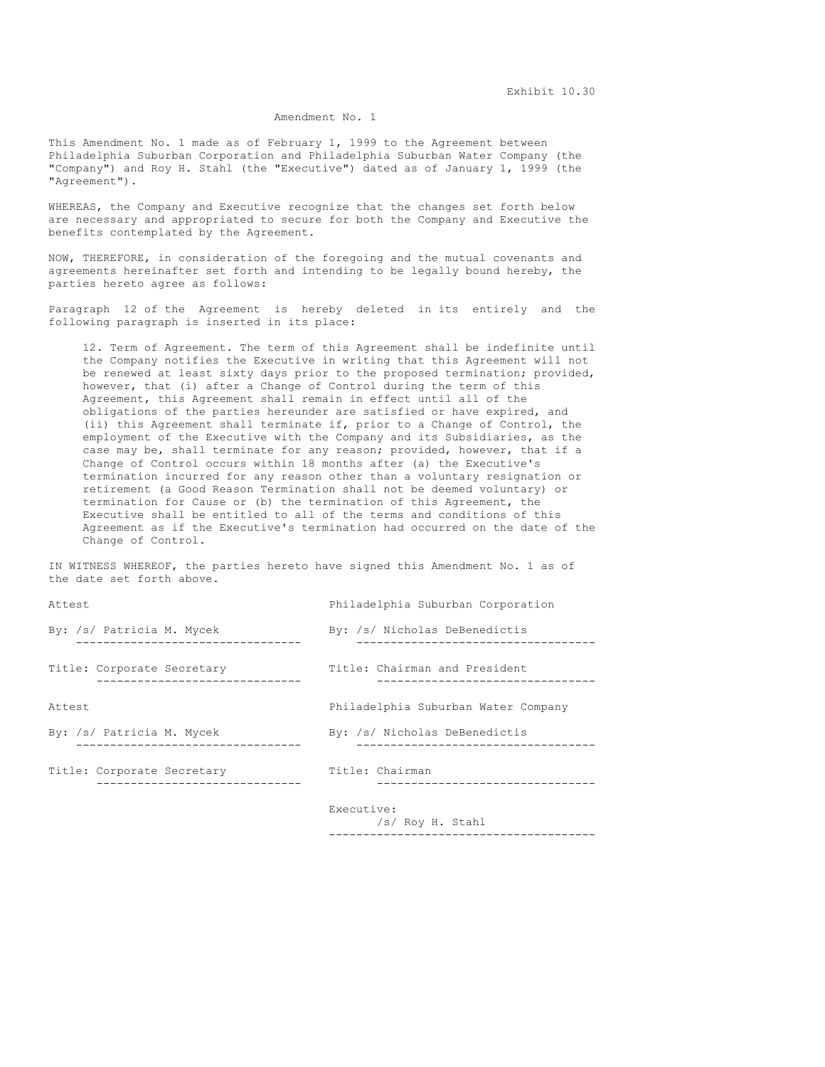This Amendment No. 1 made as of February 1, 1999 to the Agreement between Philadelphia Suburban Corporation and Philadelphia Suburban Water Company (the "Company") and Roy H. Stahl (the "Executive") dated as of January 1, 1999 (the "Agreement").

WHEREAS, the Company and Executive recognize that the changes set forth below are necessary and appropriated to secure for both the Company and Executive the benefits contemplated by the Agreement.

NOW, THEREFORE, in consideration of the foregoing and the mutual covenants and agreements hereinafter set forth and intending to be legally bound hereby, the parties hereto agree as follows:

Paragraph 12 of the Agreement is hereby deleted in its entirely and the following paragraph is inserted in its place:

12. Term of Agreement. The term of this Agreement shall be indefinite until the Company notifies the Executive in writing that this Agreement will not be renewed at least sixty days prior to the proposed termination; provided, however, that (i) after a Change of Control during the term of this Agreement, this Agreement shall remain in effect until all of the obligations of the parties hereunder are satisfied or have expired, and (ii) this Agreement shall terminate if, prior to a Change of Control, the employment of the Executive with the Company and its Subsidiaries, as the case may be, shall terminate for any reason; provided, however, that if a Change of Control occurs within 18 months after (a) the Executive's termination incurred for any reason other than a voluntary resignation or retirement (a Good Reason Termination shall not be deemed voluntary) or termination for Cause or (b) the termination of this Agreement, the Executive shall be entitled to all of the terms and conditions of this Agreement as if the Executive's termination had occurred on the date of the Change of Control.

| Attest                     | Philadelphia Suburban Corporation                 |  |
|----------------------------|---------------------------------------------------|--|
| By: /s/ Patricia M. Mycek  | By: /s/ Nicholas DeBenedictis                     |  |
| Title: Corporate Secretary | Title: Chairman and President                     |  |
| Attest                     | Philadelphia Suburban Water Company               |  |
| By: /s/ Patricia M. Mycek  | By: /s/ Nicholas DeBenedictis                     |  |
| Title: Corporate Secretary | Title: Chairman<br>------------------------------ |  |
|                            | Executive:<br>/s/ Roy H. Stahl                    |  |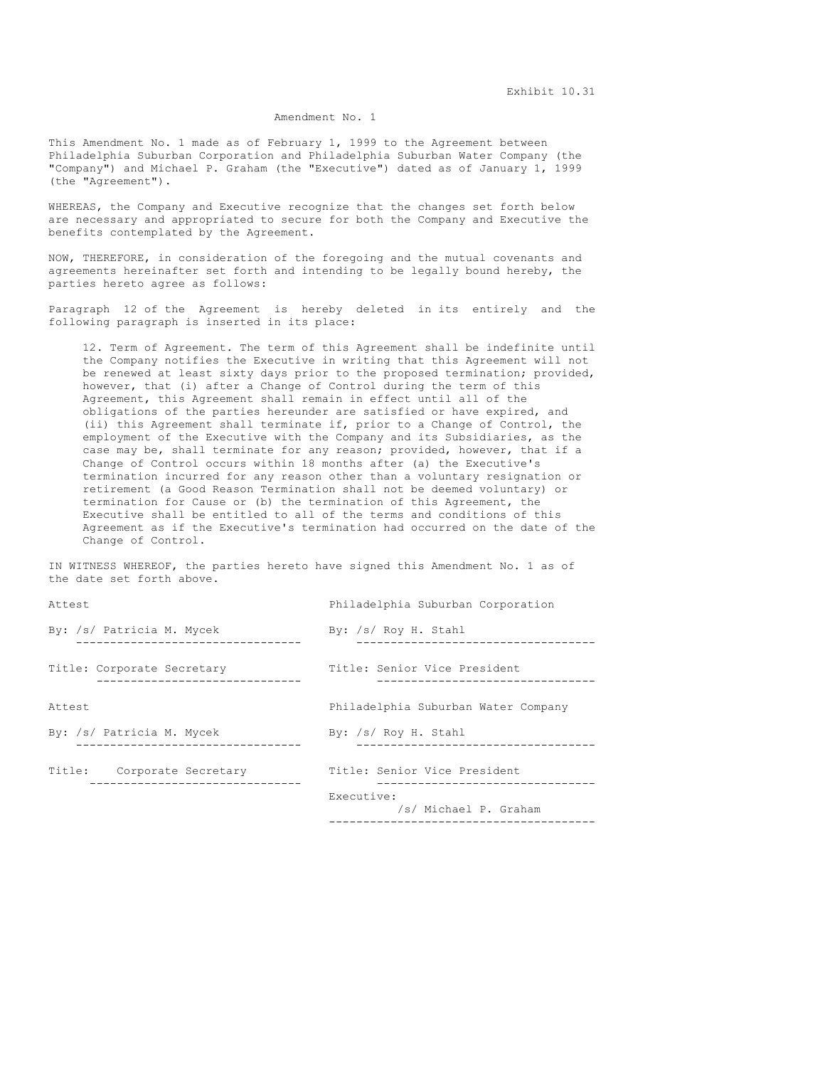This Amendment No. 1 made as of February 1, 1999 to the Agreement between Philadelphia Suburban Corporation and Philadelphia Suburban Water Company (the "Company") and Michael P. Graham (the "Executive") dated as of January 1, 1999 (the "Agreement").

WHEREAS, the Company and Executive recognize that the changes set forth below are necessary and appropriated to secure for both the Company and Executive the benefits contemplated by the Agreement.

NOW, THEREFORE, in consideration of the foregoing and the mutual covenants and agreements hereinafter set forth and intending to be legally bound hereby, the parties hereto agree as follows:

Paragraph 12 of the Agreement is hereby deleted in its entirely and the following paragraph is inserted in its place:

12. Term of Agreement. The term of this Agreement shall be indefinite until the Company notifies the Executive in writing that this Agreement will not be renewed at least sixty days prior to the proposed termination; provided, however, that (i) after a Change of Control during the term of this Agreement, this Agreement shall remain in effect until all of the obligations of the parties hereunder are satisfied or have expired, and (ii) this Agreement shall terminate if, prior to a Change of Control, the employment of the Executive with the Company and its Subsidiaries, as the case may be, shall terminate for any reason; provided, however, that if a Change of Control occurs within 18 months after (a) the Executive's termination incurred for any reason other than a voluntary resignation or retirement (a Good Reason Termination shall not be deemed voluntary) or termination for Cause or (b) the termination of this Agreement, the Executive shall be entitled to all of the terms and conditions of this Agreement as if the Executive's termination had occurred on the date of the Change of Control.

| Attest                     | Philadelphia Suburban Corporation   |
|----------------------------|-------------------------------------|
| By: /s/ Patricia M. Mycek  | By: /s/ Roy H. Stahl                |
| Title: Corporate Secretary | Title: Senior Vice President        |
| Attest                     | Philadelphia Suburban Water Company |
| By: /s/ Patricia M. Mycek  | By: /s/ Roy H. Stahl                |
| Title: Corporate Secretary | Title: Senior Vice President        |
|                            | Executive:<br>/s/ Michael P. Graham |
|                            |                                     |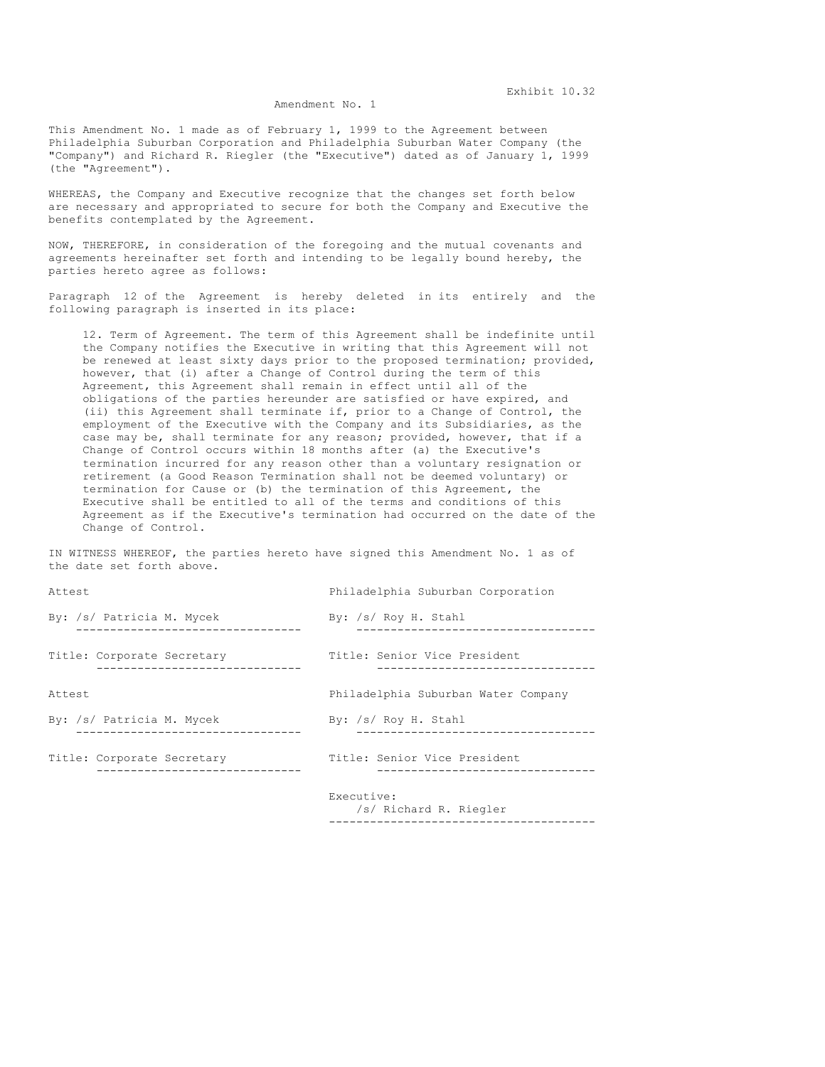This Amendment No. 1 made as of February 1, 1999 to the Agreement between Philadelphia Suburban Corporation and Philadelphia Suburban Water Company (the "Company") and Richard R. Riegler (the "Executive") dated as of January 1, 1999 (the "Agreement").

WHEREAS, the Company and Executive recognize that the changes set forth below are necessary and appropriated to secure for both the Company and Executive the benefits contemplated by the Agreement.

NOW, THEREFORE, in consideration of the foregoing and the mutual covenants and agreements hereinafter set forth and intending to be legally bound hereby, the parties hereto agree as follows:

Paragraph 12 of the Agreement is hereby deleted in its entirely and the following paragraph is inserted in its place:

12. Term of Agreement. The term of this Agreement shall be indefinite until the Company notifies the Executive in writing that this Agreement will not be renewed at least sixty days prior to the proposed termination; provided, however, that (i) after a Change of Control during the term of this Agreement, this Agreement shall remain in effect until all of the obligations of the parties hereunder are satisfied or have expired, and (ii) this Agreement shall terminate if, prior to a Change of Control, the employment of the Executive with the Company and its Subsidiaries, as the case may be, shall terminate for any reason; provided, however, that if a Change of Control occurs within 18 months after (a) the Executive's termination incurred for any reason other than a voluntary resignation or retirement (a Good Reason Termination shall not be deemed voluntary) or termination for Cause or (b) the termination of this Agreement, the Executive shall be entitled to all of the terms and conditions of this Agreement as if the Executive's termination had occurred on the date of the Change of Control.

| Attest                     | Philadelphia Suburban Corporation    |
|----------------------------|--------------------------------------|
| By: /s/ Patricia M. Mycek  | By: $/s/$ Roy H. Stahl               |
| Title: Corporate Secretary | Title: Senior Vice President         |
| Attest                     | Philadelphia Suburban Water Company  |
| By: /s/ Patricia M. Mycek  | By: /s/ Roy H. Stahl                 |
| Title: Corporate Secretary | Title: Senior Vice President         |
|                            | Executive:<br>/s/ Richard R. Riegler |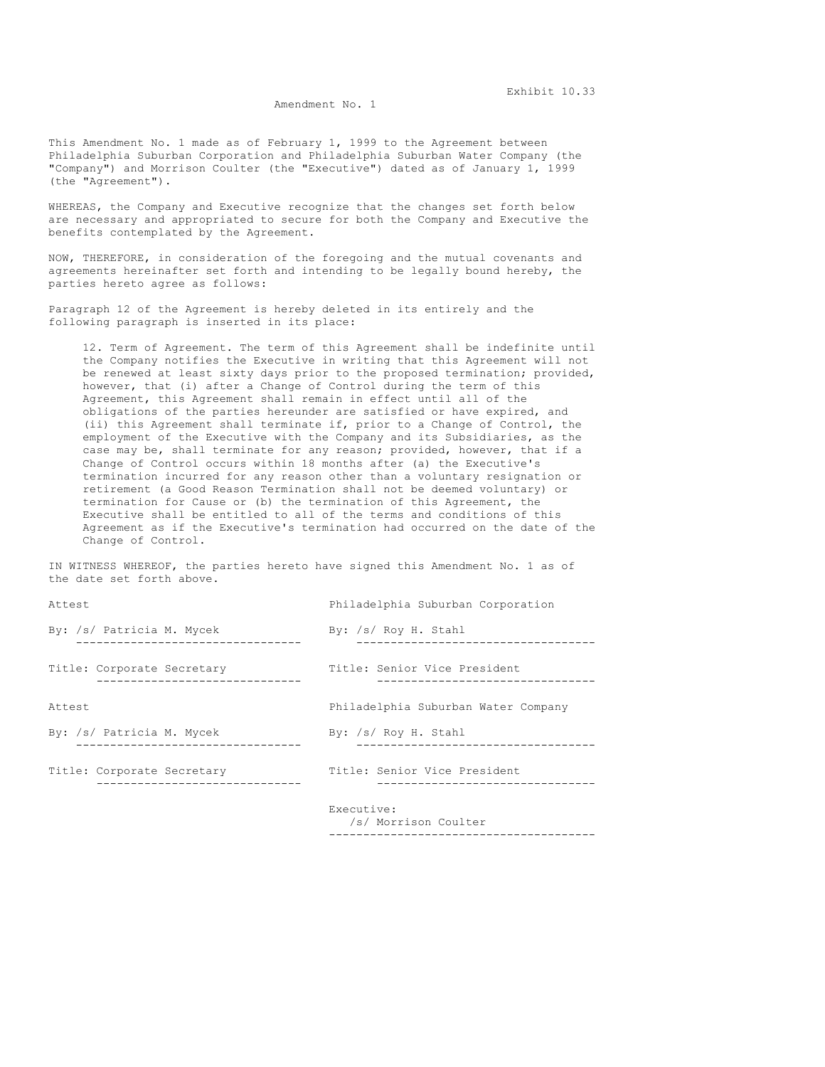This Amendment No. 1 made as of February 1, 1999 to the Agreement between Philadelphia Suburban Corporation and Philadelphia Suburban Water Company (the "Company") and Morrison Coulter (the "Executive") dated as of January 1, 1999 (the "Agreement").

WHEREAS, the Company and Executive recognize that the changes set forth below are necessary and appropriated to secure for both the Company and Executive the benefits contemplated by the Agreement.

NOW, THEREFORE, in consideration of the foregoing and the mutual covenants and agreements hereinafter set forth and intending to be legally bound hereby, the parties hereto agree as follows:

Paragraph 12 of the Agreement is hereby deleted in its entirely and the following paragraph is inserted in its place:

12. Term of Agreement. The term of this Agreement shall be indefinite until the Company notifies the Executive in writing that this Agreement will not be renewed at least sixty days prior to the proposed termination; provided, however, that (i) after a Change of Control during the term of this Agreement, this Agreement shall remain in effect until all of the obligations of the parties hereunder are satisfied or have expired, and (ii) this Agreement shall terminate if, prior to a Change of Control, the employment of the Executive with the Company and its Subsidiaries, as the case may be, shall terminate for any reason; provided, however, that if a Change of Control occurs within 18 months after (a) the Executive's termination incurred for any reason other than a voluntary resignation or retirement (a Good Reason Termination shall not be deemed voluntary) or termination for Cause or (b) the termination of this Agreement, the Executive shall be entitled to all of the terms and conditions of this Agreement as if the Executive's termination had occurred on the date of the Change of Control.

| Attest                     | Philadelphia Suburban Corporation   |
|----------------------------|-------------------------------------|
| By: /s/ Patricia M. Mycek  | By: /s/ Roy H. Stahl                |
| Title: Corporate Secretary | Title: Senior Vice President        |
| Attest                     | Philadelphia Suburban Water Company |
| By: /s/ Patricia M. Mycek  | By: /s/ Roy H. Stahl                |
| Title: Corporate Secretary | Title: Senior Vice President        |
|                            | Executive:<br>/s/ Morrison Coulter  |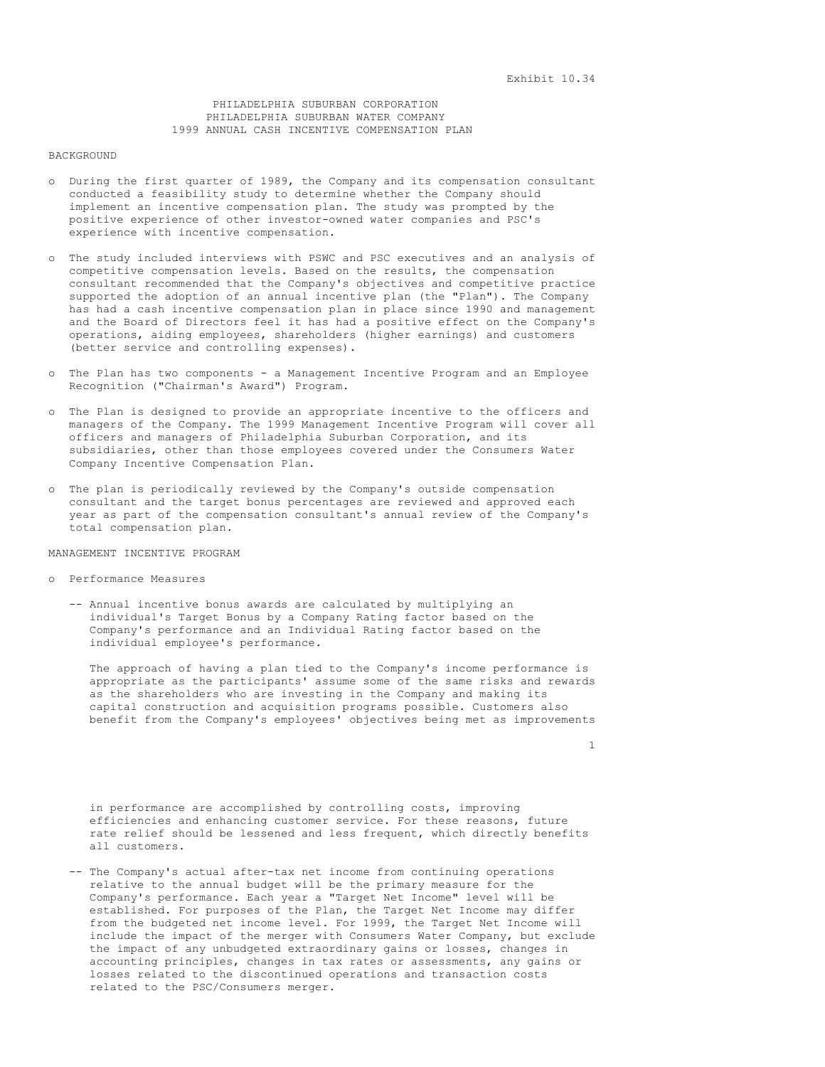# PHILADELPHIA SUBURBAN CORPORATION PHILADELPHIA SUBURBAN WATER COMPANY 1999 ANNUAL CASH INCENTIVE COMPENSATION PLAN

# BACKGROUND

- o During the first quarter of 1989, the Company and its compensation consultant conducted a feasibility study to determine whether the Company should implement an incentive compensation plan. The study was prompted by the positive experience of other investor-owned water companies and PSC's experience with incentive compensation.
- o The study included interviews with PSWC and PSC executives and an analysis of competitive compensation levels. Based on the results, the compensation consultant recommended that the Company's objectives and competitive practice supported the adoption of an annual incentive plan (the "Plan"). The Company has had a cash incentive compensation plan in place since 1990 and management and the Board of Directors feel it has had a positive effect on the Company's operations, aiding employees, shareholders (higher earnings) and customers (better service and controlling expenses).
- o The Plan has two components a Management Incentive Program and an Employee Recognition ("Chairman's Award") Program.
- o The Plan is designed to provide an appropriate incentive to the officers and managers of the Company. The 1999 Management Incentive Program will cover all officers and managers of Philadelphia Suburban Corporation, and its subsidiaries, other than those employees covered under the Consumers Water Company Incentive Compensation Plan.
- o The plan is periodically reviewed by the Company's outside compensation consultant and the target bonus percentages are reviewed and approved each year as part of the compensation consultant's annual review of the Company's total compensation plan.

MANAGEMENT INCENTIVE PROGRAM

- o Performance Measures
	- -- Annual incentive bonus awards are calculated by multiplying an individual's Target Bonus by a Company Rating factor based on the Company's performance and an Individual Rating factor based on the individual employee's performance.

The approach of having a plan tied to the Company's income performance is appropriate as the participants' assume some of the same risks and rewards as the shareholders who are investing in the Company and making its capital construction and acquisition programs possible. Customers also benefit from the Company's employees' objectives being met as improvements

1

in performance are accomplished by controlling costs, improving efficiencies and enhancing customer service. For these reasons, future rate relief should be lessened and less frequent, which directly benefits all customers.

-- The Company's actual after-tax net income from continuing operations relative to the annual budget will be the primary measure for the Company's performance. Each year a "Target Net Income" level will be established. For purposes of the Plan, the Target Net Income may differ from the budgeted net income level. For 1999, the Target Net Income will include the impact of the merger with Consumers Water Company, but exclude the impact of any unbudgeted extraordinary gains or losses, changes in accounting principles, changes in tax rates or assessments, any gains or losses related to the discontinued operations and transaction costs related to the PSC/Consumers merger.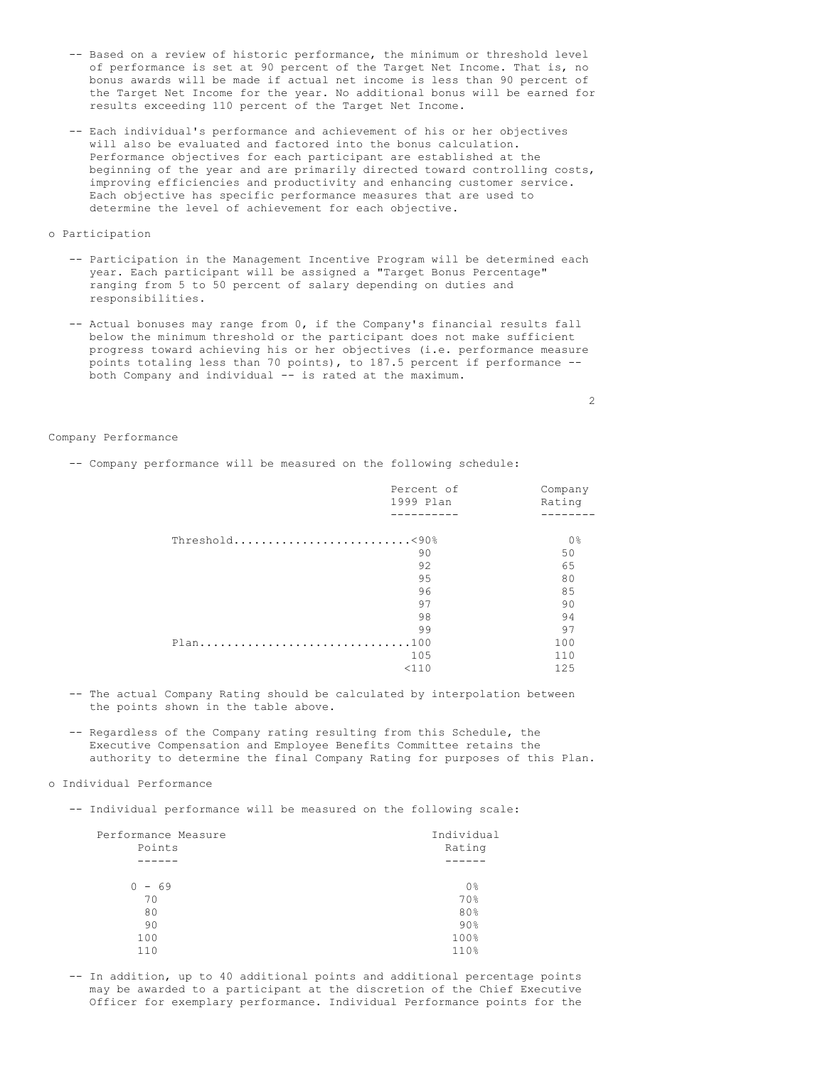- -- Based on a review of historic performance, the minimum or threshold level of performance is set at 90 percent of the Target Net Income. That is, no bonus awards will be made if actual net income is less than 90 percent of the Target Net Income for the year. No additional bonus will be earned for results exceeding 110 percent of the Target Net Income.
- -- Each individual's performance and achievement of his or her objectives will also be evaluated and factored into the bonus calculation. Performance objectives for each participant are established at the beginning of the year and are primarily directed toward controlling costs, improving efficiencies and productivity and enhancing customer service. Each objective has specific performance measures that are used to determine the level of achievement for each objective.
- o Participation
	- -- Participation in the Management Incentive Program will be determined each year. Each participant will be assigned a "Target Bonus Percentage" ranging from 5 to 50 percent of salary depending on duties and responsibilities.
	- -- Actual bonuses may range from 0, if the Company's financial results fall below the minimum threshold or the participant does not make sufficient progress toward achieving his or her objectives (i.e. performance measure points totaling less than 70 points), to 187.5 percent if performance - both Company and individual -- is rated at the maximum.

 $\overline{2}$ 

# Company Performance

-- Company performance will be measured on the following schedule:

|               | Percent of<br>1999 Plan | Company<br>Rating |
|---------------|-------------------------|-------------------|
|               |                         |                   |
| Threshold<90% |                         | 0 <sup>°</sup>    |
|               | 90                      | 50                |
|               | 92                      | 65                |
|               | 95                      | 80                |
|               | 96                      | 85                |
|               | 97                      | 90                |
|               | 98                      | 94                |
|               | 99                      | 97                |
|               |                         | 100               |
|               | 105                     | 110               |
|               | < 110                   | 125               |

-- The actual Company Rating should be calculated by interpolation between the points shown in the table above.

-- Regardless of the Company rating resulting from this Schedule, the Executive Compensation and Employee Benefits Committee retains the authority to determine the final Company Rating for purposes of this Plan.

o Individual Performance

-- Individual performance will be measured on the following scale:

| Performance Measure<br>Points | Individual<br>Rating |
|-------------------------------|----------------------|
|                               |                      |
| $0 - 69$                      | 0 <sup>°</sup>       |
| 70                            | 70%                  |
| 80                            | 80%                  |
| 90                            | 90%                  |
| 100                           | 100%                 |
| 110                           | 110%                 |

-- In addition, up to 40 additional points and additional percentage points may be awarded to a participant at the discretion of the Chief Executive Officer for exemplary performance. Individual Performance points for the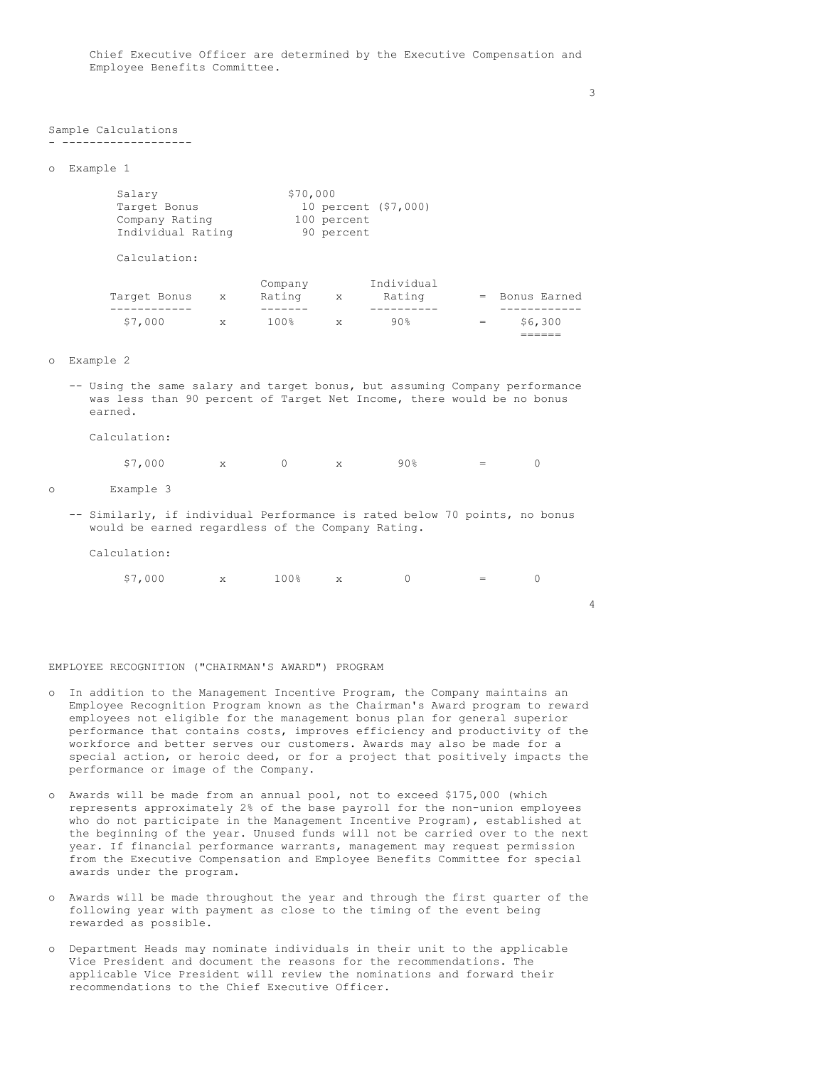Chief Executive Officer are determined by the Executive Compensation and Employee Benefits Committee.

3

## Sample Calculations - -------------------

o Example 1

| Salary            | \$70,000             |
|-------------------|----------------------|
| Target Bonus      | 10 percent (\$7,000) |
| Company Rating    | 100 percent          |
| Individual Rating | 90 percent           |
|                   |                      |
| Calculation:      |                      |

|              |   | Company |   | Individual |     |                |
|--------------|---|---------|---|------------|-----|----------------|
| Target Bonus | X | Rating  | X | Rating     |     | = Bonus Earned |
|              |   |         |   |            |     |                |
| \$7,000      | X | 100%    | X | 90%        | $=$ | \$6,300        |
|              |   |         |   |            |     |                |

## o Example 2

-- Using the same salary and target bonus, but assuming Company performance was less than 90 percent of Target Net Income, there would be no bonus earned.

Calculation:

| \$7,000 |  | $90\%$ |  |
|---------|--|--------|--|
|         |  |        |  |

## o Example 3

-- Similarly, if individual Performance is rated below 70 points, no bonus would be earned regardless of the Company Rating.

Calculation:

| $$7,000$ x $100\%$ x 0 |  |  | $=$ 0 |  |
|------------------------|--|--|-------|--|
|                        |  |  |       |  |

## EMPLOYEE RECOGNITION ("CHAIRMAN'S AWARD") PROGRAM

- In addition to the Management Incentive Program, the Company maintains an Employee Recognition Program known as the Chairman's Award program to reward employees not eligible for the management bonus plan for general superior performance that contains costs, improves efficiency and productivity of the workforce and better serves our customers. Awards may also be made for a special action, or heroic deed, or for a project that positively impacts the performance or image of the Company.
- o Awards will be made from an annual pool, not to exceed \$175,000 (which represents approximately 2% of the base payroll for the non-union employees who do not participate in the Management Incentive Program), established at the beginning of the year. Unused funds will not be carried over to the next year. If financial performance warrants, management may request permission from the Executive Compensation and Employee Benefits Committee for special awards under the program.
- o Awards will be made throughout the year and through the first quarter of the following year with payment as close to the timing of the event being rewarded as possible.
- Department Heads may nominate individuals in their unit to the applicable Vice President and document the reasons for the recommendations. The applicable Vice President will review the nominations and forward their recommendations to the Chief Executive Officer.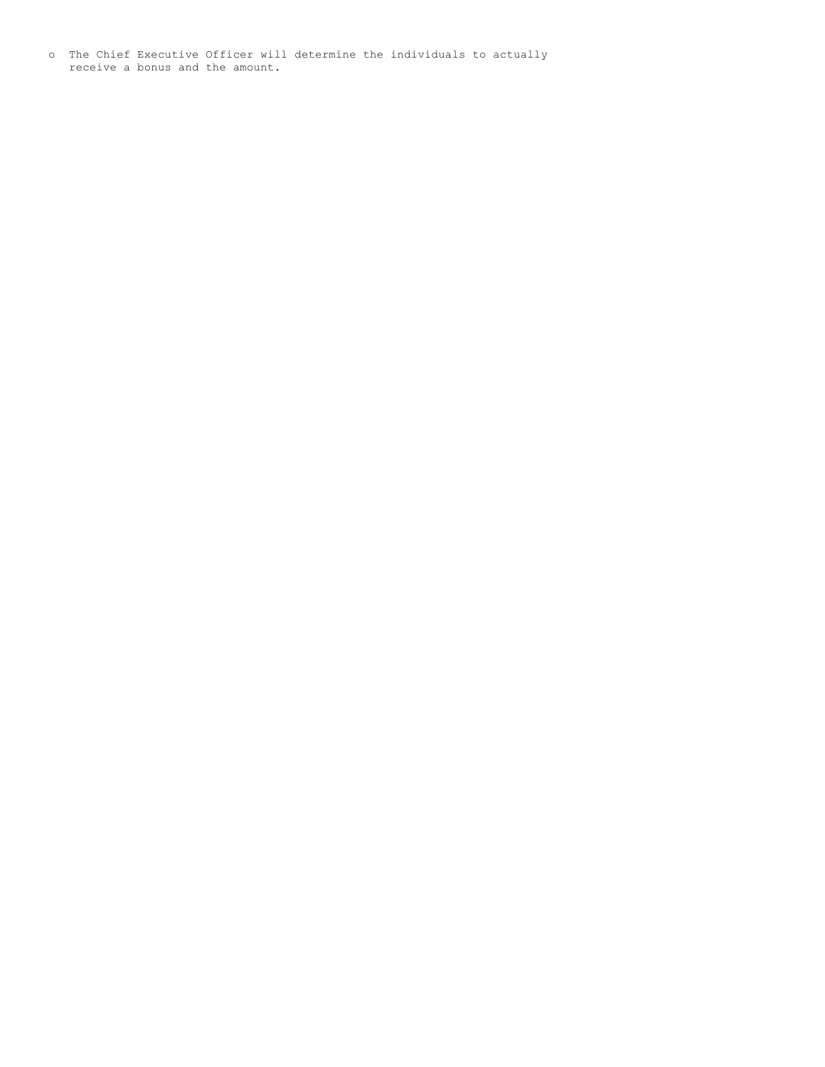o The Chief Executive Officer will determine the individuals to actually receive a bonus and the amount.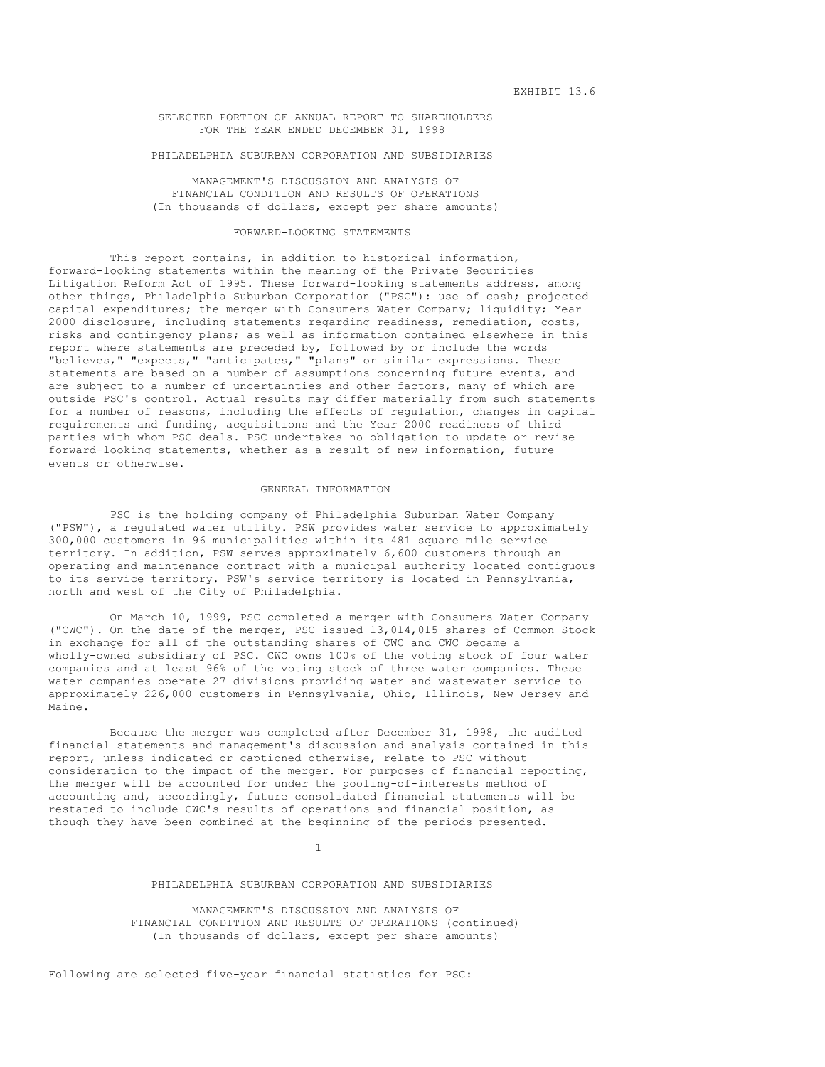SELECTED PORTION OF ANNUAL REPORT TO SHAREHOLDERS FOR THE YEAR ENDED DECEMBER 31, 1998

PHILADELPHIA SUBURBAN CORPORATION AND SUBSIDIARIES

MANAGEMENT'S DISCUSSION AND ANALYSIS OF FINANCIAL CONDITION AND RESULTS OF OPERATIONS (In thousands of dollars, except per share amounts)

## FORWARD-LOOKING STATEMENTS

This report contains, in addition to historical information, forward-looking statements within the meaning of the Private Securities Litigation Reform Act of 1995. These forward-looking statements address, among other things, Philadelphia Suburban Corporation ("PSC"): use of cash; projected capital expenditures; the merger with Consumers Water Company; liquidity; Year 2000 disclosure, including statements regarding readiness, remediation, costs, risks and contingency plans; as well as information contained elsewhere in this report where statements are preceded by, followed by or include the words "believes," "expects," "anticipates," "plans" or similar expressions. These statements are based on a number of assumptions concerning future events, and are subject to a number of uncertainties and other factors, many of which are outside PSC's control. Actual results may differ materially from such statements for a number of reasons, including the effects of regulation, changes in capital requirements and funding, acquisitions and the Year 2000 readiness of third parties with whom PSC deals. PSC undertakes no obligation to update or revise forward-looking statements, whether as a result of new information, future events or otherwise.

## GENERAL INFORMATION

PSC is the holding company of Philadelphia Suburban Water Company ("PSW"), a regulated water utility. PSW provides water service to approximately 300,000 customers in 96 municipalities within its 481 square mile service territory. In addition, PSW serves approximately 6,600 customers through an operating and maintenance contract with a municipal authority located contiguous to its service territory. PSW's service territory is located in Pennsylvania, north and west of the City of Philadelphia.

On March 10, 1999, PSC completed a merger with Consumers Water Company ("CWC"). On the date of the merger, PSC issued 13,014,015 shares of Common Stock in exchange for all of the outstanding shares of CWC and CWC became a wholly-owned subsidiary of PSC. CWC owns 100% of the voting stock of four water companies and at least 96% of the voting stock of three water companies. These water companies operate 27 divisions providing water and wastewater service to approximately 226,000 customers in Pennsylvania, Ohio, Illinois, New Jersey and Maine.

Because the merger was completed after December 31, 1998, the audited financial statements and management's discussion and analysis contained in this report, unless indicated or captioned otherwise, relate to PSC without consideration to the impact of the merger. For purposes of financial reporting, the merger will be accounted for under the pooling-of-interests method of accounting and, accordingly, future consolidated financial statements will be restated to include CWC's results of operations and financial position, as though they have been combined at the beginning of the periods presented.

1

#### PHILADELPHIA SUBURBAN CORPORATION AND SUBSIDIARIES

MANAGEMENT'S DISCUSSION AND ANALYSIS OF FINANCIAL CONDITION AND RESULTS OF OPERATIONS (continued) (In thousands of dollars, except per share amounts)

Following are selected five-year financial statistics for PSC: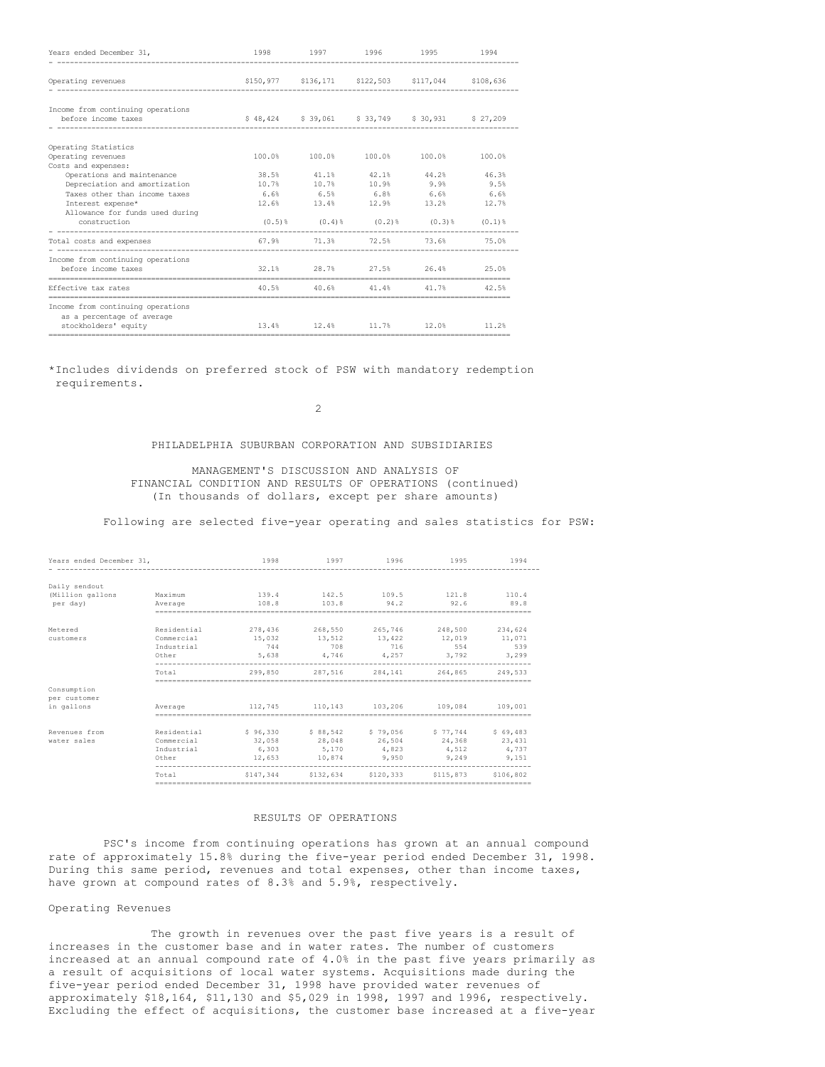| Years ended December 31,                                                                                                                                             | 1998  |               | 1997 1996 1995                                       |                                                                                                                      | 1994                |
|----------------------------------------------------------------------------------------------------------------------------------------------------------------------|-------|---------------|------------------------------------------------------|----------------------------------------------------------------------------------------------------------------------|---------------------|
| Operating revenues                                                                                                                                                   |       |               |                                                      | \$150,977 \$136,171 \$122,503 \$117,044 \$108,636                                                                    |                     |
| Income from continuing operations<br>before income taxes                                                                                                             |       |               |                                                      | \$48,424 \$39,061 \$33,749 \$30,931 \$27,209                                                                         |                     |
| Operating Statistics<br>Operating revenues<br>Costs and expenses:                                                                                                    |       | 100.0% 100.0% |                                                      | 100.0% 100.0%                                                                                                        | 100.0%              |
| Operations and maintenance<br>Depreciation and amortization<br>Taxes other than income taxes<br>Interest expense*<br>Allowance for funds used during<br>construction |       |               | $6.6\%$ $6.5\%$ $6.8\%$ $6.6\%$<br>12.6% 13.4% 12.9% | 38.5% 41.1% 42.1% 44.2% 46.3%<br>$10.7\%$ 10.7% 10.9% 9.9% 9.5%<br>$(0.5)$ % $(0.4)$ % $(0.2)$ % $(0.3)$ % $(0.1)$ % | 6.6%<br>13.2% 12.7% |
| -----------------------------<br>Total costs and expenses                                                                                                            |       |               |                                                      | $67.9\%$ $71.3\%$ $72.5\%$ $73.6\%$ $75.0\%$                                                                         |                     |
| Income from continuing operations<br>before income taxes                                                                                                             |       |               |                                                      | $32.1\%$ 28.7\% 27.5\% 26.4\% 25.0\%                                                                                 |                     |
| Effective tax rates                                                                                                                                                  | 40.5% |               | 40.6% 41.4%                                          |                                                                                                                      | 41.7% 42.5%         |
| Income from continuing operations<br>as a percentage of average<br>stockholders' equity                                                                              |       |               |                                                      | 13.4% 12.4% 11.7% 12.0% 11.2%                                                                                        |                     |

\*Includes dividends on preferred stock of PSW with mandatory redemption requirements.

2

# PHILADELPHIA SUBURBAN CORPORATION AND SUBSIDIARIES

MANAGEMENT'S DISCUSSION AND ANALYSIS OF FINANCIAL CONDITION AND RESULTS OF OPERATIONS (continued) (In thousands of dollars, except per share amounts)

Following are selected five-year operating and sales statistics for PSW:

| Years ended December 31,    |             | 1998                                                         |       | 1997 1996 1995 |                                                   | 1994    |
|-----------------------------|-------------|--------------------------------------------------------------|-------|----------------|---------------------------------------------------|---------|
| Daily sendout               |             |                                                              |       |                |                                                   |         |
| (Million gallons            | Maximum     |                                                              |       |                | 139.4 142.5 109.5 121.8 110.4                     |         |
| per day)                    | Average     | 108.8                                                        | 103.8 |                | 94.2 92.6 89.8                                    |         |
|                             |             |                                                              |       |                |                                                   |         |
| Metered                     | Residential | 278.436 268.550 265.746 248.500                              |       |                |                                                   | 234,624 |
| customers                   | Commercial  | 15.032 13.512 13.422 12.019 11.071                           |       |                |                                                   |         |
|                             | Industrial  | 744                                                          | 708   | 716            | 554 35                                            | 539     |
|                             | Other       |                                                              |       |                | 5,638 4,746 4,257 3,792 3,299                     |         |
|                             | Total       |                                                              |       |                | 299,850 287,516 284,141 264,865 249,533           |         |
|                             |             |                                                              |       |                |                                                   |         |
| Consumption<br>per customer |             |                                                              |       |                |                                                   |         |
| in gallons                  | Average     | 112,745 110,143 103,206 109,084 109,001                      |       |                |                                                   |         |
|                             |             |                                                              |       |                |                                                   |         |
| Revenues from               |             | Residential 5 96,330 \$ 88,542 \$ 79,056 \$ 77,744 \$ 69,483 |       |                |                                                   |         |
| water sales                 | Commercial  |                                                              |       |                | 32,058 28,048 26,504 24,368 23,431                |         |
|                             | Industrial  | $6.303$ $5.170$ $4.823$ $4.512$ $4.737$                      |       |                |                                                   |         |
|                             |             | 0ther 12,653 10,874 9,950 9,249 9,151                        |       |                |                                                   |         |
|                             | Total       |                                                              |       |                | \$147,344 \$132,634 \$120,333 \$115,873 \$106,802 |         |
|                             |             |                                                              |       |                |                                                   |         |

#### RESULTS OF OPERATIONS

PSC's income from continuing operations has grown at an annual compound rate of approximately 15.8% during the five-year period ended December 31, 1998. During this same period, revenues and total expenses, other than income taxes, have grown at compound rates of 8.3% and 5.9%, respectively.

# Operating Revenues

The growth in revenues over the past five years is a result of increases in the customer base and in water rates. The number of customers increased at an annual compound rate of 4.0% in the past five years primarily as a result of acquisitions of local water systems. Acquisitions made during the five-year period ended December 31, 1998 have provided water revenues of approximately \$18,164, \$11,130 and \$5,029 in 1998, 1997 and 1996, respectively. Excluding the effect of acquisitions, the customer base increased at a five-year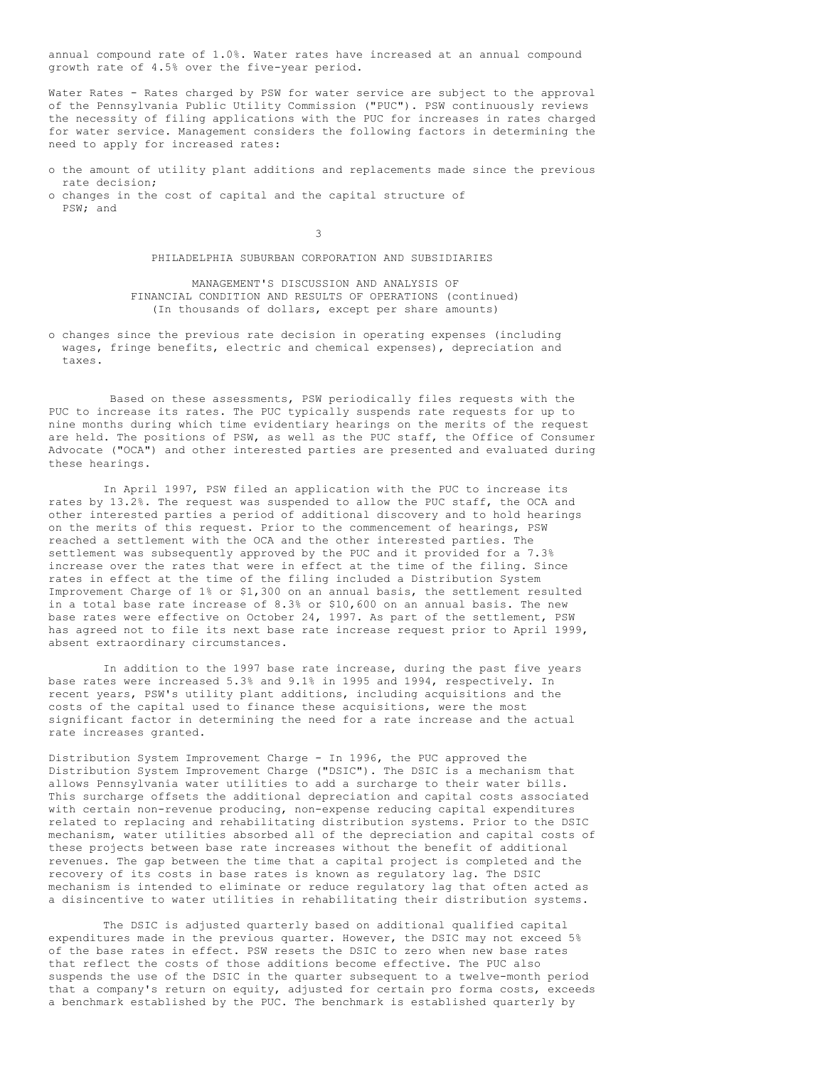annual compound rate of 1.0%. Water rates have increased at an annual compound growth rate of 4.5% over the five-year period.

Water Rates - Rates charged by PSW for water service are subject to the approval of the Pennsylvania Public Utility Commission ("PUC"). PSW continuously reviews the necessity of filing applications with the PUC for increases in rates charged for water service. Management considers the following factors in determining the need to apply for increased rates:

- o the amount of utility plant additions and replacements made since the previous rate decision;
- o changes in the cost of capital and the capital structure of PSW; and

3

# PHILADELPHIA SUBURBAN CORPORATION AND SUBSIDIARIES

MANAGEMENT'S DISCUSSION AND ANALYSIS OF FINANCIAL CONDITION AND RESULTS OF OPERATIONS (continued) (In thousands of dollars, except per share amounts)

o changes since the previous rate decision in operating expenses (including wages, fringe benefits, electric and chemical expenses), depreciation and taxes.

Based on these assessments, PSW periodically files requests with the PUC to increase its rates. The PUC typically suspends rate requests for up to nine months during which time evidentiary hearings on the merits of the request are held. The positions of PSW, as well as the PUC staff, the Office of Consumer Advocate ("OCA") and other interested parties are presented and evaluated during these hearings.

In April 1997, PSW filed an application with the PUC to increase its rates by 13.2%. The request was suspended to allow the PUC staff, the OCA and other interested parties a period of additional discovery and to hold hearings on the merits of this request. Prior to the commencement of hearings, PSW reached a settlement with the OCA and the other interested parties. The settlement was subsequently approved by the PUC and it provided for a 7.3% increase over the rates that were in effect at the time of the filing. Since rates in effect at the time of the filing included a Distribution System Improvement Charge of 1% or \$1,300 on an annual basis, the settlement resulted in a total base rate increase of 8.3% or \$10,600 on an annual basis. The new base rates were effective on October 24, 1997. As part of the settlement, PSW has agreed not to file its next base rate increase request prior to April 1999, absent extraordinary circumstances.

In addition to the 1997 base rate increase, during the past five years base rates were increased 5.3% and 9.1% in 1995 and 1994, respectively. In recent years, PSW's utility plant additions, including acquisitions and the costs of the capital used to finance these acquisitions, were the most significant factor in determining the need for a rate increase and the actual rate increases granted.

Distribution System Improvement Charge - In 1996, the PUC approved the Distribution System Improvement Charge ("DSIC"). The DSIC is a mechanism that allows Pennsylvania water utilities to add a surcharge to their water bills. This surcharge offsets the additional depreciation and capital costs associated with certain non-revenue producing, non-expense reducing capital expenditures related to replacing and rehabilitating distribution systems. Prior to the DSIC mechanism, water utilities absorbed all of the depreciation and capital costs of these projects between base rate increases without the benefit of additional revenues. The gap between the time that a capital project is completed and the recovery of its costs in base rates is known as regulatory lag. The DSIC mechanism is intended to eliminate or reduce regulatory lag that often acted as a disincentive to water utilities in rehabilitating their distribution systems.

The DSIC is adjusted quarterly based on additional qualified capital expenditures made in the previous quarter. However, the DSIC may not exceed 5% of the base rates in effect. PSW resets the DSIC to zero when new base rates that reflect the costs of those additions become effective. The PUC also suspends the use of the DSIC in the quarter subsequent to a twelve-month period that a company's return on equity, adjusted for certain pro forma costs, exceeds a benchmark established by the PUC. The benchmark is established quarterly by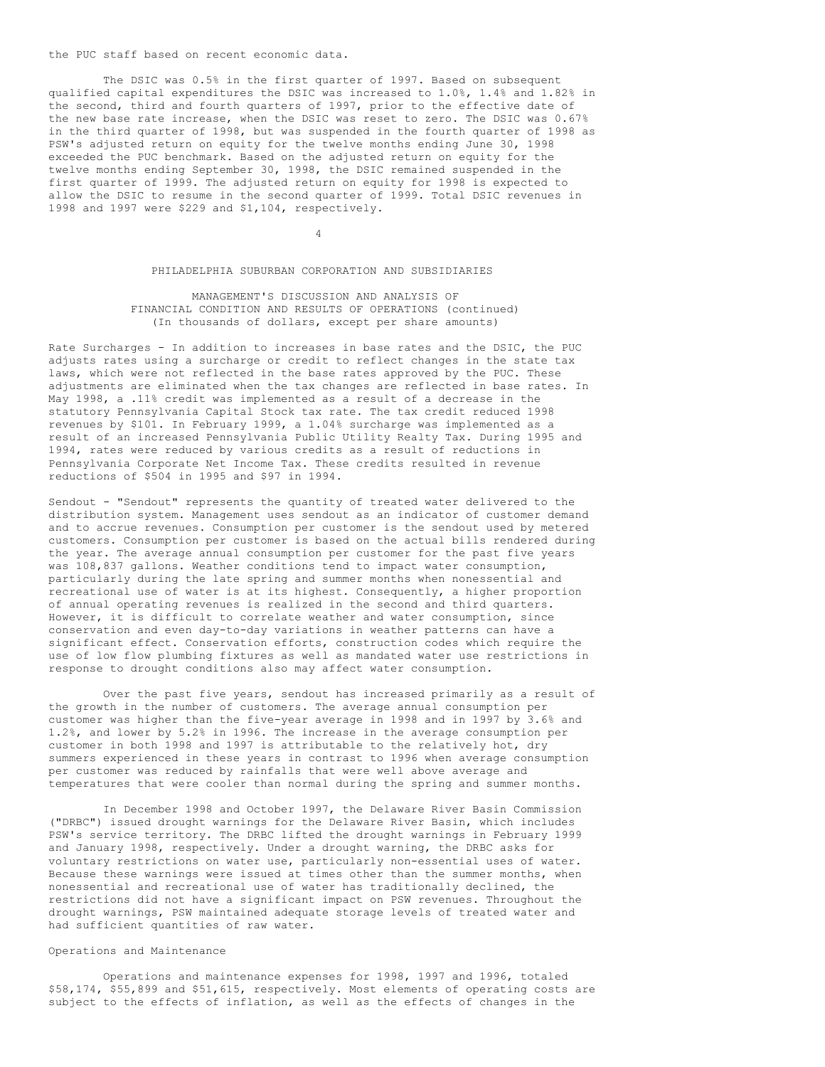the PUC staff based on recent economic data.

The DSIC was 0.5% in the first quarter of 1997. Based on subsequent qualified capital expenditures the DSIC was increased to 1.0%, 1.4% and 1.82% in the second, third and fourth quarters of 1997, prior to the effective date of the new base rate increase, when the DSIC was reset to zero. The DSIC was 0.67% in the third quarter of 1998, but was suspended in the fourth quarter of 1998 as PSW's adjusted return on equity for the twelve months ending June 30, 1998 exceeded the PUC benchmark. Based on the adjusted return on equity for the twelve months ending September 30, 1998, the DSIC remained suspended in the first quarter of 1999. The adjusted return on equity for 1998 is expected to allow the DSIC to resume in the second quarter of 1999. Total DSIC revenues in 1998 and 1997 were \$229 and \$1,104, respectively.

4

## PHILADELPHIA SUBURBAN CORPORATION AND SUBSIDIARIES

MANAGEMENT'S DISCUSSION AND ANALYSIS OF FINANCIAL CONDITION AND RESULTS OF OPERATIONS (continued) (In thousands of dollars, except per share amounts)

Rate Surcharges - In addition to increases in base rates and the DSIC, the PUC adjusts rates using a surcharge or credit to reflect changes in the state tax laws, which were not reflected in the base rates approved by the PUC. These adjustments are eliminated when the tax changes are reflected in base rates. In May 1998, a .11% credit was implemented as a result of a decrease in the statutory Pennsylvania Capital Stock tax rate. The tax credit reduced 1998 revenues by \$101. In February 1999, a 1.04% surcharge was implemented as a result of an increased Pennsylvania Public Utility Realty Tax. During 1995 and 1994, rates were reduced by various credits as a result of reductions in Pennsylvania Corporate Net Income Tax. These credits resulted in revenue reductions of \$504 in 1995 and \$97 in 1994.

Sendout - "Sendout" represents the quantity of treated water delivered to the distribution system. Management uses sendout as an indicator of customer demand and to accrue revenues. Consumption per customer is the sendout used by metered customers. Consumption per customer is based on the actual bills rendered during the year. The average annual consumption per customer for the past five years was 108,837 gallons. Weather conditions tend to impact water consumption, particularly during the late spring and summer months when nonessential and recreational use of water is at its highest. Consequently, a higher proportion of annual operating revenues is realized in the second and third quarters. However, it is difficult to correlate weather and water consumption, since conservation and even day-to-day variations in weather patterns can have a significant effect. Conservation efforts, construction codes which require the use of low flow plumbing fixtures as well as mandated water use restrictions in response to drought conditions also may affect water consumption.

Over the past five years, sendout has increased primarily as a result of the growth in the number of customers. The average annual consumption per customer was higher than the five-year average in 1998 and in 1997 by 3.6% and 1.2%, and lower by 5.2% in 1996. The increase in the average consumption per customer in both 1998 and 1997 is attributable to the relatively hot, dry summers experienced in these years in contrast to 1996 when average consumption per customer was reduced by rainfalls that were well above average and temperatures that were cooler than normal during the spring and summer months.

In December 1998 and October 1997, the Delaware River Basin Commission ("DRBC") issued drought warnings for the Delaware River Basin, which includes PSW's service territory. The DRBC lifted the drought warnings in February 1999 and January 1998, respectively. Under a drought warning, the DRBC asks for voluntary restrictions on water use, particularly non-essential uses of water. Because these warnings were issued at times other than the summer months, when nonessential and recreational use of water has traditionally declined, the restrictions did not have a significant impact on PSW revenues. Throughout the drought warnings, PSW maintained adequate storage levels of treated water and had sufficient quantities of raw water.

## Operations and Maintenance

Operations and maintenance expenses for 1998, 1997 and 1996, totaled \$58,174, \$55,899 and \$51,615, respectively. Most elements of operating costs are subject to the effects of inflation, as well as the effects of changes in the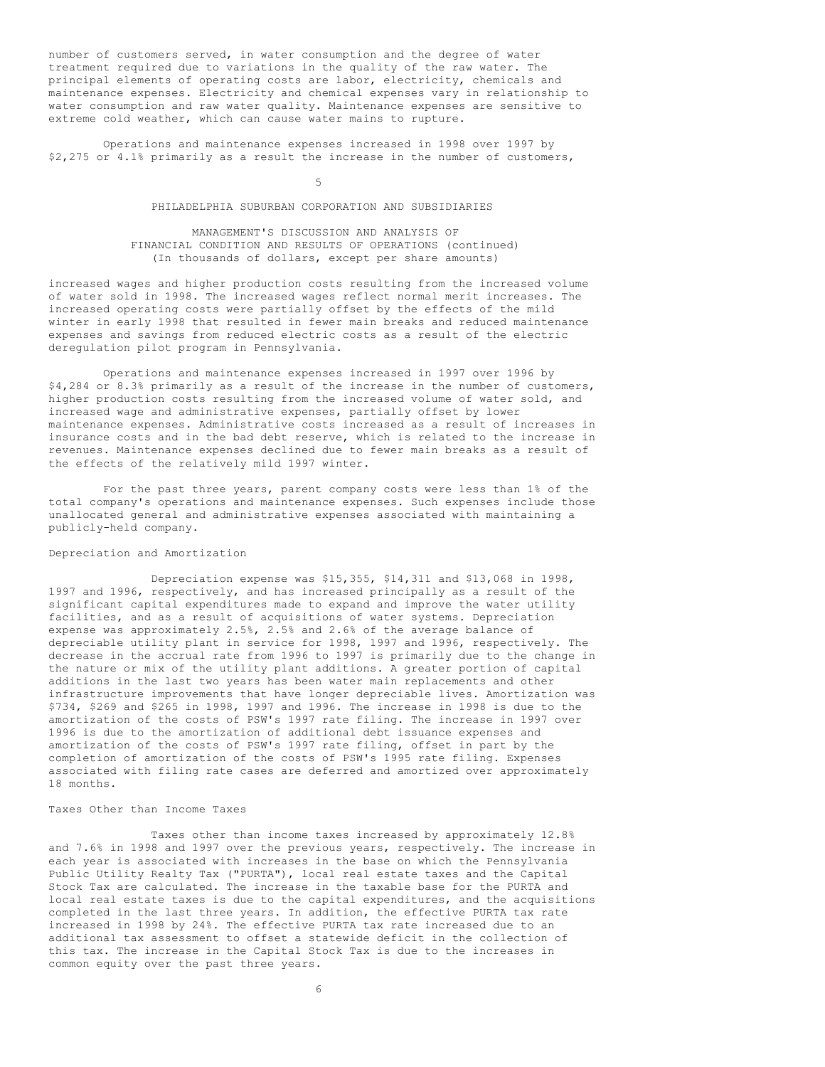number of customers served, in water consumption and the degree of water treatment required due to variations in the quality of the raw water. The principal elements of operating costs are labor, electricity, chemicals and maintenance expenses. Electricity and chemical expenses vary in relationship to water consumption and raw water quality. Maintenance expenses are sensitive to extreme cold weather, which can cause water mains to rupture.

Operations and maintenance expenses increased in 1998 over 1997 by \$2,275 or 4.1% primarily as a result the increase in the number of customers,

5

## PHILADELPHIA SUBURBAN CORPORATION AND SUBSIDIARIES

## MANAGEMENT'S DISCUSSION AND ANALYSIS OF FINANCIAL CONDITION AND RESULTS OF OPERATIONS (continued) (In thousands of dollars, except per share amounts)

increased wages and higher production costs resulting from the increased volume of water sold in 1998. The increased wages reflect normal merit increases. The increased operating costs were partially offset by the effects of the mild winter in early 1998 that resulted in fewer main breaks and reduced maintenance expenses and savings from reduced electric costs as a result of the electric deregulation pilot program in Pennsylvania.

Operations and maintenance expenses increased in 1997 over 1996 by \$4,284 or 8.3% primarily as a result of the increase in the number of customers, higher production costs resulting from the increased volume of water sold, and increased wage and administrative expenses, partially offset by lower maintenance expenses. Administrative costs increased as a result of increases in insurance costs and in the bad debt reserve, which is related to the increase in revenues. Maintenance expenses declined due to fewer main breaks as a result of the effects of the relatively mild 1997 winter.

For the past three years, parent company costs were less than 1% of the total company's operations and maintenance expenses. Such expenses include those unallocated general and administrative expenses associated with maintaining a publicly-held company.

## Depreciation and Amortization

Depreciation expense was \$15,355, \$14,311 and \$13,068 in 1998, 1997 and 1996, respectively, and has increased principally as a result of the significant capital expenditures made to expand and improve the water utility facilities, and as a result of acquisitions of water systems. Depreciation expense was approximately 2.5%, 2.5% and 2.6% of the average balance of depreciable utility plant in service for 1998, 1997 and 1996, respectively. The decrease in the accrual rate from 1996 to 1997 is primarily due to the change in the nature or mix of the utility plant additions. A greater portion of capital additions in the last two years has been water main replacements and other infrastructure improvements that have longer depreciable lives. Amortization was \$734, \$269 and \$265 in 1998, 1997 and 1996. The increase in 1998 is due to the amortization of the costs of PSW's 1997 rate filing. The increase in 1997 over 1996 is due to the amortization of additional debt issuance expenses and amortization of the costs of PSW's 1997 rate filing, offset in part by the completion of amortization of the costs of PSW's 1995 rate filing. Expenses associated with filing rate cases are deferred and amortized over approximately 18 months.

## Taxes Other than Income Taxes

Taxes other than income taxes increased by approximately 12.8% and 7.6% in 1998 and 1997 over the previous years, respectively. The increase in each year is associated with increases in the base on which the Pennsylvania Public Utility Realty Tax ("PURTA"), local real estate taxes and the Capital Stock Tax are calculated. The increase in the taxable base for the PURTA and local real estate taxes is due to the capital expenditures, and the acquisitions completed in the last three years. In addition, the effective PURTA tax rate increased in 1998 by 24%. The effective PURTA tax rate increased due to an additional tax assessment to offset a statewide deficit in the collection of this tax. The increase in the Capital Stock Tax is due to the increases in common equity over the past three years.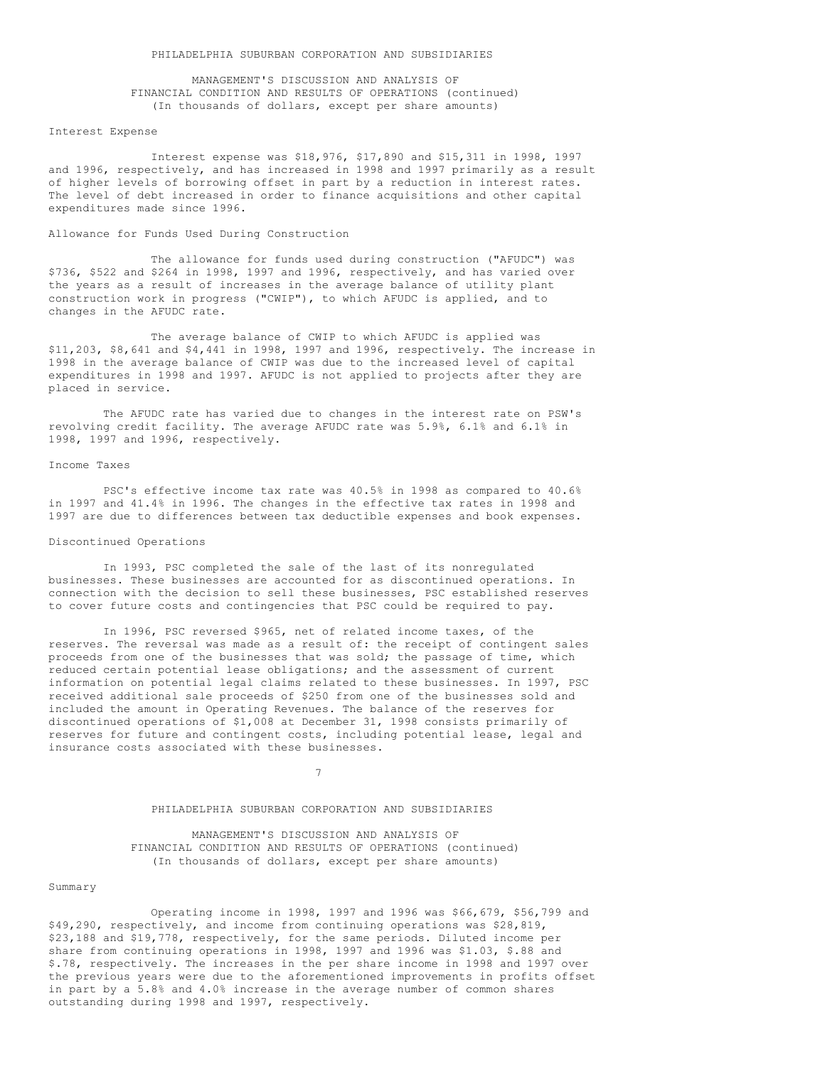MANAGEMENT'S DISCUSSION AND ANALYSIS OF FINANCIAL CONDITION AND RESULTS OF OPERATIONS (continued) (In thousands of dollars, except per share amounts)

## Interest Expense

Interest expense was \$18,976, \$17,890 and \$15,311 in 1998, 1997 and 1996, respectively, and has increased in 1998 and 1997 primarily as a result of higher levels of borrowing offset in part by a reduction in interest rates. The level of debt increased in order to finance acquisitions and other capital expenditures made since 1996.

#### Allowance for Funds Used During Construction

The allowance for funds used during construction ("AFUDC") was \$736, \$522 and \$264 in 1998, 1997 and 1996, respectively, and has varied over the years as a result of increases in the average balance of utility plant construction work in progress ("CWIP"), to which AFUDC is applied, and to changes in the AFUDC rate.

The average balance of CWIP to which AFUDC is applied was \$11,203, \$8,641 and \$4,441 in 1998, 1997 and 1996, respectively. The increase in 1998 in the average balance of CWIP was due to the increased level of capital expenditures in 1998 and 1997. AFUDC is not applied to projects after they are placed in service.

The AFUDC rate has varied due to changes in the interest rate on PSW's revolving credit facility. The average AFUDC rate was 5.9%, 6.1% and 6.1% in 1998, 1997 and 1996, respectively.

## Income Taxes

PSC's effective income tax rate was 40.5% in 1998 as compared to 40.6% in 1997 and 41.4% in 1996. The changes in the effective tax rates in 1998 and 1997 are due to differences between tax deductible expenses and book expenses.

#### Discontinued Operations

In 1993, PSC completed the sale of the last of its nonregulated businesses. These businesses are accounted for as discontinued operations. In connection with the decision to sell these businesses, PSC established reserves to cover future costs and contingencies that PSC could be required to pay.

In 1996, PSC reversed \$965, net of related income taxes, of the reserves. The reversal was made as a result of: the receipt of contingent sales proceeds from one of the businesses that was sold; the passage of time, which reduced certain potential lease obligations; and the assessment of current information on potential legal claims related to these businesses. In 1997, PSC received additional sale proceeds of \$250 from one of the businesses sold and included the amount in Operating Revenues. The balance of the reserves for discontinued operations of \$1,008 at December 31, 1998 consists primarily of reserves for future and contingent costs, including potential lease, legal and insurance costs associated with these businesses.

7

# PHILADELPHIA SUBURBAN CORPORATION AND SUBSIDIARIES

MANAGEMENT'S DISCUSSION AND ANALYSIS OF FINANCIAL CONDITION AND RESULTS OF OPERATIONS (continued) (In thousands of dollars, except per share amounts)

# Summary

Operating income in 1998, 1997 and 1996 was \$66,679, \$56,799 and \$49,290, respectively, and income from continuing operations was \$28,819, \$23,188 and \$19,778, respectively, for the same periods. Diluted income per share from continuing operations in 1998, 1997 and 1996 was \$1.03, \$.88 and \$.78, respectively. The increases in the per share income in 1998 and 1997 over the previous years were due to the aforementioned improvements in profits offset in part by a 5.8% and 4.0% increase in the average number of common shares outstanding during 1998 and 1997, respectively.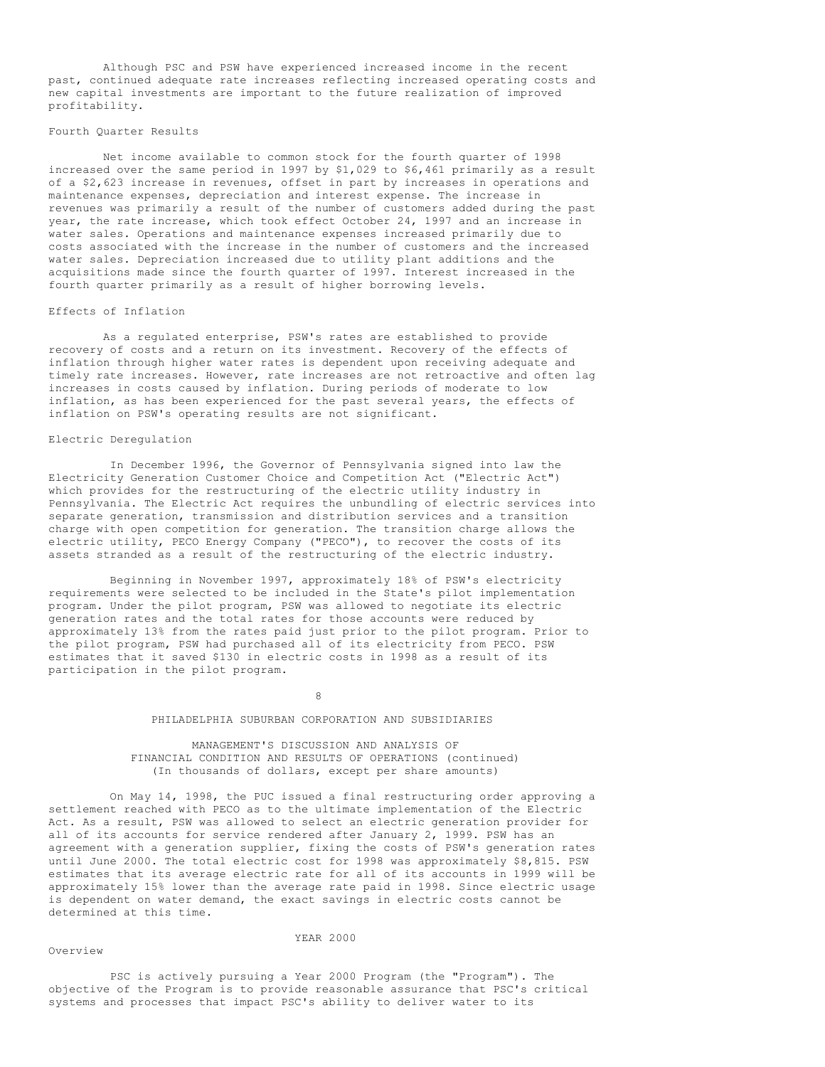Although PSC and PSW have experienced increased income in the recent past, continued adequate rate increases reflecting increased operating costs and new capital investments are important to the future realization of improved profitability.

# Fourth Quarter Results

Net income available to common stock for the fourth quarter of 1998 increased over the same period in 1997 by \$1,029 to \$6,461 primarily as a result of a \$2,623 increase in revenues, offset in part by increases in operations and maintenance expenses, depreciation and interest expense. The increase in revenues was primarily a result of the number of customers added during the past year, the rate increase, which took effect October 24, 1997 and an increase in water sales. Operations and maintenance expenses increased primarily due to costs associated with the increase in the number of customers and the increased water sales. Depreciation increased due to utility plant additions and the acquisitions made since the fourth quarter of 1997. Interest increased in the fourth quarter primarily as a result of higher borrowing levels.

## Effects of Inflation

As a regulated enterprise, PSW's rates are established to provide recovery of costs and a return on its investment. Recovery of the effects of inflation through higher water rates is dependent upon receiving adequate and timely rate increases. However, rate increases are not retroactive and often lag increases in costs caused by inflation. During periods of moderate to low inflation, as has been experienced for the past several years, the effects of inflation on PSW's operating results are not significant.

# Electric Deregulation

In December 1996, the Governor of Pennsylvania signed into law the Electricity Generation Customer Choice and Competition Act ("Electric Act") which provides for the restructuring of the electric utility industry in Pennsylvania. The Electric Act requires the unbundling of electric services into separate generation, transmission and distribution services and a transition charge with open competition for generation. The transition charge allows the electric utility, PECO Energy Company ("PECO"), to recover the costs of its assets stranded as a result of the restructuring of the electric industry.

Beginning in November 1997, approximately 18% of PSW's electricity requirements were selected to be included in the State's pilot implementation program. Under the pilot program, PSW was allowed to negotiate its electric generation rates and the total rates for those accounts were reduced by approximately 13% from the rates paid just prior to the pilot program. Prior to the pilot program, PSW had purchased all of its electricity from PECO. PSW estimates that it saved \$130 in electric costs in 1998 as a result of its participation in the pilot program.

8

# PHILADELPHIA SUBURBAN CORPORATION AND SUBSIDIARIES

# MANAGEMENT'S DISCUSSION AND ANALYSIS OF FINANCIAL CONDITION AND RESULTS OF OPERATIONS (continued) (In thousands of dollars, except per share amounts)

On May 14, 1998, the PUC issued a final restructuring order approving a settlement reached with PECO as to the ultimate implementation of the Electric Act. As a result, PSW was allowed to select an electric generation provider for all of its accounts for service rendered after January 2, 1999. PSW has an agreement with a generation supplier, fixing the costs of PSW's generation rates until June 2000. The total electric cost for 1998 was approximately \$8,815. PSW estimates that its average electric rate for all of its accounts in 1999 will be approximately 15% lower than the average rate paid in 1998. Since electric usage is dependent on water demand, the exact savings in electric costs cannot be determined at this time.

#### Overview

YEAR 2000

PSC is actively pursuing a Year 2000 Program (the "Program"). The objective of the Program is to provide reasonable assurance that PSC's critical systems and processes that impact PSC's ability to deliver water to its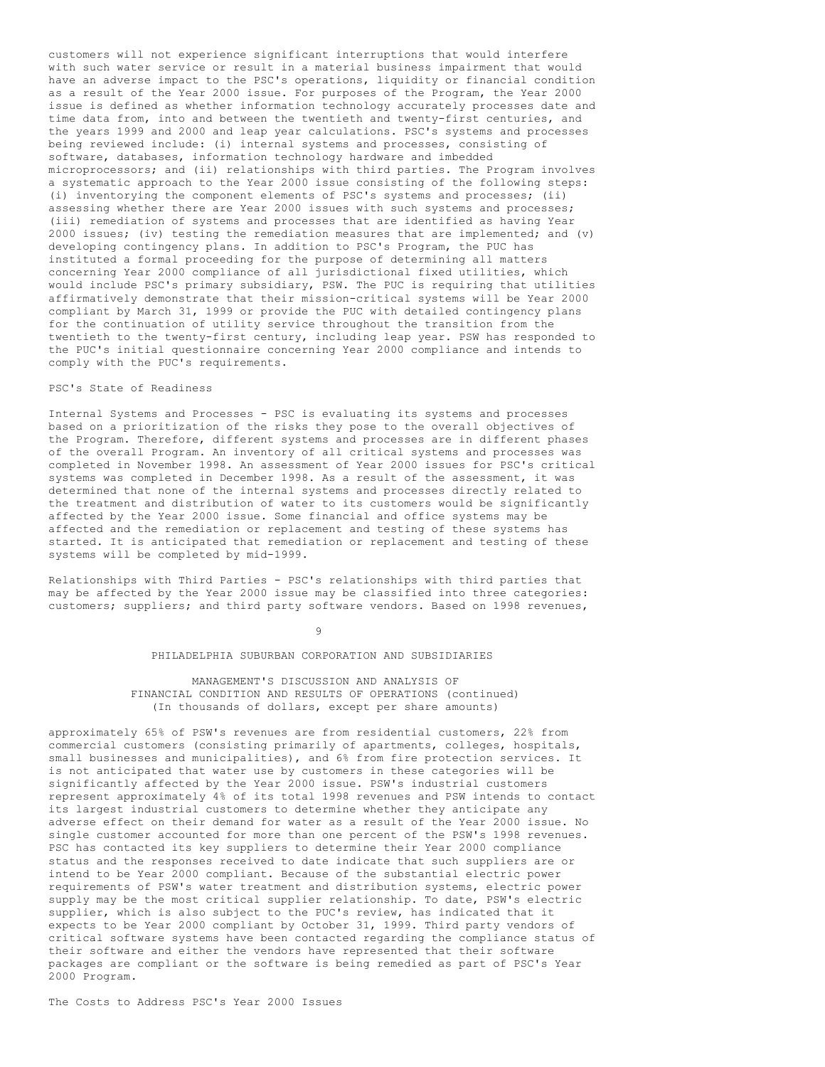customers will not experience significant interruptions that would interfere with such water service or result in a material business impairment that would have an adverse impact to the PSC's operations, liquidity or financial condition as a result of the Year 2000 issue. For purposes of the Program, the Year 2000 issue is defined as whether information technology accurately processes date and time data from, into and between the twentieth and twenty-first centuries, and the years 1999 and 2000 and leap year calculations. PSC's systems and processes being reviewed include: (i) internal systems and processes, consisting of software, databases, information technology hardware and imbedded microprocessors; and (ii) relationships with third parties. The Program involves a systematic approach to the Year 2000 issue consisting of the following steps: (i) inventorying the component elements of PSC's systems and processes; (ii) assessing whether there are Year 2000 issues with such systems and processes; (iii) remediation of systems and processes that are identified as having Year 2000 issues; (iv) testing the remediation measures that are implemented; and (v) developing contingency plans. In addition to PSC's Program, the PUC has instituted a formal proceeding for the purpose of determining all matters concerning Year 2000 compliance of all jurisdictional fixed utilities, which would include PSC's primary subsidiary, PSW. The PUC is requiring that utilities affirmatively demonstrate that their mission-critical systems will be Year 2000 compliant by March 31, 1999 or provide the PUC with detailed contingency plans for the continuation of utility service throughout the transition from the twentieth to the twenty-first century, including leap year. PSW has responded to the PUC's initial questionnaire concerning Year 2000 compliance and intends to comply with the PUC's requirements.

### PSC's State of Readiness

Internal Systems and Processes - PSC is evaluating its systems and processes based on a prioritization of the risks they pose to the overall objectives of the Program. Therefore, different systems and processes are in different phases of the overall Program. An inventory of all critical systems and processes was completed in November 1998. An assessment of Year 2000 issues for PSC's critical systems was completed in December 1998. As a result of the assessment, it was determined that none of the internal systems and processes directly related to the treatment and distribution of water to its customers would be significantly affected by the Year 2000 issue. Some financial and office systems may be affected and the remediation or replacement and testing of these systems has started. It is anticipated that remediation or replacement and testing of these systems will be completed by mid-1999.

Relationships with Third Parties - PSC's relationships with third parties that may be affected by the Year 2000 issue may be classified into three categories: customers; suppliers; and third party software vendors. Based on 1998 revenues,

9

## PHILADELPHIA SUBURBAN CORPORATION AND SUBSIDIARIES

MANAGEMENT'S DISCUSSION AND ANALYSIS OF FINANCIAL CONDITION AND RESULTS OF OPERATIONS (continued) (In thousands of dollars, except per share amounts)

approximately 65% of PSW's revenues are from residential customers, 22% from commercial customers (consisting primarily of apartments, colleges, hospitals, small businesses and municipalities), and 6% from fire protection services. It is not anticipated that water use by customers in these categories will be significantly affected by the Year 2000 issue. PSW's industrial customers represent approximately 4% of its total 1998 revenues and PSW intends to contact its largest industrial customers to determine whether they anticipate any adverse effect on their demand for water as a result of the Year 2000 issue. No single customer accounted for more than one percent of the PSW's 1998 revenues. PSC has contacted its key suppliers to determine their Year 2000 compliance status and the responses received to date indicate that such suppliers are or intend to be Year 2000 compliant. Because of the substantial electric power requirements of PSW's water treatment and distribution systems, electric power supply may be the most critical supplier relationship. To date, PSW's electric supplier, which is also subject to the PUC's review, has indicated that it expects to be Year 2000 compliant by October 31, 1999. Third party vendors of critical software systems have been contacted regarding the compliance status of their software and either the vendors have represented that their software packages are compliant or the software is being remedied as part of PSC's Year 2000 Program.

The Costs to Address PSC's Year 2000 Issues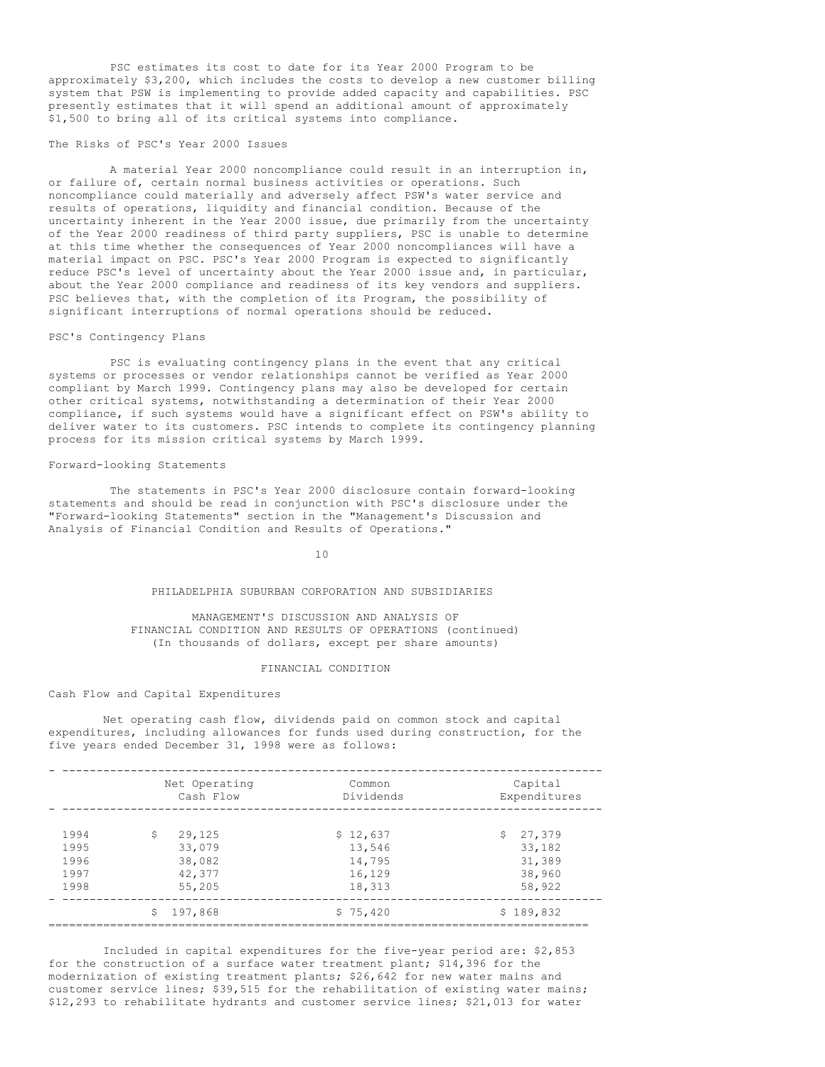PSC estimates its cost to date for its Year 2000 Program to be approximately \$3,200, which includes the costs to develop a new customer billing system that PSW is implementing to provide added capacity and capabilities. PSC presently estimates that it will spend an additional amount of approximately \$1,500 to bring all of its critical systems into compliance.

# The Risks of PSC's Year 2000 Issues

A material Year 2000 noncompliance could result in an interruption in, or failure of, certain normal business activities or operations. Such noncompliance could materially and adversely affect PSW's water service and results of operations, liquidity and financial condition. Because of the uncertainty inherent in the Year 2000 issue, due primarily from the uncertainty of the Year 2000 readiness of third party suppliers, PSC is unable to determine at this time whether the consequences of Year 2000 noncompliances will have a material impact on PSC. PSC's Year 2000 Program is expected to significantly reduce PSC's level of uncertainty about the Year 2000 issue and, in particular, about the Year 2000 compliance and readiness of its key vendors and suppliers. PSC believes that, with the completion of its Program, the possibility of significant interruptions of normal operations should be reduced.

#### PSC's Contingency Plans

PSC is evaluating contingency plans in the event that any critical systems or processes or vendor relationships cannot be verified as Year 2000 compliant by March 1999. Contingency plans may also be developed for certain other critical systems, notwithstanding a determination of their Year 2000 compliance, if such systems would have a significant effect on PSW's ability to deliver water to its customers. PSC intends to complete its contingency planning process for its mission critical systems by March 1999.

## Forward-looking Statements

The statements in PSC's Year 2000 disclosure contain forward-looking statements and should be read in conjunction with PSC's disclosure under the "Forward-looking Statements" section in the "Management's Discussion and Analysis of Financial Condition and Results of Operations."

10

## PHILADELPHIA SUBURBAN CORPORATION AND SUBSIDIARIES

MANAGEMENT'S DISCUSSION AND ANALYSIS OF FINANCIAL CONDITION AND RESULTS OF OPERATIONS (continued) (In thousands of dollars, except per share amounts)

## FINANCIAL CONDITION

## Cash Flow and Capital Expenditures

Net operating cash flow, dividends paid on common stock and capital expenditures, including allowances for funds used during construction, for the five years ended December 31, 1998 were as follows:

|              | Net Operating          | Common             | Capital                |
|--------------|------------------------|--------------------|------------------------|
|              | Cash Flow              | Dividends          | Expenditures           |
| 1994<br>1995 | \$<br>29,125<br>33,079 | \$12,637<br>13,546 | 27,379<br>S.<br>33,182 |
| 1996         | 38,082                 | 14,795             | 31,389                 |
| 1997         | 42,377                 | 16,129             | 38,960                 |
| 1998         | 55,205                 | 18,313             | 58,922                 |
|              | 197,868<br>Ŝ.          | \$75,420           | \$189,832              |

Included in capital expenditures for the five-year period are: \$2,853 for the construction of a surface water treatment plant; \$14,396 for the modernization of existing treatment plants; \$26,642 for new water mains and customer service lines; \$39,515 for the rehabilitation of existing water mains; \$12,293 to rehabilitate hydrants and customer service lines; \$21,013 for water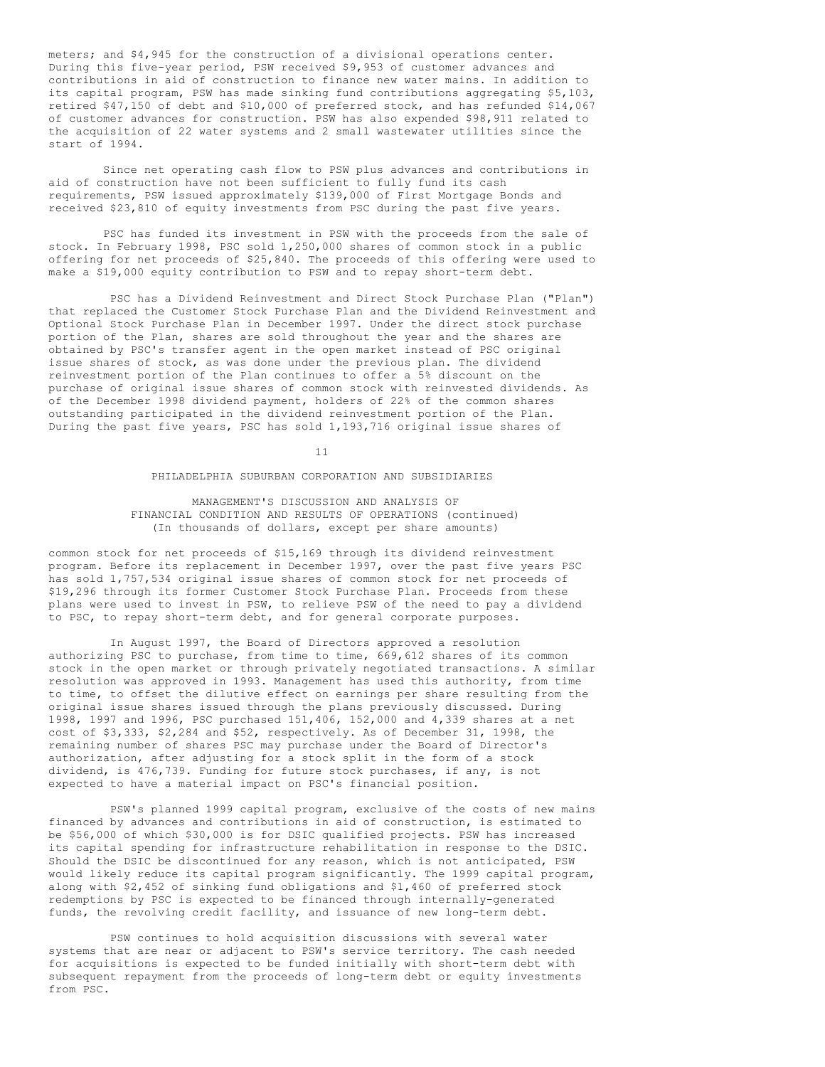meters; and \$4,945 for the construction of a divisional operations center. During this five-year period, PSW received \$9,953 of customer advances and contributions in aid of construction to finance new water mains. In addition to its capital program, PSW has made sinking fund contributions aggregating \$5,103, retired \$47,150 of debt and \$10,000 of preferred stock, and has refunded \$14,067 of customer advances for construction. PSW has also expended \$98,911 related to the acquisition of 22 water systems and 2 small wastewater utilities since the start of 1994.

Since net operating cash flow to PSW plus advances and contributions in aid of construction have not been sufficient to fully fund its cash requirements, PSW issued approximately \$139,000 of First Mortgage Bonds and received \$23,810 of equity investments from PSC during the past five years.

PSC has funded its investment in PSW with the proceeds from the sale of stock. In February 1998, PSC sold 1,250,000 shares of common stock in a public offering for net proceeds of \$25,840. The proceeds of this offering were used to make a \$19,000 equity contribution to PSW and to repay short-term debt.

PSC has a Dividend Reinvestment and Direct Stock Purchase Plan ("Plan") that replaced the Customer Stock Purchase Plan and the Dividend Reinvestment and Optional Stock Purchase Plan in December 1997. Under the direct stock purchase portion of the Plan, shares are sold throughout the year and the shares are obtained by PSC's transfer agent in the open market instead of PSC original issue shares of stock, as was done under the previous plan. The dividend reinvestment portion of the Plan continues to offer a 5% discount on the purchase of original issue shares of common stock with reinvested dividends. As of the December 1998 dividend payment, holders of 22% of the common shares outstanding participated in the dividend reinvestment portion of the Plan. During the past five years, PSC has sold 1,193,716 original issue shares of

11

PHILADELPHIA SUBURBAN CORPORATION AND SUBSIDIARIES

MANAGEMENT'S DISCUSSION AND ANALYSIS OF FINANCIAL CONDITION AND RESULTS OF OPERATIONS (continued) (In thousands of dollars, except per share amounts)

common stock for net proceeds of \$15,169 through its dividend reinvestment program. Before its replacement in December 1997, over the past five years PSC has sold 1,757,534 original issue shares of common stock for net proceeds of \$19,296 through its former Customer Stock Purchase Plan. Proceeds from these plans were used to invest in PSW, to relieve PSW of the need to pay a dividend to PSC, to repay short-term debt, and for general corporate purposes.

In August 1997, the Board of Directors approved a resolution authorizing PSC to purchase, from time to time, 669,612 shares of its common stock in the open market or through privately negotiated transactions. A similar resolution was approved in 1993. Management has used this authority, from time to time, to offset the dilutive effect on earnings per share resulting from the original issue shares issued through the plans previously discussed. During 1998, 1997 and 1996, PSC purchased 151,406, 152,000 and 4,339 shares at a net cost of \$3,333, \$2,284 and \$52, respectively. As of December 31, 1998, the remaining number of shares PSC may purchase under the Board of Director's authorization, after adjusting for a stock split in the form of a stock dividend, is 476,739. Funding for future stock purchases, if any, is not expected to have a material impact on PSC's financial position.

PSW's planned 1999 capital program, exclusive of the costs of new mains financed by advances and contributions in aid of construction, is estimated to be \$56,000 of which \$30,000 is for DSIC qualified projects. PSW has increased its capital spending for infrastructure rehabilitation in response to the DSIC. Should the DSIC be discontinued for any reason, which is not anticipated, PSW would likely reduce its capital program significantly. The 1999 capital program, along with \$2,452 of sinking fund obligations and \$1,460 of preferred stock redemptions by PSC is expected to be financed through internally-generated funds, the revolving credit facility, and issuance of new long-term debt.

PSW continues to hold acquisition discussions with several water systems that are near or adjacent to PSW's service territory. The cash needed for acquisitions is expected to be funded initially with short-term debt with subsequent repayment from the proceeds of long-term debt or equity investments from PSC.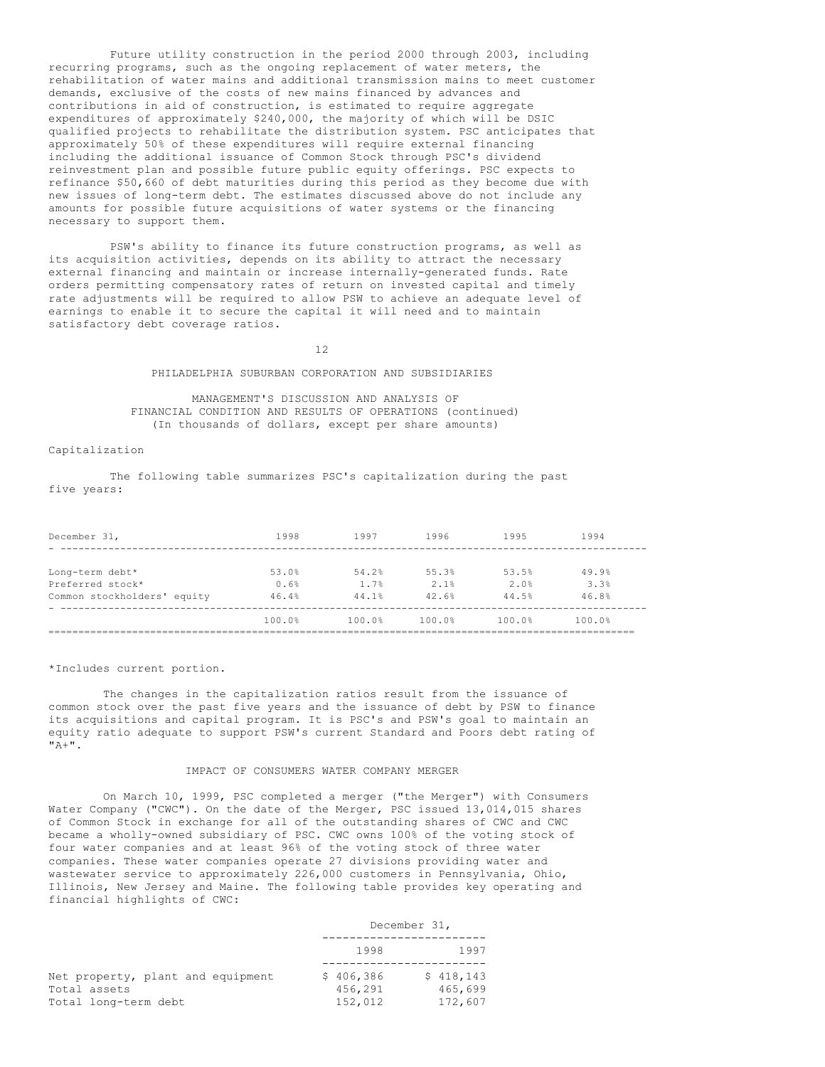Future utility construction in the period 2000 through 2003, including recurring programs, such as the ongoing replacement of water meters, the rehabilitation of water mains and additional transmission mains to meet customer demands, exclusive of the costs of new mains financed by advances and contributions in aid of construction, is estimated to require aggregate expenditures of approximately \$240,000, the majority of which will be DSIC qualified projects to rehabilitate the distribution system. PSC anticipates that approximately 50% of these expenditures will require external financing including the additional issuance of Common Stock through PSC's dividend reinvestment plan and possible future public equity offerings. PSC expects to refinance \$50,660 of debt maturities during this period as they become due with new issues of long-term debt. The estimates discussed above do not include any amounts for possible future acquisitions of water systems or the financing necessary to support them.

PSW's ability to finance its future construction programs, as well as its acquisition activities, depends on its ability to attract the necessary external financing and maintain or increase internally-generated funds. Rate orders permitting compensatory rates of return on invested capital and timely rate adjustments will be required to allow PSW to achieve an adequate level of earnings to enable it to secure the capital it will need and to maintain satisfactory debt coverage ratios.

12

#### PHILADELPHIA SUBURBAN CORPORATION AND SUBSIDIARIES

# MANAGEMENT'S DISCUSSION AND ANALYSIS OF FINANCIAL CONDITION AND RESULTS OF OPERATIONS (continued) (In thousands of dollars, except per share amounts)

# Capitalization

The following table summarizes PSC's capitalization during the past five years:

| December 31,                | 1998   | 1997   | 1996   | 1995   | 1994   |  |
|-----------------------------|--------|--------|--------|--------|--------|--|
|                             |        |        |        |        |        |  |
| Long-term debt*             | 53.0%  | 54.2%  | 55.3%  | 53.5%  | 49.9%  |  |
| Preferred stock*            | 0.6%   | 1.7%   | 2.1%   | 2.0%   | 3.3%   |  |
| Common stockholders' equity | 46.4%  | 44.1%  | 42.6%  | 44.5%  | 46.8%  |  |
|                             | 100.0% | 100.0% | 100.0% | 100.0% | 100.0% |  |
|                             |        |        |        |        |        |  |

#### \*Includes current portion.

The changes in the capitalization ratios result from the issuance of common stock over the past five years and the issuance of debt by PSW to finance its acquisitions and capital program. It is PSC's and PSW's goal to maintain an equity ratio adequate to support PSW's current Standard and Poors debt rating of  $"A+"$ .

### IMPACT OF CONSUMERS WATER COMPANY MERGER

On March 10, 1999, PSC completed a merger ("the Merger") with Consumers Water Company ("CWC"). On the date of the Merger, PSC issued 13,014,015 shares of Common Stock in exchange for all of the outstanding shares of CWC and CWC became a wholly-owned subsidiary of PSC. CWC owns 100% of the voting stock of four water companies and at least 96% of the voting stock of three water companies. These water companies operate 27 divisions providing water and wastewater service to approximately 226,000 customers in Pennsylvania, Ohio, Illinois, New Jersey and Maine. The following table provides key operating and financial highlights of CWC:

December 31,

|                                   | $D$ control $L$ $I$ |           |  |
|-----------------------------------|---------------------|-----------|--|
|                                   |                     |           |  |
|                                   | 1998                | 1997      |  |
|                                   |                     |           |  |
| Net property, plant and equipment | \$406,386           | \$418.143 |  |
| Total assets                      | 456,291             | 465,699   |  |
| Total long-term debt              | 152,012             | 172,607   |  |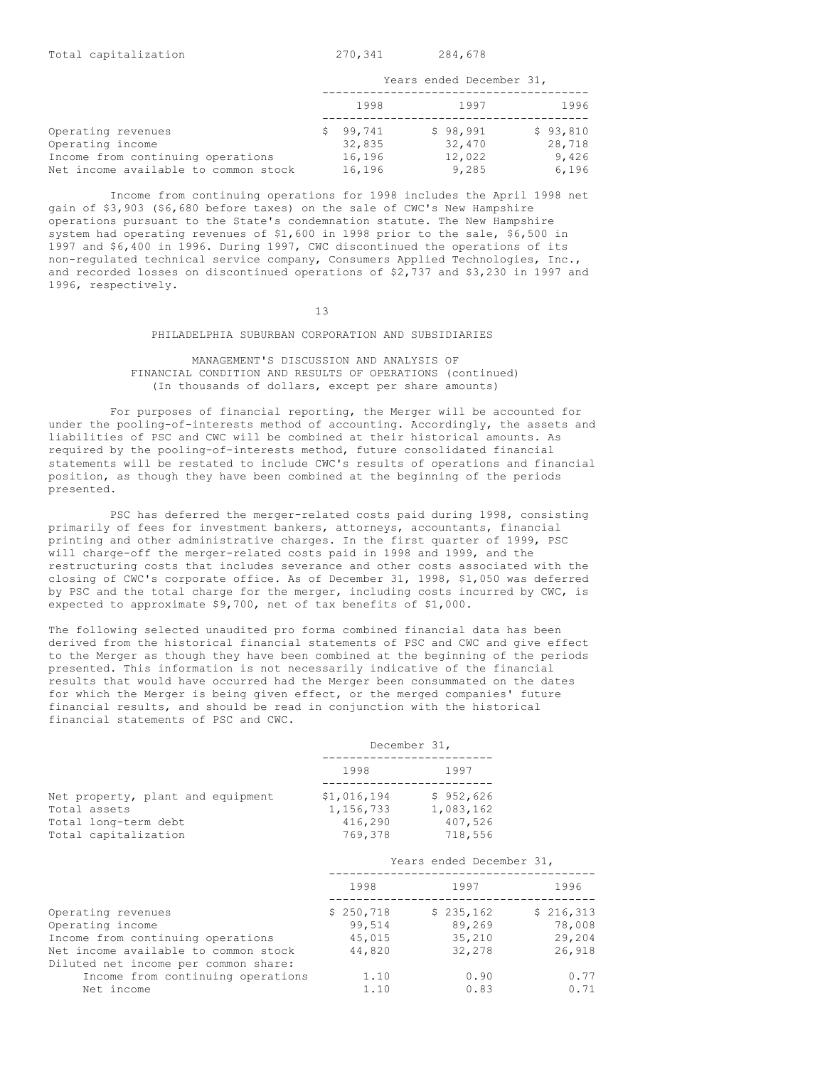|  | Years ended December 31, |  |
|--|--------------------------|--|
|--|--------------------------|--|

|                                      | 1998   | 1997     | 1996     |
|--------------------------------------|--------|----------|----------|
|                                      |        |          |          |
| Operating revenues                   | 99,741 | \$98,991 | \$93,810 |
| Operating income                     | 32,835 | 32,470   | 28,718   |
| Income from continuing operations    | 16,196 | 12,022   | 9,426    |
| Net income available to common stock | 16,196 | 9,285    | 6,196    |

Income from continuing operations for 1998 includes the April 1998 net gain of \$3,903 (\$6,680 before taxes) on the sale of CWC's New Hampshire operations pursuant to the State's condemnation statute. The New Hampshire system had operating revenues of \$1,600 in 1998 prior to the sale, \$6,500 in 1997 and \$6,400 in 1996. During 1997, CWC discontinued the operations of its non-regulated technical service company, Consumers Applied Technologies, Inc., and recorded losses on discontinued operations of \$2,737 and \$3,230 in 1997 and 1996, respectively.

#### 13

# PHILADELPHIA SUBURBAN CORPORATION AND SUBSIDIARIES

## MANAGEMENT'S DISCUSSION AND ANALYSIS OF FINANCIAL CONDITION AND RESULTS OF OPERATIONS (continued) (In thousands of dollars, except per share amounts)

For purposes of financial reporting, the Merger will be accounted for under the pooling-of-interests method of accounting. Accordingly, the assets and liabilities of PSC and CWC will be combined at their historical amounts. As required by the pooling-of-interests method, future consolidated financial statements will be restated to include CWC's results of operations and financial position, as though they have been combined at the beginning of the periods presented.

PSC has deferred the merger-related costs paid during 1998, consisting primarily of fees for investment bankers, attorneys, accountants, financial printing and other administrative charges. In the first quarter of 1999, PSC will charge-off the merger-related costs paid in 1998 and 1999, and the restructuring costs that includes severance and other costs associated with the closing of CWC's corporate office. As of December 31, 1998, \$1,050 was deferred by PSC and the total charge for the merger, including costs incurred by CWC, is expected to approximate \$9,700, net of tax benefits of \$1,000.

The following selected unaudited pro forma combined financial data has been derived from the historical financial statements of PSC and CWC and give effect to the Merger as though they have been combined at the beginning of the periods presented. This information is not necessarily indicative of the financial results that would have occurred had the Merger been consummated on the dates for which the Merger is being given effect, or the merged companies' future financial results, and should be read in conjunction with the historical financial statements of PSC and CWC.

|                                                                                                                                                             | December 31,            |                                                                                     |                  |
|-------------------------------------------------------------------------------------------------------------------------------------------------------------|-------------------------|-------------------------------------------------------------------------------------|------------------|
|                                                                                                                                                             | 1998 1997               |                                                                                     |                  |
| Net property, plant and equipment<br>Total assets<br>Total long-term debt<br>Total capitalization                                                           | $$1,016,194$ $$952,626$ | 1, 156, 733 1, 083, 162<br>416,290 407,526<br>769,378 718,556                       |                  |
|                                                                                                                                                             |                         | Years ended December 31,                                                            |                  |
|                                                                                                                                                             |                         | 1998 1997 1997                                                                      | 1996             |
| Operating revenues<br>Operating income<br>Income from continuing operations<br>Net income available to common stock<br>Diluted net income per common share: | 44,820                  | $$250,718$ $$235,162$ $$216,313$<br>99,514 89,269 78,008<br>45,015 35,210<br>32,278 | 29,204<br>26,918 |
| Income from continuing operations<br>Net income                                                                                                             | 1.10<br>1.10            | 0.90<br>0.83                                                                        | 0.77<br>0.71     |

Net income  $1.10$  0.83 0.71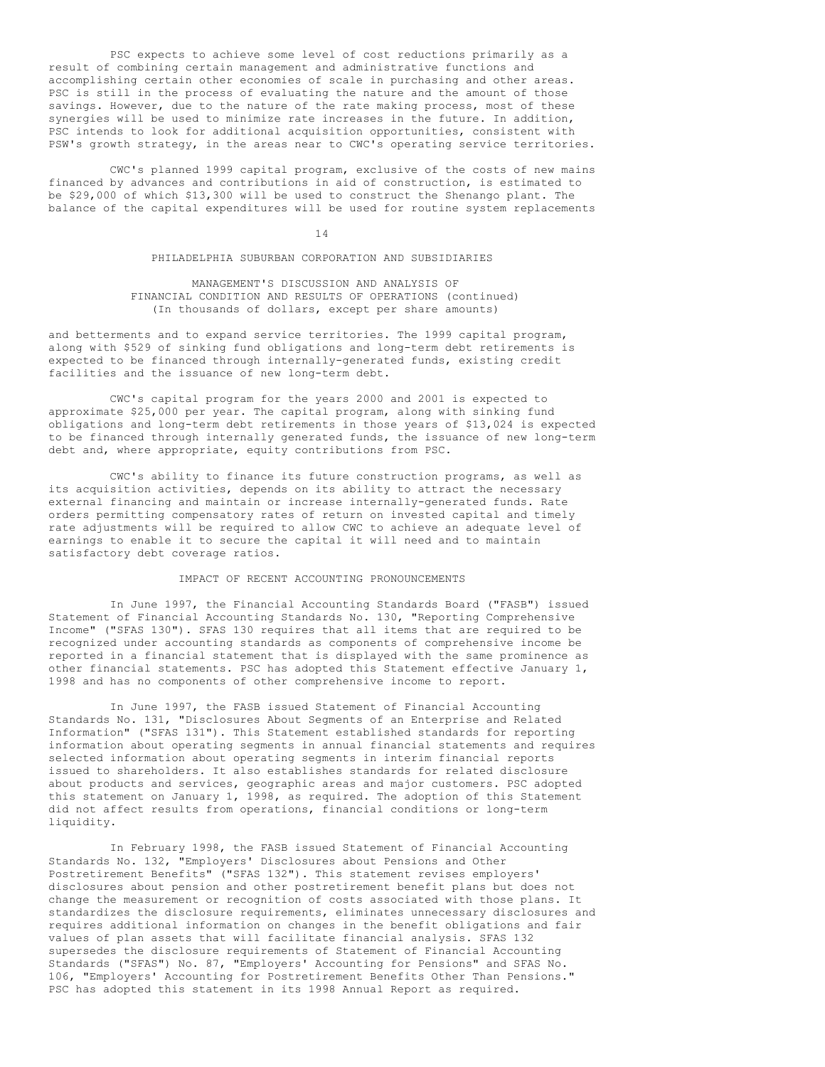PSC expects to achieve some level of cost reductions primarily as a result of combining certain management and administrative functions and accomplishing certain other economies of scale in purchasing and other areas. PSC is still in the process of evaluating the nature and the amount of those savings. However, due to the nature of the rate making process, most of these synergies will be used to minimize rate increases in the future. In addition, PSC intends to look for additional acquisition opportunities, consistent with PSW's growth strategy, in the areas near to CWC's operating service territories.

CWC's planned 1999 capital program, exclusive of the costs of new mains financed by advances and contributions in aid of construction, is estimated to be \$29,000 of which \$13,300 will be used to construct the Shenango plant. The balance of the capital expenditures will be used for routine system replacements

14

## PHILADELPHIA SUBURBAN CORPORATION AND SUBSIDIARIES

## MANAGEMENT'S DISCUSSION AND ANALYSIS OF FINANCIAL CONDITION AND RESULTS OF OPERATIONS (continued) (In thousands of dollars, except per share amounts)

and betterments and to expand service territories. The 1999 capital program, along with \$529 of sinking fund obligations and long-term debt retirements is expected to be financed through internally-generated funds, existing credit facilities and the issuance of new long-term debt.

CWC's capital program for the years 2000 and 2001 is expected to approximate \$25,000 per year. The capital program, along with sinking fund obligations and long-term debt retirements in those years of \$13,024 is expected to be financed through internally generated funds, the issuance of new long-term debt and, where appropriate, equity contributions from PSC.

CWC's ability to finance its future construction programs, as well as its acquisition activities, depends on its ability to attract the necessary external financing and maintain or increase internally-generated funds. Rate orders permitting compensatory rates of return on invested capital and timely rate adjustments will be required to allow CWC to achieve an adequate level of earnings to enable it to secure the capital it will need and to maintain satisfactory debt coverage ratios.

## IMPACT OF RECENT ACCOUNTING PRONOUNCEMENTS

In June 1997, the Financial Accounting Standards Board ("FASB") issued Statement of Financial Accounting Standards No. 130, "Reporting Comprehensive Income" ("SFAS 130"). SFAS 130 requires that all items that are required to be recognized under accounting standards as components of comprehensive income be reported in a financial statement that is displayed with the same prominence as other financial statements. PSC has adopted this Statement effective January 1, 1998 and has no components of other comprehensive income to report.

In June 1997, the FASB issued Statement of Financial Accounting Standards No. 131, "Disclosures About Segments of an Enterprise and Related Information" ("SFAS 131"). This Statement established standards for reporting information about operating segments in annual financial statements and requires selected information about operating segments in interim financial reports issued to shareholders. It also establishes standards for related disclosure about products and services, geographic areas and major customers. PSC adopted this statement on January 1, 1998, as required. The adoption of this Statement did not affect results from operations, financial conditions or long-term liquidity.

In February 1998, the FASB issued Statement of Financial Accounting Standards No. 132, "Employers' Disclosures about Pensions and Other Postretirement Benefits" ("SFAS 132"). This statement revises employers' disclosures about pension and other postretirement benefit plans but does not change the measurement or recognition of costs associated with those plans. It standardizes the disclosure requirements, eliminates unnecessary disclosures and requires additional information on changes in the benefit obligations and fair values of plan assets that will facilitate financial analysis. SFAS 132 supersedes the disclosure requirements of Statement of Financial Accounting Standards ("SFAS") No. 87, "Employers' Accounting for Pensions" and SFAS No. 106, "Employers' Accounting for Postretirement Benefits Other Than Pensions." PSC has adopted this statement in its 1998 Annual Report as required.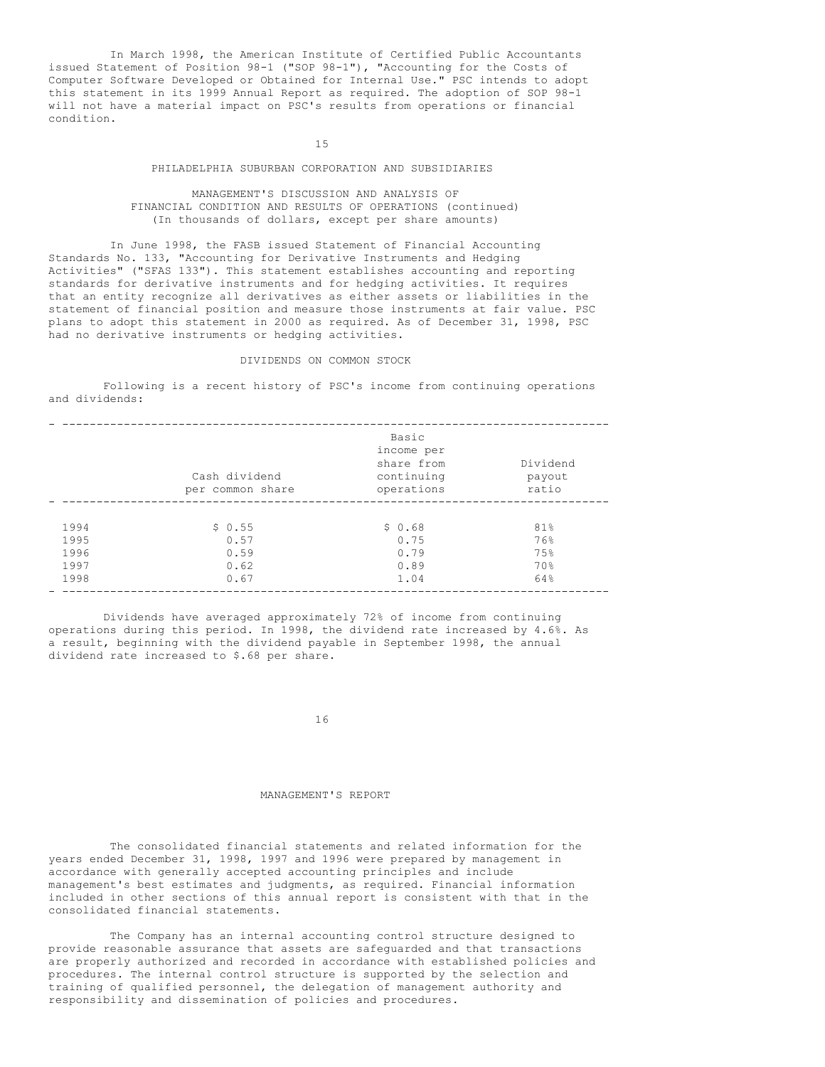In March 1998, the American Institute of Certified Public Accountants issued Statement of Position 98-1 ("SOP 98-1"), "Accounting for the Costs of Computer Software Developed or Obtained for Internal Use." PSC intends to adopt this statement in its 1999 Annual Report as required. The adoption of SOP 98-1 will not have a material impact on PSC's results from operations or financial condition.

15

#### PHILADELPHIA SUBURBAN CORPORATION AND SUBSIDIARIES

# MANAGEMENT'S DISCUSSION AND ANALYSIS OF FINANCIAL CONDITION AND RESULTS OF OPERATIONS (continued) (In thousands of dollars, except per share amounts)

In June 1998, the FASB issued Statement of Financial Accounting Standards No. 133, "Accounting for Derivative Instruments and Hedging Activities" ("SFAS 133"). This statement establishes accounting and reporting standards for derivative instruments and for hedging activities. It requires that an entity recognize all derivatives as either assets or liabilities in the statement of financial position and measure those instruments at fair value. PSC plans to adopt this statement in 2000 as required. As of December 31, 1998, PSC had no derivative instruments or hedging activities.

# DIVIDENDS ON COMMON STOCK

Following is a recent history of PSC's income from continuing operations and dividends:

|      | Cash dividend<br>per common share | Basic<br>income per<br>share from<br>continuing<br>operations | Dividend<br>payout<br>ratio |
|------|-----------------------------------|---------------------------------------------------------------|-----------------------------|
|      |                                   |                                                               |                             |
| 1994 | \$0.55                            | \$0.68                                                        | 81%                         |
| 1995 | 0.57                              | 0.75                                                          | 76%                         |
| 1996 | 0.59                              | 0.79                                                          | 75%                         |
| 1997 | 0.62                              | 0.89                                                          | 70%                         |
| 1998 | 0.67                              | 1.04                                                          | 64%                         |
|      |                                   |                                                               |                             |

Dividends have averaged approximately 72% of income from continuing operations during this period. In 1998, the dividend rate increased by 4.6%. As a result, beginning with the dividend payable in September 1998, the annual dividend rate increased to \$.68 per share.

16

## MANAGEMENT'S REPORT

The consolidated financial statements and related information for the years ended December 31, 1998, 1997 and 1996 were prepared by management in accordance with generally accepted accounting principles and include management's best estimates and judgments, as required. Financial information included in other sections of this annual report is consistent with that in the consolidated financial statements.

The Company has an internal accounting control structure designed to provide reasonable assurance that assets are safeguarded and that transactions are properly authorized and recorded in accordance with established policies and procedures. The internal control structure is supported by the selection and training of qualified personnel, the delegation of management authority and responsibility and dissemination of policies and procedures.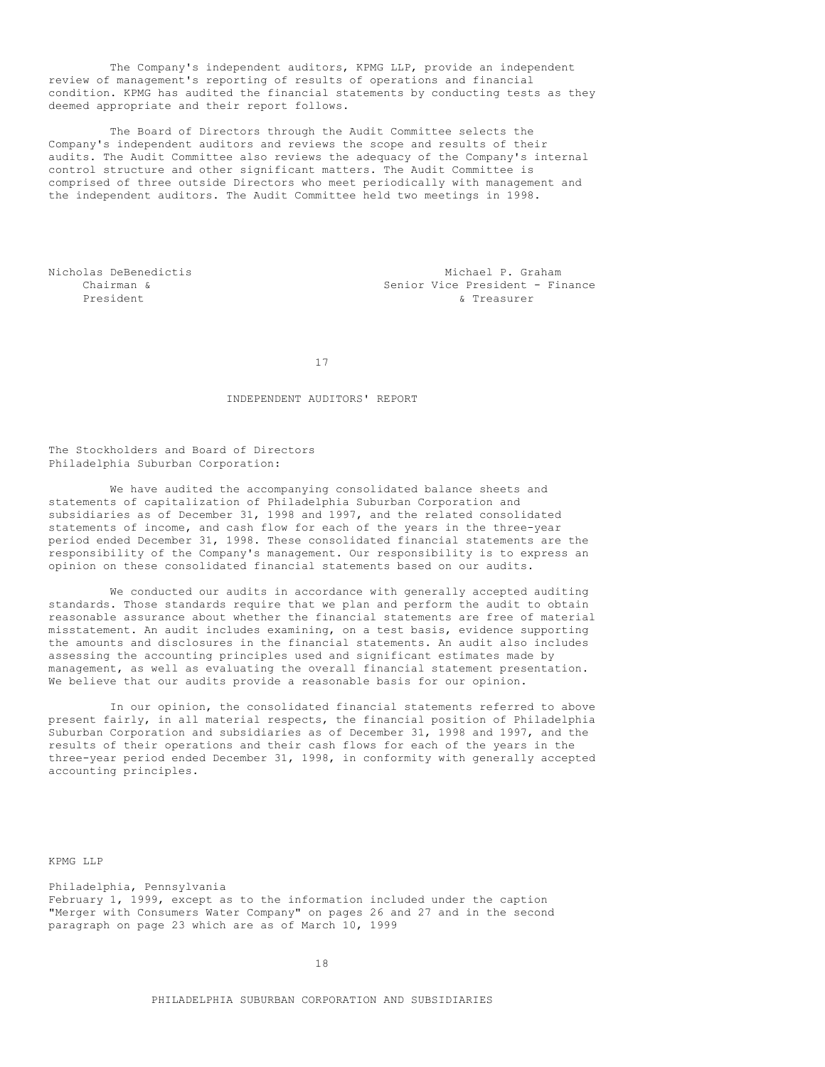The Company's independent auditors, KPMG LLP, provide an independent review of management's reporting of results of operations and financial condition. KPMG has audited the financial statements by conducting tests as they deemed appropriate and their report follows.

The Board of Directors through the Audit Committee selects the Company's independent auditors and reviews the scope and results of their audits. The Audit Committee also reviews the adequacy of the Company's internal control structure and other significant matters. The Audit Committee is comprised of three outside Directors who meet periodically with management and the independent auditors. The Audit Committee held two meetings in 1998.

Nicholas DeBenedictis Michael P. Graham<br>Chairman & Senior Vice President - Fire Senior Vice President - Finance President & Treasurer

17

INDEPENDENT AUDITORS' REPORT

The Stockholders and Board of Directors Philadelphia Suburban Corporation:

We have audited the accompanying consolidated balance sheets and statements of capitalization of Philadelphia Suburban Corporation and subsidiaries as of December 31, 1998 and 1997, and the related consolidated statements of income, and cash flow for each of the years in the three-year period ended December 31, 1998. These consolidated financial statements are the responsibility of the Company's management. Our responsibility is to express an opinion on these consolidated financial statements based on our audits.

We conducted our audits in accordance with generally accepted auditing standards. Those standards require that we plan and perform the audit to obtain reasonable assurance about whether the financial statements are free of material misstatement. An audit includes examining, on a test basis, evidence supporting the amounts and disclosures in the financial statements. An audit also includes assessing the accounting principles used and significant estimates made by management, as well as evaluating the overall financial statement presentation. We believe that our audits provide a reasonable basis for our opinion.

In our opinion, the consolidated financial statements referred to above present fairly, in all material respects, the financial position of Philadelphia Suburban Corporation and subsidiaries as of December 31, 1998 and 1997, and the results of their operations and their cash flows for each of the years in the three-year period ended December 31, 1998, in conformity with generally accepted accounting principles.

KPMG LLP

Philadelphia, Pennsylvania February 1, 1999, except as to the information included under the caption "Merger with Consumers Water Company" on pages 26 and 27 and in the second paragraph on page 23 which are as of March 10, 1999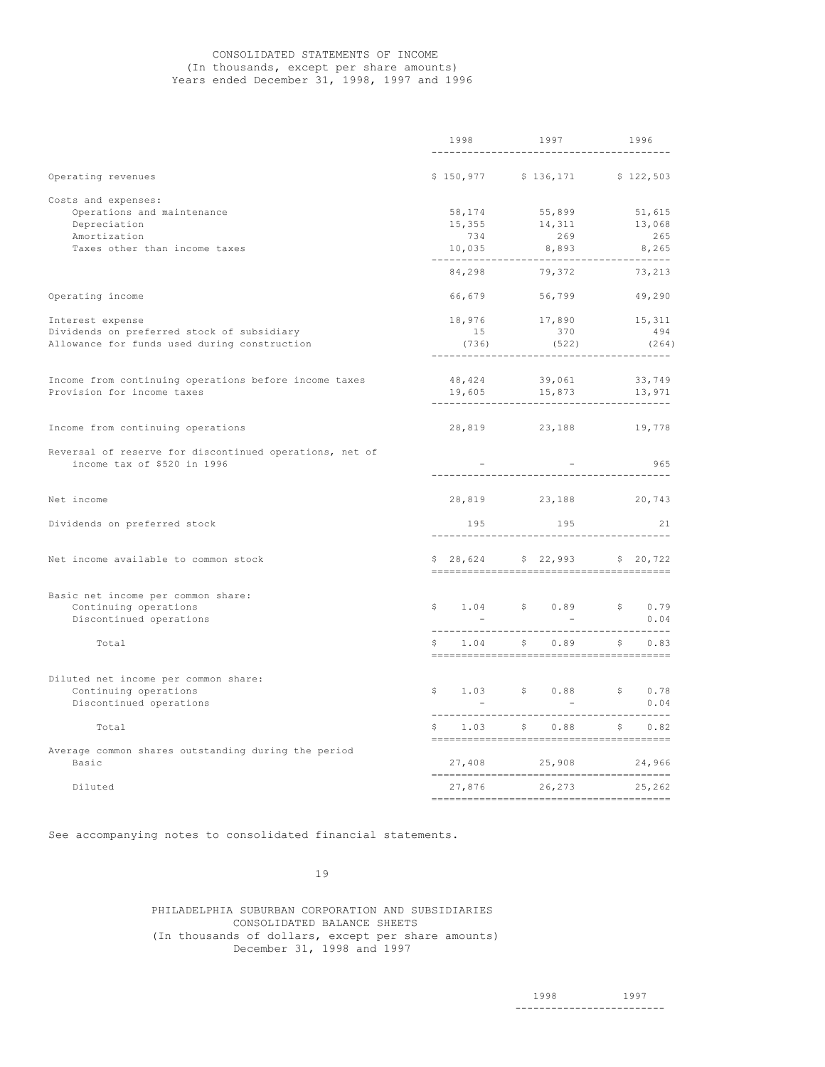# CONSOLIDATED STATEMENTS OF INCOME

(In thousands, except per share amounts) Years ended December 31, 1998, 1997 and 1996

|                                                                                        | 1998            | 1997                          | 1996 |            |
|----------------------------------------------------------------------------------------|-----------------|-------------------------------|------|------------|
| Operating revenues                                                                     |                 | \$150,977 \$136,171 \$122,503 |      |            |
| Costs and expenses:                                                                    |                 |                               |      |            |
| Operations and maintenance                                                             | 58,174          | 55,899                        |      | 51,615     |
| Depreciation                                                                           | 15,355          | 14,311                        |      | 13,068     |
| Amortization                                                                           | 734             | 269                           |      | 265        |
| Taxes other than income taxes                                                          | 10,035          | $10,035$ $8,893$ $8,265$      |      | 8,265      |
|                                                                                        | 84,298          | 79,372                        |      | 73,213     |
| Operating income                                                                       | 66,679          | 56,799 49,290                 |      |            |
| Interest expense                                                                       |                 | 18,976 17,890                 |      | 15,311     |
| Dividends on preferred stock of subsidiary                                             | 15              | $370$<br>(522)                |      | 494        |
| Allowance for funds used during construction                                           | (736)           |                               |      | (264)      |
|                                                                                        |                 |                               |      |            |
| Income from continuing operations before income taxes<br>Provision for income taxes    |                 | 48,424 39,061                 |      | 33,749     |
|                                                                                        |                 |                               |      |            |
| Income from continuing operations                                                      |                 | 28,819 23,188 19,778          |      |            |
| Reversal of reserve for discontinued operations, net of<br>income tax of \$520 in 1996 |                 |                               |      | 965        |
| Net income                                                                             |                 | 28,819 23,188 20,743          |      |            |
| Dividends on preferred stock                                                           | 195             | 195                           |      | 21         |
| Net income available to common stock                                                   |                 | \$ 28,624 \$ 22,993 \$ 20,722 |      |            |
| Basic net income per common share:<br>Continuing operations<br>Discontinued operations |                 | $$1.04$ $$0.89$ $$0.79$       |      | 0.04       |
| Total                                                                                  | $$1.04$ $$0.89$ |                               |      | $S = 0.83$ |
|                                                                                        |                 |                               |      |            |
| Diluted net income per common share:                                                   |                 |                               |      |            |
| Continuing operations                                                                  |                 | $$1.03$ $$0.88$ $$0.78$       |      |            |
| Discontinued operations                                                                |                 |                               |      | 0.04       |
|                                                                                        |                 |                               |      |            |
| Total                                                                                  |                 | $$1.03$ $$0.88$ $$0.82$       |      |            |
| Average common shares outstanding during the period<br>Basic                           |                 | 27,408 25,908 24,966          |      |            |
| Diluted                                                                                | 27,876          | 26,273                        |      | 25,262     |
|                                                                                        |                 |                               |      |            |

See accompanying notes to consolidated financial statements.

19

PHILADELPHIA SUBURBAN CORPORATION AND SUBSIDIARIES CONSOLIDATED BALANCE SHEETS (In thousands of dollars, except per share amounts) December 31, 1998 and 1997

> 1998 1997 -------------------------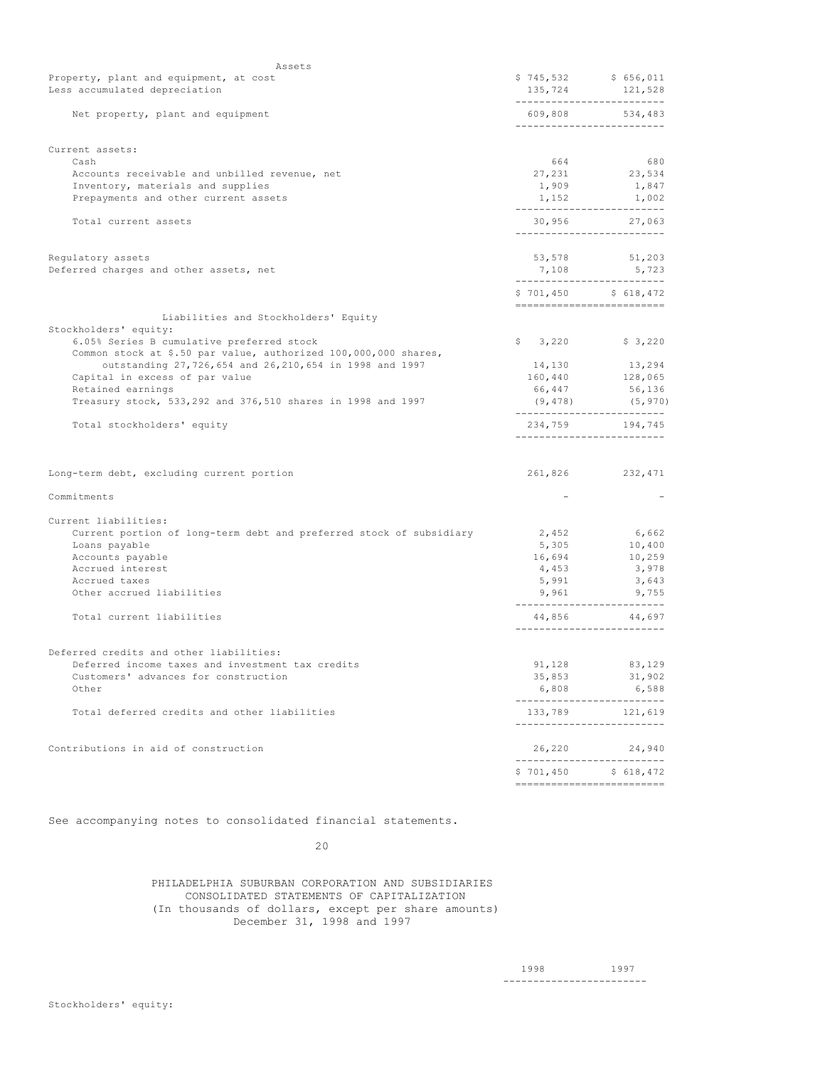| Assets                                                              |                             |                              |
|---------------------------------------------------------------------|-----------------------------|------------------------------|
| Property, plant and equipment, at cost                              | \$745,532 \$656,011         |                              |
| Less accumulated depreciation                                       |                             | 135,724 121,528              |
|                                                                     | __________________________  |                              |
|                                                                     |                             |                              |
| Net property, plant and equipment                                   |                             | 609,808 534,483              |
|                                                                     | ___________________________ |                              |
|                                                                     |                             |                              |
| Current assets:                                                     |                             |                              |
| Cash                                                                | 664                         | 680                          |
| Accounts receivable and unbilled revenue, net                       |                             | $664$ 680<br>27,231 23,534   |
|                                                                     |                             |                              |
| Inventory, materials and supplies                                   | $1,909$<br>1.152            | 1,847                        |
| Prepayments and other current assets                                | 1,152                       | 1,002                        |
|                                                                     | --------------------------  |                              |
| Total current assets                                                | 30,956                      | 27,063                       |
|                                                                     | -------------------------   |                              |
|                                                                     |                             |                              |
|                                                                     |                             |                              |
| Regulatory assets                                                   |                             | 53,578 51,203<br>7,108 5,723 |
| Deferred charges and other assets, net                              |                             |                              |
|                                                                     | --------------------------  |                              |
|                                                                     | \$701,450 \$618,472         |                              |
|                                                                     | -------------------------   |                              |
|                                                                     |                             |                              |
| Liabilities and Stockholders' Equity                                |                             |                              |
| Stockholders' equity:                                               |                             |                              |
| 6.05% Series B cumulative preferred stock                           | $$3,220$ $$3,220$           |                              |
| Common stock at \$.50 par value, authorized 100,000,000 shares,     |                             |                              |
| outstanding 27,726,654 and 26,210,654 in 1998 and 1997              |                             | 14,130 13,294                |
| Capital in excess of par value                                      |                             | 160,440 128,065              |
|                                                                     | 66,447                      | 56,136                       |
| Retained earnings                                                   |                             |                              |
| Treasury stock, 533,292 and 376,510 shares in 1998 and 1997         | (9, 478)                    | (5, 970)                     |
|                                                                     | --------------------------  |                              |
| Total stockholders' equity                                          | 234,759                     | 194,745                      |
|                                                                     | --------------------------  |                              |
|                                                                     |                             |                              |
|                                                                     |                             |                              |
|                                                                     |                             |                              |
| Long-term debt, excluding current portion                           |                             | 261,826 232,471              |
|                                                                     |                             |                              |
| Commitments                                                         |                             |                              |
|                                                                     |                             |                              |
| Current liabilities:                                                |                             |                              |
|                                                                     |                             |                              |
| Current portion of long-term debt and preferred stock of subsidiary | 2,452<br>5,305              | 6,662<br>$0,002$<br>10,400   |
| Loans payable                                                       |                             |                              |
| Accounts payable                                                    | 16,694                      | 10,259                       |
| Accrued interest                                                    | 4,453                       | 3,978                        |
| Accrued taxes                                                       | 5,991                       | 3,643                        |
| Other accrued liabilities                                           | 9,961                       | 9,755                        |
|                                                                     | __________________________  |                              |
|                                                                     |                             |                              |
| Total current liabilities                                           |                             | 44,856 44,697                |
|                                                                     | -------------------------   |                              |
|                                                                     |                             |                              |
| Deferred credits and other liabilities:                             |                             |                              |
| Deferred income taxes and investment tax credits                    |                             | 91, 128 83, 129              |
|                                                                     |                             |                              |
| Customers' advances for construction                                |                             | 35,853 31,902                |
| Other                                                               | 6,808                       | 6,588                        |
|                                                                     | __________________________  |                              |
| Total deferred credits and other liabilities                        | 133,789                     | 121,619                      |
|                                                                     | __________________________  |                              |
|                                                                     |                             |                              |
|                                                                     |                             |                              |
| Contributions in aid of construction                                |                             | 26,220 24,940                |
|                                                                     | --------------------------  |                              |
|                                                                     | \$701,450 \$618,472         |                              |
|                                                                     | -------------------------   |                              |
|                                                                     |                             |                              |

See accompanying notes to consolidated financial statements.

20

PHILADELPHIA SUBURBAN CORPORATION AND SUBSIDIARIES CONSOLIDATED STATEMENTS OF CAPITALIZATION (In thousands of dollars, except per share amounts) December 31, 1998 and 1997

> 1998 1997 ------------------------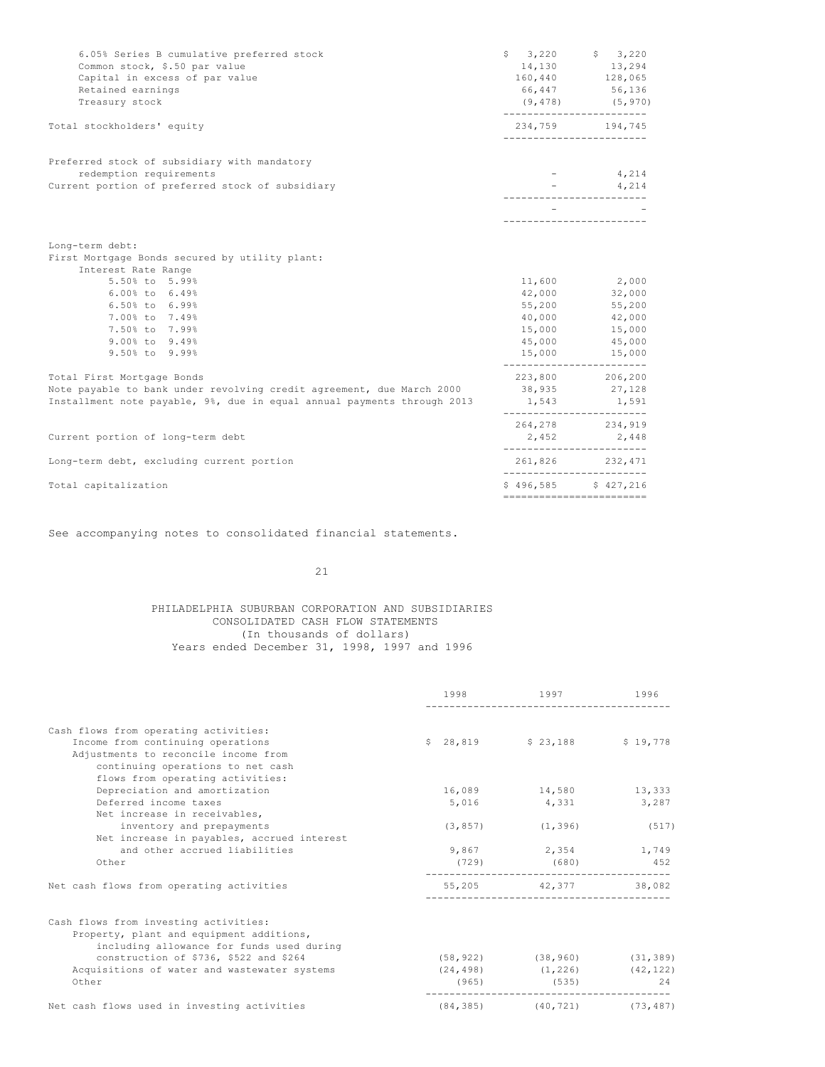| 6.05% Series B cumulative preferred stock<br>Common stock, \$.50 par value<br>Capital in excess of par value<br>Retained earnings<br>Treasury stock |               | $$3,220$ $$3,220$<br>14,130 13,294<br>160,440 128,065<br>66,447 56,136<br>$(9, 478)$ $(5, 970)$<br>------------------------- |
|-----------------------------------------------------------------------------------------------------------------------------------------------------|---------------|------------------------------------------------------------------------------------------------------------------------------|
| Total stockholders' equity                                                                                                                          |               | 234,759 194,745<br>-------------------------                                                                                 |
| Preferred stock of subsidiary with mandatory                                                                                                        |               |                                                                                                                              |
| redemption requirements                                                                                                                             |               | $-4,214$                                                                                                                     |
| Current portion of preferred stock of subsidiary                                                                                                    |               | $-4,214$                                                                                                                     |
|                                                                                                                                                     |               |                                                                                                                              |
|                                                                                                                                                     |               | ------------------------                                                                                                     |
|                                                                                                                                                     |               |                                                                                                                              |
| Long-term debt:                                                                                                                                     |               |                                                                                                                              |
| First Mortgage Bonds secured by utility plant:                                                                                                      |               |                                                                                                                              |
| Interest Rate Range                                                                                                                                 |               |                                                                                                                              |
| 5.50% to 5.99%                                                                                                                                      |               | 11,600 2,000                                                                                                                 |
| 6.00% to 6.49%                                                                                                                                      |               | 42,000 32,000                                                                                                                |
| 6.50% to 6.99%                                                                                                                                      |               | 55,200 55,200                                                                                                                |
| 7.00% to 7.49%                                                                                                                                      |               | 40,000 42,000                                                                                                                |
| 7.50% to 7.99%                                                                                                                                      |               | 15,000 15,000                                                                                                                |
| 9.00% to 9.49%                                                                                                                                      |               | 45,000 45,000                                                                                                                |
| 9.50% to 9.99%                                                                                                                                      |               | 15,000 15,000<br>__________________________                                                                                  |
| Total First Mortgage Bonds                                                                                                                          |               | 223,800 206,200                                                                                                              |
| Note payable to bank under revolving credit agreement, due March 2000                                                                               | 38,935 27,128 |                                                                                                                              |
| Installment note payable, 9%, due in equal annual payments through 2013                                                                             | 1,543 1,591   | -------------------------                                                                                                    |
|                                                                                                                                                     |               | 264, 278 234, 919                                                                                                            |
| Current portion of long-term debt                                                                                                                   |               | 2,452 2,448<br>------------------------                                                                                      |
| Long-term debt, excluding current portion                                                                                                           |               | 261,826 232,471<br>_________________________                                                                                 |
| Total capitalization                                                                                                                                |               | \$496,585 \$427,216                                                                                                          |
|                                                                                                                                                     |               | ------------------------                                                                                                     |

See accompanying notes to consolidated financial statements.

# 21

# PHILADELPHIA SUBURBAN CORPORATION AND SUBSIDIARIES CONSOLIDATED CASH FLOW STATEMENTS (In thousands of dollars) Years ended December 31, 1998, 1997 and 1996

|                                                                                       | 1998 1997 1996<br>------------------------------- |          |
|---------------------------------------------------------------------------------------|---------------------------------------------------|----------|
| Cash flows from operating activities:                                                 |                                                   |          |
| Income from continuing operations                                                     | $$28,819$ $$23,188$                               | \$19,778 |
| Adjustments to reconcile income from                                                  |                                                   |          |
| continuing operations to net cash                                                     |                                                   |          |
| flows from operating activities:                                                      |                                                   |          |
| Depreciation and amortization                                                         | 16,089 14,580 13,333                              |          |
| Deferred income taxes                                                                 | 5,016 4,331                                       | 3,287    |
| Net increase in receivables,                                                          |                                                   |          |
| inventory and prepayments                                                             | $(3, 857)$ $(1, 396)$                             | (517)    |
| Net increase in payables, accrued interest                                            |                                                   |          |
| and other accrued liabilities                                                         | 9,867 2,354 1,749                                 |          |
| Other                                                                                 | $(729)$ (680)                                     | 452      |
| Net cash flows from operating activities                                              | 55,205 42,377 38,082                              |          |
| Cash flows from investing activities:                                                 |                                                   |          |
| Property, plant and equipment additions,<br>including allowance for funds used during |                                                   |          |
| construction of \$736, \$522 and \$264                                                | $(58, 922)$ $(38, 960)$ $(31, 389)$               |          |
| Acquisitions of water and wastewater systems                                          | $(24, 498)$ $(1, 226)$ $(42, 122)$                |          |
| Other                                                                                 | $(965)$ (535)                                     | 2.4      |
| Net cash flows used in investing activities                                           | $(84, 385)$ $(40, 721)$ $(73, 487)$               |          |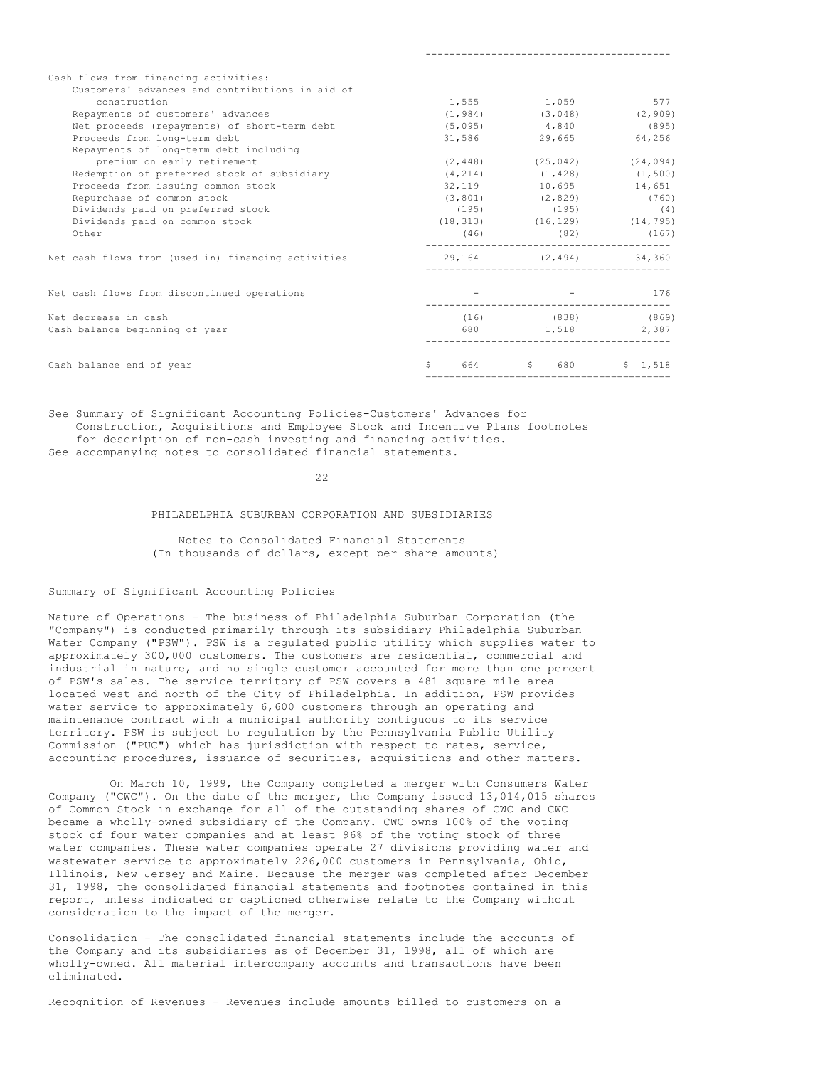|    |       | 577                                                                                                                                                                                                                                                                                                                                                                                   |
|----|-------|---------------------------------------------------------------------------------------------------------------------------------------------------------------------------------------------------------------------------------------------------------------------------------------------------------------------------------------------------------------------------------------|
|    |       |                                                                                                                                                                                                                                                                                                                                                                                       |
|    |       | (895)                                                                                                                                                                                                                                                                                                                                                                                 |
|    |       | 29,665 64,256                                                                                                                                                                                                                                                                                                                                                                         |
|    |       |                                                                                                                                                                                                                                                                                                                                                                                       |
|    |       |                                                                                                                                                                                                                                                                                                                                                                                       |
|    |       |                                                                                                                                                                                                                                                                                                                                                                                       |
|    |       | 10,695 14,651                                                                                                                                                                                                                                                                                                                                                                         |
|    |       |                                                                                                                                                                                                                                                                                                                                                                                       |
|    | (195) | (4)                                                                                                                                                                                                                                                                                                                                                                                   |
|    |       |                                                                                                                                                                                                                                                                                                                                                                                       |
|    |       |                                                                                                                                                                                                                                                                                                                                                                                       |
|    |       |                                                                                                                                                                                                                                                                                                                                                                                       |
|    |       |                                                                                                                                                                                                                                                                                                                                                                                       |
|    |       |                                                                                                                                                                                                                                                                                                                                                                                       |
|    |       |                                                                                                                                                                                                                                                                                                                                                                                       |
| S. |       |                                                                                                                                                                                                                                                                                                                                                                                       |
|    |       | 1,555 1,059<br>$(1, 984)$ $(3, 048)$ $(2, 909)$<br>$(5,095)$ 4,840<br>31,586<br>$(2, 448)$ $(25, 042)$ $(24, 094)$<br>$(4, 214)$ $(1, 428)$ $(1, 500)$<br>32,119<br>$(3, 801)$ $(2, 829)$ $(760)$<br>(195)<br>$(18, 313)$ $(16, 129)$ $(14, 795)$<br>$(46)$ $(82)$ $(167)$<br>29, 164 (2, 494) 34, 360<br>$-$ 176<br>$(16)$ $(838)$ $(869)$<br>680 1,518 2,387<br>664 \$ 680 \$ 1.518 |

See Summary of Significant Accounting Policies-Customers' Advances for Construction, Acquisitions and Employee Stock and Incentive Plans footnotes for description of non-cash investing and financing activities. See accompanying notes to consolidated financial statements.

22

#### PHILADELPHIA SUBURBAN CORPORATION AND SUBSIDIARIES

Notes to Consolidated Financial Statements (In thousands of dollars, except per share amounts)

# Summary of Significant Accounting Policies

Nature of Operations - The business of Philadelphia Suburban Corporation (the "Company") is conducted primarily through its subsidiary Philadelphia Suburban Water Company ("PSW"). PSW is a regulated public utility which supplies water to approximately 300,000 customers. The customers are residential, commercial and industrial in nature, and no single customer accounted for more than one percent of PSW's sales. The service territory of PSW covers a 481 square mile area located west and north of the City of Philadelphia. In addition, PSW provides water service to approximately 6,600 customers through an operating and maintenance contract with a municipal authority contiguous to its service territory. PSW is subject to regulation by the Pennsylvania Public Utility Commission ("PUC") which has jurisdiction with respect to rates, service, accounting procedures, issuance of securities, acquisitions and other matters.

On March 10, 1999, the Company completed a merger with Consumers Water Company ("CWC"). On the date of the merger, the Company issued 13,014,015 shares of Common Stock in exchange for all of the outstanding shares of CWC and CWC became a wholly-owned subsidiary of the Company. CWC owns 100% of the voting stock of four water companies and at least 96% of the voting stock of three water companies. These water companies operate 27 divisions providing water and wastewater service to approximately 226,000 customers in Pennsylvania, Ohio, Illinois, New Jersey and Maine. Because the merger was completed after December 31, 1998, the consolidated financial statements and footnotes contained in this report, unless indicated or captioned otherwise relate to the Company without consideration to the impact of the merger.

Consolidation - The consolidated financial statements include the accounts of the Company and its subsidiaries as of December 31, 1998, all of which are wholly-owned. All material intercompany accounts and transactions have been eliminated.

Recognition of Revenues - Revenues include amounts billed to customers on a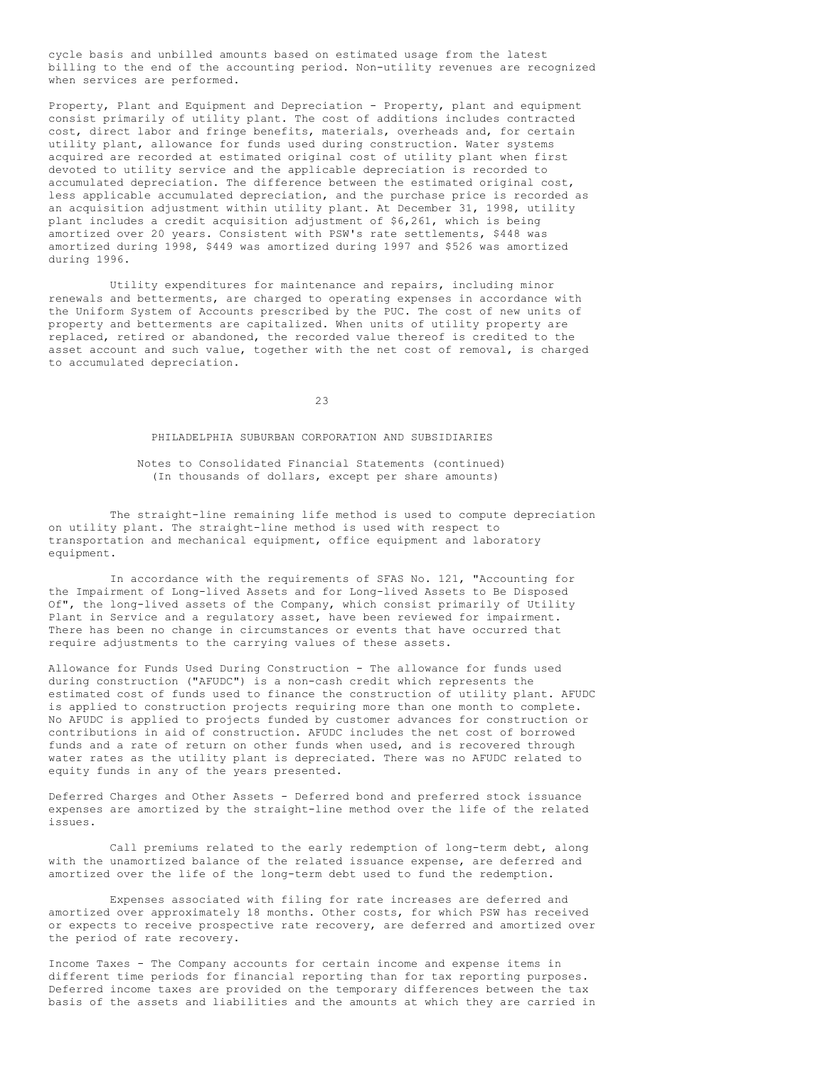cycle basis and unbilled amounts based on estimated usage from the latest billing to the end of the accounting period. Non-utility revenues are recognized when services are performed.

Property, Plant and Equipment and Depreciation - Property, plant and equipment consist primarily of utility plant. The cost of additions includes contracted cost, direct labor and fringe benefits, materials, overheads and, for certain utility plant, allowance for funds used during construction. Water systems acquired are recorded at estimated original cost of utility plant when first devoted to utility service and the applicable depreciation is recorded to accumulated depreciation. The difference between the estimated original cost, less applicable accumulated depreciation, and the purchase price is recorded as an acquisition adjustment within utility plant. At December 31, 1998, utility plant includes a credit acquisition adjustment of \$6,261, which is being amortized over 20 years. Consistent with PSW's rate settlements, \$448 was amortized during 1998, \$449 was amortized during 1997 and \$526 was amortized during 1996.

Utility expenditures for maintenance and repairs, including minor renewals and betterments, are charged to operating expenses in accordance with the Uniform System of Accounts prescribed by the PUC. The cost of new units of property and betterments are capitalized. When units of utility property are replaced, retired or abandoned, the recorded value thereof is credited to the asset account and such value, together with the net cost of removal, is charged to accumulated depreciation.

 $23$ 

#### PHILADELPHIA SUBURBAN CORPORATION AND SUBSIDIARIES

Notes to Consolidated Financial Statements (continued) (In thousands of dollars, except per share amounts)

The straight-line remaining life method is used to compute depreciation on utility plant. The straight-line method is used with respect to transportation and mechanical equipment, office equipment and laboratory equipment.

In accordance with the requirements of SFAS No. 121, "Accounting for the Impairment of Long-lived Assets and for Long-lived Assets to Be Disposed Of", the long-lived assets of the Company, which consist primarily of Utility Plant in Service and a regulatory asset, have been reviewed for impairment. There has been no change in circumstances or events that have occurred that require adjustments to the carrying values of these assets.

Allowance for Funds Used During Construction - The allowance for funds used during construction ("AFUDC") is a non-cash credit which represents the estimated cost of funds used to finance the construction of utility plant. AFUDC is applied to construction projects requiring more than one month to complete. No AFUDC is applied to projects funded by customer advances for construction or contributions in aid of construction. AFUDC includes the net cost of borrowed funds and a rate of return on other funds when used, and is recovered through water rates as the utility plant is depreciated. There was no AFUDC related to equity funds in any of the years presented.

Deferred Charges and Other Assets - Deferred bond and preferred stock issuance expenses are amortized by the straight-line method over the life of the related issues.

Call premiums related to the early redemption of long-term debt, along with the unamortized balance of the related issuance expense, are deferred and amortized over the life of the long-term debt used to fund the redemption.

Expenses associated with filing for rate increases are deferred and amortized over approximately 18 months. Other costs, for which PSW has received or expects to receive prospective rate recovery, are deferred and amortized over the period of rate recovery.

Income Taxes - The Company accounts for certain income and expense items in different time periods for financial reporting than for tax reporting purposes. Deferred income taxes are provided on the temporary differences between the tax basis of the assets and liabilities and the amounts at which they are carried in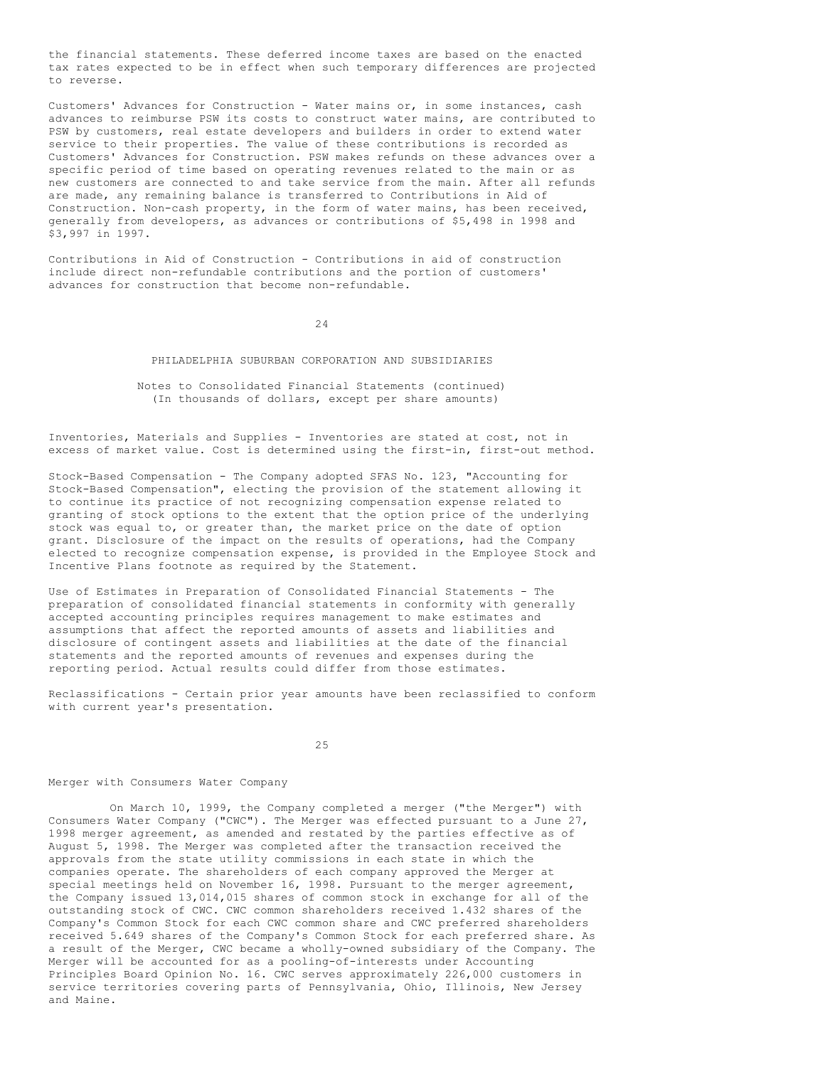the financial statements. These deferred income taxes are based on the enacted tax rates expected to be in effect when such temporary differences are projected to reverse.

Customers' Advances for Construction - Water mains or, in some instances, cash advances to reimburse PSW its costs to construct water mains, are contributed to PSW by customers, real estate developers and builders in order to extend water service to their properties. The value of these contributions is recorded as Customers' Advances for Construction. PSW makes refunds on these advances over a specific period of time based on operating revenues related to the main or as new customers are connected to and take service from the main. After all refunds are made, any remaining balance is transferred to Contributions in Aid of Construction. Non-cash property, in the form of water mains, has been received, generally from developers, as advances or contributions of \$5,498 in 1998 and \$3,997 in 1997.

Contributions in Aid of Construction - Contributions in aid of construction include direct non-refundable contributions and the portion of customers' advances for construction that become non-refundable.

24

## PHILADELPHIA SUBURBAN CORPORATION AND SUBSIDIARIES

### Notes to Consolidated Financial Statements (continued) (In thousands of dollars, except per share amounts)

Inventories, Materials and Supplies - Inventories are stated at cost, not in excess of market value. Cost is determined using the first-in, first-out method.

Stock-Based Compensation - The Company adopted SFAS No. 123, "Accounting for Stock-Based Compensation", electing the provision of the statement allowing it to continue its practice of not recognizing compensation expense related to granting of stock options to the extent that the option price of the underlying stock was equal to, or greater than, the market price on the date of option grant. Disclosure of the impact on the results of operations, had the Company elected to recognize compensation expense, is provided in the Employee Stock and Incentive Plans footnote as required by the Statement.

Use of Estimates in Preparation of Consolidated Financial Statements - The preparation of consolidated financial statements in conformity with generally accepted accounting principles requires management to make estimates and assumptions that affect the reported amounts of assets and liabilities and disclosure of contingent assets and liabilities at the date of the financial statements and the reported amounts of revenues and expenses during the reporting period. Actual results could differ from those estimates.

Reclassifications - Certain prior year amounts have been reclassified to conform with current year's presentation.

25

#### Merger with Consumers Water Company

On March 10, 1999, the Company completed a merger ("the Merger") with Consumers Water Company ("CWC"). The Merger was effected pursuant to a June 27, 1998 merger agreement, as amended and restated by the parties effective as of August 5, 1998. The Merger was completed after the transaction received the approvals from the state utility commissions in each state in which the companies operate. The shareholders of each company approved the Merger at special meetings held on November 16, 1998. Pursuant to the merger agreement, the Company issued 13,014,015 shares of common stock in exchange for all of the outstanding stock of CWC. CWC common shareholders received 1.432 shares of the Company's Common Stock for each CWC common share and CWC preferred shareholders received 5.649 shares of the Company's Common Stock for each preferred share. As a result of the Merger, CWC became a wholly-owned subsidiary of the Company. The Merger will be accounted for as a pooling-of-interests under Accounting Principles Board Opinion No. 16. CWC serves approximately 226,000 customers in service territories covering parts of Pennsylvania, Ohio, Illinois, New Jersey and Maine.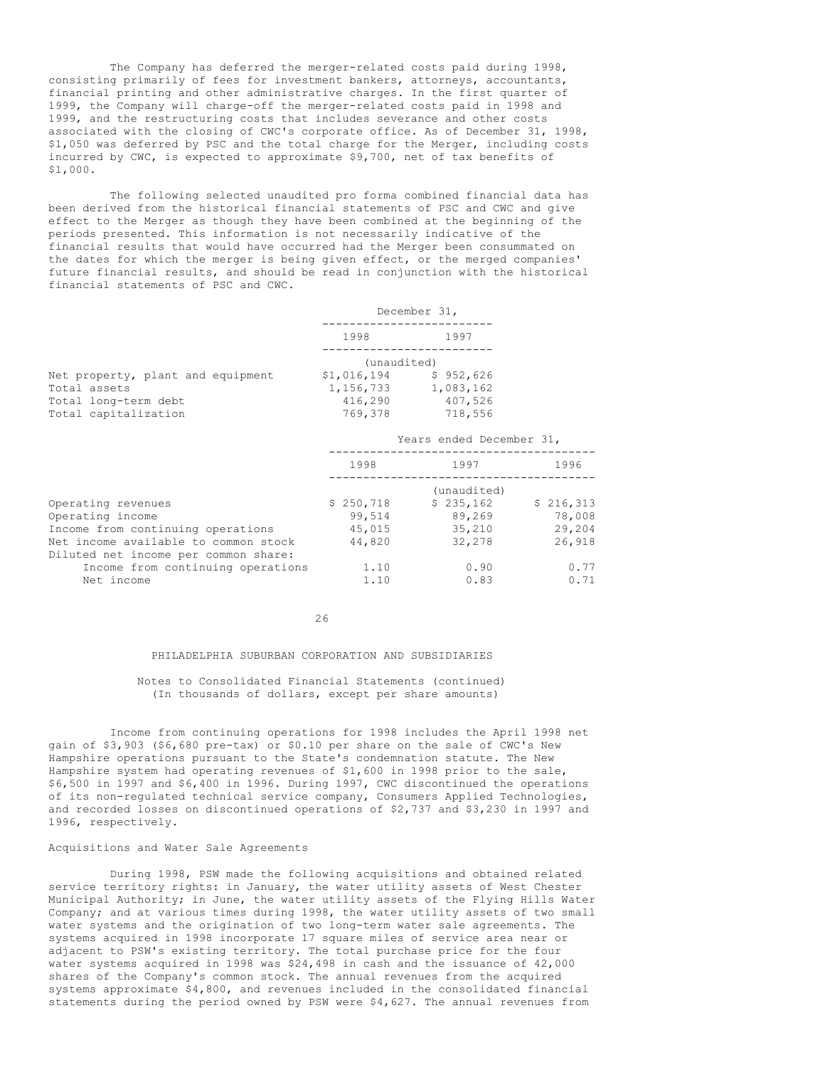The Company has deferred the merger-related costs paid during 1998, consisting primarily of fees for investment bankers, attorneys, accountants, financial printing and other administrative charges. In the first quarter of 1999, the Company will charge-off the merger-related costs paid in 1998 and 1999, and the restructuring costs that includes severance and other costs associated with the closing of CWC's corporate office. As of December 31, 1998, \$1,050 was deferred by PSC and the total charge for the Merger, including costs incurred by CWC, is expected to approximate \$9,700, net of tax benefits of \$1,000.

The following selected unaudited pro forma combined financial data has been derived from the historical financial statements of PSC and CWC and give effect to the Merger as though they have been combined at the beginning of the periods presented. This information is not necessarily indicative of the financial results that would have occurred had the Merger been consummated on the dates for which the merger is being given effect, or the merged companies' future financial results, and should be read in conjunction with the historical financial statements of PSC and CWC.

|                                                   | December 31,               |                    |  |
|---------------------------------------------------|----------------------------|--------------------|--|
|                                                   | 1998                       | 1997               |  |
|                                                   | (unaudited)<br>\$1,016,194 | \$952,626          |  |
| Net property, plant and equipment<br>Total assets | 1,156,733                  | 1,083,162          |  |
| Total long-term debt<br>Total capitalization      | 416,290<br>769,378         | 407,526<br>718,556 |  |

|                                      | Years ended December 31, |             |           |
|--------------------------------------|--------------------------|-------------|-----------|
|                                      | 1998                     | 1997        | 1996      |
|                                      |                          | (unaudited) |           |
| Operating revenues                   | \$250,718                | \$235,162   | \$216,313 |
| Operating income                     | 99,514                   | 89,269      | 78,008    |
| Income from continuing operations    | 45,015                   | 35,210      | 29,204    |
| Net income available to common stock | 44,820                   | 32,278      | 26,918    |
| Diluted net income per common share: |                          |             |           |
| Income from continuing operations    | 1.10                     | 0.90        | 0.77      |
| Net income                           | 1.10                     | 0.83        | 0.71      |

26

#### PHILADELPHIA SUBURBAN CORPORATION AND SUBSIDIARIES

Notes to Consolidated Financial Statements (continued) (In thousands of dollars, except per share amounts)

Income from continuing operations for 1998 includes the April 1998 net gain of \$3,903 (\$6,680 pre-tax) or \$0.10 per share on the sale of CWC's New Hampshire operations pursuant to the State's condemnation statute. The New Hampshire system had operating revenues of \$1,600 in 1998 prior to the sale, \$6,500 in 1997 and \$6,400 in 1996. During 1997, CWC discontinued the operations of its non-regulated technical service company, Consumers Applied Technologies, and recorded losses on discontinued operations of \$2,737 and \$3,230 in 1997 and 1996, respectively.

#### Acquisitions and Water Sale Agreements

During 1998, PSW made the following acquisitions and obtained related service territory rights: in January, the water utility assets of West Chester Municipal Authority; in June, the water utility assets of the Flying Hills Water Company; and at various times during 1998, the water utility assets of two small water systems and the origination of two long-term water sale agreements. The systems acquired in 1998 incorporate 17 square miles of service area near or adjacent to PSW's existing territory. The total purchase price for the four water systems acquired in 1998 was \$24,498 in cash and the issuance of 42,000 shares of the Company's common stock. The annual revenues from the acquired systems approximate \$4,800, and revenues included in the consolidated financial statements during the period owned by PSW were \$4,627. The annual revenues from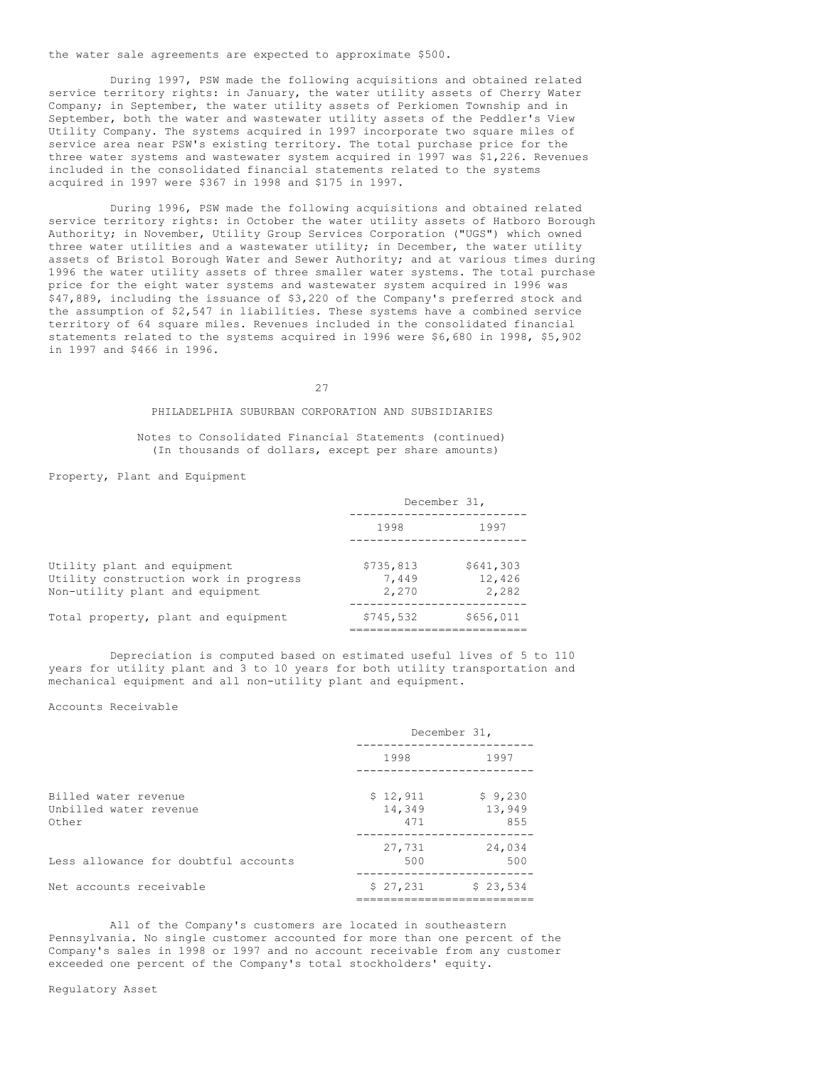the water sale agreements are expected to approximate \$500.

During 1997, PSW made the following acquisitions and obtained related service territory rights: in January, the water utility assets of Cherry Water Company; in September, the water utility assets of Perkiomen Township and in September, both the water and wastewater utility assets of the Peddler's View Utility Company. The systems acquired in 1997 incorporate two square miles of service area near PSW's existing territory. The total purchase price for the three water systems and wastewater system acquired in 1997 was \$1,226. Revenues included in the consolidated financial statements related to the systems acquired in 1997 were \$367 in 1998 and \$175 in 1997.

During 1996, PSW made the following acquisitions and obtained related service territory rights: in October the water utility assets of Hatboro Borough Authority; in November, Utility Group Services Corporation ("UGS") which owned three water utilities and a wastewater utility; in December, the water utility assets of Bristol Borough Water and Sewer Authority; and at various times during 1996 the water utility assets of three smaller water systems. The total purchase price for the eight water systems and wastewater system acquired in 1996 was \$47,889, including the issuance of \$3,220 of the Company's preferred stock and the assumption of \$2,547 in liabilities. These systems have a combined service territory of 64 square miles. Revenues included in the consolidated financial statements related to the systems acquired in 1996 were \$6,680 in 1998, \$5,902 in 1997 and \$466 in 1996.

27

#### PHILADELPHIA SUBURBAN CORPORATION AND SUBSIDIARIES

Notes to Consolidated Financial Statements (continued) (In thousands of dollars, except per share amounts)

Property, Plant and Equipment

|                                                                                                         | December 31,                |                              |  |
|---------------------------------------------------------------------------------------------------------|-----------------------------|------------------------------|--|
|                                                                                                         | 1998                        | 1997                         |  |
| Utility plant and equipment<br>Utility construction work in progress<br>Non-utility plant and equipment | \$735,813<br>7,449<br>2,270 | \$641,303<br>12,426<br>2,282 |  |
| Total property, plant and equipment                                                                     | \$745,532                   | \$656,011                    |  |

Depreciation is computed based on estimated useful lives of 5 to 110 years for utility plant and 3 to 10 years for both utility transportation and mechanical equipment and all non-utility plant and equipment.

Accounts Receivable

|                                                         | December 31,              |                          |  |
|---------------------------------------------------------|---------------------------|--------------------------|--|
|                                                         | 1998                      | 1997                     |  |
| Billed water revenue<br>Unbilled water revenue<br>Other | \$12,911<br>14,349<br>471 | \$9,230<br>13,949<br>855 |  |
| Less allowance for doubtful accounts                    | 27,731<br>500             | 24,034<br>500            |  |
| Net accounts receivable                                 | \$27,231                  | \$23,534                 |  |

All of the Company's customers are located in southeastern Pennsylvania. No single customer accounted for more than one percent of the Company's sales in 1998 or 1997 and no account receivable from any customer exceeded one percent of the Company's total stockholders' equity.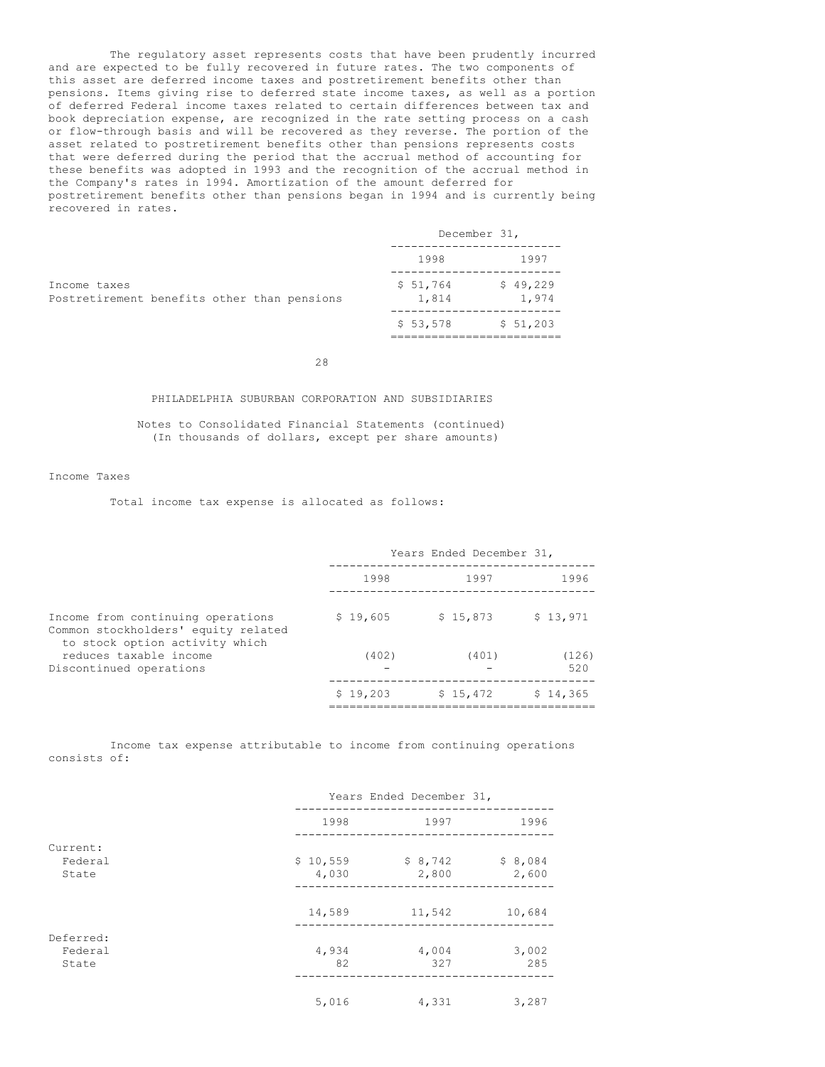The regulatory asset represents costs that have been prudently incurred and are expected to be fully recovered in future rates. The two components of this asset are deferred income taxes and postretirement benefits other than pensions. Items giving rise to deferred state income taxes, as well as a portion of deferred Federal income taxes related to certain differences between tax and book depreciation expense, are recognized in the rate setting process on a cash or flow-through basis and will be recovered as they reverse. The portion of the asset related to postretirement benefits other than pensions represents costs that were deferred during the period that the accrual method of accounting for these benefits was adopted in 1993 and the recognition of the accrual method in the Company's rates in 1994. Amortization of the amount deferred for postretirement benefits other than pensions began in 1994 and is currently being recovered in rates.

|                                                             | December 31,      |                   |
|-------------------------------------------------------------|-------------------|-------------------|
|                                                             | 1998              | 1997              |
| Income taxes<br>Postretirement benefits other than pensions | \$51,764<br>1,814 | \$49,229<br>1,974 |
|                                                             | \$53,578          | \$51,203          |

28

# PHILADELPHIA SUBURBAN CORPORATION AND SUBSIDIARIES

Notes to Consolidated Financial Statements (continued) (In thousands of dollars, except per share amounts)

## Income Taxes

Total income tax expense is allocated as follows:

|                                                                                                            | Years Ended December 31, |          |          |
|------------------------------------------------------------------------------------------------------------|--------------------------|----------|----------|
|                                                                                                            | 1998                     | 1997     | 1996     |
| Income from continuing operations<br>Common stockholders' equity related<br>to stock option activity which | \$19,605                 | \$15,873 | \$13,971 |
| reduces taxable income                                                                                     | (402)                    | (401)    | (126)    |
| Discontinued operations                                                                                    |                          |          | 520      |
|                                                                                                            | \$19,203                 | \$15,472 | \$14,365 |
|                                                                                                            |                          |          |          |

Income tax expense attributable to income from continuing operations consists of:

|                               | Years Ended December 31, |                  |                  |  |  |
|-------------------------------|--------------------------|------------------|------------------|--|--|
|                               | 1998                     | 1997             | 1996             |  |  |
| Current:                      |                          |                  |                  |  |  |
| Federal<br>State              | \$10,559<br>4,030        | \$8,742<br>2,800 | \$8,084<br>2,600 |  |  |
|                               | 14,589                   | 11,542           | 10,684           |  |  |
| Deferred:<br>Federal<br>State | 4,934<br>82              | 4,004<br>327     | 3,002<br>285     |  |  |
|                               | 5,016                    | 4,331            | 3,287            |  |  |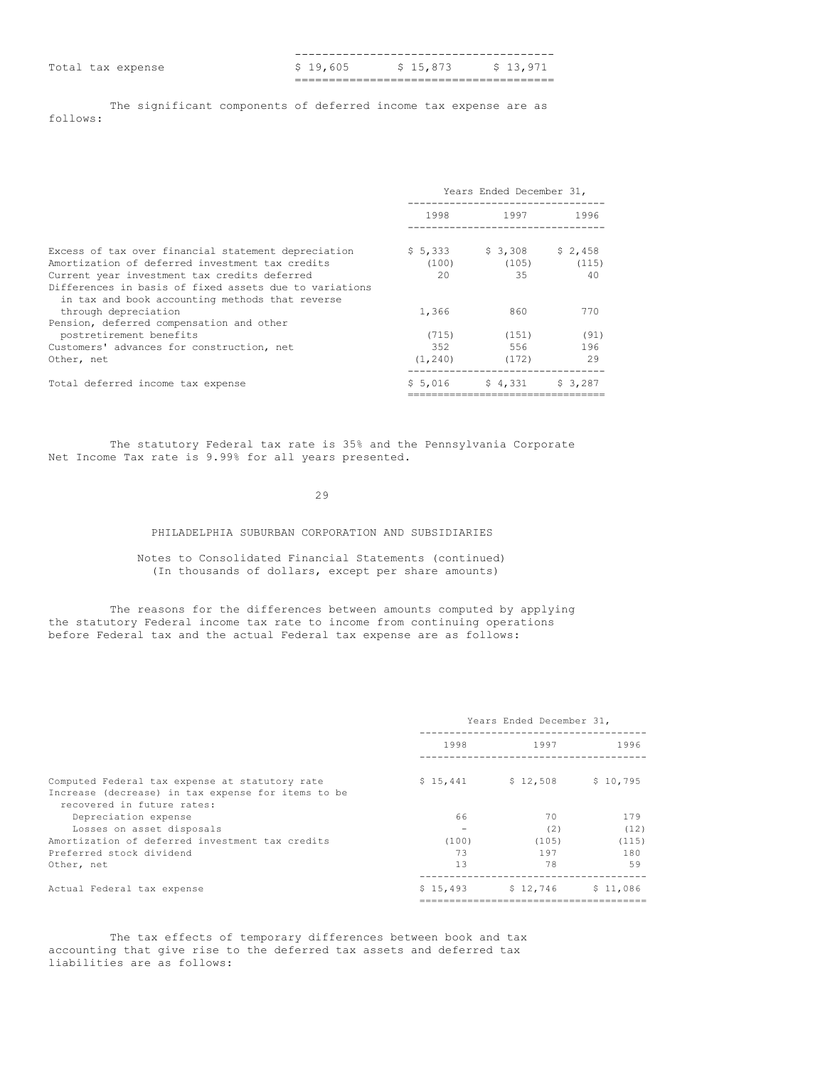| \$19,605 |  | \$15,873 | \$13,971 |
|----------|--|----------|----------|
|          |  |          |          |

The significant components of deferred income tax expense are as follows:

| Years Ended December 31, |       |                                                                  |  |
|--------------------------|-------|------------------------------------------------------------------|--|
| 1998                     |       | 1996                                                             |  |
|                          |       | \$2,458                                                          |  |
| (100)                    | (105) | (115)                                                            |  |
| $20^{\circ}$             | 35    | 40                                                               |  |
|                          |       |                                                                  |  |
| 1,366                    | 860   | 770                                                              |  |
|                          |       |                                                                  |  |
|                          | (151) | (91)                                                             |  |
| 352                      | 556   | 196                                                              |  |
| (1, 240)                 | (172) | 29                                                               |  |
|                          |       |                                                                  |  |
|                          |       | 1997<br>$$5,333$ $$3,308$<br>(715)<br>$$5,016$ $$4,331$ $$3,287$ |  |

The statutory Federal tax rate is 35% and the Pennsylvania Corporate Net Income Tax rate is 9.99% for all years presented.

## 29

## PHILADELPHIA SUBURBAN CORPORATION AND SUBSIDIARIES

Notes to Consolidated Financial Statements (continued) (In thousands of dollars, except per share amounts)

The reasons for the differences between amounts computed by applying the statutory Federal income tax rate to income from continuing operations before Federal tax and the actual Federal tax expense are as follows:

|                                                                                  |       | Years Ended December 31,   |          |  |  |
|----------------------------------------------------------------------------------|-------|----------------------------|----------|--|--|
|                                                                                  | 1998  | 1997                       | 1996     |  |  |
| Computed Federal tax expense at statutory rate                                   |       | $$15,441$ $$12,508$        | \$10,795 |  |  |
| Increase (decrease) in tax expense for items to be<br>recovered in future rates: |       |                            |          |  |  |
| Depreciation expense                                                             | 66    | 70                         | 179      |  |  |
| Losses on asset disposals                                                        |       | (2)                        | (12)     |  |  |
| Amortization of deferred investment tax credits                                  | (100) | (105)                      | (115)    |  |  |
| Preferred stock dividend                                                         | 73    | 197                        | 180      |  |  |
| Other, net                                                                       | 13    | 78                         | 59       |  |  |
| Actual Federal tax expense                                                       |       | \$15,493 \$12,746 \$11,086 |          |  |  |
|                                                                                  |       |                            |          |  |  |

The tax effects of temporary differences between book and tax accounting that give rise to the deferred tax assets and deferred tax liabilities are as follows: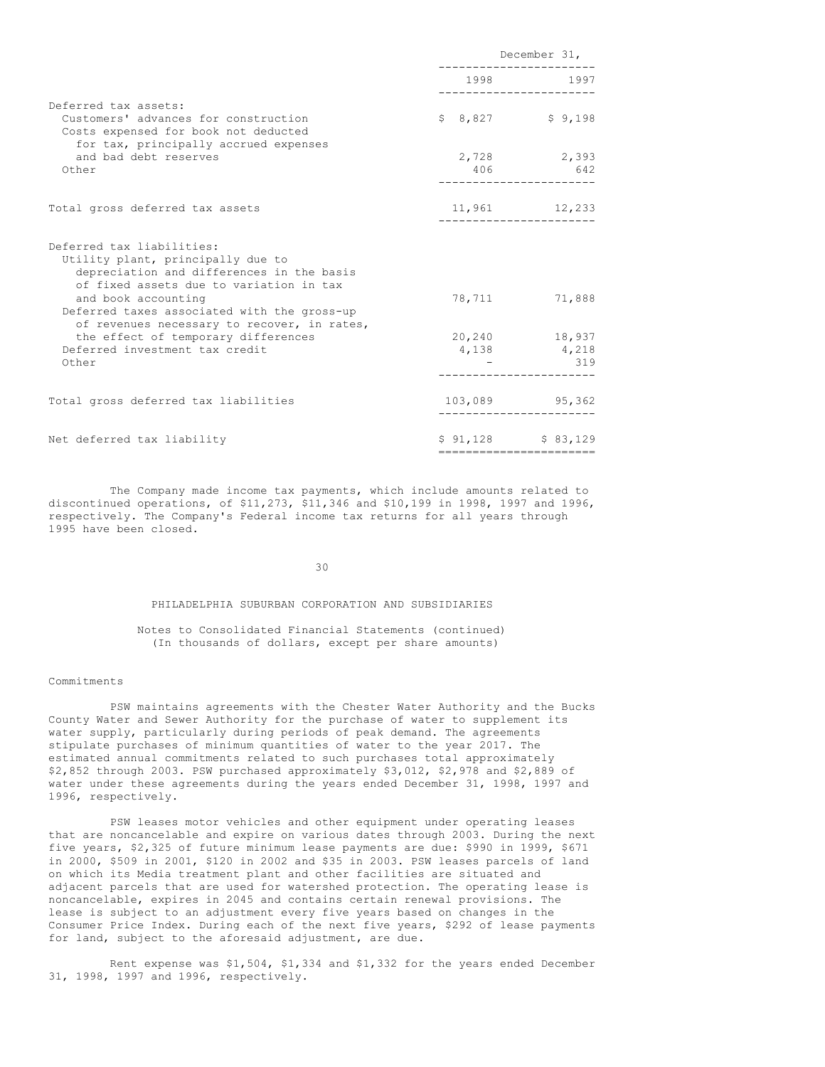|                                                                                                                                                                                                                                                                             |     | December 31,                                     |
|-----------------------------------------------------------------------------------------------------------------------------------------------------------------------------------------------------------------------------------------------------------------------------|-----|--------------------------------------------------|
|                                                                                                                                                                                                                                                                             |     | 1998 1997                                        |
| Deferred tax assets:<br>Customers' advances for construction<br>Costs expensed for book not deducted                                                                                                                                                                        |     | $$8,827$ $$9,198$                                |
| for tax, principally accrued expenses<br>and bad debt reserves<br>Other                                                                                                                                                                                                     | 406 | 2,728 2,393<br>642                               |
| Total gross deferred tax assets                                                                                                                                                                                                                                             |     | 11,961 12,233                                    |
| Deferred tax liabilities:<br>Utility plant, principally due to<br>depreciation and differences in the basis<br>of fixed assets due to variation in tax<br>and book accounting<br>Deferred taxes associated with the gross-up<br>of revenues necessary to recover, in rates, |     | 71,888<br>78,711                                 |
| the effect of temporary differences<br>Deferred investment tax credit<br>Other                                                                                                                                                                                              |     | 20,240 18,937<br>4, 138 4, 218<br>319            |
| Total gross deferred tax liabilities                                                                                                                                                                                                                                        |     | 103,089 95,362                                   |
| Net deferred tax liability                                                                                                                                                                                                                                                  |     | $$91,128$ $$83,129$<br>========================= |

The Company made income tax payments, which include amounts related to discontinued operations, of \$11,273, \$11,346 and \$10,199 in 1998, 1997 and 1996, respectively. The Company's Federal income tax returns for all years through 1995 have been closed.

30

#### PHILADELPHIA SUBURBAN CORPORATION AND SUBSIDIARIES

Notes to Consolidated Financial Statements (continued) (In thousands of dollars, except per share amounts)

#### Commitments

PSW maintains agreements with the Chester Water Authority and the Bucks County Water and Sewer Authority for the purchase of water to supplement its water supply, particularly during periods of peak demand. The agreements stipulate purchases of minimum quantities of water to the year 2017. The estimated annual commitments related to such purchases total approximately \$2,852 through 2003. PSW purchased approximately \$3,012, \$2,978 and \$2,889 of water under these agreements during the years ended December 31, 1998, 1997 and 1996, respectively.

PSW leases motor vehicles and other equipment under operating leases that are noncancelable and expire on various dates through 2003. During the next five years, \$2,325 of future minimum lease payments are due: \$990 in 1999, \$671 in 2000, \$509 in 2001, \$120 in 2002 and \$35 in 2003. PSW leases parcels of land on which its Media treatment plant and other facilities are situated and adjacent parcels that are used for watershed protection. The operating lease is noncancelable, expires in 2045 and contains certain renewal provisions. The lease is subject to an adjustment every five years based on changes in the Consumer Price Index. During each of the next five years, \$292 of lease payments for land, subject to the aforesaid adjustment, are due.

Rent expense was \$1,504, \$1,334 and \$1,332 for the years ended December 31, 1998, 1997 and 1996, respectively.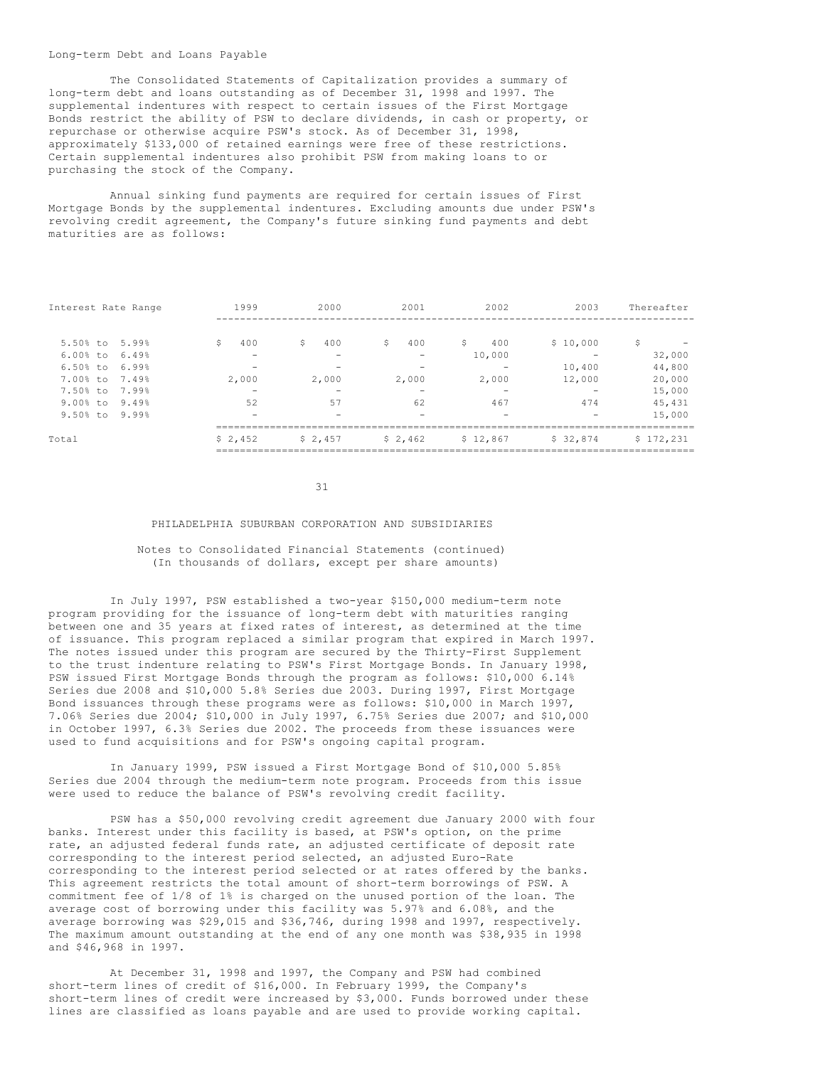## Long-term Debt and Loans Payable

The Consolidated Statements of Capitalization provides a summary of long-term debt and loans outstanding as of December 31, 1998 and 1997. The supplemental indentures with respect to certain issues of the First Mortgage Bonds restrict the ability of PSW to declare dividends, in cash or property, or repurchase or otherwise acquire PSW's stock. As of December 31, 1998, approximately \$133,000 of retained earnings were free of these restrictions. Certain supplemental indentures also prohibit PSW from making loans to or purchasing the stock of the Company.

Annual sinking fund payments are required for certain issues of First Mortgage Bonds by the supplemental indentures. Excluding amounts due under PSW's revolving credit agreement, the Company's future sinking fund payments and debt maturities are as follows:

| Interest Rate Range | 1999       | 2000                     | 2001      | 2002      | 2003     | Thereafter |
|---------------------|------------|--------------------------|-----------|-----------|----------|------------|
|                     |            |                          |           |           |          |            |
| 5.50% to<br>5.99%   | \$.<br>400 | S<br>400                 | 400<br>S. | 400<br>S. | \$10,000 | \$         |
| $6.00%$ to<br>6.49% |            | $\overline{\phantom{0}}$ | -         | 10,000    | -        | 32,000     |
| 6.50% to<br>6.99%   |            |                          |           |           | 10,400   | 44,800     |
| 7.00% to<br>7.49%   | 2,000      | 2,000                    | 2,000     | 2,000     | 12,000   | 20,000     |
| 7.50% to<br>7.99%   |            |                          |           |           |          | 15,000     |
| $9.00%$ to<br>9.49% | 52         | 57                       | 62        | 467       | 474      | 45,431     |
| 9.50% to<br>9.99%   |            |                          |           | -         |          | 15,000     |
|                     |            |                          |           |           |          |            |
| Total               | \$2,452    | \$2,457                  | \$2,462   | \$12,867  | \$32,874 | \$172,231  |
|                     |            |                          |           |           |          |            |

# 31

#### PHILADELPHIA SUBURBAN CORPORATION AND SUBSIDIARIES

# Notes to Consolidated Financial Statements (continued) (In thousands of dollars, except per share amounts)

In July 1997, PSW established a two-year \$150,000 medium-term note program providing for the issuance of long-term debt with maturities ranging between one and 35 years at fixed rates of interest, as determined at the time of issuance. This program replaced a similar program that expired in March 1997. The notes issued under this program are secured by the Thirty-First Supplement to the trust indenture relating to PSW's First Mortgage Bonds. In January 1998, PSW issued First Mortgage Bonds through the program as follows: \$10,000 6.14% Series due 2008 and \$10,000 5.8% Series due 2003. During 1997, First Mortgage Bond issuances through these programs were as follows: \$10,000 in March 1997, 7.06% Series due 2004; \$10,000 in July 1997, 6.75% Series due 2007; and \$10,000 in October 1997, 6.3% Series due 2002. The proceeds from these issuances were used to fund acquisitions and for PSW's ongoing capital program.

In January 1999, PSW issued a First Mortgage Bond of \$10,000 5.85% Series due 2004 through the medium-term note program. Proceeds from this issue were used to reduce the balance of PSW's revolving credit facility.

PSW has a \$50,000 revolving credit agreement due January 2000 with four banks. Interest under this facility is based, at PSW's option, on the prime rate, an adjusted federal funds rate, an adjusted certificate of deposit rate corresponding to the interest period selected, an adjusted Euro-Rate corresponding to the interest period selected or at rates offered by the banks. This agreement restricts the total amount of short-term borrowings of PSW. A commitment fee of 1/8 of 1% is charged on the unused portion of the loan. The average cost of borrowing under this facility was 5.97% and 6.08%, and the average borrowing was \$29,015 and \$36,746, during 1998 and 1997, respectively. The maximum amount outstanding at the end of any one month was \$38,935 in 1998 and \$46,968 in 1997.

At December 31, 1998 and 1997, the Company and PSW had combined short-term lines of credit of \$16,000. In February 1999, the Company's short-term lines of credit were increased by \$3,000. Funds borrowed under these lines are classified as loans payable and are used to provide working capital.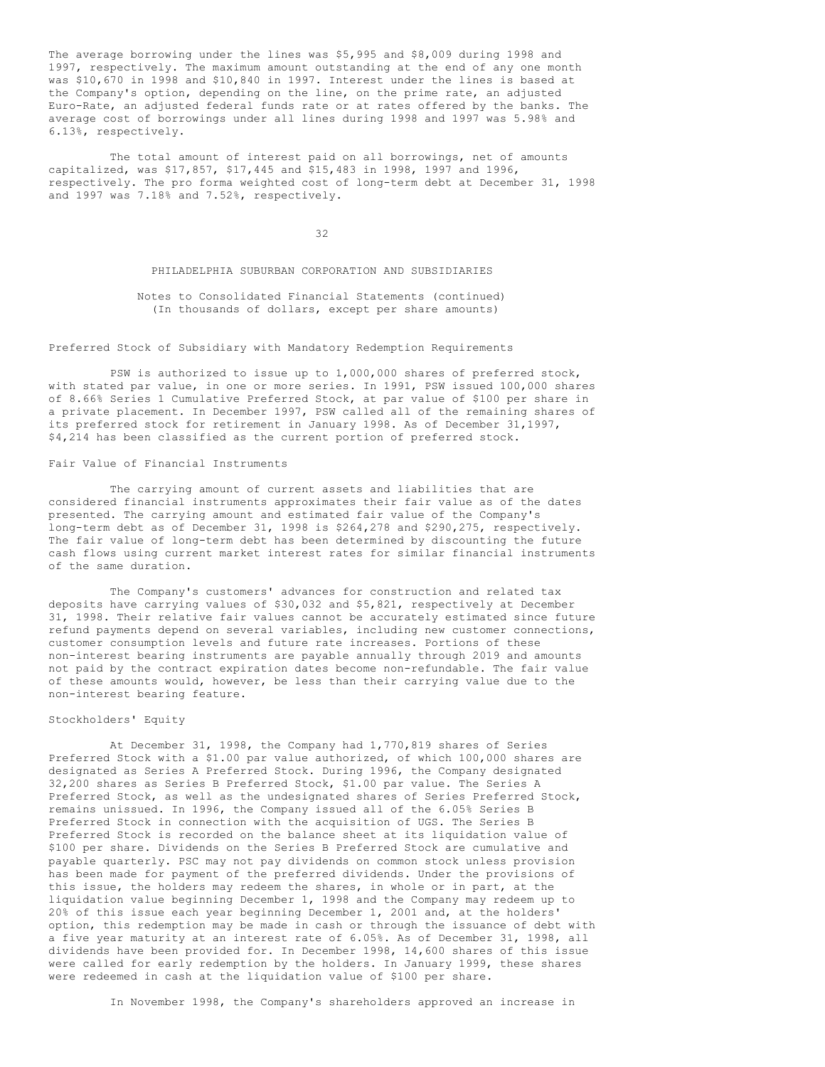The average borrowing under the lines was \$5,995 and \$8,009 during 1998 and 1997, respectively. The maximum amount outstanding at the end of any one month was \$10,670 in 1998 and \$10,840 in 1997. Interest under the lines is based at the Company's option, depending on the line, on the prime rate, an adjusted Euro-Rate, an adjusted federal funds rate or at rates offered by the banks. The average cost of borrowings under all lines during 1998 and 1997 was 5.98% and 6.13%, respectively.

The total amount of interest paid on all borrowings, net of amounts capitalized, was \$17,857, \$17,445 and \$15,483 in 1998, 1997 and 1996, respectively. The pro forma weighted cost of long-term debt at December 31, 1998 and 1997 was 7.18% and 7.52%, respectively.

32

## PHILADELPHIA SUBURBAN CORPORATION AND SUBSIDIARIES

Notes to Consolidated Financial Statements (continued) (In thousands of dollars, except per share amounts)

## Preferred Stock of Subsidiary with Mandatory Redemption Requirements

PSW is authorized to issue up to 1,000,000 shares of preferred stock, with stated par value, in one or more series. In 1991, PSW issued 100,000 shares of 8.66% Series 1 Cumulative Preferred Stock, at par value of \$100 per share in a private placement. In December 1997, PSW called all of the remaining shares of its preferred stock for retirement in January 1998. As of December 31,1997, \$4,214 has been classified as the current portion of preferred stock.

#### Fair Value of Financial Instruments

The carrying amount of current assets and liabilities that are considered financial instruments approximates their fair value as of the dates presented. The carrying amount and estimated fair value of the Company's long-term debt as of December 31, 1998 is \$264,278 and \$290,275, respectively. The fair value of long-term debt has been determined by discounting the future cash flows using current market interest rates for similar financial instruments of the same duration.

The Company's customers' advances for construction and related tax deposits have carrying values of \$30,032 and \$5,821, respectively at December 31, 1998. Their relative fair values cannot be accurately estimated since future refund payments depend on several variables, including new customer connections, customer consumption levels and future rate increases. Portions of these non-interest bearing instruments are payable annually through 2019 and amounts not paid by the contract expiration dates become non-refundable. The fair value of these amounts would, however, be less than their carrying value due to the non-interest bearing feature.

## Stockholders' Equity

At December 31, 1998, the Company had 1,770,819 shares of Series Preferred Stock with a \$1.00 par value authorized, of which 100,000 shares are designated as Series A Preferred Stock. During 1996, the Company designated 32,200 shares as Series B Preferred Stock, \$1.00 par value. The Series A Preferred Stock, as well as the undesignated shares of Series Preferred Stock, remains unissued. In 1996, the Company issued all of the 6.05% Series B Preferred Stock in connection with the acquisition of UGS. The Series B Preferred Stock is recorded on the balance sheet at its liquidation value of \$100 per share. Dividends on the Series B Preferred Stock are cumulative and payable quarterly. PSC may not pay dividends on common stock unless provision has been made for payment of the preferred dividends. Under the provisions of this issue, the holders may redeem the shares, in whole or in part, at the liquidation value beginning December 1, 1998 and the Company may redeem up to 20% of this issue each year beginning December 1, 2001 and, at the holders' option, this redemption may be made in cash or through the issuance of debt with a five year maturity at an interest rate of 6.05%. As of December 31, 1998, all dividends have been provided for. In December 1998, 14,600 shares of this issue were called for early redemption by the holders. In January 1999, these shares were redeemed in cash at the liquidation value of \$100 per share.

In November 1998, the Company's shareholders approved an increase in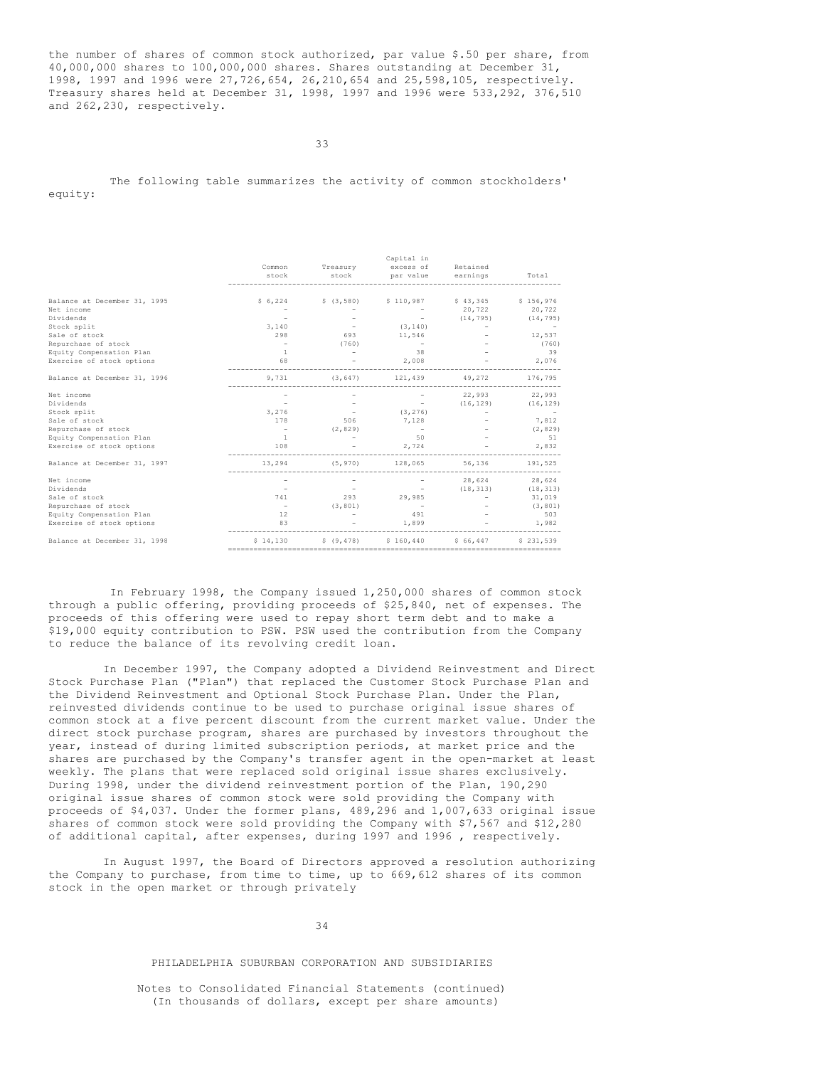the number of shares of common stock authorized, par value \$.50 per share, from 40,000,000 shares to 100,000,000 shares. Shares outstanding at December 31, 1998, 1997 and 1996 were 27,726,654, 26,210,654 and 25,598,105, respectively. Treasury shares held at December 31, 1998, 1997 and 1996 were 533,292, 376,510 and 262,230, respectively.

33

The following table summarizes the activity of common stockholders' equity:

| ו נוד |  |
|-------|--|
|       |  |
|       |  |

|                              | Common<br>stock | stock    | Capital in<br>Treasury excess of Retained<br>par value earnings |           | Total     |
|------------------------------|-----------------|----------|-----------------------------------------------------------------|-----------|-----------|
| Balance at December 31, 1995 | \$6,224         |          | $\frac{1}{2}$ (3,580) $\frac{110,987}{2}$ $\frac{2}{3}$ 43,345  |           | \$156,976 |
| Net income                   |                 |          |                                                                 | 20,722    | 20,722    |
| Dividends                    |                 |          |                                                                 | (14, 795) | (14, 795) |
| Stock split                  | 3,140           |          | (3, 140)                                                        |           |           |
| Sale of stock                | 298             | 693      | 11,546                                                          |           | 12,537    |
| Repurchase of stock          |                 | (760)    |                                                                 |           | (760)     |
| Equity Compensation Plan     | $\mathbf{1}$    |          | 38                                                              |           | 39        |
| Exercise of stock options    | 68              |          | 2,008                                                           |           | 2,076     |
| Balance at December 31, 1996 | 9,731           |          | $(3, 647)$ 121, 439                                             | 49.272    | 176,795   |
| Net income                   |                 |          |                                                                 | 22.993    | 22,993    |
| Dividends                    |                 |          |                                                                 | (16, 129) | (16, 129) |
| Stock split                  | 3,276           |          | (3, 276)                                                        |           |           |
| Sale of stock                | 178             | 506      | 7,128                                                           |           | 7,812     |
| Repurchase of stock          |                 | (2, 829) |                                                                 |           | (2, 829)  |
| Equity Compensation Plan     | $\sim$ 1        |          | 50                                                              |           | 51        |
| Exercise of stock options    | 108             |          | 2,724                                                           |           | 2,832     |
| Balance at December 31, 1997 | 13,294          |          | $(5, 970)$ 128,065                                              | 56.136    | 191,525   |
| Net income                   |                 |          |                                                                 | 28,624    | 28,624    |
| Dividends                    |                 |          |                                                                 | (18, 313) | (18, 313) |
| Sale of stock                | 741             | 293      | 29,985                                                          |           | 31,019    |
| Repurchase of stock          | $\sim$          | (3, 801) | <b>Contract Contract</b>                                        |           | (3, 801)  |
| Equity Compensation Plan     | 12              |          | 491                                                             |           | 503       |
| Exercise of stock options    | 83              |          | 1,899                                                           |           | 1,982     |
| Balance at December 31, 1998 | \$14.130        |          | \$ (9,478) \$ 160,440 \$ 66,447 \$ 231,539                      |           |           |

In February 1998, the Company issued 1,250,000 shares of common stock through a public offering, providing proceeds of \$25,840, net of expenses. The proceeds of this offering were used to repay short term debt and to make a \$19,000 equity contribution to PSW. PSW used the contribution from the Company to reduce the balance of its revolving credit loan.

In December 1997, the Company adopted a Dividend Reinvestment and Direct Stock Purchase Plan ("Plan") that replaced the Customer Stock Purchase Plan and the Dividend Reinvestment and Optional Stock Purchase Plan. Under the Plan, reinvested dividends continue to be used to purchase original issue shares of common stock at a five percent discount from the current market value. Under the direct stock purchase program, shares are purchased by investors throughout the year, instead of during limited subscription periods, at market price and the shares are purchased by the Company's transfer agent in the open-market at least weekly. The plans that were replaced sold original issue shares exclusively. During 1998, under the dividend reinvestment portion of the Plan, 190,290 original issue shares of common stock were sold providing the Company with proceeds of \$4,037. Under the former plans, 489,296 and 1,007,633 original issue shares of common stock were sold providing the Company with \$7,567 and \$12,280 of additional capital, after expenses, during 1997 and 1996 , respectively.

In August 1997, the Board of Directors approved a resolution authorizing the Company to purchase, from time to time, up to 669,612 shares of its common stock in the open market or through privately

34

PHILADELPHIA SUBURBAN CORPORATION AND SUBSIDIARIES

Notes to Consolidated Financial Statements (continued) (In thousands of dollars, except per share amounts)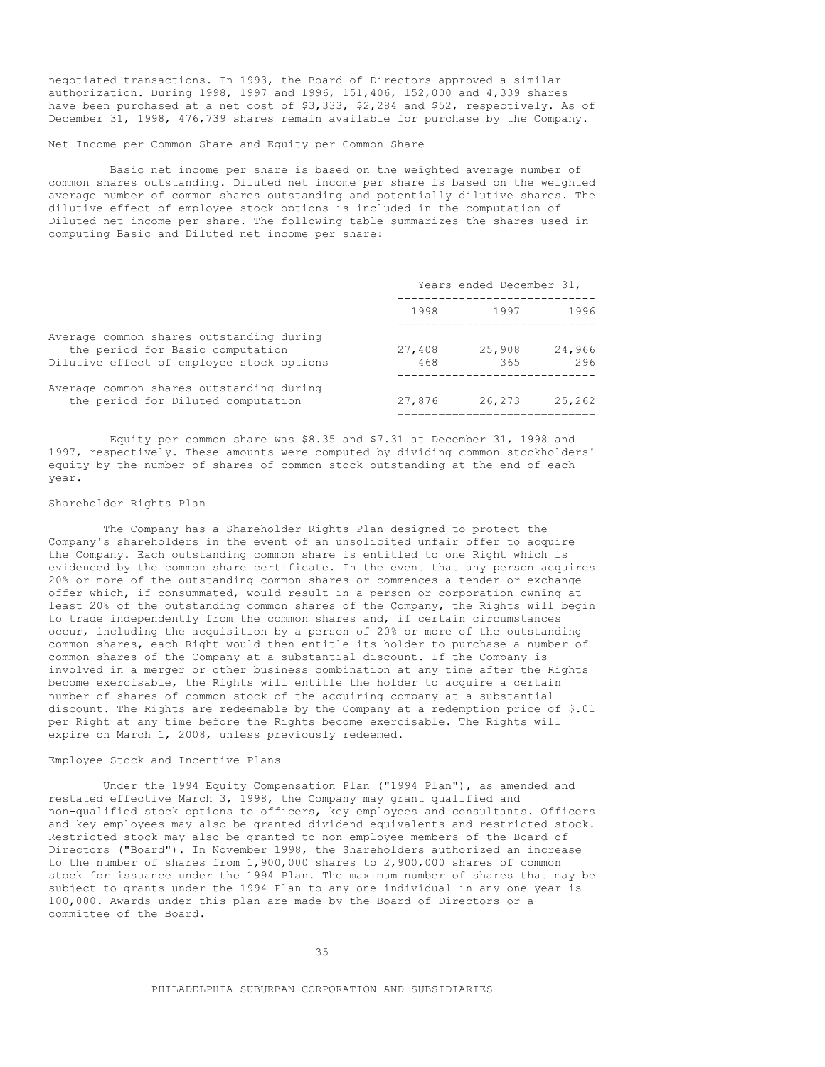negotiated transactions. In 1993, the Board of Directors approved a similar authorization. During 1998, 1997 and 1996, 151,406, 152,000 and 4,339 shares have been purchased at a net cost of \$3,333, \$2,284 and \$52, respectively. As of December 31, 1998, 476,739 shares remain available for purchase by the Company.

Net Income per Common Share and Equity per Common Share

Basic net income per share is based on the weighted average number of common shares outstanding. Diluted net income per share is based on the weighted average number of common shares outstanding and potentially dilutive shares. The dilutive effect of employee stock options is included in the computation of Diluted net income per share. The following table summarizes the shares used in computing Basic and Diluted net income per share:

|                                                                                                                           | Years ended December 31, |               |               |  |
|---------------------------------------------------------------------------------------------------------------------------|--------------------------|---------------|---------------|--|
|                                                                                                                           | 1998                     | 1997          | 1996          |  |
| Average common shares outstanding during<br>the period for Basic computation<br>Dilutive effect of employee stock options | 27,408<br>468            | 25,908<br>365 | 24,966<br>296 |  |
| Average common shares outstanding during<br>the period for Diluted computation                                            | 27,876                   | 26,273        | 25,262        |  |

Equity per common share was \$8.35 and \$7.31 at December 31, 1998 and 1997, respectively. These amounts were computed by dividing common stockholders' equity by the number of shares of common stock outstanding at the end of each year.

## Shareholder Rights Plan

The Company has a Shareholder Rights Plan designed to protect the Company's shareholders in the event of an unsolicited unfair offer to acquire the Company. Each outstanding common share is entitled to one Right which is evidenced by the common share certificate. In the event that any person acquires 20% or more of the outstanding common shares or commences a tender or exchange offer which, if consummated, would result in a person or corporation owning at least 20% of the outstanding common shares of the Company, the Rights will begin to trade independently from the common shares and, if certain circumstances occur, including the acquisition by a person of 20% or more of the outstanding common shares, each Right would then entitle its holder to purchase a number of common shares of the Company at a substantial discount. If the Company is involved in a merger or other business combination at any time after the Rights become exercisable, the Rights will entitle the holder to acquire a certain number of shares of common stock of the acquiring company at a substantial discount. The Rights are redeemable by the Company at a redemption price of \$.01 per Right at any time before the Rights become exercisable. The Rights will expire on March 1, 2008, unless previously redeemed.

#### Employee Stock and Incentive Plans

Under the 1994 Equity Compensation Plan ("1994 Plan"), as amended and restated effective March 3, 1998, the Company may grant qualified and non-qualified stock options to officers, key employees and consultants. Officers and key employees may also be granted dividend equivalents and restricted stock. Restricted stock may also be granted to non-employee members of the Board of Directors ("Board"). In November 1998, the Shareholders authorized an increase to the number of shares from 1,900,000 shares to 2,900,000 shares of common stock for issuance under the 1994 Plan. The maximum number of shares that may be subject to grants under the 1994 Plan to any one individual in any one year is 100,000. Awards under this plan are made by the Board of Directors or a committee of the Board.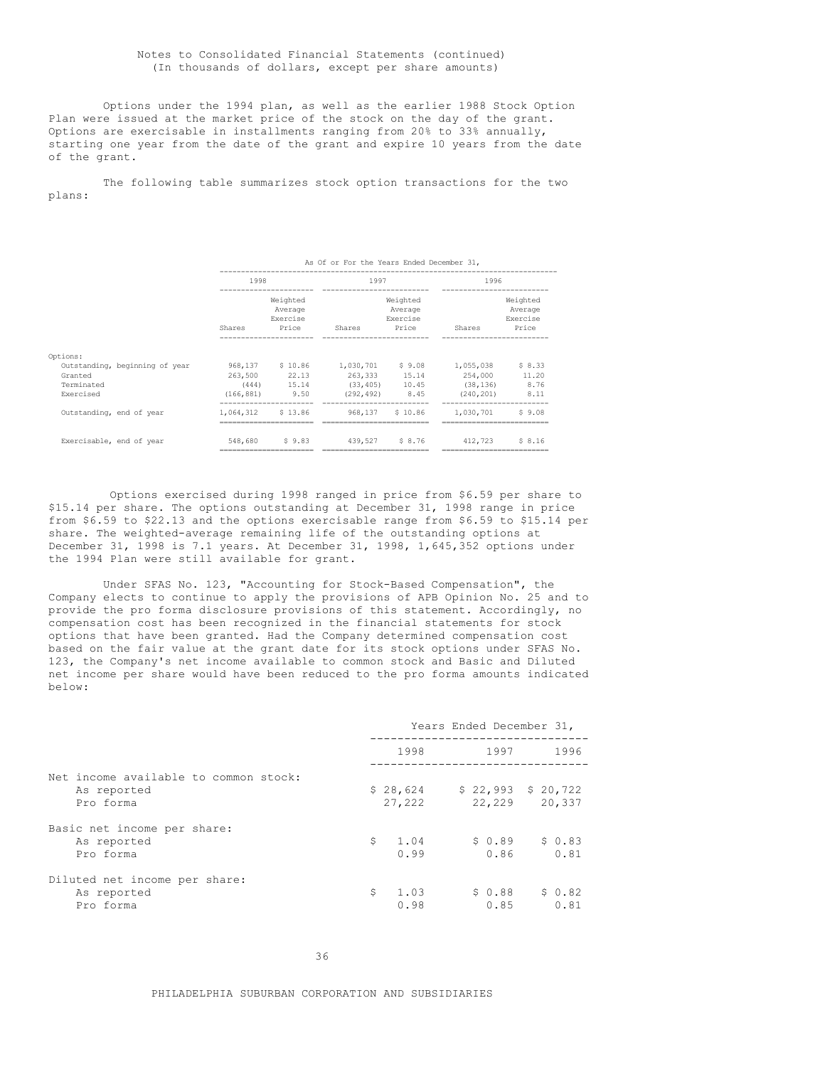# Notes to Consolidated Financial Statements (continued) (In thousands of dollars, except per share amounts)

Options under the 1994 plan, as well as the earlier 1988 Stock Option Plan were issued at the market price of the stock on the day of the grant. Options are exercisable in installments ranging from 20% to 33% annually, starting one year from the date of the grant and expire 10 years from the date of the grant.

The following table summarizes stock option transactions for the two plans:

As Of or For the Years Ended December 31,

| 1998       |                                 | 1997                                          |                     |                                                                               |                                 |
|------------|---------------------------------|-----------------------------------------------|---------------------|-------------------------------------------------------------------------------|---------------------------------|
|            |                                 |                                               |                     | 1996                                                                          |                                 |
|            | Weighted<br>Average<br>Exercise |                                               | Weighted<br>Average |                                                                               | Weighted<br>Average<br>Exercise |
| Shares     | Price                           | Shares                                        | Price               | Shares                                                                        | Price                           |
|            |                                 |                                               |                     |                                                                               |                                 |
|            |                                 |                                               | \$9.08              | 1,055,038                                                                     | \$8.33                          |
| 263,500    |                                 |                                               |                     | 254,000                                                                       | 11.20                           |
| (444)      | 15.14                           | (33, 405)                                     |                     | (38, 136)                                                                     | 8.76                            |
| (166, 881) | 9.50                            | (292, 492)                                    | 8.45                | (240, 201)                                                                    | 8.11                            |
|            |                                 |                                               |                     |                                                                               | \$9.08                          |
| 548,680    | \$9.83                          |                                               | \$8.76              | 412,723                                                                       | \$8.16                          |
|            |                                 | 968,137 \$10.86<br>22.13<br>1,064,312 \$13.86 |                     | Exercise<br>1,030,701<br>263,333 15.14<br>10.45<br>968,137 \$10.86<br>439,527 | 1,030,701                       |

Options exercised during 1998 ranged in price from \$6.59 per share to \$15.14 per share. The options outstanding at December 31, 1998 range in price from \$6.59 to \$22.13 and the options exercisable range from \$6.59 to \$15.14 per share. The weighted-average remaining life of the outstanding options at December 31, 1998 is 7.1 years. At December 31, 1998, 1,645,352 options under the 1994 Plan were still available for grant.

Under SFAS No. 123, "Accounting for Stock-Based Compensation", the Company elects to continue to apply the provisions of APB Opinion No. 25 and to provide the pro forma disclosure provisions of this statement. Accordingly, no compensation cost has been recognized in the financial statements for stock options that have been granted. Had the Company determined compensation cost based on the fair value at the grant date for its stock options under SFAS No. 123, the Company's net income available to common stock and Basic and Diluted net income per share would have been reduced to the pro forma amounts indicated below:

|                                                                   | Years Ended December 31, |                    |                |                               |
|-------------------------------------------------------------------|--------------------------|--------------------|----------------|-------------------------------|
|                                                                   |                          | 1998               | 1997           | 1996                          |
| Net income available to common stock:<br>As reported<br>Pro forma |                          | \$28,624<br>27,222 | 22,229         | $$22,993$ $$20,722$<br>20,337 |
| Basic net income per share:<br>As reported<br>Pro forma           |                          | \$1.04<br>0.99     | \$0.89<br>0.86 | \$0.83<br>0.81                |
| Diluted net income per share:<br>As reported<br>Pro forma         | Ŝ.                       | 1.03<br>0.98       | \$0.88<br>0.85 | \$0.82<br>0.81                |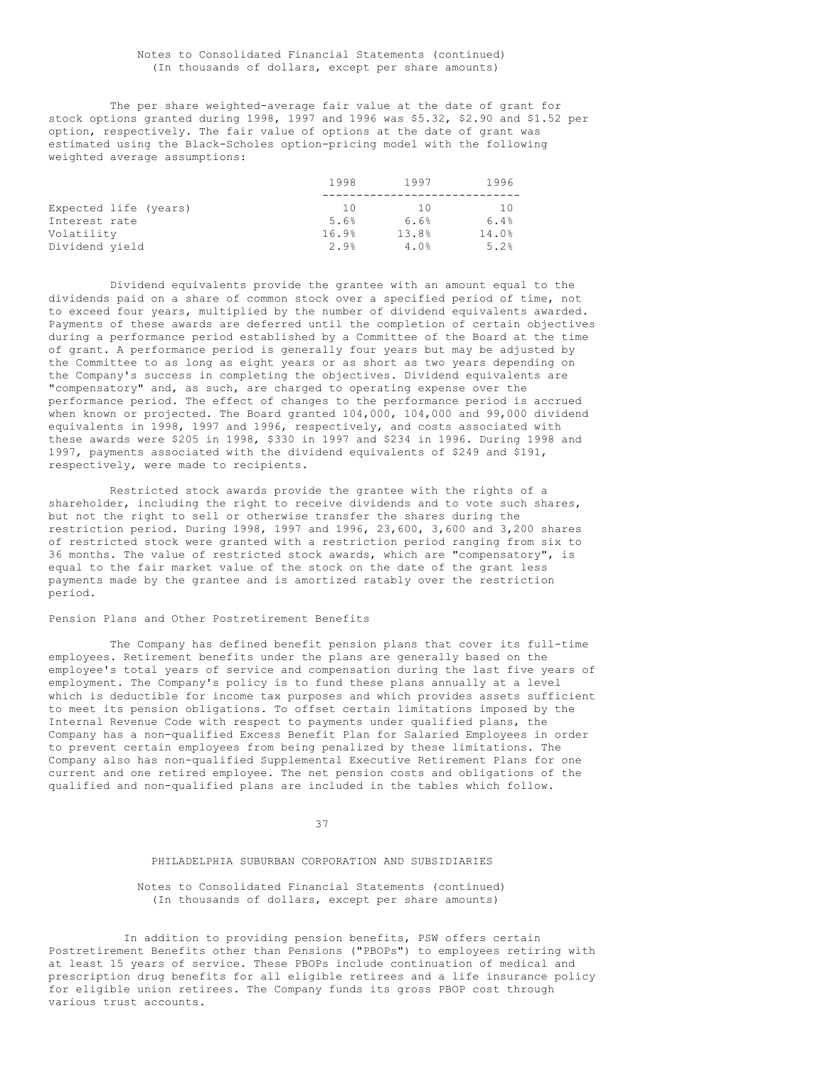## Notes to Consolidated Financial Statements (continued) (In thousands of dollars, except per share amounts)

The per share weighted-average fair value at the date of grant for stock options granted during 1998, 1997 and 1996 was \$5.32, \$2.90 and \$1.52 per option, respectively. The fair value of options at the date of grant was estimated using the Black-Scholes option-pricing model with the following weighted average assumptions:

|                       | 1998  | 1997  | 1996  |
|-----------------------|-------|-------|-------|
| Expected life (years) | 10    | 1 O   | 1 O   |
| Interest rate         | 5.6%  | 6.6%  | 6.4%  |
| Volatility            | 16.9% | 13.8% | 14.0% |
| Dividend vield        | 2.9%  | 4.0%  | 5.2%  |

Dividend equivalents provide the grantee with an amount equal to the dividends paid on a share of common stock over a specified period of time, not to exceed four years, multiplied by the number of dividend equivalents awarded. Payments of these awards are deferred until the completion of certain objectives during a performance period established by a Committee of the Board at the time of grant. A performance period is generally four years but may be adjusted by the Committee to as long as eight years or as short as two years depending on the Company's success in completing the objectives. Dividend equivalents are "compensatory" and, as such, are charged to operating expense over the performance period. The effect of changes to the performance period is accrued when known or projected. The Board granted 104,000, 104,000 and 99,000 dividend equivalents in 1998, 1997 and 1996, respectively, and costs associated with these awards were \$205 in 1998, \$330 in 1997 and \$234 in 1996. During 1998 and 1997, payments associated with the dividend equivalents of \$249 and \$191, respectively, were made to recipients.

Restricted stock awards provide the grantee with the rights of a shareholder, including the right to receive dividends and to vote such shares, but not the right to sell or otherwise transfer the shares during the restriction period. During 1998, 1997 and 1996, 23,600, 3,600 and 3,200 shares of restricted stock were granted with a restriction period ranging from six to 36 months. The value of restricted stock awards, which are "compensatory", is equal to the fair market value of the stock on the date of the grant less payments made by the grantee and is amortized ratably over the restriction period.

## Pension Plans and Other Postretirement Benefits

The Company has defined benefit pension plans that cover its full-time employees. Retirement benefits under the plans are generally based on the employee's total years of service and compensation during the last five years of employment. The Company's policy is to fund these plans annually at a level which is deductible for income tax purposes and which provides assets sufficient to meet its pension obligations. To offset certain limitations imposed by the Internal Revenue Code with respect to payments under qualified plans, the Company has a non-qualified Excess Benefit Plan for Salaried Employees in order to prevent certain employees from being penalized by these limitations. The Company also has non-qualified Supplemental Executive Retirement Plans for one current and one retired employee. The net pension costs and obligations of the qualified and non-qualified plans are included in the tables which follow.

37

# PHILADELPHIA SUBURBAN CORPORATION AND SUBSIDIARIES

Notes to Consolidated Financial Statements (continued) (In thousands of dollars, except per share amounts)

In addition to providing pension benefits, PSW offers certain Postretirement Benefits other than Pensions ("PBOPs") to employees retiring with at least 15 years of service. These PBOPs include continuation of medical and prescription drug benefits for all eligible retirees and a life insurance policy for eligible union retirees. The Company funds its gross PBOP cost through various trust accounts.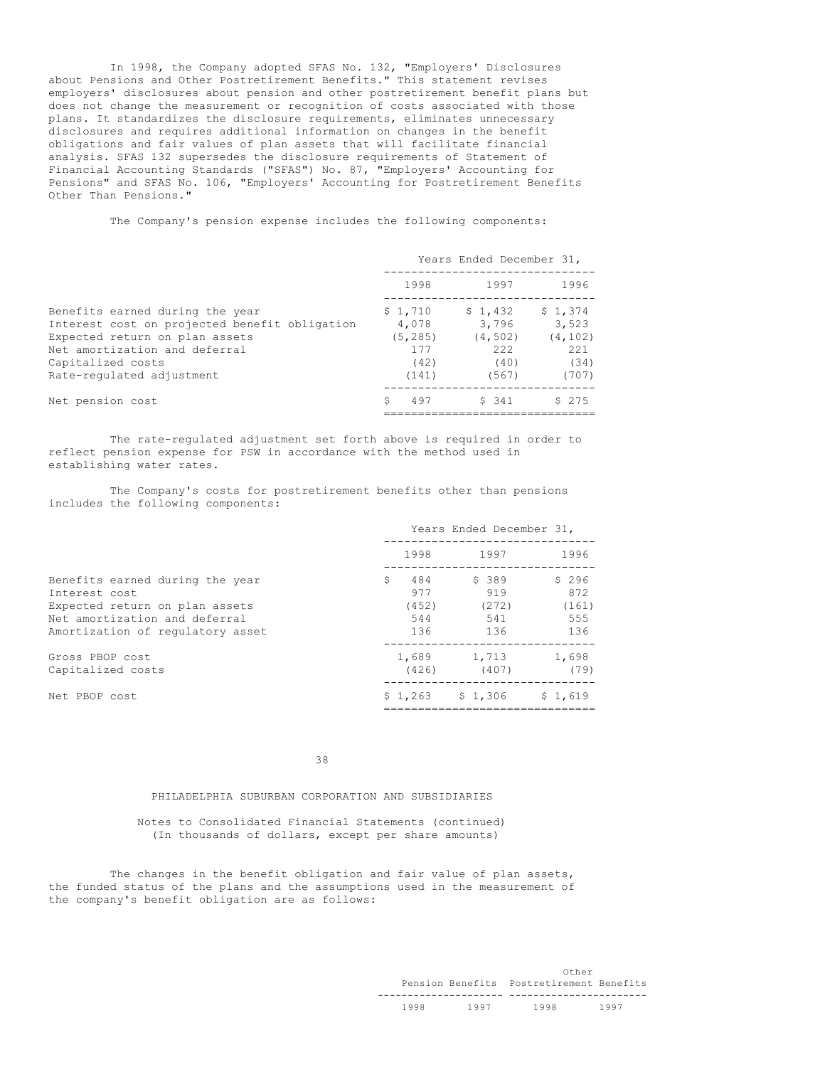In 1998, the Company adopted SFAS No. 132, "Employers' Disclosures about Pensions and Other Postretirement Benefits." This statement revises employers' disclosures about pension and other postretirement benefit plans but does not change the measurement or recognition of costs associated with those plans. It standardizes the disclosure requirements, eliminates unnecessary disclosures and requires additional information on changes in the benefit obligations and fair values of plan assets that will facilitate financial analysis. SFAS 132 supersedes the disclosure requirements of Statement of Financial Accounting Standards ("SFAS") No. 87, "Employers' Accounting for Pensions" and SFAS No. 106, "Employers' Accounting for Postretirement Benefits Other Than Pensions."

The Company's pension expense includes the following components:

|                                               | Years Ended December 31, |          |          |  |
|-----------------------------------------------|--------------------------|----------|----------|--|
|                                               | 1998                     | 1997     | 1996     |  |
| Benefits earned during the year               | \$1,710                  | \$1,432  | \$1,374  |  |
| Interest cost on projected benefit obligation | 4,078                    | 3,796    | 3,523    |  |
| Expected return on plan assets                | (5, 285)                 | (4, 502) | (4, 102) |  |
| Net amortization and deferral                 | 177                      | 2.2.2    | 221      |  |
| Capitalized costs                             | (42)                     | (40)     | (34)     |  |
| Rate-regulated adjustment                     | (141)                    | (567)    | (707)    |  |
| Net pension cost                              | 497                      | \$341    | \$ 275   |  |

The rate-regulated adjustment set forth above is required in order to reflect pension expense for PSW in accordance with the method used in establishing water rates.

The Company's costs for postretirement benefits other than pensions includes the following components:

|                                                                                                                                                         | Years Ended December 31, |                                   |                                      |                                     |
|---------------------------------------------------------------------------------------------------------------------------------------------------------|--------------------------|-----------------------------------|--------------------------------------|-------------------------------------|
|                                                                                                                                                         |                          | 1998                              | 1997                                 | 1996                                |
| Benefits earned during the year<br>Interest cost<br>Expected return on plan assets<br>Net amortization and deferral<br>Amortization of regulatory asset | S.                       | 484<br>977<br>(452)<br>544<br>136 | \$ 389<br>919<br>(272)<br>541<br>136 | \$296<br>872<br>(161)<br>555<br>136 |
| Gross PBOP cost<br>Capitalized costs                                                                                                                    |                          | 1,689<br>(426)                    | 1,713<br>(407)                       | 1,698<br>(79)                       |
| Net PBOP cost                                                                                                                                           |                          | \$1,263                           | \$1,306                              | \$1,619                             |

38

## PHILADELPHIA SUBURBAN CORPORATION AND SUBSIDIARIES

# Notes to Consolidated Financial Statements (continued) (In thousands of dollars, except per share amounts)

The changes in the benefit obligation and fair value of plan assets, the funded status of the plans and the assumptions used in the measurement of the company's benefit obligation are as follows:

|      |      | Other                                    |      |
|------|------|------------------------------------------|------|
|      |      | Pension Benefits Postretirement Benefits |      |
|      |      |                                          |      |
| 1998 | 1997 | 1998                                     | 1997 |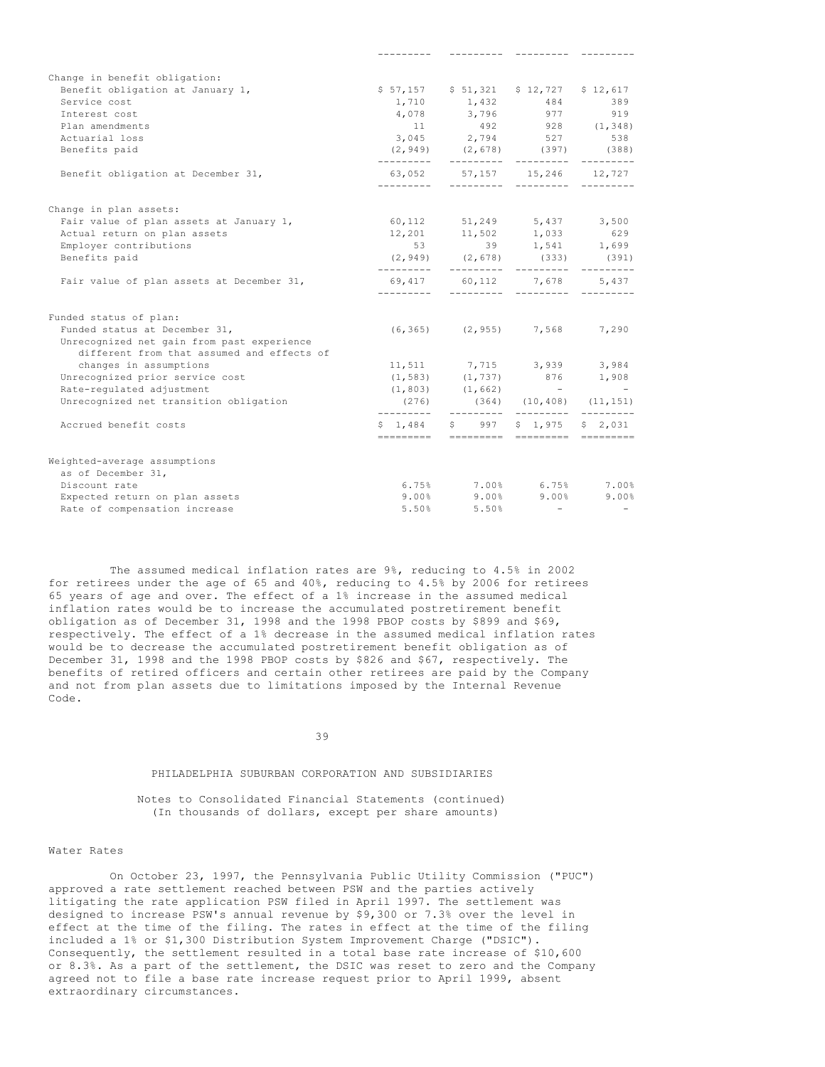| Change in benefit obligation:                                                            |                                   |                                                          |            |                                   |
|------------------------------------------------------------------------------------------|-----------------------------------|----------------------------------------------------------|------------|-----------------------------------|
| Benefit obligation at January 1,                                                         |                                   | $$57,157$ $$51,321$ $$12,727$ $$12,617$                  |            |                                   |
| Service cost                                                                             |                                   | 1,710 1,432 484 389                                      |            |                                   |
| Interest cost                                                                            |                                   | $4,078$ $3,796$ $977$ $919$                              |            |                                   |
| Plan amendments                                                                          |                                   | 11 $492$ 928 $(1, 348)$                                  |            |                                   |
| Actuarial loss                                                                           |                                   | $3,045$ 2,794 527 538                                    |            |                                   |
| Benefits paid                                                                            |                                   | $(2, 949)$ $(2, 678)$ $(397)$ $(388)$                    |            |                                   |
| Benefit obligation at December 31,                                                       | ---------                         | 63,052 57,157 15,246 12,727                              |            |                                   |
| Change in plan assets:                                                                   |                                   |                                                          |            |                                   |
| Fair value of plan assets at January 1,                                                  | $60,112$ $51,249$ $5,437$ $3,500$ |                                                          |            |                                   |
| Actual return on plan assets                                                             |                                   | 12,201 11,502 1,033 629                                  |            |                                   |
| Employer contributions                                                                   |                                   | 53 39 1,541 1,699                                        |            |                                   |
| Benefits paid                                                                            |                                   | $(2, 949)$ $(2, 678)$ $(333)$ $(391)$                    |            |                                   |
| Fair value of plan assets at December 31,                                                | ----------                        | 69,417 60,112 7,678 5,437                                |            |                                   |
| Funded status of plan:                                                                   |                                   |                                                          |            |                                   |
| Funded status at December 31,                                                            |                                   | $(6, 365)$ $(2, 955)$ $7, 568$ $7, 290$                  |            |                                   |
| Unrecognized net gain from past experience<br>different from that assumed and effects of |                                   |                                                          |            |                                   |
| changes in assumptions                                                                   |                                   | $11,511$ 7,715 3,939 3,984                               |            |                                   |
| Unrecognized prior service cost                                                          |                                   | $(1,583)$ $(1,737)$ 876 1,908<br>$(1,803)$ $(1,662)$ - - |            |                                   |
| Rate-regulated adjustment                                                                |                                   |                                                          |            | <b>Contract Contract Contract</b> |
| Unrecognized net transition obligation                                                   |                                   | $(276)$ $(364)$ $(10,408)$ $(11,151)$                    |            | ---------                         |
| Accrued benefit costs                                                                    |                                   | \$ 1,484 \$ 997 \$ 1,975 \$ 2,031                        |            |                                   |
|                                                                                          |                                   | --------- -------- -------- --------                     |            |                                   |
| Weighted-average assumptions                                                             |                                   |                                                          |            |                                   |
| as of December 31,                                                                       |                                   |                                                          |            |                                   |
| Discount rate                                                                            |                                   | $6.75\%$ 7.00% 6.75% 7.00%                               |            |                                   |
| Expected return on plan assets                                                           |                                   | $9.00\%$ 9.00% 9.00% 9.00%                               |            |                                   |
| Rate of compensation increase                                                            | 5.50%                             | 5.50%                                                    | $\sim$ $-$ | $\sim$ $-$                        |

The assumed medical inflation rates are 9%, reducing to 4.5% in 2002 for retirees under the age of 65 and 40%, reducing to 4.5% by 2006 for retirees 65 years of age and over. The effect of a 1% increase in the assumed medical inflation rates would be to increase the accumulated postretirement benefit obligation as of December 31, 1998 and the 1998 PBOP costs by \$899 and \$69, respectively. The effect of a 1% decrease in the assumed medical inflation rates would be to decrease the accumulated postretirement benefit obligation as of December 31, 1998 and the 1998 PBOP costs by \$826 and \$67, respectively. The benefits of retired officers and certain other retirees are paid by the Company and not from plan assets due to limitations imposed by the Internal Revenue Code.

39

# PHILADELPHIA SUBURBAN CORPORATION AND SUBSIDIARIES

Notes to Consolidated Financial Statements (continued) (In thousands of dollars, except per share amounts)

## Water Rates

On October 23, 1997, the Pennsylvania Public Utility Commission ("PUC") approved a rate settlement reached between PSW and the parties actively litigating the rate application PSW filed in April 1997. The settlement was designed to increase PSW's annual revenue by \$9,300 or 7.3% over the level in effect at the time of the filing. The rates in effect at the time of the filing included a 1% or \$1,300 Distribution System Improvement Charge ("DSIC"). Consequently, the settlement resulted in a total base rate increase of \$10,600 or 8.3%. As a part of the settlement, the DSIC was reset to zero and the Company agreed not to file a base rate increase request prior to April 1999, absent extraordinary circumstances.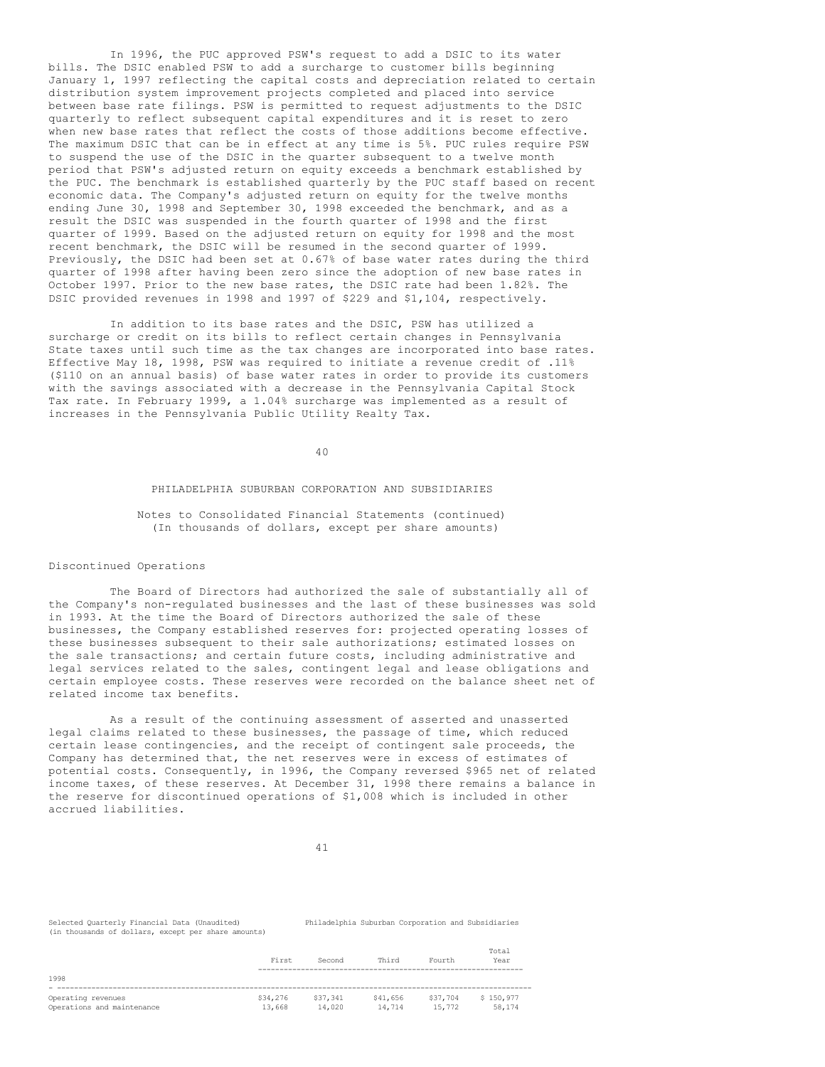In 1996, the PUC approved PSW's request to add a DSIC to its water bills. The DSIC enabled PSW to add a surcharge to customer bills beginning January 1, 1997 reflecting the capital costs and depreciation related to certain distribution system improvement projects completed and placed into service between base rate filings. PSW is permitted to request adjustments to the DSIC quarterly to reflect subsequent capital expenditures and it is reset to zero when new base rates that reflect the costs of those additions become effective. The maximum DSIC that can be in effect at any time is 5%. PUC rules require PSW to suspend the use of the DSIC in the quarter subsequent to a twelve month period that PSW's adjusted return on equity exceeds a benchmark established by the PUC. The benchmark is established quarterly by the PUC staff based on recent economic data. The Company's adjusted return on equity for the twelve months ending June 30, 1998 and September 30, 1998 exceeded the benchmark, and as a result the DSIC was suspended in the fourth quarter of 1998 and the first quarter of 1999. Based on the adjusted return on equity for 1998 and the most recent benchmark, the DSIC will be resumed in the second quarter of 1999. Previously, the DSIC had been set at 0.67% of base water rates during the third quarter of 1998 after having been zero since the adoption of new base rates in October 1997. Prior to the new base rates, the DSIC rate had been 1.82%. The DSIC provided revenues in 1998 and 1997 of \$229 and \$1,104, respectively.

In addition to its base rates and the DSIC, PSW has utilized a surcharge or credit on its bills to reflect certain changes in Pennsylvania State taxes until such time as the tax changes are incorporated into base rates. Effective May 18, 1998, PSW was required to initiate a revenue credit of .11% (\$110 on an annual basis) of base water rates in order to provide its customers with the savings associated with a decrease in the Pennsylvania Capital Stock Tax rate. In February 1999, a 1.04% surcharge was implemented as a result of increases in the Pennsylvania Public Utility Realty Tax.

40

# PHILADELPHIA SUBURBAN CORPORATION AND SUBSIDIARIES

#### Notes to Consolidated Financial Statements (continued) (In thousands of dollars, except per share amounts)

### Discontinued Operations

The Board of Directors had authorized the sale of substantially all of the Company's non-regulated businesses and the last of these businesses was sold in 1993. At the time the Board of Directors authorized the sale of these businesses, the Company established reserves for: projected operating losses of these businesses subsequent to their sale authorizations; estimated losses on the sale transactions; and certain future costs, including administrative and legal services related to the sales, contingent legal and lease obligations and certain employee costs. These reserves were recorded on the balance sheet net of related income tax benefits.

As a result of the continuing assessment of asserted and unasserted legal claims related to these businesses, the passage of time, which reduced certain lease contingencies, and the receipt of contingent sale proceeds, the Company has determined that, the net reserves were in excess of estimates of potential costs. Consequently, in 1996, the Company reversed \$965 net of related income taxes, of these reserves. At December 31, 1998 there remains a balance in the reserve for discontinued operations of \$1,008 which is included in other accrued liabilities.

41

|  |  | Selected Quarterly Financial Data (Unaudited)       |  |  |
|--|--|-----------------------------------------------------|--|--|
|  |  | (in thousands of dollars, except per share amounts) |  |  |

Philadelphia Suburban Corporation and Subsidiaries

|                                                  | First              | Second             | Third              | Fourth             | Total<br>Year       |
|--------------------------------------------------|--------------------|--------------------|--------------------|--------------------|---------------------|
| 1998                                             |                    |                    |                    |                    |                     |
| Operating revenues<br>Operations and maintenance | \$34,276<br>13,668 | \$37,341<br>14,020 | \$41,656<br>14,714 | \$37,704<br>15,772 | \$150,977<br>58,174 |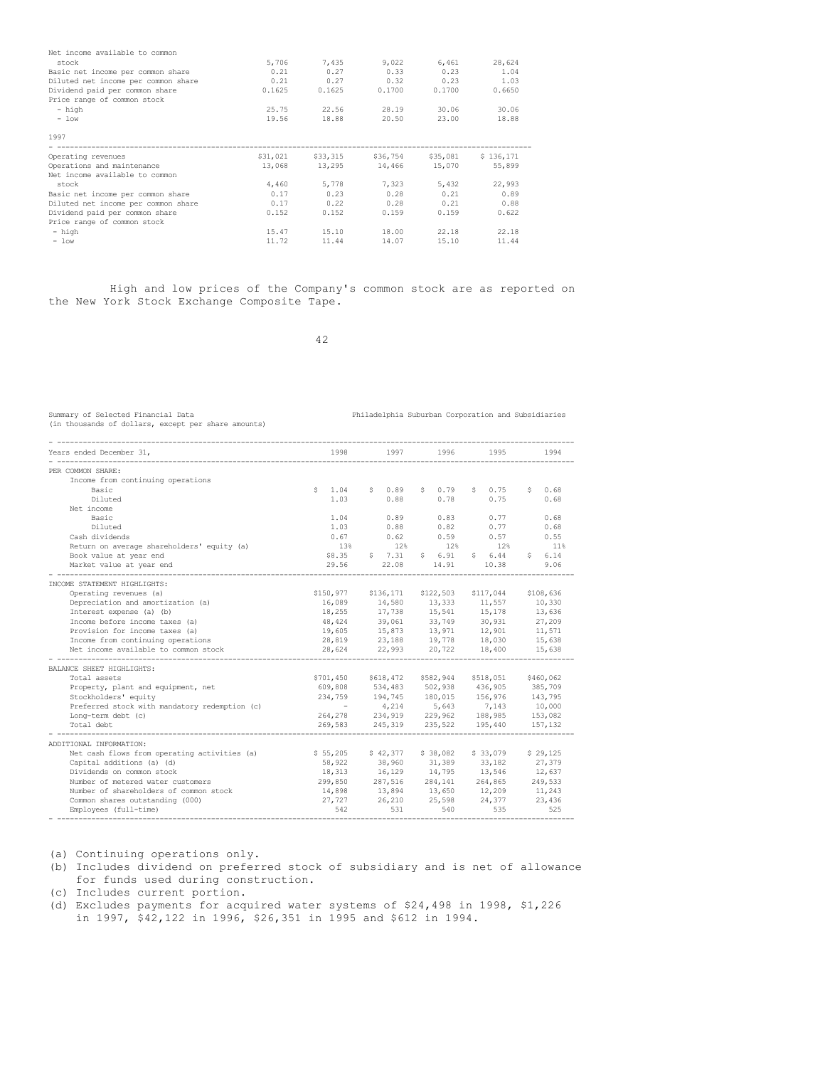| Net income available to common      |          |          |          |          |           |
|-------------------------------------|----------|----------|----------|----------|-----------|
| stock                               | 5,706    | 7,435    | 9,022    | 6,461    | 28,624    |
| Basic net income per common share   | 0.21     | 0.27     | 0.33     | 0.23     | 1.04      |
| Diluted net income per common share | 0.21     | 0.27     | 0.32     | 0.23     | 1.03      |
| Dividend paid per common share      | 0.1625   | 0.1625   | 0.1700   | 0.1700   | 0.6650    |
| Price range of common stock         |          |          |          |          |           |
| - high                              | 25.75    | 22.56    | 28.19    | 30.06    | 30.06     |
| $-$ low                             | 19.56    | 18.88    | 20.50    | 23.00    | 18.88     |
| 1997                                |          |          |          |          |           |
| Operating revenues                  | \$31,021 | \$33,315 | \$36,754 | \$35,081 | \$136,171 |
| Operations and maintenance          | 13,068   | 13,295   | 14,466   | 15,070   | 55,899    |
|                                     |          |          |          |          |           |
| Net income available to common      |          |          |          |          |           |
| stock                               | 4,460    | 5,778    | 7,323    | 5,432    | 22,993    |
| Basic net income per common share   | 0.17     | 0.23     | 0.28     | 0.21     | 0.89      |
| Diluted net income per common share | 0.17     | 0.22     | 0.28     | 0.21     | 0.88      |
| Dividend paid per common share      | 0.152    | 0.152    | 0.159    | 0.159    | 0.622     |
| Price range of common stock         |          |          |          |          |           |
| - high                              | 15.47    | 15.10    | 18.00    | 22.18    | 22.18     |

High and low prices of the Company's common stock are as reported on the New York Stock Exchange Composite Tape.

42

Summary of Selected Financial Data<br>(in thousands of dollars, except per share amounts)

Philadelphia Suburban Corporation and Subsidiaries

| Years ended December 31,                      | 1998                     | 1997                        | 1996                    | 1995                           | 1994       |
|-----------------------------------------------|--------------------------|-----------------------------|-------------------------|--------------------------------|------------|
| PER COMMON SHARE:                             |                          |                             |                         |                                |            |
| Income from continuing operations             |                          |                             |                         |                                |            |
| Basic                                         | 1.04<br>S                | 0.89<br>S                   | 0.79<br>S.              | S<br>0.75                      | 0.68<br>Ŝ. |
| Diluted                                       | 1.03                     | 0.88                        | 0.78                    | 0.75                           | 0.68       |
| Net income                                    |                          |                             |                         |                                |            |
| Basic                                         | 1.04                     | 0.89                        | 0.83                    | 0.77                           | 0.68       |
| Diluted                                       | 1.03                     | 0.88                        | 0.82                    | 0.77                           | 0.68       |
| Cash dividends                                | 0.67                     | 0.62                        | 0.59                    | 0.57                           | 0.55       |
| Return on average shareholders' equity (a)    | 13%                      | 12%                         | 12%                     | 12%                            | 11%        |
| Book value at year end                        | \$8.35                   | $5 \quad 7.31$              | \$6.91                  | \$6.44                         | 6.14<br>S. |
| Market value at year end                      | 29.56                    | 22.08                       | 14.91                   | 10.38                          | 9.06       |
| <b>INCOME STATEMENT HIGHLIGHTS:</b>           |                          |                             |                         |                                |            |
| Operating revenues (a)                        | \$150,977                | \$136,171                   | \$122,503               | \$117,044                      | \$108,636  |
| Depreciation and amortization (a)             |                          | 16,089 14,580               |                         | 13,333 11,557                  | 10,330     |
| Interest expense (a) (b)                      | 18,255                   |                             |                         |                                | 13,636     |
| Income before income taxes (a)                | 48,424                   | 17,738<br>39,061            |                         | 15,541 15,178<br>33,749 30,931 | 27,209     |
| Provision for income taxes (a)                |                          | 19,605 15,873 13,971 12,901 |                         |                                | 11,571     |
| Income from continuing operations             |                          | 28,819 23,188 19,778 18,030 |                         |                                | 15,638     |
| Net income available to common stock          |                          | 28,624 22,993               | 20,722                  | 18,400                         | 15,638     |
| BALANCE SHEET HIGHLIGHTS:                     |                          |                             |                         |                                |            |
| Total assets                                  | \$701,450                | \$618,472                   | \$582,944               | \$518,051                      | \$460,062  |
| Property, plant and equipment, net            | 609,808                  |                             |                         | 534,483 502,938 436,905        | 385,709    |
| Stockholders' equity                          | 234,759                  |                             |                         | 194,745 180,015 156,976        | 143,795    |
| Preferred stock with mandatory redemption (c) | $\overline{\phantom{a}}$ |                             |                         | 4,214 5,643 7,143              | 10,000     |
| Long-term debt (c)                            | 264,278                  |                             |                         | 234,919 229,962 188,985        | 153,082    |
| Total debt                                    | 269,583                  |                             | 245, 319 235, 522       | 195,440                        | 157,132    |
| ADDITIONAL INFORMATION:                       |                          |                             |                         |                                |            |
| Net cash flows from operating activities (a)  | \$55,205                 | \$42,377                    | \$38,082                | \$33,079                       | \$29,125   |
| Capital additions (a) (d)                     | 58,922                   | 38,960                      | 31,389 33,182           |                                | 27,379     |
| Dividends on common stock                     | 18,313                   | 16,129                      | 14,795                  | 13,546                         | 12,637     |
| Number of metered water customers             | 299,850                  |                             | 287,516 284,141 264,865 |                                | 249,533    |
| Number of shareholders of common stock        | 14,898                   | 13,894 13,650 12,209        |                         |                                | 11,243     |
| Common shares outstanding (000)               |                          | 27,727 26,210 25,598 24,377 |                         |                                | 23,436     |
| Employees (full-time)                         | 542                      | 531                         | 540                     | 535                            | 525        |

(a) Continuing operations only.

(b) Includes dividend on preferred stock of subsidiary and is net of allowance for funds used during construction.

(c) Includes current portion.

(d) Excludes payments for acquired water systems of \$24,498 in 1998, \$1,226 in 1997, \$42,122 in 1996, \$26,351 in 1995 and \$612 in 1994.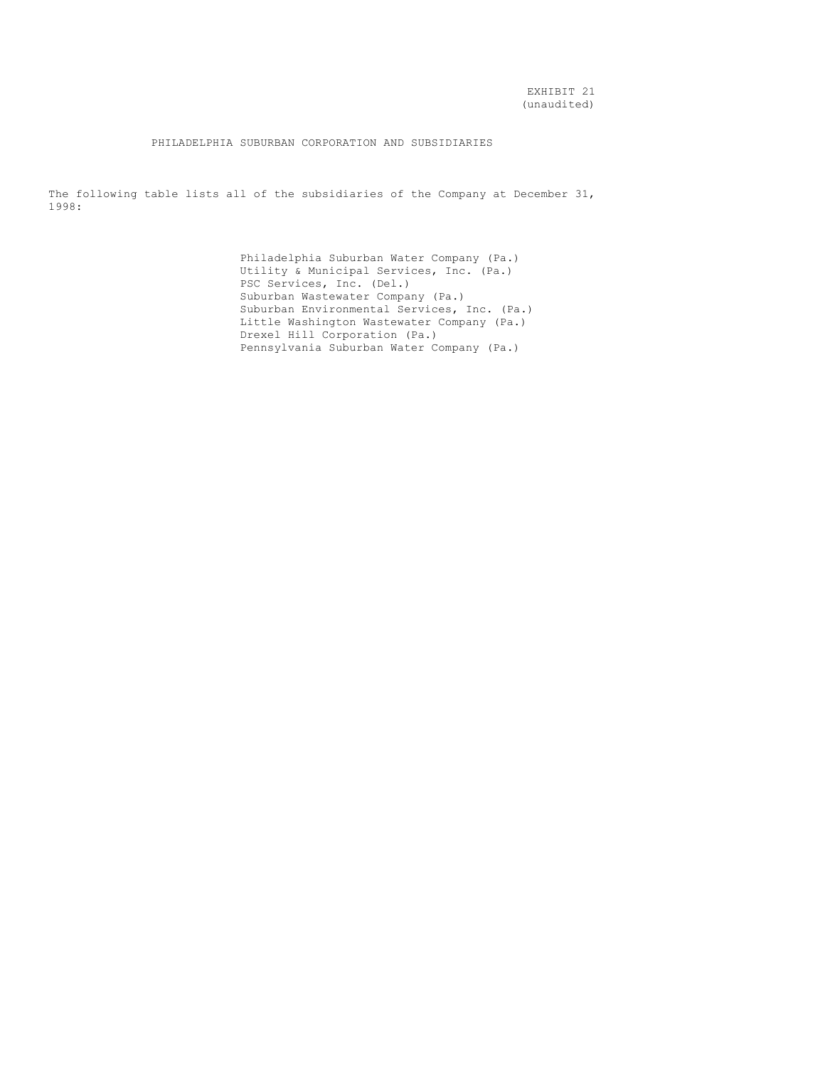EXHIBIT 21 (unaudited)

## PHILADELPHIA SUBURBAN CORPORATION AND SUBSIDIARIES

The following table lists all of the subsidiaries of the Company at December 31, 1998:

> Philadelphia Suburban Water Company (Pa.) Utility & Municipal Services, Inc. (Pa.) PSC Services, Inc. (Del.) Suburban Wastewater Company (Pa.) Suburban Environmental Services, Inc. (Pa.) Little Washington Wastewater Company (Pa.) Drexel Hill Corporation (Pa.) Pennsylvania Suburban Water Company (Pa.)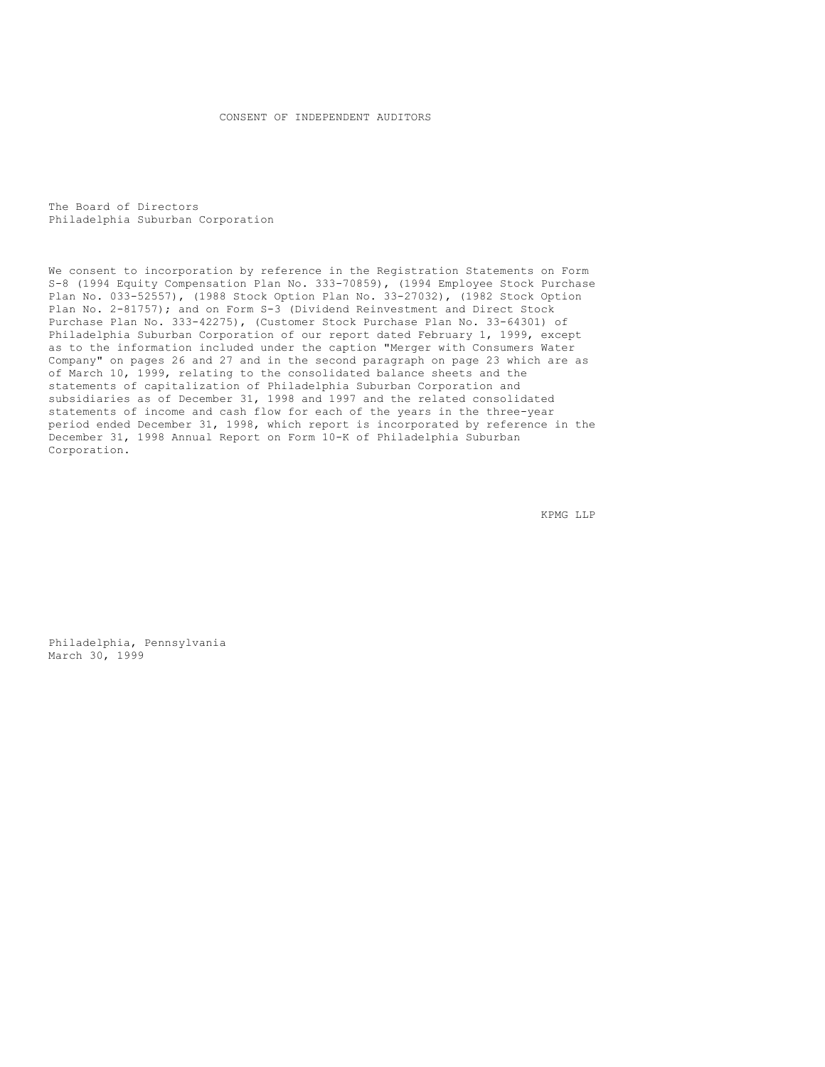#### CONSENT OF INDEPENDENT AUDITORS

The Board of Directors Philadelphia Suburban Corporation

We consent to incorporation by reference in the Registration Statements on Form S-8 (1994 Equity Compensation Plan No. 333-70859), (1994 Employee Stock Purchase Plan No. 033-52557), (1988 Stock Option Plan No. 33-27032), (1982 Stock Option Plan No. 2-81757); and on Form S-3 (Dividend Reinvestment and Direct Stock Purchase Plan No. 333-42275), (Customer Stock Purchase Plan No. 33-64301) of Philadelphia Suburban Corporation of our report dated February 1, 1999, except as to the information included under the caption "Merger with Consumers Water Company" on pages 26 and 27 and in the second paragraph on page 23 which are as of March 10, 1999, relating to the consolidated balance sheets and the statements of capitalization of Philadelphia Suburban Corporation and subsidiaries as of December 31, 1998 and 1997 and the related consolidated statements of income and cash flow for each of the years in the three-year period ended December 31, 1998, which report is incorporated by reference in the December 31, 1998 Annual Report on Form 10-K of Philadelphia Suburban Corporation.

KPMG LLP

Philadelphia, Pennsylvania March 30, 1999